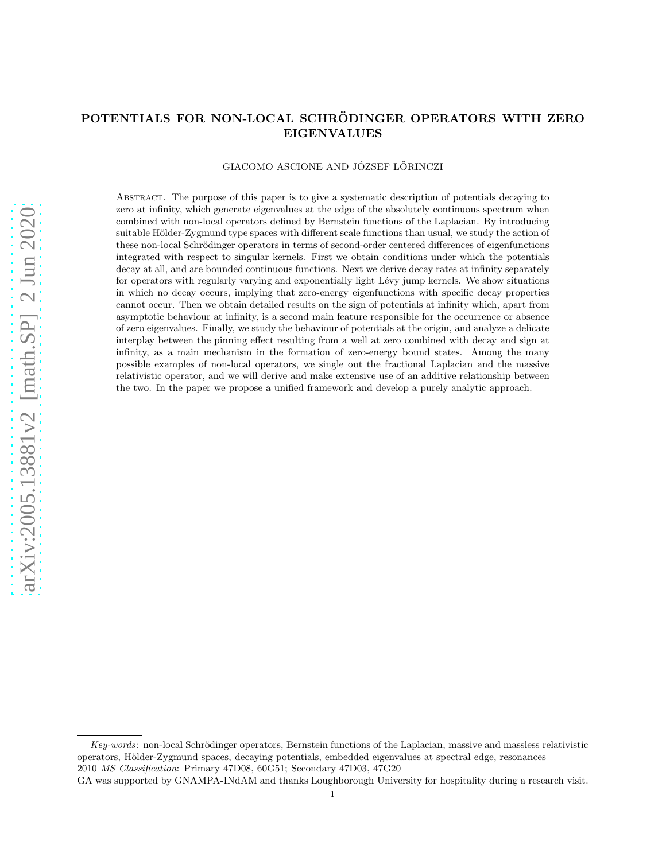# POTENTIALS FOR NON-LOCAL SCHRÖDINGER OPERATORS WITH ZERO EIGENVALUES

#### GIACOMO ASCIONE AND JÓZSEF LŐRINCZI

Abstract. The purpose of this paper is to give a systematic description of potentials decaying to zero at infinity, which generate eigenvalues at the edge of the absolutely continuous spectrum when combined with non-local operators defined by Bernstein functions of the Laplacian. By introducing suitable Hölder-Zygmund type spaces with different scale functions than usual, we study the action of these non-local Schrödinger operators in terms of second-order centered differences of eigenfunctions integrated with respect to singular kernels. First we obtain conditions under which the potentials decay at all, and are bounded continuous functions. Next we derive decay rates at infinity separately for operators with regularly varying and exponentially light Lévy jump kernels. We show situations in which no decay occurs, implying that zero-energy eigenfunctions with specific decay properties cannot occur. Then we obtain detailed results on the sign of potentials at infinity which, apart from asymptotic behaviour at infinity, is a second main feature responsible for the occurrence or absence of zero eigenvalues. Finally, we study the behaviour of potentials at the origin, and analyze a delicate interplay between the pinning effect resulting from a well at zero combined with decay and sign at infinity, as a main mechanism in the formation of zero-energy bound states. Among the many possible examples of non-local operators, we single out the fractional Laplacian and the massive relativistic operator, and we will derive and make extensive use of an additive relationship between the two. In the paper we propose a unified framework and develop a purely analytic approach.

GA was supported by GNAMPA-INdAM and thanks Loughborough University for hospitality during a research visit.

Key-words: non-local Schrödinger operators, Bernstein functions of the Laplacian, massive and massless relativistic operators, H¨older-Zygmund spaces, decaying potentials, embedded eigenvalues at spectral edge, resonances 2010 MS Classification: Primary 47D08, 60G51; Secondary 47D03, 47G20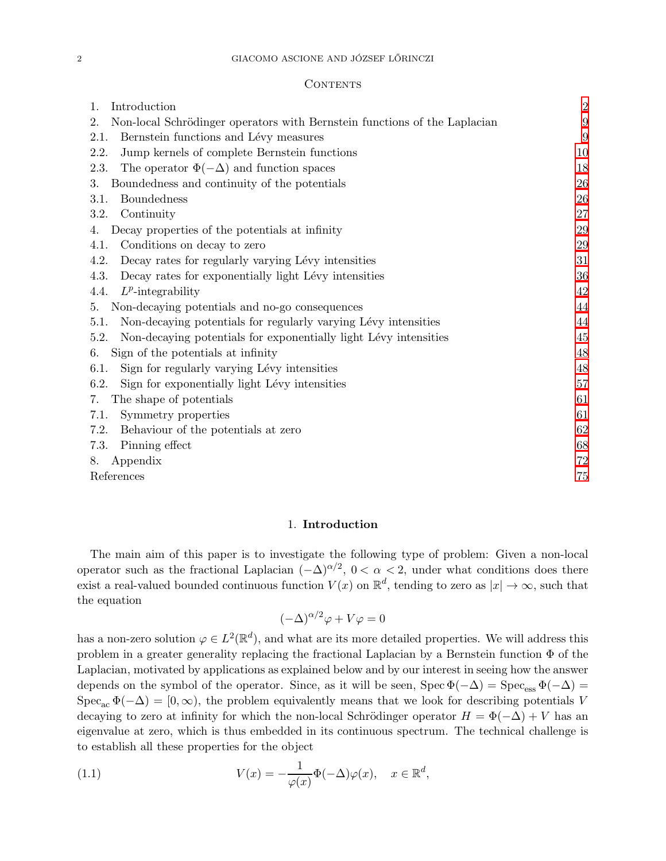### **CONTENTS**

| 1.<br>Introduction                                                              | $\overline{2}$ |
|---------------------------------------------------------------------------------|----------------|
| Non-local Schrödinger operators with Bernstein functions of the Laplacian<br>2. | 9              |
| 2.1.<br>Bernstein functions and Lévy measures                                   | 9              |
| Jump kernels of complete Bernstein functions<br>2.2.                            | 10             |
| The operator $\Phi(-\Delta)$ and function spaces<br>2.3.                        | 18             |
| Boundedness and continuity of the potentials<br>3.                              | 26             |
| <b>Boundedness</b><br>3.1.                                                      | 26             |
| Continuity<br>3.2.                                                              | 27             |
| Decay properties of the potentials at infinity<br>4.                            | 29             |
| Conditions on decay to zero<br>4.1.                                             | 29             |
| Decay rates for regularly varying Lévy intensities<br>4.2.                      | 31             |
| 4.3.<br>Decay rates for exponentially light Lévy intensities                    | 36             |
| $L^p$ -integrability<br>4.4.                                                    | 42             |
| Non-decaying potentials and no-go consequences<br>5.                            | 44             |
| 5.1.<br>Non-decaying potentials for regularly varying Lévy intensities          | 44             |
| 5.2.<br>Non-decaying potentials for exponentially light Lévy intensities        | 45             |
| Sign of the potentials at infinity<br>6.                                        | 48             |
| Sign for regularly varying Lévy intensities<br>6.1.                             | 48             |
| 6.2.<br>Sign for exponentially light Lévy intensities                           | $57\,$         |
| The shape of potentials<br>7.                                                   | 61             |
| 7.1.<br>Symmetry properties                                                     | 61             |
| Behaviour of the potentials at zero<br>7.2.                                     | 62             |
| Pinning effect<br>7.3.                                                          | 68             |
| Appendix<br>8.                                                                  | $72\,$         |
| References                                                                      | 75             |

### 1. Introduction

<span id="page-1-0"></span>The main aim of this paper is to investigate the following type of problem: Given a non-local operator such as the fractional Laplacian  $(-\Delta)^{\alpha/2}$ ,  $0 < \alpha < 2$ , under what conditions does there exist a real-valued bounded continuous function  $V(x)$  on  $\mathbb{R}^d$ , tending to zero as  $|x| \to \infty$ , such that the equation

<span id="page-1-1"></span>
$$
(-\Delta)^{\alpha/2}\varphi + V\varphi = 0
$$

has a non-zero solution  $\varphi \in L^2(\mathbb{R}^d)$ , and what are its more detailed properties. We will address this problem in a greater generality replacing the fractional Laplacian by a Bernstein function  $\Phi$  of the Laplacian, motivated by applications as explained below and by our interest in seeing how the answer depends on the symbol of the operator. Since, as it will be seen,  $Spec \Phi(-\Delta) = Spec_{ess} \Phi(-\Delta)$  $Spec_{ac} \Phi(-\Delta) = [0, \infty)$ , the problem equivalently means that we look for describing potentials V decaying to zero at infinity for which the non-local Schrödinger operator  $H = \Phi(-\Delta) + V$  has an eigenvalue at zero, which is thus embedded in its continuous spectrum. The technical challenge is to establish all these properties for the object

(1.1) 
$$
V(x) = -\frac{1}{\varphi(x)}\Phi(-\Delta)\varphi(x), \quad x \in \mathbb{R}^d,
$$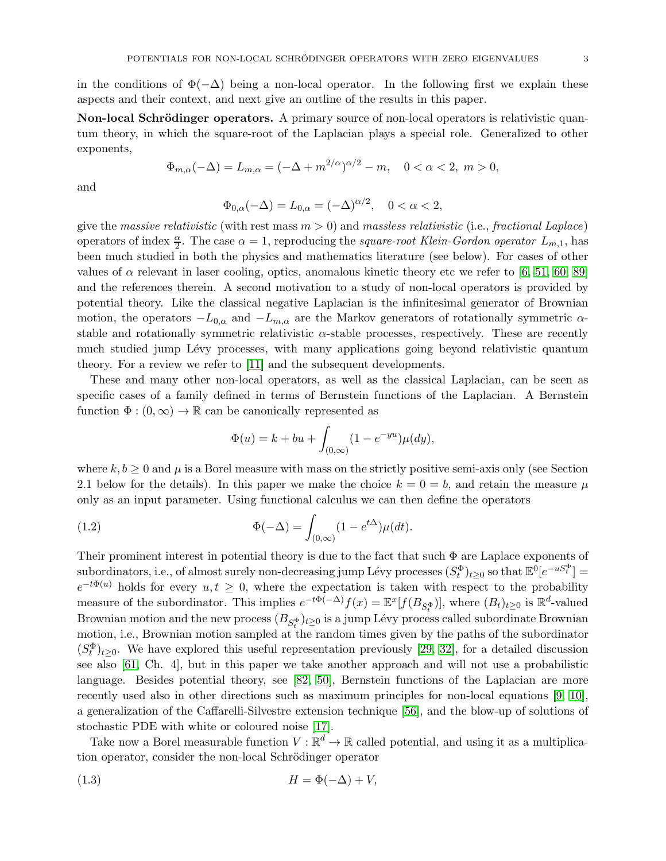in the conditions of  $\Phi(-\Delta)$  being a non-local operator. In the following first we explain these aspects and their context, and next give an outline of the results in this paper.

Non-local Schrödinger operators. A primary source of non-local operators is relativistic quantum theory, in which the square-root of the Laplacian plays a special role. Generalized to other exponents,

$$
\Phi_{m,\alpha}(-\Delta) = L_{m,\alpha} = (-\Delta + m^{2/\alpha})^{\alpha/2} - m, \quad 0 < \alpha < 2, \ m > 0,
$$

and

$$
\Phi_{0,\alpha}(-\Delta) = L_{0,\alpha} = (-\Delta)^{\alpha/2}, \quad 0 < \alpha < 2,
$$

give the massive relativistic (with rest mass  $m > 0$ ) and massless relativistic (i.e., fractional Laplace) operators of index  $\frac{\alpha}{2}$ . The case  $\alpha = 1$ , reproducing the square-root Klein-Gordon operator  $L_{m,1}$ , has been much studied in both the physics and mathematics literature (see below). For cases of other values of  $\alpha$  relevant in laser cooling, optics, anomalous kinetic theory etc we refer to [\[6,](#page-74-1) [51,](#page-76-0) [60,](#page-76-1) [89\]](#page-77-0) and the references therein. A second motivation to a study of non-local operators is provided by potential theory. Like the classical negative Laplacian is the infinitesimal generator of Brownian motion, the operators  $-L_{0,\alpha}$  and  $-L_{m,\alpha}$  are the Markov generators of rotationally symmetric  $\alpha$ stable and rotationally symmetric relativistic  $\alpha$ -stable processes, respectively. These are recently much studied jump Lévy processes, with many applications going beyond relativistic quantum theory. For a review we refer to [\[11\]](#page-75-0) and the subsequent developments.

These and many other non-local operators, as well as the classical Laplacian, can be seen as specific cases of a family defined in terms of Bernstein functions of the Laplacian. A Bernstein function  $\Phi: (0,\infty) \to \mathbb{R}$  can be canonically represented as

<span id="page-2-1"></span>
$$
\Phi(u) = k + bu + \int_{(0,\infty)} (1 - e^{-yu}) \mu(dy),
$$

where  $k, b \geq 0$  and  $\mu$  is a Borel measure with mass on the strictly positive semi-axis only (see Section 2.1 below for the details). In this paper we make the choice  $k = 0 = b$ , and retain the measure  $\mu$ only as an input parameter. Using functional calculus we can then define the operators

(1.2) 
$$
\Phi(-\Delta) = \int_{(0,\infty)} (1 - e^{t\Delta}) \mu(dt).
$$

Their prominent interest in potential theory is due to the fact that such  $\Phi$  are Laplace exponents of subordinators, i.e., of almost surely non-decreasing jump Lévy processes  $(S_t^{\Phi})_{t\geq0}$  so that  $\mathbb{E}^0[e^{-uS_t^{\Phi}}] =$  $e^{-t\Phi(u)}$  holds for every  $u, t \geq 0$ , where the expectation is taken with respect to the probability measure of the subordinator. This implies  $e^{-t\Phi(-\Delta)}f(x) = \mathbb{E}^x[f(B_{S_t^{\Phi}})]$ , where  $(B_t)_{t\geq 0}$  is  $\mathbb{R}^d$ -valued Brownian motion and the new process  $(B_{S_t^{\Phi}})_{t\geq 0}$  is a jump Lévy process called subordinate Brownian motion, i.e., Brownian motion sampled at the random times given by the paths of the subordinator  $(S_t^{\Phi})_{t\geq 0}$ . We have explored this useful representation previously [\[29,](#page-75-1) [32\]](#page-75-2), for a detailed discussion see also [\[61,](#page-76-2) Ch. 4], but in this paper we take another approach and will not use a probabilistic language. Besides potential theory, see [\[82,](#page-77-1) [50\]](#page-76-3), Bernstein functions of the Laplacian are more recently used also in other directions such as maximum principles for non-local equations [\[9,](#page-74-2) [10\]](#page-75-3), a generalization of the Caffarelli-Silvestre extension technique [\[56\]](#page-76-4), and the blow-up of solutions of stochastic PDE with white or coloured noise [\[17\]](#page-75-4).

Take now a Borel measurable function  $V : \mathbb{R}^d \to \mathbb{R}$  called potential, and using it as a multiplication operator, consider the non-local Schrödinger operator

<span id="page-2-0"></span>
$$
(1.3) \t\t\t H = \Phi(-\Delta) + V,
$$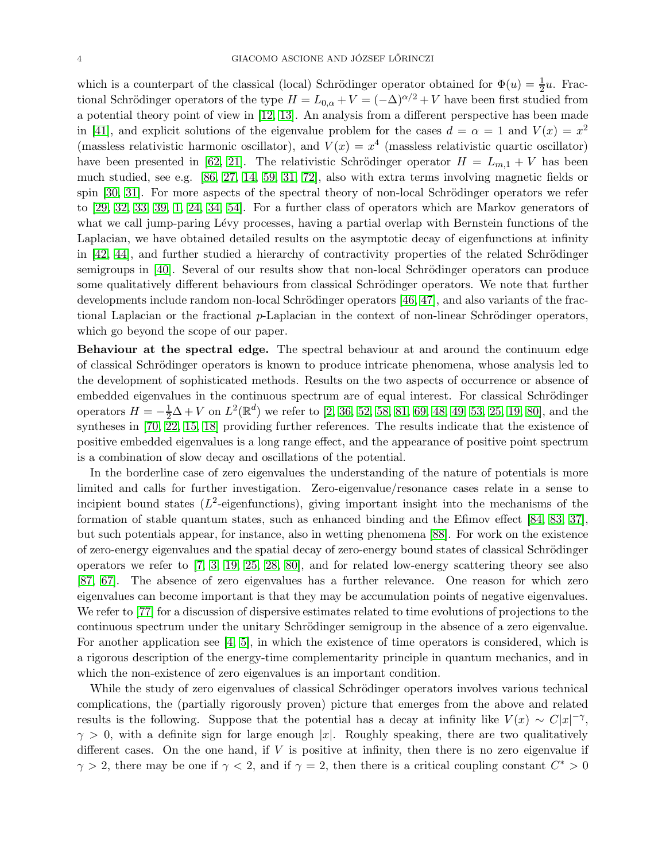which is a counterpart of the classical (local) Schrödinger operator obtained for  $\Phi(u) = \frac{1}{2}u$ . Fractional Schrödinger operators of the type  $H = L_{0,\alpha} + V = (-\Delta)^{\alpha/2} + V$  have been first studied from a potential theory point of view in [\[12,](#page-75-5) [13\]](#page-75-6). An analysis from a different perspective has been made in [\[41\]](#page-75-7), and explicit solutions of the eigenvalue problem for the cases  $d = \alpha = 1$  and  $V(x) = x^2$ (massless relativistic harmonic oscillator), and  $V(x) = x^4$  (massless relativistic quartic oscillator) have been presented in [\[62,](#page-76-5) [21\]](#page-75-8). The relativistic Schrödinger operator  $H = L_{m,1} + V$  has been much studied, see e.g. [\[86,](#page-77-2) [27,](#page-75-9) [14,](#page-75-10) [59,](#page-76-6) [31,](#page-75-11) [72\]](#page-76-7), also with extra terms involving magnetic fields or spin  $[30, 31]$  $[30, 31]$ . For more aspects of the spectral theory of non-local Schrödinger operators we refer to [\[29,](#page-75-1) [32,](#page-75-2) [33,](#page-75-13) [39,](#page-75-14) [1,](#page-74-3) [24,](#page-75-15) [34,](#page-75-16) [54\]](#page-76-8). For a further class of operators which are Markov generators of what we call jump-paring Lévy processes, having a partial overlap with Bernstein functions of the Laplacian, we have obtained detailed results on the asymptotic decay of eigenfunctions at infinity in  $[42, 44]$  $[42, 44]$ , and further studied a hierarchy of contractivity properties of the related Schrödinger semigroups in [\[40\]](#page-75-18). Several of our results show that non-local Schrödinger operators can produce some qualitatively different behaviours from classical Schrödinger operators. We note that further developments include random non-local Schrödinger operators  $[46, 47]$  $[46, 47]$ , and also variants of the fractional Laplacian or the fractional  $p$ -Laplacian in the context of non-linear Schrödinger operators, which go beyond the scope of our paper.

Behaviour at the spectral edge. The spectral behaviour at and around the continuum edge of classical Schrödinger operators is known to produce intricate phenomena, whose analysis led to the development of sophisticated methods. Results on the two aspects of occurrence or absence of embedded eigenvalues in the continuous spectrum are of equal interest. For classical Schrödinger operators  $H = -\frac{1}{2}\Delta + V$  on  $L^2(\mathbb{R}^d)$  we refer to [\[2,](#page-74-4) [36,](#page-75-19) [52,](#page-76-12) [58,](#page-76-13) [81,](#page-77-3) [69,](#page-76-14) [48,](#page-76-15) [49,](#page-76-16) [53,](#page-76-17) [25,](#page-75-20) [19,](#page-75-21) [80\]](#page-77-4), and the syntheses in [\[70,](#page-76-18) [22,](#page-75-22) [15,](#page-75-23) [18\]](#page-75-24) providing further references. The results indicate that the existence of positive embedded eigenvalues is a long range effect, and the appearance of positive point spectrum is a combination of slow decay and oscillations of the potential.

In the borderline case of zero eigenvalues the understanding of the nature of potentials is more limited and calls for further investigation. Zero-eigenvalue/resonance cases relate in a sense to incipient bound states  $(L^2$ -eigenfunctions), giving important insight into the mechanisms of the formation of stable quantum states, such as enhanced binding and the Efimov effect [\[84,](#page-77-5) [83,](#page-77-6) [37\]](#page-75-25), but such potentials appear, for instance, also in wetting phenomena [\[88\]](#page-77-7). For work on the existence of zero-energy eigenvalues and the spatial decay of zero-energy bound states of classical Schrödinger operators we refer to [\[7,](#page-74-5) [3,](#page-74-6) [19,](#page-75-21) [25,](#page-75-20) [28,](#page-75-26) [80\]](#page-77-4), and for related low-energy scattering theory see also [\[87,](#page-77-8) [67\]](#page-76-19). The absence of zero eigenvalues has a further relevance. One reason for which zero eigenvalues can become important is that they may be accumulation points of negative eigenvalues. We refer to [\[77\]](#page-77-9) for a discussion of dispersive estimates related to time evolutions of projections to the continuous spectrum under the unitary Schrödinger semigroup in the absence of a zero eigenvalue. For another application see [\[4,](#page-74-7) [5\]](#page-74-8), in which the existence of time operators is considered, which is a rigorous description of the energy-time complementarity principle in quantum mechanics, and in which the non-existence of zero eigenvalues is an important condition.

While the study of zero eigenvalues of classical Schrödinger operators involves various technical complications, the (partially rigorously proven) picture that emerges from the above and related results is the following. Suppose that the potential has a decay at infinity like  $V(x) \sim C|x|^{-\gamma}$ ,  $\gamma > 0$ , with a definite sign for large enough |x|. Roughly speaking, there are two qualitatively different cases. On the one hand, if  $V$  is positive at infinity, then there is no zero eigenvalue if  $\gamma > 2$ , there may be one if  $\gamma < 2$ , and if  $\gamma = 2$ , then there is a critical coupling constant  $C^* > 0$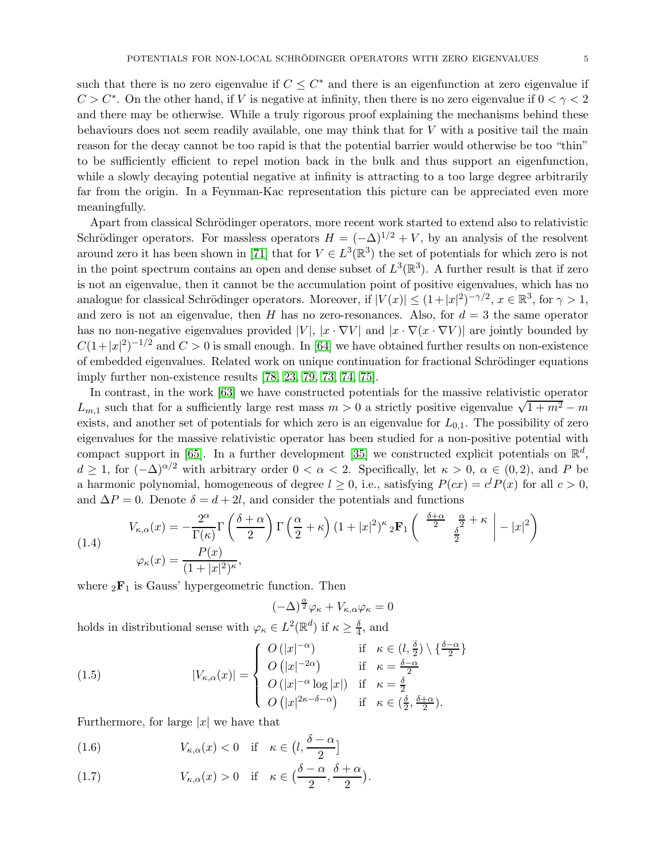such that there is no zero eigenvalue if  $C \leq C^*$  and there is an eigenfunction at zero eigenvalue if  $C > C^*$ . On the other hand, if V is negative at infinity, then there is no zero eigenvalue if  $0 < \gamma < 2$ and there may be otherwise. While a truly rigorous proof explaining the mechanisms behind these behaviours does not seem readily available, one may think that for  $V$  with a positive tail the main reason for the decay cannot be too rapid is that the potential barrier would otherwise be too "thin" to be sufficiently efficient to repel motion back in the bulk and thus support an eigenfunction, while a slowly decaying potential negative at infinity is attracting to a too large degree arbitrarily far from the origin. In a Feynman-Kac representation this picture can be appreciated even more meaningfully.

Apart from classical Schrödinger operators, more recent work started to extend also to relativistic Schrödinger operators. For massless operators  $H = (-\Delta)^{1/2} + V$ , by an analysis of the resolvent around zero it has been shown in [\[71\]](#page-76-20) that for  $V \in L^3(\mathbb{R}^3)$  the set of potentials for which zero is not in the point spectrum contains an open and dense subset of  $L^3(\mathbb{R}^3)$ . A further result is that if zero is not an eigenvalue, then it cannot be the accumulation point of positive eigenvalues, which has no analogue for classical Schrödinger operators. Moreover, if  $|V(x)| \leq (1+|x|^2)^{-\gamma/2}$ ,  $x \in \mathbb{R}^3$ , for  $\gamma > 1$ , and zero is not an eigenvalue, then H has no zero-resonances. Also, for  $d = 3$  the same operator has no non-negative eigenvalues provided  $|V|$ ,  $|x \cdot \nabla V|$  and  $|x \cdot \nabla (x \cdot \nabla V)|$  are jointly bounded by  $C(1+|x|^2)^{-1/2}$  and  $C>0$  is small enough. In [\[64\]](#page-76-21) we have obtained further results on non-existence of embedded eigenvalues. Related work on unique continuation for fractional Schrödinger equations imply further non-existence results [\[78,](#page-77-10) [23,](#page-75-27) [79,](#page-77-11) [73,](#page-76-22) [74,](#page-77-12) [75\]](#page-77-13).

In contrast, in the work [\[63\]](#page-76-23) we have constructed potentials for the massive relativistic operator  $L_{m,1}$  such that for a sufficiently large rest mass  $m > 0$  a strictly positive eigenvalue  $\sqrt{1 + m^2} - m$ exists, and another set of potentials for which zero is an eigenvalue for  $L_{0,1}$ . The possibility of zero eigenvalues for the massive relativistic operator has been studied for a non-positive potential with compact support in [\[65\]](#page-76-24). In a further development [\[35\]](#page-75-28) we constructed explicit potentials on  $\mathbb{R}^d$ ,  $d \geq 1$ , for  $(-\Delta)^{\alpha/2}$  with arbitrary order  $0 < \alpha < 2$ . Specifically, let  $\kappa > 0$ ,  $\alpha \in (0, 2)$ , and P be a harmonic polynomial, homogeneous of degree  $l \geq 0$ , i.e., satisfying  $P(cx) = c^l P(x)$  for all  $c > 0$ , and  $\Delta P = 0$ . Denote  $\delta = d + 2l$ , and consider the potentials and functions

<span id="page-4-2"></span>(1.4) 
$$
V_{\kappa,\alpha}(x) = -\frac{2^{\alpha}}{\Gamma(\kappa)} \Gamma\left(\frac{\delta+\alpha}{2}\right) \Gamma\left(\frac{\alpha}{2}+\kappa\right) (1+|x|^2)^{\kappa} {}_{2}\mathbf{F}_{1}\left(\begin{array}{cc} \frac{\delta+\alpha}{2} & \frac{\alpha}{2}+\kappa \\ \frac{\delta}{2} & \frac{\delta}{2} \end{array}\Big| -|x|^2\right)
$$

$$
\varphi_{\kappa}(x) = \frac{P(x)}{(1+|x|^2)^{\kappa}},
$$

where  ${}_2\mathbf{F}_1$  is Gauss' hypergeometric function. Then

<span id="page-4-1"></span><span id="page-4-0"></span>
$$
(-\Delta)^{\frac{\alpha}{2}}\varphi_{\kappa} + V_{\kappa,\alpha}\varphi_{\kappa} = 0
$$

holds in distributional sense with  $\varphi_{\kappa} \in L^2(\mathbb{R}^d)$  if  $\kappa \geq \frac{\delta}{4}$  $\frac{0}{4}$ , and

(1.5) 
$$
|V_{\kappa,\alpha}(x)| = \begin{cases} O(|x|^{-\alpha}) & \text{if } \kappa \in (l, \frac{\delta}{2}) \setminus \{\frac{\delta-\alpha}{2}\} \\ O(|x|^{-2\alpha}) & \text{if } \kappa = \frac{\delta-\alpha}{2} \\ O(|x|^{-\alpha} \log|x|) & \text{if } \kappa = \frac{\delta}{2} \\ O(|x|^{2\kappa-\delta-\alpha}) & \text{if } \kappa \in (\frac{\delta}{2}, \frac{\delta+\alpha}{2}). \end{cases}
$$

Furthermore, for large  $|x|$  we have that

(1.6) 
$$
V_{\kappa,\alpha}(x) < 0 \quad \text{if} \quad \kappa \in \left(l, \frac{\delta - \alpha}{2}\right]
$$

(1.7) 
$$
V_{\kappa,\alpha}(x) > 0 \quad \text{if} \quad \kappa \in \left(\frac{\delta-\alpha}{2},\frac{\delta+\alpha}{2}\right).
$$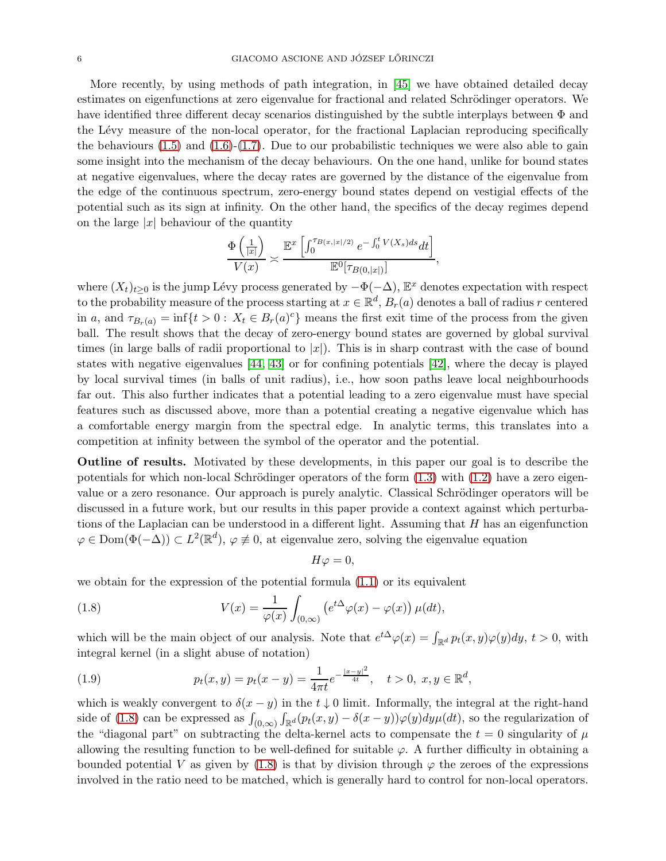More recently, by using methods of path integration, in [\[45\]](#page-76-25) we have obtained detailed decay estimates on eigenfunctions at zero eigenvalue for fractional and related Schrödinger operators. We have identified three different decay scenarios distinguished by the subtle interplays between Φ and the Lévy measure of the non-local operator, for the fractional Laplacian reproducing specifically the behaviours  $(1.5)$  and  $(1.6)-(1.7)$  $(1.6)-(1.7)$ . Due to our probabilistic techniques we were also able to gain some insight into the mechanism of the decay behaviours. On the one hand, unlike for bound states at negative eigenvalues, where the decay rates are governed by the distance of the eigenvalue from the edge of the continuous spectrum, zero-energy bound states depend on vestigial effects of the potential such as its sign at infinity. On the other hand, the specifics of the decay regimes depend on the large  $|x|$  behaviour of the quantity

$$
\frac{\Phi\left(\frac{1}{|x|}\right)}{V(x)} \approx \frac{\mathbb{E}^x\left[\int_0^{\tau_{B(x,|x|/2)}} e^{-\int_0^t V(X_s)ds} dt\right]}{\mathbb{E}^0[\tau_{B(0,|x|)}]} ,
$$

where  $(X_t)_{t\geq 0}$  is the jump Lévy process generated by  $-\Phi(-\Delta)$ ,  $\mathbb{E}^x$  denotes expectation with respect to the probability measure of the process starting at  $x \in \mathbb{R}^d$ ,  $B_r(a)$  denotes a ball of radius r centered in a, and  $\tau_{B_r(a)} = \inf\{t > 0: X_t \in B_r(a)^c\}$  means the first exit time of the process from the given ball. The result shows that the decay of zero-energy bound states are governed by global survival times (in large balls of radii proportional to  $|x|$ ). This is in sharp contrast with the case of bound states with negative eigenvalues [\[44,](#page-76-9) [43\]](#page-76-26) or for confining potentials [\[42\]](#page-75-17), where the decay is played by local survival times (in balls of unit radius), i.e., how soon paths leave local neighbourhoods far out. This also further indicates that a potential leading to a zero eigenvalue must have special features such as discussed above, more than a potential creating a negative eigenvalue which has a comfortable energy margin from the spectral edge. In analytic terms, this translates into a competition at infinity between the symbol of the operator and the potential.

Outline of results. Motivated by these developments, in this paper our goal is to describe the potentials for which non-local Schrödinger operators of the form  $(1.3)$  with  $(1.2)$  have a zero eigenvalue or a zero resonance. Our approach is purely analytic. Classical Schrödinger operators will be discussed in a future work, but our results in this paper provide a context against which perturbations of the Laplacian can be understood in a different light. Assuming that H has an eigenfunction  $\varphi \in \text{Dom}(\Phi(-\Delta)) \subset L^2(\mathbb{R}^d)$ ,  $\varphi \not\equiv 0$ , at eigenvalue zero, solving the eigenvalue equation

<span id="page-5-0"></span>
$$
H\varphi=0,
$$

we obtain for the expression of the potential formula  $(1.1)$  or its equivalent

(1.8) 
$$
V(x) = \frac{1}{\varphi(x)} \int_{(0,\infty)} \left( e^{t\Delta} \varphi(x) - \varphi(x) \right) \mu(dt),
$$

which will be the main object of our analysis. Note that  $e^{t\Delta}\varphi(x) = \int_{\mathbb{R}^d} p_t(x, y)\varphi(y)dy$ ,  $t > 0$ , with integral kernel (in a slight abuse of notation)

<span id="page-5-1"></span>(1.9) 
$$
p_t(x,y) = p_t(x-y) = \frac{1}{4\pi t} e^{-\frac{|x-y|^2}{4t}}, \quad t > 0, \ x, y \in \mathbb{R}^d,
$$

which is weakly convergent to  $\delta(x - y)$  in the  $t \downarrow 0$  limit. Informally, the integral at the right-hand side of [\(1.8\)](#page-5-0) can be expressed as  $\int_{(0,\infty)}$  $\int_{\mathbb{R}^d} (p_t(x, y) - \delta(x - y)) \varphi(y) dy \mu(dt)$ , so the regularization of the "diagonal part" on subtracting the delta-kernel acts to compensate the  $t = 0$  singularity of  $\mu$ allowing the resulting function to be well-defined for suitable  $\varphi$ . A further difficulty in obtaining a bounded potential V as given by [\(1.8\)](#page-5-0) is that by division through  $\varphi$  the zeroes of the expressions involved in the ratio need to be matched, which is generally hard to control for non-local operators.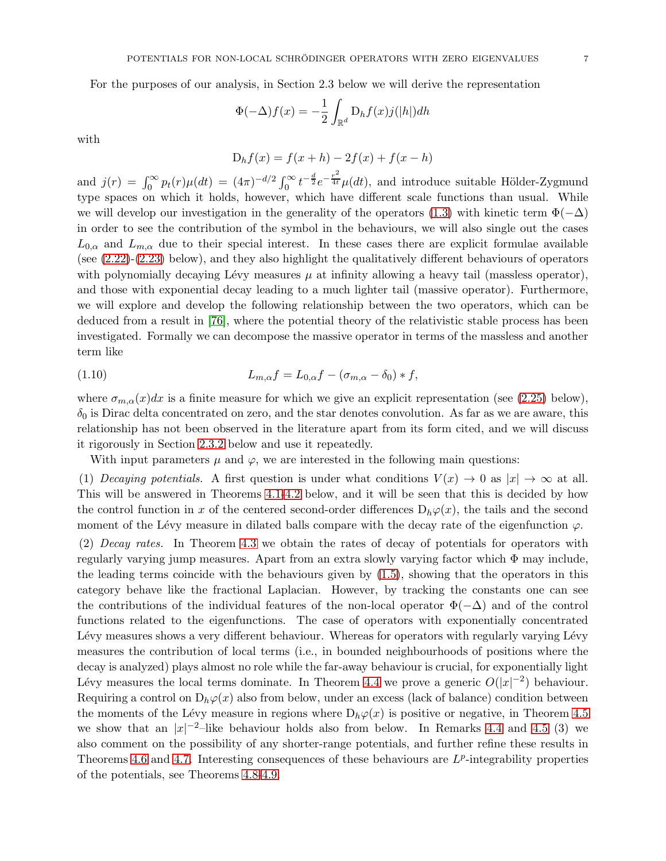For the purposes of our analysis, in Section 2.3 below we will derive the representation

$$
\Phi(-\Delta)f(x) = -\frac{1}{2} \int_{\mathbb{R}^d} D_h f(x) j(|h|) dh
$$

with

$$
D_h f(x) = f(x + h) - 2f(x) + f(x - h)
$$

and  $j(r) = \int_0^\infty p_t(r) \mu(dt) = (4\pi)^{-d/2} \int_0^\infty t^{-\frac{d}{2}} e^{-\frac{r^2}{4t}} \mu(dt)$ , and introduce suitable Hölder-Zygmund type spaces on which it holds, however, which have different scale functions than usual. While we will develop our investigation in the generality of the operators [\(1.3\)](#page-2-0) with kinetic term  $\Phi(-\Delta)$ in order to see the contribution of the symbol in the behaviours, we will also single out the cases  $L_{0,\alpha}$  and  $L_{m,\alpha}$  due to their special interest. In these cases there are explicit formulae available (see [\(2.22\)](#page-21-0)-[\(2.23\)](#page-21-1) below), and they also highlight the qualitatively different behaviours of operators with polynomially decaying Lévy measures  $\mu$  at infinity allowing a heavy tail (massless operator), and those with exponential decay leading to a much lighter tail (massive operator). Furthermore, we will explore and develop the following relationship between the two operators, which can be deduced from a result in [\[76\]](#page-77-14), where the potential theory of the relativistic stable process has been investigated. Formally we can decompose the massive operator in terms of the massless and another term like

<span id="page-6-0"></span>(1.10) 
$$
L_{m,\alpha}f = L_{0,\alpha}f - (\sigma_{m,\alpha} - \delta_0) * f,
$$

where  $\sigma_{m,\alpha}(x)dx$  is a finite measure for which we give an explicit representation (see [\(2.25\)](#page-22-0) below),  $\delta_0$  is Dirac delta concentrated on zero, and the star denotes convolution. As far as we are aware, this relationship has not been observed in the literature apart from its form cited, and we will discuss it rigorously in Section [2.3.2](#page-21-2) below and use it repeatedly.

With input parameters  $\mu$  and  $\varphi$ , we are interested in the following main questions:

(1) Decaying potentials. A first question is under what conditions  $V(x) \to 0$  as  $|x| \to \infty$  at all. This will be answered in Theorems [4.1-](#page-28-2)[4.2](#page-29-0) below, and it will be seen that this is decided by how the control function in x of the centered second-order differences  $D_h\varphi(x)$ , the tails and the second moment of the Lévy measure in dilated balls compare with the decay rate of the eigenfunction  $\varphi$ .

(2) Decay rates. In Theorem [4.3](#page-30-1) we obtain the rates of decay of potentials for operators with regularly varying jump measures. Apart from an extra slowly varying factor which  $\Phi$  may include, the leading terms coincide with the behaviours given by [\(1.5\)](#page-4-0), showing that the operators in this category behave like the fractional Laplacian. However, by tracking the constants one can see the contributions of the individual features of the non-local operator  $\Phi(-\Delta)$  and of the control functions related to the eigenfunctions. The case of operators with exponentially concentrated Lévy measures shows a very different behaviour. Whereas for operators with regularly varying Lévy measures the contribution of local terms (i.e., in bounded neighbourhoods of positions where the decay is analyzed) plays almost no role while the far-away behaviour is crucial, for exponentially light Lévy measures the local terms dominate. In Theorem [4.4](#page-35-1) we prove a generic  $O(|x|^{-2})$  behaviour. Requiring a control on  $D_h\varphi(x)$  also from below, under an excess (lack of balance) condition between the moments of the Lévy measure in regions where  $D_h\varphi(x)$  is positive or negative, in Theorem [4.5](#page-35-2) we show that an  $|x|^{-2}$ -like behaviour holds also from below. In Remarks [4.4](#page-35-3) and [4.5](#page-37-0) (3) we also comment on the possibility of any shorter-range potentials, and further refine these results in Theorems [4.6](#page-39-0) and [4.7.](#page-39-1) Interesting consequences of these behaviours are  $L^p$ -integrability properties of the potentials, see Theorems [4.8](#page-41-1)[-4.9.](#page-42-0)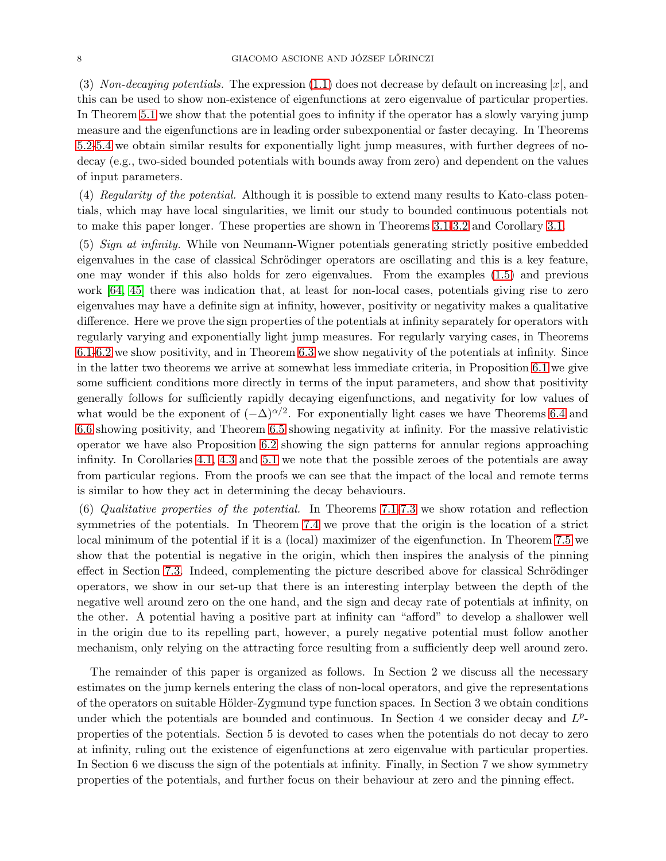(3) Non-decaying potentials. The expression [\(1.1\)](#page-1-1) does not decrease by default on increasing  $|x|$ , and this can be used to show non-existence of eigenfunctions at zero eigenvalue of particular properties. In Theorem [5.1](#page-43-2) we show that the potential goes to infinity if the operator has a slowly varying jump measure and the eigenfunctions are in leading order subexponential or faster decaying. In Theorems [5.2](#page-45-0)[-5.4](#page-46-0) we obtain similar results for exponentially light jump measures, with further degrees of nodecay (e.g., two-sided bounded potentials with bounds away from zero) and dependent on the values of input parameters.

(4) Regularity of the potential. Although it is possible to extend many results to Kato-class potentials, which may have local singularities, we limit our study to bounded continuous potentials not to make this paper longer. These properties are shown in Theorems [3.1-](#page-25-2)[3.2](#page-26-1) and Corollary [3.1.](#page-26-2)

(5) Sign at infinity. While von Neumann-Wigner potentials generating strictly positive embedded eigenvalues in the case of classical Schrödinger operators are oscillating and this is a key feature, one may wonder if this also holds for zero eigenvalues. From the examples [\(1.5\)](#page-4-0) and previous work [\[64,](#page-76-21) [45\]](#page-76-25) there was indication that, at least for non-local cases, potentials giving rise to zero eigenvalues may have a definite sign at infinity, however, positivity or negativity makes a qualitative difference. Here we prove the sign properties of the potentials at infinity separately for operators with regularly varying and exponentially light jump measures. For regularly varying cases, in Theorems [6.1](#page-47-2)[-6.2](#page-51-0) we show positivity, and in Theorem [6.3](#page-53-0) we show negativity of the potentials at infinity. Since in the latter two theorems we arrive at somewhat less immediate criteria, in Proposition [6.1](#page-55-0) we give some sufficient conditions more directly in terms of the input parameters, and show that positivity generally follows for sufficiently rapidly decaying eigenfunctions, and negativity for low values of what would be the exponent of  $(-\Delta)^{\alpha/2}$ . For exponentially light cases we have Theorems [6.4](#page-56-1) and [6.6](#page-59-0) showing positivity, and Theorem [6.5](#page-57-0) showing negativity at infinity. For the massive relativistic operator we have also Proposition [6.2](#page-59-1) showing the sign patterns for annular regions approaching infinity. In Corollaries [4.1,](#page-37-1) [4.3](#page-40-0) and [5.1](#page-46-1) we note that the possible zeroes of the potentials are away from particular regions. From the proofs we can see that the impact of the local and remote terms is similar to how they act in determining the decay behaviours.

(6) Qualitative properties of the potential. In Theorems [7.1](#page-60-2)[-7.3](#page-61-1) we show rotation and reflection symmetries of the potentials. In Theorem [7.4](#page-61-2) we prove that the origin is the location of a strict local minimum of the potential if it is a (local) maximizer of the eigenfunction. In Theorem [7.5](#page-67-1) we show that the potential is negative in the origin, which then inspires the analysis of the pinning effect in Section [7.3.](#page-67-0) Indeed, complementing the picture described above for classical Schrödinger operators, we show in our set-up that there is an interesting interplay between the depth of the negative well around zero on the one hand, and the sign and decay rate of potentials at infinity, on the other. A potential having a positive part at infinity can "afford" to develop a shallower well in the origin due to its repelling part, however, a purely negative potential must follow another mechanism, only relying on the attracting force resulting from a sufficiently deep well around zero.

The remainder of this paper is organized as follows. In Section 2 we discuss all the necessary estimates on the jump kernels entering the class of non-local operators, and give the representations of the operators on suitable Hölder-Zygmund type function spaces. In Section 3 we obtain conditions under which the potentials are bounded and continuous. In Section 4 we consider decay and  $L^p$ properties of the potentials. Section 5 is devoted to cases when the potentials do not decay to zero at infinity, ruling out the existence of eigenfunctions at zero eigenvalue with particular properties. In Section 6 we discuss the sign of the potentials at infinity. Finally, in Section 7 we show symmetry properties of the potentials, and further focus on their behaviour at zero and the pinning effect.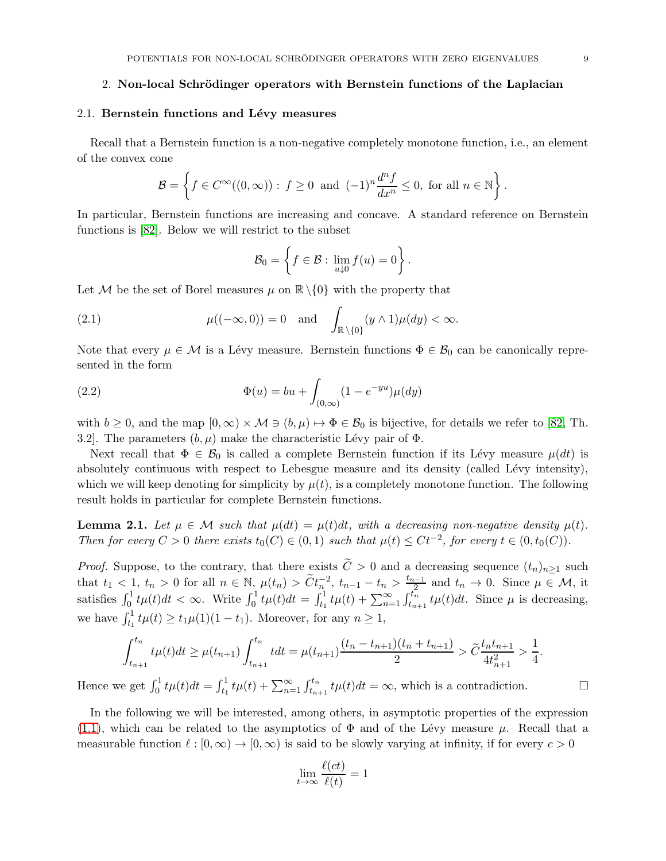#### <span id="page-8-0"></span>2. Non-local Schrödinger operators with Bernstein functions of the Laplacian

#### <span id="page-8-1"></span>2.1. Bernstein functions and Lévy measures

Recall that a Bernstein function is a non-negative completely monotone function, i.e., an element of the convex cone

$$
\mathcal{B} = \left\{ f \in C^{\infty}((0,\infty)) : f \ge 0 \text{ and } (-1)^n \frac{d^n f}{dx^n} \le 0, \text{ for all } n \in \mathbb{N} \right\}.
$$

In particular, Bernstein functions are increasing and concave. A standard reference on Bernstein functions is [\[82\]](#page-77-1). Below we will restrict to the subset

<span id="page-8-4"></span><span id="page-8-3"></span>
$$
\mathcal{B}_0 = \left\{ f \in \mathcal{B} : \lim_{u \downarrow 0} f(u) = 0 \right\}.
$$

Let M be the set of Borel measures  $\mu$  on  $\mathbb{R}\setminus\{0\}$  with the property that

(2.1) 
$$
\mu((-\infty,0))=0 \text{ and } \int_{\mathbb{R}\setminus\{0\}} (y\wedge 1)\mu(dy)<\infty.
$$

Note that every  $\mu \in \mathcal{M}$  is a Lévy measure. Bernstein functions  $\Phi \in \mathcal{B}_0$  can be canonically represented in the form

(2.2) 
$$
\Phi(u) = bu + \int_{(0,\infty)} (1 - e^{-yu}) \mu(dy)
$$

with  $b \geq 0$ , and the map  $[0,\infty) \times M \ni (b,\mu) \mapsto \Phi \in \mathcal{B}_0$  is bijective, for details we refer to [\[82,](#page-77-1) Th. 3.2. The parameters  $(b, \mu)$  make the characteristic Lévy pair of  $\Phi$ .

Next recall that  $\Phi \in \mathcal{B}_0$  is called a complete Bernstein function if its Lévy measure  $\mu(dt)$  is absolutely continuous with respect to Lebesgue measure and its density (called Lévy intensity), which we will keep denoting for simplicity by  $\mu(t)$ , is a completely monotone function. The following result holds in particular for complete Bernstein functions.

<span id="page-8-2"></span>**Lemma 2.1.** Let  $\mu \in \mathcal{M}$  such that  $\mu(dt) = \mu(t)dt$ , with a decreasing non-negative density  $\mu(t)$ . Then for every  $C > 0$  there exists  $t_0(C) \in (0,1)$  such that  $\mu(t) \leq Ct^{-2}$ , for every  $t \in (0, t_0(C))$ .

*Proof.* Suppose, to the contrary, that there exists  $\tilde{C} > 0$  and a decreasing sequence  $(t_n)_{n\geq 1}$  such that  $t_1 < 1$ ,  $t_n > 0$  for all  $n \in \mathbb{N}$ ,  $\mu(t_n) > \widetilde{C} t_n^{-2}$ ,  $t_{n-1} - t_n > \frac{t_{n-1}}{2}$  and  $t_n \to 0$ . Since  $\mu \in \mathcal{M}$ , it satisfies  $\int_0^1 t\mu(t)dt < \infty$ . Write  $\int_0^1 t\mu(t)dt = \int_{t_1}^1 t\mu(t) + \sum_{n=1}^\infty \int_{t_{n+1}}^{t_n} t\mu(t)dt$ . Since  $\mu$  is decreasing, we have  $\int_{t_1}^1 t\mu(t) \ge t_1\mu(1)(1-t_1)$ . Moreover, for any  $n \ge 1$ ,

$$
\int_{t_{n+1}}^{t_n} t\mu(t)dt \geq \mu(t_{n+1}) \int_{t_{n+1}}^{t_n} tdt = \mu(t_{n+1}) \frac{(t_n - t_{n+1})(t_n + t_{n+1})}{2} > \widetilde{C} \frac{t_n t_{n+1}}{4t_{n+1}^2} > \frac{1}{4}.
$$

Hence we get  $\int_0^1 t\mu(t)dt = \int_{t_1}^1 t\mu(t) + \sum_{n=1}^\infty \int_{t_{n+1}}^{t_n} t\mu(t)dt = \infty$ , which is a contradiction.

In the following we will be interested, among others, in asymptotic properties of the expression [\(1.1\)](#page-1-1), which can be related to the asymptotics of  $\Phi$  and of the Lévy measure  $\mu$ . Recall that a measurable function  $\ell : [0, \infty) \to [0, \infty)$  is said to be slowly varying at infinity, if for every  $c > 0$ 

$$
\lim_{t \to \infty} \frac{\ell(ct)}{\ell(t)} = 1
$$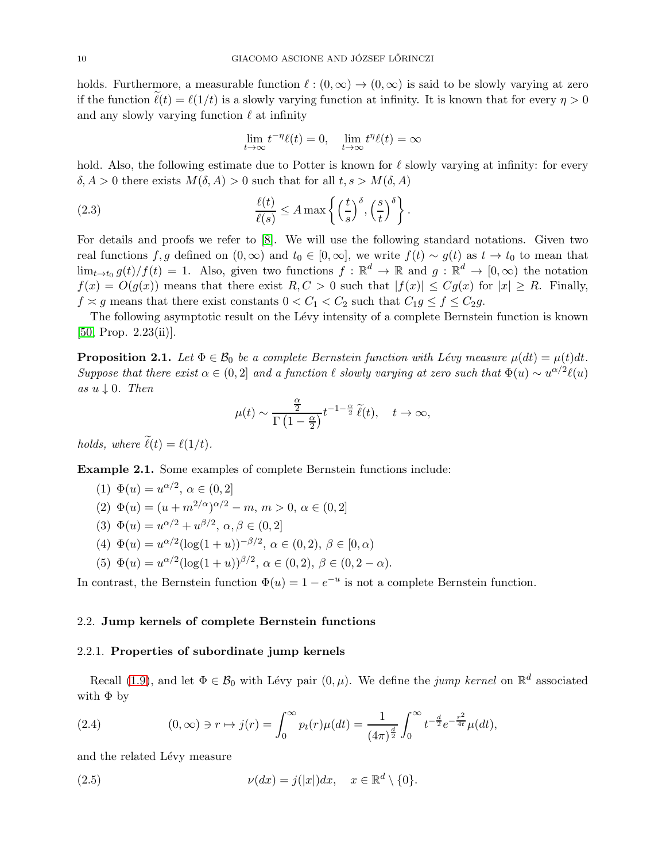holds. Furthermore, a measurable function  $\ell : (0, \infty) \to (0, \infty)$  is said to be slowly varying at zero if the function  $\ell(t) = \ell(1/t)$  is a slowly varying function at infinity. It is known that for every  $\eta > 0$ and any slowly varying function  $\ell$  at infinity

<span id="page-9-2"></span>
$$
\lim_{t \to \infty} t^{-\eta} \ell(t) = 0, \quad \lim_{t \to \infty} t^{\eta} \ell(t) = \infty
$$

hold. Also, the following estimate due to Potter is known for  $\ell$  slowly varying at infinity: for every  $\delta, A > 0$  there exists  $M(\delta, A) > 0$  such that for all  $t, s > M(\delta, A)$ 

(2.3) 
$$
\frac{\ell(t)}{\ell(s)} \leq A \max \left\{ \left( \frac{t}{s} \right)^{\delta}, \left( \frac{s}{t} \right)^{\delta} \right\}.
$$

For details and proofs we refer to [\[8\]](#page-74-9). We will use the following standard notations. Given two real functions f, g defined on  $(0, \infty)$  and  $t_0 \in [0, \infty]$ , we write  $f(t) \sim g(t)$  as  $t \to t_0$  to mean that  $\lim_{t\to t_0} g(t)/f(t) = 1$ . Also, given two functions  $f: \mathbb{R}^d \to \mathbb{R}$  and  $g: \mathbb{R}^d \to [0, \infty)$  the notation  $f(x) = O(g(x))$  means that there exist  $R, C > 0$  such that  $|f(x)| \leq Cg(x)$  for  $|x| \geq R$ . Finally,  $f \approx g$  means that there exist constants  $0 < C_1 < C_2$  such that  $C_1 g \le f \le C_2 g$ .

The following asymptotic result on the Lévy intensity of a complete Bernstein function is known  $[50, Prop. 2.23(ii)].$  $[50, Prop. 2.23(ii)].$ 

<span id="page-9-1"></span>**Proposition 2.1.** Let  $\Phi \in \mathcal{B}_0$  be a complete Bernstein function with Lévy measure  $\mu(dt) = \mu(t)dt$ . Suppose that there exist  $\alpha \in (0,2]$  and a function  $\ell$  slowly varying at zero such that  $\Phi(u) \sim u^{\alpha/2} \ell(u)$ as  $u \downarrow 0$ . Then

$$
\mu(t) \sim \frac{\frac{\alpha}{2}}{\Gamma\left(1-\frac{\alpha}{2}\right)} t^{-1-\frac{\alpha}{2}} \,\widetilde{\ell}(t), \quad t \to \infty,
$$

holds, where  $\tilde{\ell}(t) = \ell(1/t)$ .

<span id="page-9-4"></span>Example 2.1. Some examples of complete Bernstein functions include:

(1) 
$$
\Phi(u) = u^{\alpha/2}, \ \alpha \in (0, 2]
$$
  
(2)  $\Phi(u) = (u + m^{2/\alpha})^{\alpha/2} - m, \ m > 0, \ \alpha \in (0, 2]$ 

- (3)  $\Phi(u) = u^{\alpha/2} + u^{\beta/2}, \alpha, \beta \in (0, 2]$
- (4)  $\Phi(u) = u^{\alpha/2} (\log(1+u))^{-\beta/2}, \ \alpha \in (0, 2), \ \beta \in [0, \alpha)$
- (5)  $\Phi(u) = u^{\alpha/2} (\log(1+u))^{\beta/2}, \ \alpha \in (0, 2), \ \beta \in (0, 2-\alpha).$

In contrast, the Bernstein function  $\Phi(u) = 1 - e^{-u}$  is not a complete Bernstein function.

#### <span id="page-9-0"></span>2.2. Jump kernels of complete Bernstein functions

#### 2.2.1. Properties of subordinate jump kernels

Recall [\(1.9\)](#page-5-1), and let  $\Phi \in \mathcal{B}_0$  with Lévy pair  $(0, \mu)$ . We define the *jump kernel* on  $\mathbb{R}^d$  associated with  $\Phi$  by

<span id="page-9-3"></span>(2.4) 
$$
(0, \infty) \ni r \mapsto j(r) = \int_0^\infty p_t(r) \mu(dt) = \frac{1}{(4\pi)^{\frac{d}{2}}} \int_0^\infty t^{-\frac{d}{2}} e^{-\frac{r^2}{4t}} \mu(dt),
$$

and the related Lévy measure

(2.5) 
$$
\nu(dx) = j(|x|)dx, \quad x \in \mathbb{R}^d \setminus \{0\}.
$$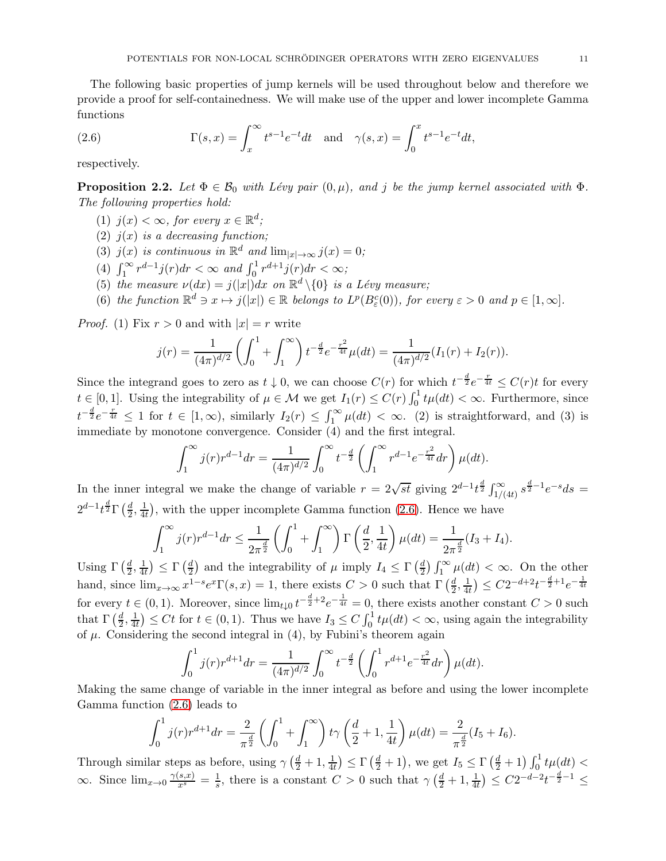The following basic properties of jump kernels will be used throughout below and therefore we provide a proof for self-containedness. We will make use of the upper and lower incomplete Gamma functions

<span id="page-10-0"></span>(2.6) 
$$
\Gamma(s,x) = \int_x^{\infty} t^{s-1} e^{-t} dt \text{ and } \gamma(s,x) = \int_0^x t^{s-1} e^{-t} dt,
$$

respectively.

**Proposition 2.2.** Let  $\Phi \in \mathcal{B}_0$  with Lévy pair  $(0, \mu)$ , and j be the jump kernel associated with  $\Phi$ . The following properties hold:

- (1)  $j(x) < \infty$ , for every  $x \in \mathbb{R}^d$ ;
- (2)  $j(x)$  is a decreasing function;
- (3)  $j(x)$  is continuous in  $\mathbb{R}^d$  and  $\lim_{|x| \to \infty} j(x) = 0;$
- (4)  $\int_1^{\infty} r^{d-1} j(r) dr < \infty$  and  $\int_0^1 r^{d+1} j(r) dr < \infty$ ;
- (5) the measure  $\nu(dx) = j(|x|)dx$  on  $\mathbb{R}^d \setminus \{0\}$  is a Lévy measure;
- (6) the function  $\mathbb{R}^d \ni x \mapsto j(|x|) \in \mathbb{R}$  belongs to  $L^p(B_\varepsilon^c(0))$ , for every  $\varepsilon > 0$  and  $p \in [1, \infty]$ .

*Proof.* (1) Fix  $r > 0$  and with  $|x| = r$  write

$$
j(r) = \frac{1}{(4\pi)^{d/2}} \left( \int_0^1 + \int_1^\infty \right) t^{-\frac{d}{2}} e^{-\frac{r^2}{4t}} \mu(dt) = \frac{1}{(4\pi)^{d/2}} (I_1(r) + I_2(r)).
$$

Since the integrand goes to zero as  $t \downarrow 0$ , we can choose  $C(r)$  for which  $t^{-\frac{d}{2}}e^{-\frac{r}{4t}} \leq C(r)t$  for every  $t \in [0,1]$ . Using the integrability of  $\mu \in \mathcal{M}$  we get  $I_1(r) \leq C(r) \int_0^1 t \mu(dt) < \infty$ . Furthermore, since  $t^{-\frac{d}{2}}e^{-\frac{r}{4t}} \leq 1$  for  $t \in [1,\infty)$ , similarly  $I_2(r) \leq \int_1^{\infty} \mu(dt) < \infty$ . (2) is straightforward, and (3) is immediate by monotone convergence. Consider (4) and the first integral.

$$
\int_{1}^{\infty} j(r)r^{d-1}dr = \frac{1}{(4\pi)^{d/2}} \int_{0}^{\infty} t^{-\frac{d}{2}} \left( \int_{1}^{\infty} r^{d-1} e^{-\frac{r^2}{4t}} dr \right) \mu(dt).
$$

In the inner integral we make the change of variable  $r = 2\sqrt{st}$  giving  $2^{d-1}t^{\frac{d}{2}}\int_{1/(4t)}^{\infty} s^{\frac{d}{2}-1}e^{-s}ds =$  $2^{d-1}t^{\frac{d}{2}}\Gamma\left(\frac{d}{2}\right)$  $\frac{d}{2}, \frac{1}{4i}$  $\frac{1}{4t}$ , with the upper incomplete Gamma function [\(2.6\)](#page-10-0). Hence we have

$$
\int_{1}^{\infty} j(r)r^{d-1}dr \le \frac{1}{2\pi^{\frac{d}{2}}} \left( \int_{0}^{1} + \int_{1}^{\infty} \right) \Gamma\left(\frac{d}{2}, \frac{1}{4t}\right) \mu(dt) = \frac{1}{2\pi^{\frac{d}{2}}} (I_3 + I_4).
$$

Using  $\Gamma\left(\frac{d}{2}\right)$  $\frac{d}{2}, \frac{1}{4}$  $\frac{1}{4t}$ )  $\leq \Gamma \left( \frac{d}{2} \right)$  $\frac{d}{2}$ ) and the integrability of  $\mu$  imply  $I_4 \leq \Gamma\left(\frac{d}{2}\right)$  $\frac{d}{2}$ )  $\int_1^{\infty} \mu(dt) < \infty$ . On the other hand, since  $\lim_{x\to\infty} x^{1-s}e^x \Gamma(s,x) = 1$ , there exists  $C > 0$  such that  $\Gamma\left(\frac{d}{2},\frac{1}{4t}\right) \leq C2^{-d+2}t^{-\frac{d}{2}+1}e^{-\frac{1}{4t}}$  $\overline{2}$ <sup>,</sup>  $\overline{4t}$ for every  $t \in (0,1)$ . Moreover, since  $\lim_{t \downarrow 0} t^{-\frac{d}{2}+2}e^{-\frac{1}{4t}} = 0$ , there exists another constant  $C > 0$  such that  $\Gamma\left(\frac{d}{2}\right)$  $\frac{d}{2}, \frac{1}{4i}$  $\frac{1}{4t}$   $\leq Ct$  for  $t \in (0,1)$ . Thus we have  $I_3 \leq C \int_0^1 t \mu(dt) < \infty$ , using again the integrability of  $\mu$ . Considering the second integral in (4), by Fubini's theorem again

$$
\int_0^1 j(r)r^{d+1}dr = \frac{1}{(4\pi)^{d/2}} \int_0^\infty t^{-\frac{d}{2}} \left( \int_0^1 r^{d+1} e^{-\frac{r^2}{4t}} dr \right) \mu(dt).
$$

Making the same change of variable in the inner integral as before and using the lower incomplete Gamma function [\(2.6\)](#page-10-0) leads to

$$
\int_0^1 j(r)r^{d+1}dr = \frac{2}{\pi^{\frac{d}{2}}} \left( \int_0^1 + \int_1^\infty \right) t\gamma \left( \frac{d}{2} + 1, \frac{1}{4t} \right) \mu(dt) = \frac{2}{\pi^{\frac{d}{2}}} (I_5 + I_6).
$$

Through similar steps as before, using  $\gamma\left(\frac{d}{2}+1,\frac{1}{4d}\right)$  $\frac{1}{4t}$   $\leq \Gamma\left(\frac{d}{2}+1\right)$ , we get  $I_5 \leq \Gamma\left(\frac{d}{2}+1\right) \int_0^1 t \mu(dt)$  $\infty$ . Since  $\lim_{x\to 0} \frac{\gamma(s,x)}{x^s} = \frac{1}{s}$ , there is a constant  $C > 0$  such that  $\gamma\left(\frac{d}{2} + 1, \frac{1}{4t}\right)$  $\frac{1}{4t}$ )  $\leq C2^{-d-2}t^{-\frac{d}{2}-1}$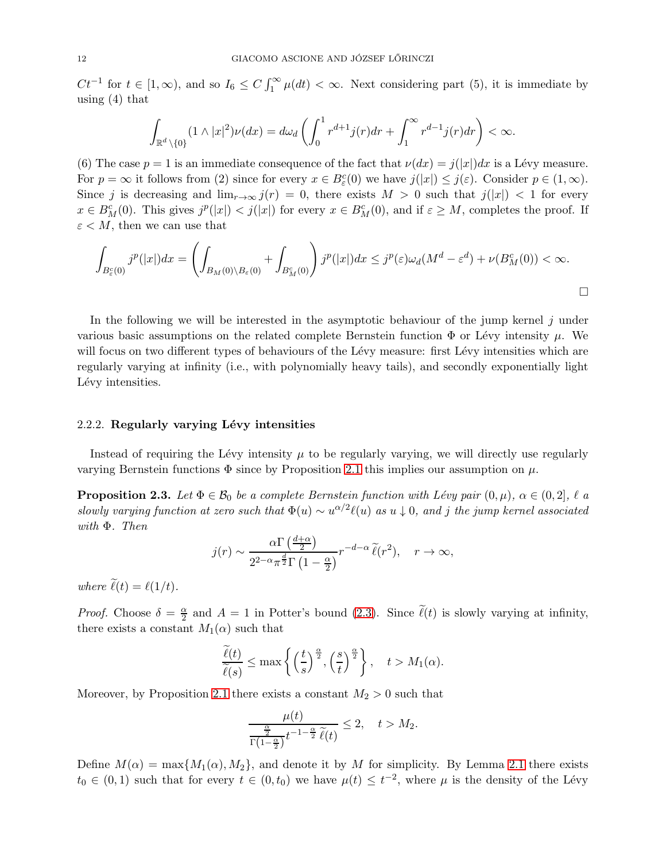$Ct^{-1}$  for  $t \in [1,\infty)$ , and so  $I_6 \le C \int_1^{\infty} \mu(dt) < \infty$ . Next considering part (5), it is immediate by using (4) that

$$
\int_{\mathbb{R}^d \setminus \{0\}} (1 \wedge |x|^2) \nu(dx) = d\omega_d \left( \int_0^1 r^{d+1} j(r) dr + \int_1^\infty r^{d-1} j(r) dr \right) < \infty.
$$

(6) The case  $p = 1$  is an immediate consequence of the fact that  $\nu(dx) = j(|x|)dx$  is a Lévy measure. For  $p = \infty$  it follows from (2) since for every  $x \in B_{\varepsilon}^{c}(0)$  we have  $j(|x|) \leq j(\varepsilon)$ . Consider  $p \in (1, \infty)$ . Since j is decreasing and  $\lim_{r\to\infty} j(r) = 0$ , there exists  $M > 0$  such that  $j(|x|) < 1$  for every  $x \in B_M^c(0)$ . This gives  $j^p(|x|) < j(|x|)$  for every  $x \in B_M^c(0)$ , and if  $\varepsilon \geq M$ , completes the proof. If  $\varepsilon$  < M, then we can use that

$$
\int_{B_{\varepsilon}^c(0)} j^p(|x|) dx = \left( \int_{B_M(0) \setminus B_{\varepsilon}(0)} + \int_{B_M^c(0)} \right) j^p(|x|) dx \leq j^p(\varepsilon) \omega_d(M^d - \varepsilon^d) + \nu(B_M^c(0)) < \infty.
$$

In the following we will be interested in the asymptotic behaviour of the jump kernel  $j$  under various basic assumptions on the related complete Bernstein function  $\Phi$  or Lévy intensity  $\mu$ . We will focus on two different types of behaviours of the Lévy measure: first Lévy intensities which are regularly varying at infinity (i.e., with polynomially heavy tails), and secondly exponentially light Lévy intensities.

#### 2.2.2. Regularly varying Lévy intensities

Instead of requiring the Lévy intensity  $\mu$  to be regularly varying, we will directly use regularly varying Bernstein functions  $\Phi$  since by Proposition [2.1](#page-9-1) this implies our assumption on  $\mu$ .

<span id="page-11-0"></span>**Proposition 2.3.** Let  $\Phi \in \mathcal{B}_0$  be a complete Bernstein function with Lévy pair  $(0, \mu)$ ,  $\alpha \in (0, 2]$ ,  $\ell$  a slowly varying function at zero such that  $\Phi(u) \sim u^{\alpha/2} \ell(u)$  as  $u \downarrow 0$ , and j the jump kernel associated with Φ. Then

$$
j(r) \sim \frac{\alpha \Gamma\left(\frac{d+\alpha}{2}\right)}{2^{2-\alpha}\pi^{\frac{d}{2}}\Gamma\left(1-\frac{\alpha}{2}\right)} r^{-d-\alpha} \widetilde{\ell}(r^2), \quad r \to \infty,
$$

where  $\tilde{\ell}(t) = \ell(1/t)$ .

*Proof.* Choose  $\delta = \frac{\alpha}{2}$  $\frac{\alpha}{2}$  and  $A = 1$  in Potter's bound [\(2.3\)](#page-9-2). Since  $\ell(t)$  is slowly varying at infinity, there exists a constant  $M_1(\alpha)$  such that

$$
\frac{\widetilde{\ell}(t)}{\widetilde{\ell}(s)} \le \max\left\{ \left(\frac{t}{s}\right)^{\frac{\alpha}{2}}, \left(\frac{s}{t}\right)^{\frac{\alpha}{2}} \right\}, \quad t > M_1(\alpha).
$$

Moreover, by Proposition [2.1](#page-9-1) there exists a constant  $M_2 > 0$  such that

$$
\frac{\mu(t)}{\frac{\frac{\alpha}{2}}{\Gamma(1-\frac{\alpha}{2})}t^{-1-\frac{\alpha}{2}}\,\widetilde{\ell}(t)} \leq 2, \quad t > M_2.
$$

Define  $M(\alpha) = \max\{M_1(\alpha), M_2\}$ , and denote it by M for simplicity. By Lemma [2.1](#page-8-2) there exists  $t_0 \in (0,1)$  such that for every  $t \in (0,t_0)$  we have  $\mu(t) \leq t^{-2}$ , where  $\mu$  is the density of the Lévy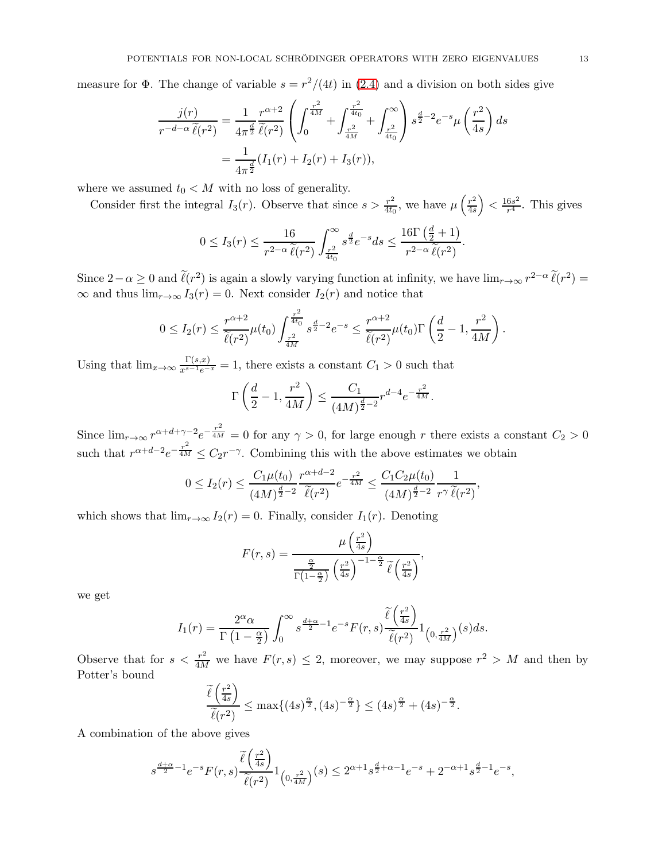measure for  $\Phi$ . The change of variable  $s = r^2/(4t)$  in [\(2.4\)](#page-9-3) and a division on both sides give

$$
\frac{j(r)}{r^{-d-\alpha}\tilde{\ell}(r^2)} = \frac{1}{4\pi^{\frac{d}{2}}}\frac{r^{\alpha+2}}{\tilde{\ell}(r^2)} \left( \int_0^{\frac{r^2}{4M}} + \int_{\frac{r^2}{4M}}^{\frac{r^2}{4t_0}} + \int_{\frac{r^2}{4t_0}}^{\infty} \right) s^{\frac{d}{2}-2} e^{-s} \mu \left( \frac{r^2}{4s} \right) ds
$$
  
= 
$$
\frac{1}{4\pi^{\frac{d}{2}}}(I_1(r) + I_2(r) + I_3(r)),
$$

where we assumed  $t_0 < M$  with no loss of generality.

Consider first the integral  $I_3(r)$ . Observe that since  $s > \frac{r^2}{4tc}$  $\frac{r^2}{4t_0}$ , we have  $\mu\left(\frac{r^2}{4s}\right)$ 4s  $\Big\} < \tfrac{16s^2}{r^4}$  $\frac{6s^2}{r^4}$ . This gives

$$
0 \leq I_3(r) \leq \frac{16}{r^{2-\alpha} \,\widetilde{\ell}(r^2)} \int_{\frac{r^2}{4t_0}}^{\infty} s^{\frac{d}{2}} e^{-s} ds \leq \frac{16\Gamma\left(\frac{d}{2}+1\right)}{r^{2-\alpha} \,\widetilde{\ell}(r^2)}.
$$

Since  $2-\alpha \geq 0$  and  $\ell(r^2)$  is again a slowly varying function at infinity, we have  $\lim_{r\to\infty} r^{2-\alpha} \ell(r^2)$  $\infty$  and thus  $\lim_{r\to\infty} I_3(r) = 0$ . Next consider  $I_2(r)$  and notice that

$$
0 \le I_2(r) \le \frac{r^{\alpha+2}}{\tilde{\ell}(r^2)} \mu(t_0) \int_{\frac{r^2}{4M}}^{\frac{r^2}{4t_0}} s^{\frac{d}{2}-2} e^{-s} \le \frac{r^{\alpha+2}}{\tilde{\ell}(r^2)} \mu(t_0) \Gamma\left(\frac{d}{2}-1, \frac{r^2}{4M}\right).
$$

Using that  $\lim_{x\to\infty} \frac{\Gamma(s,x)}{x^{s-1}e^{-x}} = 1$ , there exists a constant  $C_1 > 0$  such that

$$
\Gamma\left(\frac{d}{2} - 1, \frac{r^2}{4M}\right) \le \frac{C_1}{(4M)^{\frac{d}{2}-2}} r^{d-4} e^{-\frac{r^2}{4M}}.
$$

Since  $\lim_{r\to\infty} r^{\alpha+d+\gamma-2}e^{-\frac{r^2}{4M}}=0$  for any  $\gamma>0$ , for large enough r there exists a constant  $C_2>0$ such that  $r^{\alpha+d-2}e^{-\frac{r^2}{4M}} \leq C_2 r^{-\gamma}$ . Combining this with the above estimates we obtain

$$
0 \le I_2(r) \le \frac{C_1 \mu(t_0)}{(4M)^{\frac{d}{2}-2}} \frac{r^{\alpha+d-2}}{\widetilde{\ell}(r^2)} e^{-\frac{r^2}{4M}} \le \frac{C_1 C_2 \mu(t_0)}{(4M)^{\frac{d}{2}-2}} \frac{1}{r^{\gamma} \widetilde{\ell}(r^2)},
$$

which shows that  $\lim_{r\to\infty} I_2(r) = 0$ . Finally, consider  $I_1(r)$ . Denoting

$$
F(r,s) = \frac{\mu\left(\frac{r^2}{4s}\right)}{\frac{\alpha}{\Gamma(1-\frac{\alpha}{2})}\left(\frac{r^2}{4s}\right)^{-1-\frac{\alpha}{2}}\tilde{\ell}\left(\frac{r^2}{4s}\right)},
$$

we get

$$
I_1(r)=\frac{2^\alpha\alpha}{\Gamma\left(1-\frac\alpha2\right)}\int_0^\infty s^{\frac{d+\alpha}2-1}e^{-s}F(r,s)\frac{\widetilde\ell\left(\frac{r^2}{4s}\right)}{\widetilde\ell(r^2)}1_{\left(0,\frac{r^2}{4M}\right)}(s)ds.
$$

Observe that for  $s < \frac{r^2}{4M}$  we have  $F(r, s) \leq 2$ , moreover, we may suppose  $r^2 > M$  and then by Potter's bound

$$
\frac{\widetilde{\ell}\left(\frac{r^2}{4s}\right)}{\widetilde{\ell}(r^2)} \le \max\{(4s)^{\frac{\alpha}{2}}, (4s)^{-\frac{\alpha}{2}}\} \le (4s)^{\frac{\alpha}{2}} + (4s)^{-\frac{\alpha}{2}}.
$$

A combination of the above gives

$$
s^{\frac{d+\alpha}{2}-1}e^{-s}F(r,s)\frac{\widetilde{\ell}\left(\frac{r^2}{4s}\right)}{\widetilde{\ell}(r^2)}1_{\left(0,\frac{r^2}{4M}\right)}(s)\leq 2^{\alpha+1}s^{\frac{d}{2}+\alpha-1}e^{-s}+2^{-\alpha+1}s^{\frac{d}{2}-1}e^{-s},
$$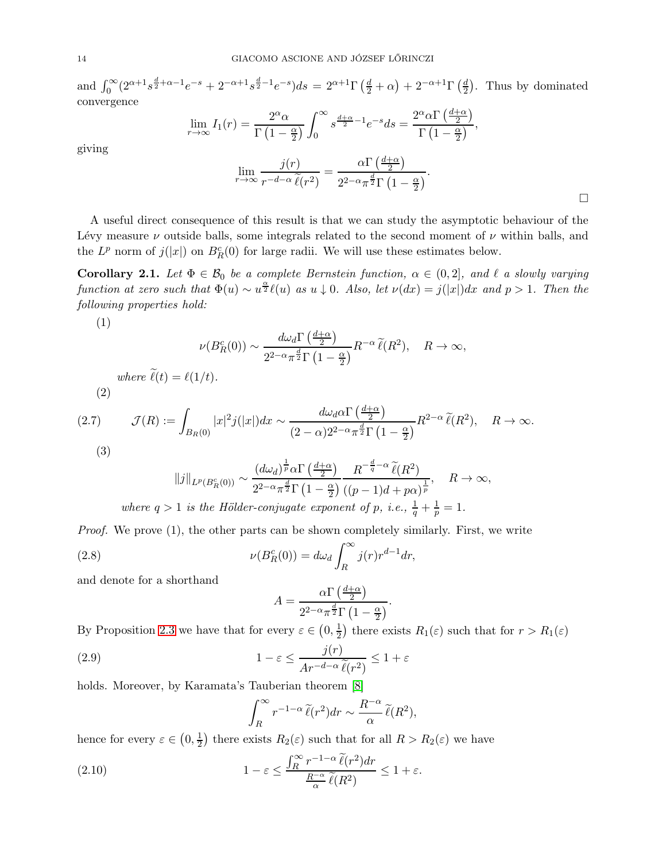and  $\int_0^\infty (2^{\alpha+1}s^{\frac{d}{2}+\alpha-1}e^{-s}+2^{-\alpha+1}s^{\frac{d}{2}-1}e^{-s})ds = 2^{\alpha+1}\Gamma\left(\frac{d}{2}+\alpha\right)+2^{-\alpha+1}\Gamma\left(\frac{d}{2}+\alpha\right)$  $\frac{d}{2}$ ). Thus by dominated convergence

$$
\lim_{r \to \infty} I_1(r) = \frac{2^{\alpha} \alpha}{\Gamma(1 - \frac{\alpha}{2})} \int_0^{\infty} s^{\frac{d + \alpha}{2} - 1} e^{-s} ds = \frac{2^{\alpha} \alpha \Gamma(\frac{d + \alpha}{2})}{\Gamma(1 - \frac{\alpha}{2})},
$$

$$
\lim_{r \to \infty} \frac{j(r)}{r^{-d - \alpha} \tilde{\ell}(r^2)} = \frac{\alpha \Gamma(\frac{d + \alpha}{2})}{2^{2 - \alpha} \pi^{\frac{d}{2}} \Gamma(1 - \frac{\alpha}{2})}.
$$

A useful direct consequence of this result is that we can study the asymptotic behaviour of the Lévy measure  $\nu$  outside balls, some integrals related to the second moment of  $\nu$  within balls, and the  $L^p$  norm of  $j(|x|)$  on  $B_R^c(0)$  for large radii. We will use these estimates below.

<span id="page-13-4"></span>**Corollary 2.1.** Let  $\Phi \in \mathcal{B}_0$  be a complete Bernstein function,  $\alpha \in (0,2]$ , and  $\ell$  a slowly varying function at zero such that  $\Phi(u) \sim u^{\frac{\alpha}{2}} \ell(u)$  as  $u \downarrow 0$ . Also, let  $\nu(dx) = j(|x|)dx$  and  $p > 1$ . Then the following properties hold:

(1)

$$
\nu(B_R^c(0)) \sim \frac{d\omega_d \Gamma\left(\frac{d+\alpha}{2}\right)}{2^{2-\alpha}\pi^{\frac{d}{2}}\Gamma\left(1-\frac{\alpha}{2}\right)}R^{-\alpha}\widetilde{\ell}(R^2), \quad R \to \infty,
$$
  
where  $\widetilde{\ell}(t) = \ell(1/t)$ .

<span id="page-13-3"></span>(2)

(2.7) 
$$
\mathcal{J}(R) := \int_{B_R(0)} |x|^2 j(|x|) dx \sim \frac{d\omega_d \alpha \Gamma\left(\frac{d+\alpha}{2}\right)}{(2-\alpha)2^{2-\alpha}\pi^{\frac{d}{2}} \Gamma\left(1-\frac{\alpha}{2}\right)} R^{2-\alpha} \widetilde{\ell}(R^2), \quad R \to \infty.
$$
\n(3)

$$
||j||_{L^p(B_R^c(0))} \sim \frac{(d\omega_d)^{\frac{1}{p}}\alpha \Gamma\left(\frac{d+\alpha}{2}\right)}{2^{2-\alpha}\pi^{\frac{d}{2}}\Gamma\left(1-\frac{\alpha}{2}\right)} \frac{R^{-\frac{d}{q}-\alpha} \widetilde{\ell}(R^2)}{((p-1)d + p\alpha)^{\frac{1}{p}}}, \quad R \to \infty,
$$
  
where  $q > 1$  is the Hölder-conjugate exponent of p, i.e.,  $\frac{1}{q} + \frac{1}{p} = 1$ .

Proof. We prove (1), the other parts can be shown completely similarly. First, we write

(2.8) 
$$
\nu(B_R^c(0)) = d\omega_d \int_R^{\infty} j(r)r^{d-1}dr,
$$

and denote for a shorthand

<span id="page-13-0"></span>
$$
A = \frac{\alpha \Gamma\left(\frac{d+\alpha}{2}\right)}{2^{2-\alpha}\pi^{\frac{d}{2}}\Gamma\left(1-\frac{\alpha}{2}\right)}.
$$

By Proposition [2.3](#page-11-0) we have that for every  $\varepsilon \in \left(0, \frac{1}{2}\right)$  $\frac{1}{2}$ ) there exists  $R_1(\varepsilon)$  such that for  $r > R_1(\varepsilon)$ 

(2.9) 
$$
1 - \varepsilon \le \frac{j(r)}{Ar^{-d-\alpha} \tilde{\ell}(r^2)} \le 1 + \varepsilon
$$

holds. Moreover, by Karamata's Tauberian theorem [\[8\]](#page-74-9)

<span id="page-13-2"></span><span id="page-13-1"></span>
$$
\int_{R}^{\infty} r^{-1-\alpha} \, \widetilde{\ell}(r^2) dr \sim \frac{R^{-\alpha}}{\alpha} \, \widetilde{\ell}(R^2),
$$

hence for every  $\varepsilon \in \left(0, \frac{1}{2}\right)$  $(\frac{1}{2})$  there exists  $R_2(\varepsilon)$  such that for all  $R > R_2(\varepsilon)$  we have

(2.10) 
$$
1 - \varepsilon \le \frac{\int_R^{\infty} r^{-1-\alpha} \, \widetilde{\ell}(r^2) dr}{\frac{R^{-\alpha}}{\alpha} \, \widetilde{\ell}(R^2)} \le 1 + \varepsilon.
$$

giving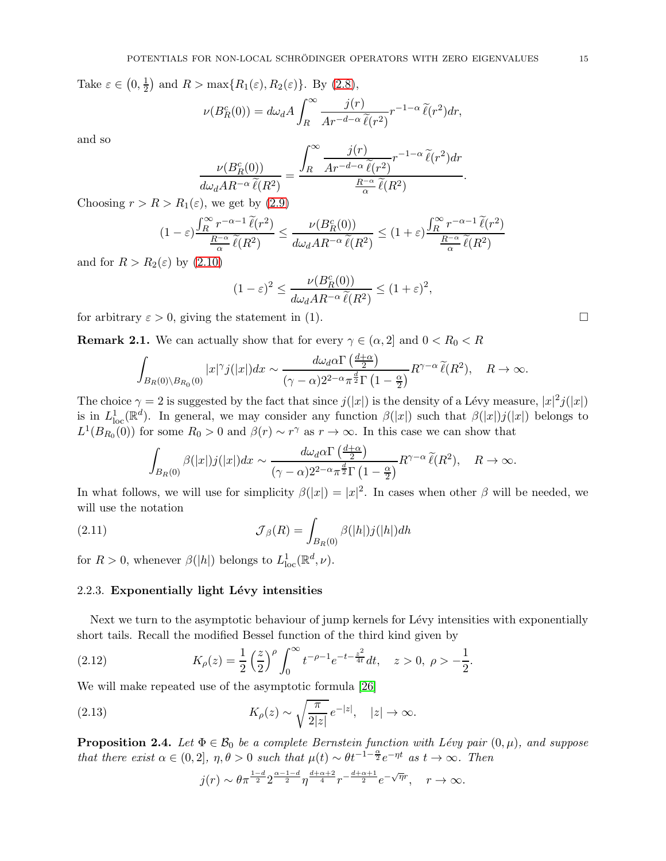Take  $\varepsilon \in \left(0, \frac{1}{2}\right)$  $\frac{1}{2}$  and  $R > \max\{R_1(\varepsilon), R_2(\varepsilon)\}\.$  By [\(2.8\)](#page-13-0),

$$
\nu(B_R^c(0)) = d\omega_d A \int_R^{\infty} \frac{j(r)}{Ar^{-d-\alpha} \tilde{\ell}(r^2)} r^{-1-\alpha} \tilde{\ell}(r^2) dr,
$$

and so

$$
\frac{\nu(B_R^c(0))}{d\omega_d AR^{-\alpha} \tilde{\ell}(R^2)} = \frac{\int_R^{\infty} \frac{j(r)}{Ar^{-d-\alpha} \tilde{\ell}(r^2)} r^{-1-\alpha} \tilde{\ell}(r^2) dr}{\frac{R^{-\alpha}}{\alpha} \tilde{\ell}(R^2)}
$$

.

Choosing  $r > R > R_1(\varepsilon)$ , we get by [\(2.9\)](#page-13-1)

$$
(1 - \varepsilon) \frac{\int_R^{\infty} r^{-\alpha - 1} \, \widetilde{\ell}(r^2)}{\frac{R^{-\alpha}}{\alpha} \, \widetilde{\ell}(R^2)} \le \frac{\nu(B_R^c(0))}{d\omega_d AR^{-\alpha} \, \widetilde{\ell}(R^2)} \le (1 + \varepsilon) \frac{\int_R^{\infty} r^{-\alpha - 1} \, \widetilde{\ell}(r^2)}{\frac{R^{-\alpha}}{\alpha} \, \widetilde{\ell}(R^2)}
$$

and for  $R > R_2(\varepsilon)$  by  $(2.10)$ 

$$
(1 - \varepsilon)^2 \le \frac{\nu(B_R^c(0))}{d\omega_d AR^{-\alpha} \tilde{\ell}(R^2)} \le (1 + \varepsilon)^2,
$$

for arbitrary  $\varepsilon > 0$ , giving the statement in (1).

**Remark 2.1.** We can actually show that for every  $\gamma \in (\alpha, 2]$  and  $0 < R_0 < R$ 

$$
\int_{B_R(0)\backslash B_{R_0}(0)} |x|^{\gamma} j(|x|) dx \sim \frac{d\omega_d \alpha \Gamma\left(\frac{d+\alpha}{2}\right)}{(\gamma - \alpha)2^{2-\alpha} \pi^{\frac{d}{2}} \Gamma\left(1 - \frac{\alpha}{2}\right)} R^{\gamma - \alpha} \widetilde{\ell}(R^2), \quad R \to \infty.
$$

The choice  $\gamma = 2$  is suggested by the fact that since  $j(|x|)$  is the density of a Lévy measure,  $|x|^2 j(|x|)$ is in  $L^1_{loc}(\mathbb{R}^d)$ . In general, we may consider any function  $\beta(|x|)$  such that  $\beta(|x|)j(|x|)$  belongs to  $L^1(B_{R_0}(0))$  for some  $R_0 > 0$  and  $\beta(r) \sim r^{\gamma}$  as  $r \to \infty$ . In this case we can show that

<span id="page-14-3"></span>
$$
\int_{B_R(0)} \beta(|x|)j(|x|)dx \sim \frac{d\omega_d \alpha \Gamma\left(\frac{d+\alpha}{2}\right)}{(\gamma-\alpha)2^{2-\alpha}\pi^{\frac{d}{2}}\Gamma\left(1-\frac{\alpha}{2}\right)}R^{\gamma-\alpha}\widetilde{\ell}(R^2), \quad R \to \infty.
$$

In what follows, we will use for simplicity  $\beta(|x|) = |x|^2$ . In cases when other  $\beta$  will be needed, we will use the notation

(2.11) 
$$
\mathcal{J}_{\beta}(R) = \int_{B_R(0)} \beta(|h|) j(|h|) dh
$$

for  $R > 0$ , whenever  $\beta(|h|)$  belongs to  $L^1_{loc}(\mathbb{R}^d, \nu)$ .

## 2.2.3. Exponentially light Lévy intensities

Next we turn to the asymptotic behaviour of jump kernels for Lévy intensities with exponentially short tails. Recall the modified Bessel function of the third kind given by

(2.12) 
$$
K_{\rho}(z) = \frac{1}{2} \left(\frac{z}{2}\right)^{\rho} \int_0^{\infty} t^{-\rho - 1} e^{-t - \frac{z^2}{4t}} dt, \quad z > 0, \ \rho > -\frac{1}{2}.
$$

We will make repeated use of the asymptotic formula [\[26\]](#page-75-29)

(2.13) 
$$
K_{\rho}(z) \sim \sqrt{\frac{\pi}{2|z|}} e^{-|z|}, \quad |z| \to \infty.
$$

<span id="page-14-1"></span>**Proposition 2.4.** Let  $\Phi \in \mathcal{B}_0$  be a complete Bernstein function with Lévy pair  $(0, \mu)$ , and suppose that there exist  $\alpha \in (0,2], \eta, \theta > 0$  such that  $\mu(t) \sim \theta t^{-1-\frac{\alpha}{2}} e^{-\eta t}$  as  $t \to \infty$ . Then

<span id="page-14-2"></span><span id="page-14-0"></span>
$$
j(r)\sim \theta\pi^{\frac{1-d}{2}}2^{\frac{\alpha-1-d}{2}}\eta^{\frac{d+\alpha+2}{4}}r^{-\frac{d+\alpha+1}{2}}e^{-\sqrt{\eta}r},\quad r\to\infty.
$$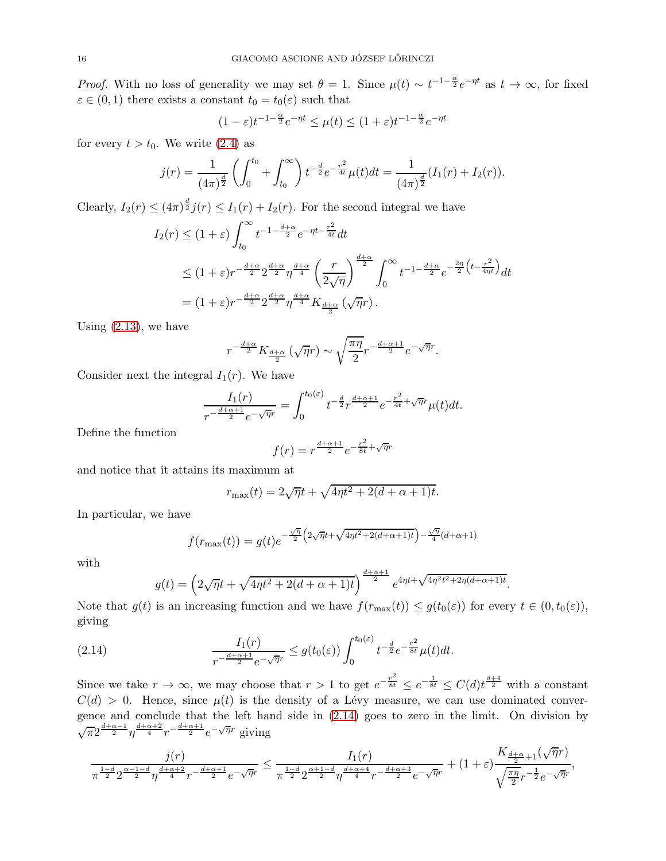*Proof.* With no loss of generality we may set  $\theta = 1$ . Since  $\mu(t) \sim t^{-1-\frac{\alpha}{2}} e^{-\eta t}$  as  $t \to \infty$ , for fixed  $\varepsilon \in (0,1)$  there exists a constant  $t_0 = t_0(\varepsilon)$  such that

$$
(1 - \varepsilon)t^{-1 - \frac{\alpha}{2}} e^{-\eta t} \le \mu(t) \le (1 + \varepsilon)t^{-1 - \frac{\alpha}{2}} e^{-\eta t}
$$

for every  $t > t_0$ . We write  $(2.4)$  as

$$
j(r) = \frac{1}{(4\pi)^{\frac{d}{2}}} \left( \int_0^{t_0} + \int_{t_0}^{\infty} \right) t^{-\frac{d}{2}} e^{-\frac{r^2}{4t}} \mu(t) dt = \frac{1}{(4\pi)^{\frac{d}{2}}} (I_1(r) + I_2(r)).
$$

Clearly,  $I_2(r) \leq (4\pi)^{\frac{d}{2}} j(r) \leq I_1(r) + I_2(r)$ . For the second integral we have

$$
I_2(r) \le (1+\varepsilon) \int_{t_0}^{\infty} t^{-1-\frac{d+\alpha}{2}} e^{-\eta t - \frac{r^2}{4t}} dt
$$
  
\n
$$
\le (1+\varepsilon) r^{-\frac{d+\alpha}{2}} 2^{\frac{d+\alpha}{2}} \eta^{\frac{d+\alpha}{4}} \left(\frac{r}{2\sqrt{\eta}}\right)^{\frac{d+\alpha}{2}} \int_0^{\infty} t^{-1-\frac{d+\alpha}{2}} e^{-\frac{2\eta}{2} \left(t - \frac{r^2}{4\eta t}\right)} dt
$$
  
\n
$$
= (1+\varepsilon) r^{-\frac{d+\alpha}{2}} 2^{\frac{d+\alpha}{2}} \eta^{\frac{d+\alpha}{4}} K_{\frac{d+\alpha}{2}} (\sqrt{\eta}r).
$$

Using  $(2.13)$ , we have

$$
r^{-\frac{d+\alpha}{2}}K_{\frac{d+\alpha}{2}}\left(\sqrt{\eta}r\right) \sim \sqrt{\frac{\pi\eta}{2}}r^{-\frac{d+\alpha+1}{2}}e^{-\sqrt{\eta}r}.
$$

Consider next the integral  $I_1(r)$ . We have

$$
\frac{I_1(r)}{r^{-\frac{d+\alpha+1}{2}}e^{-\sqrt{\eta}r}} = \int_0^{t_0(\varepsilon)} t^{-\frac{d}{2}} r^{\frac{d+\alpha+1}{2}} e^{-\frac{r^2}{4t} + \sqrt{\eta}r} \mu(t) dt.
$$

Define the function

$$
f(r) = r^{\frac{d+\alpha+1}{2}} e^{-\frac{r^2}{8t} + \sqrt{\eta}r}
$$

and notice that it attains its maximum at

$$
r_{\text{max}}(t) = 2\sqrt{\eta}t + \sqrt{4\eta t^2 + 2(d+\alpha+1)t}.
$$

In particular, we have

$$
f(r_{\max}(t)) = g(t)e^{-\frac{\sqrt{\eta}}{2}\left(2\sqrt{\eta}t + \sqrt{4\eta t^2 + 2(d+\alpha+1)t}\right) - \frac{\sqrt{\eta}}{4}(d+\alpha+1)}
$$

with

<span id="page-15-0"></span>
$$
g(t) = \left(2\sqrt{\eta}t + \sqrt{4\eta t^2 + 2(d+\alpha+1)t}\right)^{\frac{d+\alpha+1}{2}} e^{4\eta t + \sqrt{4\eta^2 t^2 + 2\eta(d+\alpha+1)t}}.
$$

Note that  $g(t)$  is an increasing function and we have  $f(r_{\text{max}}(t)) \leq g(t_0(\varepsilon))$  for every  $t \in (0, t_0(\varepsilon))$ , giving

(2.14) 
$$
\frac{I_1(r)}{r^{-\frac{d+\alpha+1}{2}}e^{-\sqrt{\eta}r}} \leq g(t_0(\varepsilon)) \int_0^{t_0(\varepsilon)} t^{-\frac{d}{2}} e^{-\frac{r^2}{8t}} \mu(t) dt.
$$

Since we take  $r \to \infty$ , we may choose that  $r > 1$  to get  $e^{-\frac{r^2}{8t}} \leq e^{-\frac{1}{8t}} \leq C(d)t^{\frac{d+4}{2}}$  with a constant  $C(d) > 0$ . Hence, since  $\mu(t)$  is the density of a Lévy measure, we can use dominated convergence and conclude that the left hand side in [\(2.14\)](#page-15-0) goes to zero in the limit. On division by  $\sqrt{\pi}2^{\frac{d+\alpha-1}{2}}\eta^{\frac{d+\alpha+2}{4}}r^{-\frac{d+\alpha+1}{2}}e^{-\sqrt{\eta}r}$  giving

$$
\frac{j(r)}{\pi^{\frac{1-d}{2}}2^{\frac{\alpha-1-d}{2}}\eta^{\frac{d+\alpha+2}{4}}r^{-\frac{d+\alpha+1}{2}}e^{-\sqrt{\eta}r}}\leq \frac{I_1(r)}{\pi^{\frac{1-d}{2}}2^{\frac{\alpha+1-d}{2}}\eta^{\frac{d+\alpha+4}{4}}r^{-\frac{d+\alpha+3}{2}}e^{-\sqrt{\eta}r}}+(1+\varepsilon)\frac{K_{\frac{d+\alpha}{2}+1}(\sqrt{\eta}r)}{\sqrt{\frac{\pi\eta}{2}}r^{-\frac{1}{2}}e^{-\sqrt{\eta}r}},
$$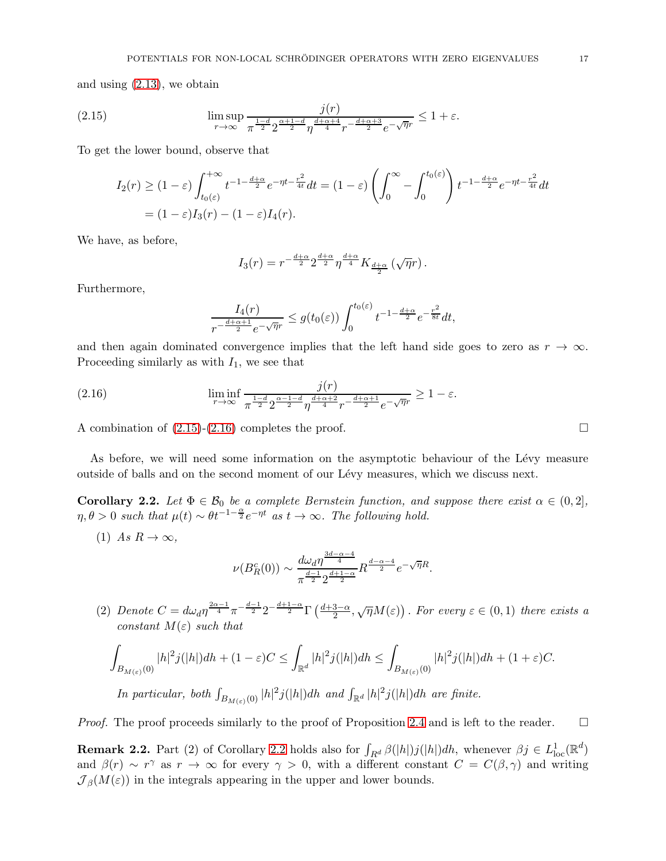and using [\(2.13\)](#page-14-0), we obtain

(2.15) 
$$
\limsup_{r \to \infty} \frac{j(r)}{\pi^{\frac{1-d}{2}} 2^{\frac{\alpha+1-d}{2}} \eta^{\frac{d+\alpha+4}{4}} r^{-\frac{d+\alpha+3}{2}} e^{-\sqrt{\eta}r}} \leq 1 + \varepsilon.
$$

To get the lower bound, observe that

<span id="page-16-0"></span>
$$
I_2(r) \ge (1 - \varepsilon) \int_{t_0(\varepsilon)}^{+\infty} t^{-1 - \frac{d+\alpha}{2}} e^{-\eta t - \frac{r^2}{4t}} dt = (1 - \varepsilon) \left( \int_0^{\infty} - \int_0^{t_0(\varepsilon)} \right) t^{-1 - \frac{d+\alpha}{2}} e^{-\eta t - \frac{r^2}{4t}} dt
$$
  
=  $(1 - \varepsilon) I_3(r) - (1 - \varepsilon) I_4(r).$ 

We have, as before,

$$
I_3(r)=r^{-\frac{d+\alpha}{2}}2^{\frac{d+\alpha}{2}}\eta^{\frac{d+\alpha}{4}}K_{\frac{d+\alpha}{2}}\left(\sqrt{\eta}r\right).
$$

Furthermore,

$$
\frac{I_4(r)}{r^{-\frac{d+\alpha+1}{2}}e^{-\sqrt{\eta}r}} \le g(t_0(\varepsilon)) \int_0^{t_0(\varepsilon)} t^{-1-\frac{d+\alpha}{2}} e^{-\frac{r^2}{8t}} dt,
$$

and then again dominated convergence implies that the left hand side goes to zero as  $r \to \infty$ . Proceeding similarly as with  $I_1$ , we see that

<span id="page-16-1"></span>(2.16) 
$$
\liminf_{r \to \infty} \frac{j(r)}{\pi^{\frac{1-d}{2}} 2^{\frac{\alpha-1-d}{2}} \eta^{\frac{d+\alpha+2}{4}} r^{-\frac{d+\alpha+1}{2}} e^{-\sqrt{\eta}r}} \ge 1 - \varepsilon.
$$

A combination of  $(2.15)-(2.16)$  $(2.15)-(2.16)$  completes the proof.

As before, we will need some information on the asymptotic behaviour of the Lévy measure outside of balls and on the second moment of our L´evy measures, which we discuss next.

<span id="page-16-2"></span>**Corollary 2.2.** Let  $\Phi \in \mathcal{B}_0$  be a complete Bernstein function, and suppose there exist  $\alpha \in (0,2]$ ,  $\eta, \theta > 0$  such that  $\mu(t) \sim \theta t^{-1-\frac{\alpha}{2}} e^{-\eta t}$  as  $t \to \infty$ . The following hold.

(1) As  $R \to \infty$ ,

$$
\nu(B_R^c(0)) \sim \frac{d\omega_d \eta^{\frac{3d-\alpha-4}{4}}}{\pi^{\frac{d-1}{2}} 2^{\frac{d+1-\alpha}{2}}} R^{\frac{d-\alpha-4}{2}} e^{-\sqrt{\eta}R}.
$$

(2) Denote  $C = d\omega_d \eta^{\frac{2\alpha-1}{4}} \pi^{-\frac{d-1}{2}} 2^{-\frac{d+1-\alpha}{2}} \Gamma\left(\frac{d+3-\alpha}{2}, \sqrt{\eta}M(\varepsilon)\right)$ . For every  $\varepsilon \in (0,1)$  there exists a constant  $M(\varepsilon)$  such that

$$
\int_{B_{M(\varepsilon)}(0)}|h|^2j(|h|)dh+(1-\varepsilon)C\leq \int_{\mathbb{R}^d}|h|^2j(|h|)dh\leq \int_{B_{M(\varepsilon)}(0)}|h|^2j(|h|)dh+(1+\varepsilon)C.
$$

In particular, both  $\int_{B_{M(\varepsilon)}(0)} |h|^2 j(|h|) dh$  and  $\int_{\mathbb{R}^d} |h|^2 j(|h|) dh$  are finite.

*Proof.* The proof proceeds similarly to the proof of Proposition [2.4](#page-14-1) and is left to the reader.  $\square$ 

**Remark [2.2](#page-16-2).** Part (2) of Corollary 2.2 holds also for  $\int_{R^d} \beta(|h|)j(|h|)dh$ , whenever  $\beta j \in L^1_{loc}(\mathbb{R}^d)$ and  $\beta(r) \sim r^{\gamma}$  as  $r \to \infty$  for every  $\gamma > 0$ , with a different constant  $C = C(\beta, \gamma)$  and writing  $\mathcal{J}_{\beta}(M(\varepsilon))$  in the integrals appearing in the upper and lower bounds.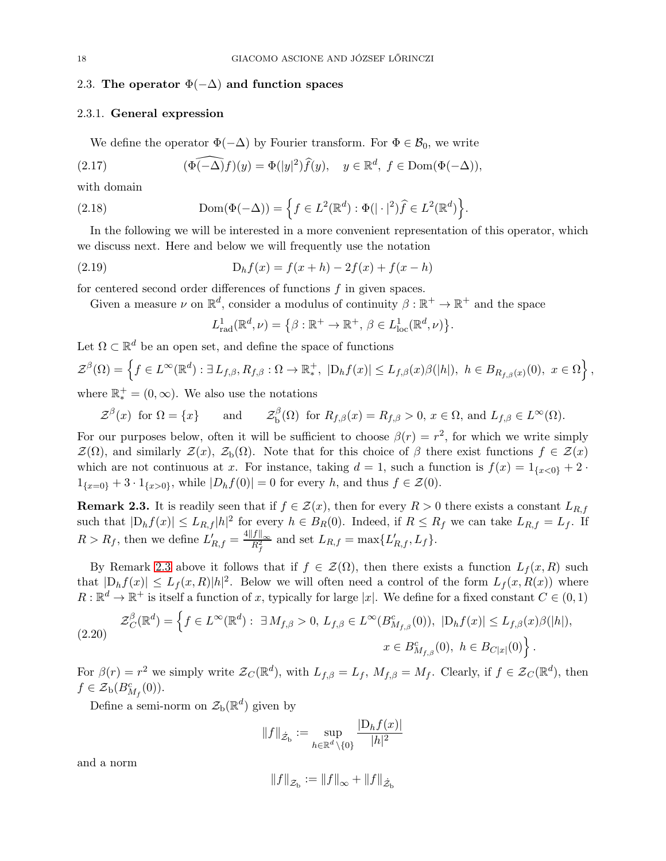## <span id="page-17-0"></span>2.3. The operator  $\Phi(-\Delta)$  and function spaces

## 2.3.1. General expression

<span id="page-17-3"></span>We define the operator  $\Phi(-\Delta)$  by Fourier transform. For  $\Phi \in \mathcal{B}_0$ , we write

(2.17) 
$$
(\widehat{\Phi(-\Delta)f})(y) = \Phi(|y|^2)\widehat{f}(y), \quad y \in \mathbb{R}^d, \ f \in \text{Dom}(\Phi(-\Delta)),
$$

with domain

(2.18) 
$$
\text{Dom}(\Phi(-\Delta)) = \left\{ f \in L^{2}(\mathbb{R}^{d}) : \Phi(|\cdot|^{2})\widehat{f} \in L^{2}(\mathbb{R}^{d}) \right\}.
$$

In the following we will be interested in a more convenient representation of this operator, which we discuss next. Here and below we will frequently use the notation

(2.19) 
$$
D_h f(x) = f(x+h) - 2f(x) + f(x-h)
$$

for centered second order differences of functions f in given spaces.

Given a measure  $\nu$  on  $\mathbb{R}^d$ , consider a modulus of continuity  $\beta : \mathbb{R}^+ \to \mathbb{R}^+$  and the space

<span id="page-17-4"></span><span id="page-17-2"></span>
$$
L^1_{\text{rad}}(\mathbb{R}^d, \nu) = \{ \beta : \mathbb{R}^+ \to \mathbb{R}^+, \, \beta \in L^1_{\text{loc}}(\mathbb{R}^d, \nu) \}.
$$

Let  $\Omega \subset \mathbb{R}^d$  be an open set, and define the space of functions  $\mathcal{Z}^{\beta}(\Omega) = \left\{ f \in L^{\infty}(\mathbb{R}^d) : \exists L_{f,\beta}, R_{f,\beta} : \Omega \to \mathbb{R}^+_* \right\}$ <sup>+</sup>, |D<sub>h</sub>f(x)| ≤ L<sub>f,β</sub>(x)β(|h|), h ∈ B<sub>R<sub>f,β</sub>(x)(0), x ∈ Ω $\Big\}$ ,</sub> where  $\mathbb{R}_{*}^{+} = (0, \infty)$ . We also use the notations

 $\mathcal{Z}^{\beta}(x)$  for  $\Omega = \{x\}$  and  $\mathcal{Z}$ β  $b_{\mathbf{b}}^{\rho}(\Omega)$  for  $R_{f,\beta}(x) = R_{f,\beta} > 0, x \in \Omega$ , and  $L_{f,\beta} \in L^{\infty}(\Omega)$ .

For our purposes below, often it will be sufficient to choose  $\beta(r) = r^2$ , for which we write simply  $\mathcal{Z}(\Omega)$ , and similarly  $\mathcal{Z}(x)$ ,  $\mathcal{Z}_b(\Omega)$ . Note that for this choice of  $\beta$  there exist functions  $f \in \mathcal{Z}(x)$ which are not continuous at x. For instance, taking  $d = 1$ , such a function is  $f(x) = 1_{\{x < 0\}} + 2$ .  $1_{\{x=0\}} + 3 \cdot 1_{\{x>0\}}$ , while  $|D_h f(0)| = 0$  for every h, and thus  $f \in \mathcal{Z}(0)$ .

<span id="page-17-1"></span>**Remark 2.3.** It is readily seen that if  $f \in \mathcal{Z}(x)$ , then for every  $R > 0$  there exists a constant  $L_{R,f}$ such that  $|D_h f(x)| \leq L_{R,f} |h|^2$  for every  $h \in B_R(0)$ . Indeed, if  $R \leq R_f$  we can take  $L_{R,f} = L_f$ . If  $R > R_f$ , then we define  $L'_{R,f} = \frac{4||f||_{\infty}}{R_f^2}$  and set  $L_{R,f} = \max\{L'_{R,f}, L_f\}$ .

By Remark [2.3](#page-17-1) above it follows that if  $f \in \mathcal{Z}(\Omega)$ , then there exists a function  $L_f(x, R)$  such that  $|D_h f(x)| \leq L_f(x,R)|h|^2$ . Below we will often need a control of the form  $L_f(x,R(x))$  where  $R: \mathbb{R}^d \to \mathbb{R}^+$  is itself a function of x, typically for large |x|. We define for a fixed constant  $C \in (0,1)$ 

<span id="page-17-5"></span>
$$
(2.20) \quad \mathcal{Z}_C^{\beta}(\mathbb{R}^d) = \left\{ f \in L^{\infty}(\mathbb{R}^d) : \exists M_{f,\beta} > 0, \ L_{f,\beta} \in L^{\infty}(B_{M_{f,\beta}}^c(0)), \ |D_h f(x)| \le L_{f,\beta}(x)\beta(|h|), \right\}.
$$
\n
$$
x \in B_{M_{f,\beta}}^c(0), \ h \in B_{C|x|}(0) \right\}.
$$

For  $\beta(r) = r^2$  we simply write  $\mathcal{Z}_C(\mathbb{R}^d)$ , with  $L_{f,\beta} = L_f$ ,  $M_{f,\beta} = M_f$ . Clearly, if  $f \in \mathcal{Z}_C(\mathbb{R}^d)$ , then  $f \in \mathcal{Z}_{\text{b}}(B^c_{M_f}(0)).$ 

Define a semi-norm on  $\mathcal{Z}_{b}(\mathbb{R}^{d})$  given by

$$
||f||_{\dot{\mathcal{Z}}_{\mathrm{b}}} := \sup_{h \in \mathbb{R}^d \setminus \{0\}} \frac{|D_h f(x)|}{|h|^2}
$$

and a norm

$$
\left\|f\right\|_{{\mathcal{Z}}_{\rm b}}:=\left\|f\right\|_{\infty}+\left\|f\right\|_{{\dot{\mathcal{Z}}}_{\rm b}}
$$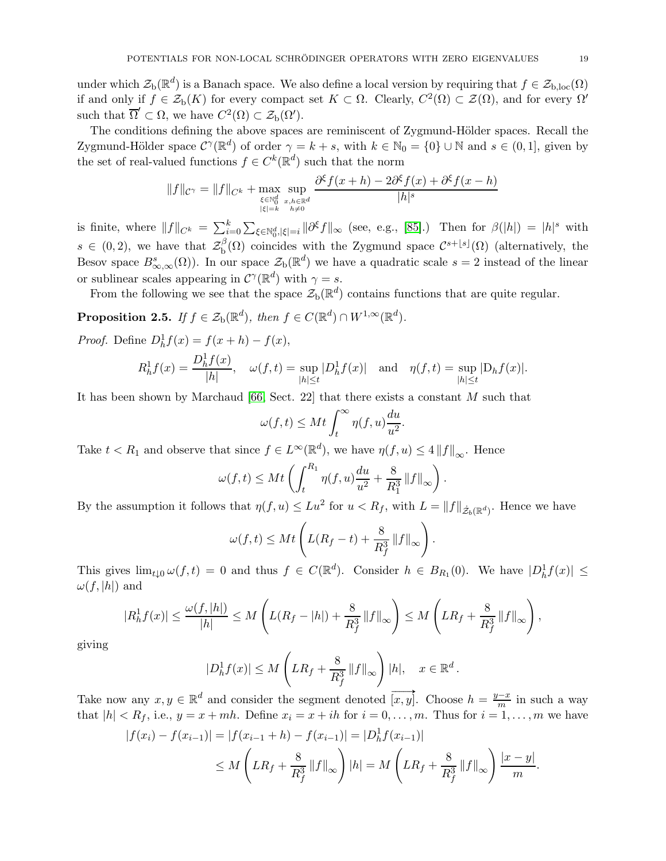under which  $\mathcal{Z}_{b}(\mathbb{R}^{d})$  is a Banach space. We also define a local version by requiring that  $f \in \mathcal{Z}_{b,loc}(\Omega)$ if and only if  $f \in \mathcal{Z}_b(K)$  for every compact set  $K \subset \Omega$ . Clearly,  $C^2(\Omega) \subset \mathcal{Z}(\Omega)$ , and for every  $\Omega'$ such that  $\overline{\Omega}' \subset \Omega$ , we have  $C^2(\Omega) \subset \mathcal{Z}_b(\Omega')$ .

The conditions defining the above spaces are reminiscent of Zygmund-Hölder spaces. Recall the Zygmund-Hölder space  $\mathcal{C}^{\gamma}(\mathbb{R}^d)$  of order  $\gamma = k + s$ , with  $k \in \mathbb{N}_0 = \{0\} \cup \mathbb{N}$  and  $s \in (0, 1]$ , given by the set of real-valued functions  $f \in C^k(\mathbb{R}^d)$  such that the norm

$$
||f||_{C^{\gamma}} = ||f||_{C^{k}} + \max_{\substack{\xi \in \mathbb{N}_0^d \\ |\xi| = k}} \sup_{\substack{x, h \in \mathbb{R}^d \\ h \neq 0}} \frac{\partial^{\xi} f(x+h) - 2\partial^{\xi} f(x) + \partial^{\xi} f(x-h)}{|h|^{s}}
$$

is finite, where  $||f||_{C^k} = \sum_{i=0}^k \sum_{\xi \in \mathbb{N}_0^d, |\xi|=i} ||\partial^{\xi} f||_{\infty}$  (see, e.g., [\[85\]](#page-77-15).) Then for  $\beta(|h|) = |h|^s$  with  $s \in (0, 2)$ , we have that  $\mathcal{Z}_{\mathrm{b}}^{\beta}$  $b^{(\beta)}(\Omega)$  coincides with the Zygmund space  $\mathcal{C}^{s+\lfloor s\rfloor}(\Omega)$  (alternatively, the Besov space  $B^s_{\infty,\infty}(\Omega)$ ). In our space  $\mathcal{Z}_{\text{b}}(\mathbb{R}^d)$  we have a quadratic scale  $s=2$  instead of the linear or sublinear scales appearing in  $C^{\gamma}(\mathbb{R}^d)$  with  $\gamma = s$ .

From the following we see that the space  $\mathcal{Z}_{b}(\mathbb{R}^{d})$  contains functions that are quite regular.

<span id="page-18-0"></span>**Proposition 2.5.** If  $f \in \mathcal{Z}_b(\mathbb{R}^d)$ , then  $f \in C(\mathbb{R}^d) \cap W^{1,\infty}(\mathbb{R}^d)$ .

*Proof.* Define  $D_h^1 f(x) = f(x+h) - f(x)$ ,

$$
R_h^1 f(x) = \frac{D_h^1 f(x)}{|h|}, \quad \omega(f, t) = \sup_{|h| \le t} |D_h^1 f(x)| \quad \text{and} \quad \eta(f, t) = \sup_{|h| \le t} |D_h f(x)|.
$$

It has been shown by Marchaud [\[66,](#page-76-27) Sect. 22] that there exists a constant M such that

$$
\omega(f,t) \le Mt \int_t^\infty \eta(f,u) \frac{du}{u^2}.
$$

Take  $t < R_1$  and observe that since  $f \in L^{\infty}(\mathbb{R}^d)$ , we have  $\eta(f, u) \leq 4 ||f||_{\infty}$ . Hence

$$
\omega(f,t) \le Mt \left(\int_t^{R_1} \eta(f,u) \frac{du}{u^2} + \frac{8}{R_1^3} ||f||_{\infty} \right).
$$

By the assumption it follows that  $\eta(f, u) \leq Lu^2$  for  $u < R_f$ , with  $L = ||f||_{\dot{\mathcal{Z}}_b(\mathbb{R}^d)}$ . Hence we have

$$
\omega(f,t) \leq Mt \left( L(R_f - t) + \frac{8}{R_f^3} ||f||_{\infty} \right).
$$

This gives  $\lim_{t\downarrow 0} \omega(f,t) = 0$  and thus  $f \in C(\mathbb{R}^d)$ . Consider  $h \in B_{R_1}(0)$ . We have  $|D_h^1 f(x)| \le$  $\omega(f, |h|)$  and

$$
|R_h^1 f(x)| \le \frac{\omega(f, |h|)}{|h|} \le M\left(L(R_f - |h|) + \frac{8}{R_f^3} ||f||_{\infty}\right) \le M\left(LR_f + \frac{8}{R_f^3} ||f||_{\infty}\right),
$$

giving

$$
|Dh1 f(x)| \le M \left( LR_f + \frac{8}{R_f^3} ||f||_{\infty} \right) |h|, \quad x \in \mathbb{R}^d.
$$

Take now any  $x, y \in \mathbb{R}^d$  and consider the segment denoted  $\overrightarrow{[x, y]}$ . Choose  $h = \frac{y-x}{m}$  in such a way that  $|h| < R_f$ , i.e.,  $y = x + mh$ . Define  $x_i = x + ih$  for  $i = 0, ..., m$ . Thus for  $i = 1, ..., m$  we have

$$
|f(x_i) - f(x_{i-1})| = |f(x_{i-1} + h) - f(x_{i-1})| = |D_h^1 f(x_{i-1})|
$$
  
\n
$$
\leq M \left( LR_f + \frac{8}{R_f^3} ||f||_{\infty} \right) |h| = M \left( LR_f + \frac{8}{R_f^3} ||f||_{\infty} \right) \frac{|x - y|}{m}.
$$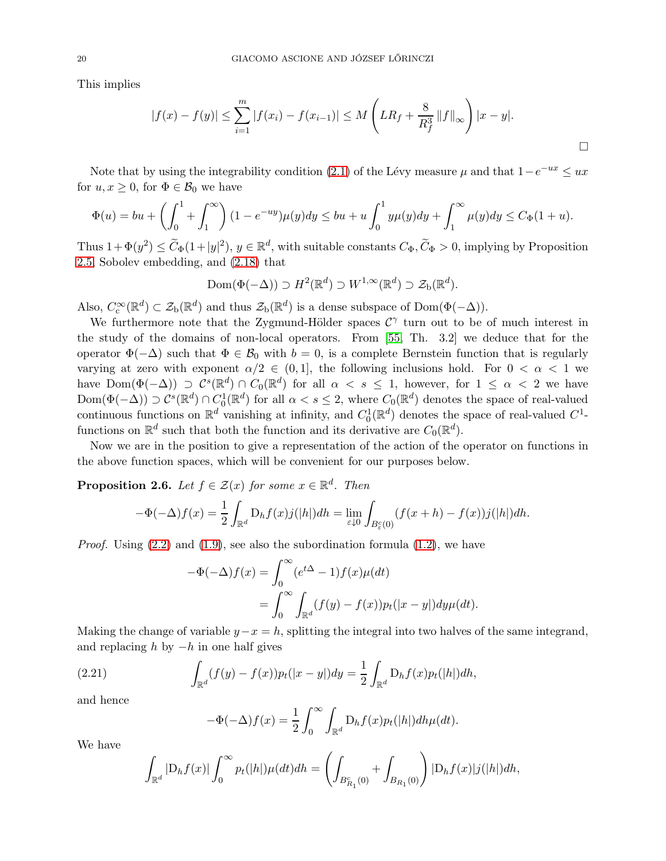This implies

$$
|f(x) - f(y)| \le \sum_{i=1}^{m} |f(x_i) - f(x_{i-1})| \le M \left( LR_f + \frac{8}{R_f^3} ||f||_{\infty} \right) |x - y|.
$$

Note that by using the integrability condition [\(2.1\)](#page-8-3) of the Lévy measure  $\mu$  and that  $1-e^{-ux} \le ux$ for  $u, x \geq 0$ , for  $\Phi \in \mathcal{B}_0$  we have

$$
\Phi(u) = bu + \left(\int_0^1 + \int_1^\infty \right) (1 - e^{-uy})\mu(y) dy \le bu + u \int_0^1 y\mu(y) dy + \int_1^\infty \mu(y) dy \le C_{\Phi}(1 + u).
$$

Thus  $1 + \Phi(y^2) \le \widetilde{C}_{\Phi}(1+|y|^2), y \in \mathbb{R}^d$ , with suitable constants  $C_{\Phi}, \widetilde{C}_{\Phi} > 0$ , implying by Proposition [2.5,](#page-18-0) Sobolev embedding, and [\(2.18\)](#page-17-2) that

$$
\text{Dom}(\Phi(-\Delta)) \supset H^2(\mathbb{R}^d) \supset W^{1,\infty}(\mathbb{R}^d) \supset \mathcal{Z}_{\text{b}}(\mathbb{R}^d).
$$

Also,  $C_c^{\infty}(\mathbb{R}^d) \subset \mathcal{Z}_b(\mathbb{R}^d)$  and thus  $\mathcal{Z}_b(\mathbb{R}^d)$  is a dense subspace of  $Dom(\Phi(-\Delta))$ .

We furthermore note that the Zygmund-Hölder spaces  $C^{\gamma}$  turn out to be of much interest in the study of the domains of non-local operators. From [\[55,](#page-76-28) Th. 3.2] we deduce that for the operator  $\Phi(-\Delta)$  such that  $\Phi \in \mathcal{B}_0$  with  $b = 0$ , is a complete Bernstein function that is regularly varying at zero with exponent  $\alpha/2 \in (0,1]$ , the following inclusions hold. For  $0 < \alpha < 1$  we have  $Dom(\Phi(-\Delta)) \supseteq C^{s}(\mathbb{R}^{d}) \cap C_{0}(\mathbb{R}^{d})$  for all  $\alpha < s \leq 1$ , however, for  $1 \leq \alpha < 2$  we have  $\text{Dom}(\Phi(-\Delta)) \supset C^s(\mathbb{R}^d) \cap C^1_0(\mathbb{R}^d)$  for all  $\alpha < s \leq 2$ , where  $C_0(\mathbb{R}^d)$  denotes the space of real-valued continuous functions on  $\mathbb{R}^d$  vanishing at infinity, and  $C_0^1(\mathbb{R}^d)$  denotes the space of real-valued  $C^1$ functions on  $\mathbb{R}^d$  such that both the function and its derivative are  $C_0(\mathbb{R}^d)$ .

Now we are in the position to give a representation of the action of the operator on functions in the above function spaces, which will be convenient for our purposes below.

<span id="page-19-1"></span>**Proposition 2.6.** Let  $f \in \mathcal{Z}(x)$  for some  $x \in \mathbb{R}^d$ . Then

$$
-\Phi(-\Delta)f(x) = \frac{1}{2} \int_{\mathbb{R}^d} D_h f(x) j(|h|) dh = \lim_{\varepsilon \downarrow 0} \int_{B^c_{\varepsilon}(0)} (f(x+h) - f(x)) j(|h|) dh.
$$

*Proof.* Using  $(2.2)$  and  $(1.9)$ , see also the subordination formula  $(1.2)$ , we have

$$
-\Phi(-\Delta)f(x) = \int_0^\infty (e^{t\Delta} - 1)f(x)\mu(dt)
$$
  
= 
$$
\int_0^\infty \int_{\mathbb{R}^d} (f(y) - f(x))p_t(|x - y|)dy\mu(dt).
$$

Making the change of variable  $y-x=h$ , splitting the integral into two halves of the same integrand, and replacing  $h$  by  $-h$  in one half gives

(2.21) 
$$
\int_{\mathbb{R}^d} (f(y) - f(x)) p_t(|x - y|) dy = \frac{1}{2} \int_{\mathbb{R}^d} D_h f(x) p_t(|h|) dh,
$$

and hence

<span id="page-19-0"></span>
$$
-\Phi(-\Delta)f(x) = \frac{1}{2} \int_0^\infty \int_{\mathbb{R}^d} D_h f(x) p_t(|h|) dh \mu(dt).
$$

We have

$$
\int_{\mathbb{R}^d} |D_h f(x)| \int_0^\infty p_t(|h|) \mu(dt) dh = \left( \int_{B_{R_1}^c(0)} + \int_{B_{R_1}(0)} \right) |D_h f(x)| j(|h|) dh,
$$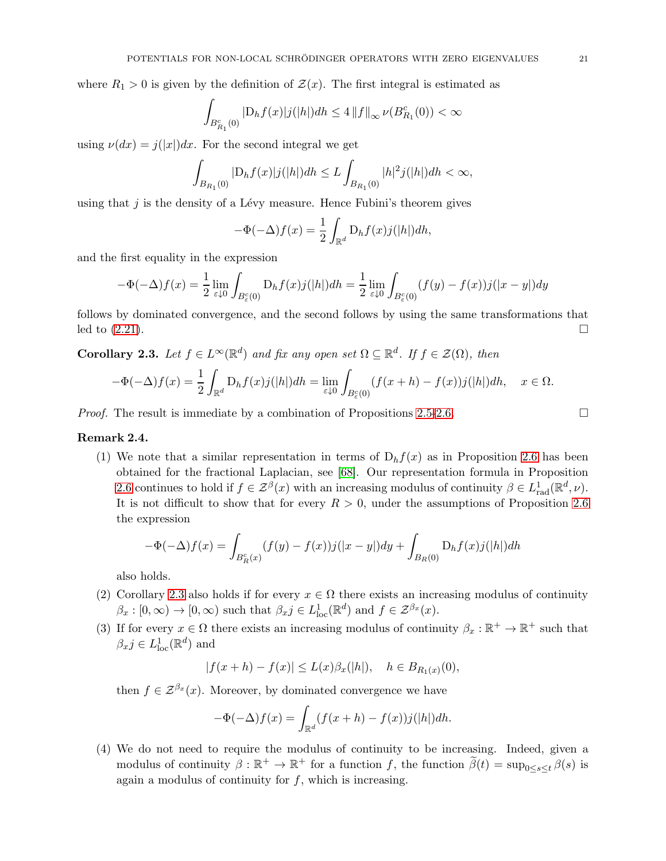where  $R_1 > 0$  is given by the definition of  $\mathcal{Z}(x)$ . The first integral is estimated as

$$
\int_{B_{R_1}^c(0)} |\mathrm{D}_h f(x)| j(|h|) dh \leq 4 \|f\|_\infty \, \nu(B_{R_1}^c(0)) < \infty
$$

using  $\nu(dx) = j(|x|)dx$ . For the second integral we get

$$
\int_{B_{R_1}(0)}|{\rm D}_h f(x)|j(|h|)dh\leq L\int_{B_{R_1}(0)}|h|^2j(|h|)dh<\infty,
$$

using that  $j$  is the density of a Lévy measure. Hence Fubini's theorem gives

$$
-\Phi(-\Delta)f(x) = \frac{1}{2} \int_{\mathbb{R}^d} D_h f(x) j(|h|) dh,
$$

and the first equality in the expression

$$
-\Phi(-\Delta)f(x) = \frac{1}{2} \lim_{\varepsilon \downarrow 0} \int_{B_{\varepsilon}^c(0)} D_h f(x) j(|h|) dh = \frac{1}{2} \lim_{\varepsilon \downarrow 0} \int_{B_{\varepsilon}^c(0)} (f(y) - f(x)) j(|x - y|) dy
$$

follows by dominated convergence, and the second follows by using the same transformations that led to  $(2.21)$ .

<span id="page-20-0"></span>**Corollary 2.3.** Let  $f \in L^{\infty}(\mathbb{R}^d)$  and fix any open set  $\Omega \subseteq \mathbb{R}^d$ . If  $f \in \mathcal{Z}(\Omega)$ , then

$$
-\Phi(-\Delta)f(x) = \frac{1}{2} \int_{\mathbb{R}^d} D_h f(x) j(|h|) dh = \lim_{\varepsilon \downarrow 0} \int_{B_{\varepsilon}^c(0)} (f(x+h) - f(x)) j(|h|) dh, \quad x \in \Omega.
$$

*Proof.* The result is immediate by a combination of Propositions [2.5](#page-18-0)[-2.6.](#page-19-1)

#### <span id="page-20-1"></span>Remark 2.4.

(1) We note that a similar representation in terms of  $D<sub>h</sub> f(x)$  as in Proposition [2.6](#page-19-1) has been obtained for the fractional Laplacian, see [\[68\]](#page-76-29). Our representation formula in Proposition [2.6](#page-19-1) continues to hold if  $f \in \mathcal{Z}^{\beta}(x)$  with an increasing modulus of continuity  $\beta \in L^1_{rad}(\mathbb{R}^d, \nu)$ . It is not difficult to show that for every  $R > 0$ , under the assumptions of Proposition [2.6](#page-19-1) the expression

$$
-\Phi(-\Delta)f(x) = \int_{B_R^c(x)} (f(y) - f(x))j(|x - y|)dy + \int_{B_R(0)} \mathcal{D}_h f(x)j(|h|)dh
$$

also holds.

- (2) Corollary [2.3](#page-20-0) also holds if for every  $x \in \Omega$  there exists an increasing modulus of continuity  $\beta_x : [0, \infty) \to [0, \infty)$  such that  $\beta_x j \in L^1_{loc}(\mathbb{R}^d)$  and  $f \in \mathcal{Z}^{\beta_x}(x)$ .
- (3) If for every  $x \in \Omega$  there exists an increasing modulus of continuity  $\beta_x : \mathbb{R}^+ \to \mathbb{R}^+$  such that  $\beta_x j \in L^1_{loc}(\mathbb{R}^d)$  and

$$
|f(x+h) - f(x)| \le L(x)\beta_x(|h|), \quad h \in B_{R_1(x)}(0),
$$

then  $f \in \mathcal{Z}^{\beta_x}(x)$ . Moreover, by dominated convergence we have

$$
-\Phi(-\Delta)f(x) = \int_{\mathbb{R}^d} (f(x+h) - f(x))j(|h|)dh.
$$

(4) We do not need to require the modulus of continuity to be increasing. Indeed, given a modulus of continuity  $\beta : \mathbb{R}^+ \to \mathbb{R}^+$  for a function f, the function  $\tilde{\beta}(t) = \sup_{0 \le s \le t} \beta(s)$  is again a modulus of continuity for  $f$ , which is increasing.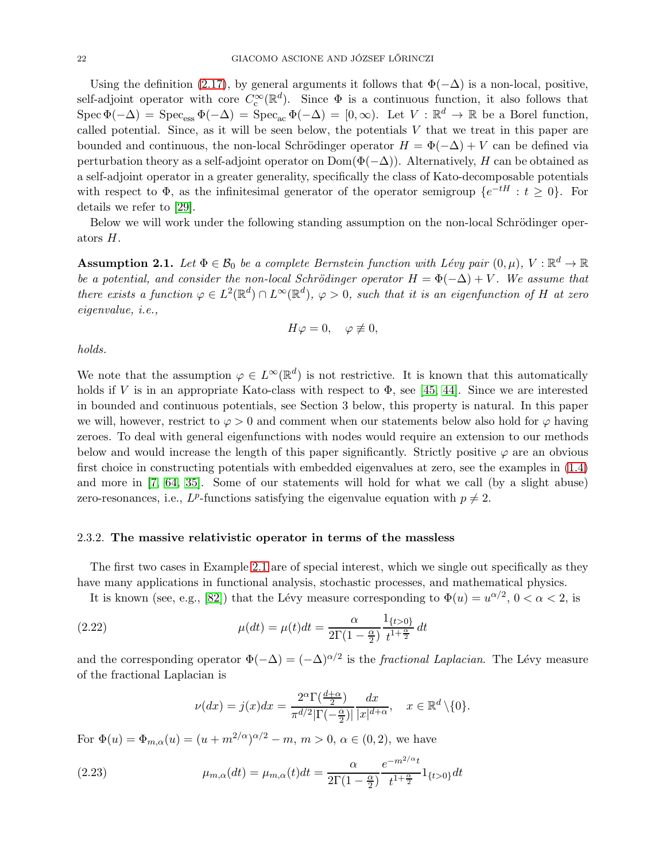Using the definition [\(2.17\)](#page-17-3), by general arguments it follows that  $\Phi(-\Delta)$  is a non-local, positive, self-adjoint operator with core  $C_c^{\infty}(\mathbb{R}^d)$ . Since  $\Phi$  is a continuous function, it also follows that  $Spec \Phi(-\Delta) = Spec_{ess} \Phi(-\Delta) = Spec_{ac} \Phi(-\Delta) = [0, \infty)$ . Let  $V : \mathbb{R}^d \to \mathbb{R}$  be a Borel function, called potential. Since, as it will be seen below, the potentials  $V$  that we treat in this paper are bounded and continuous, the non-local Schrödinger operator  $H = \Phi(-\Delta) + V$  can be defined via perturbation theory as a self-adjoint operator on  $Dom(\Phi(-\Delta))$ . Alternatively, H can be obtained as a self-adjoint operator in a greater generality, specifically the class of Kato-decomposable potentials with respect to  $\Phi$ , as the infinitesimal generator of the operator semigroup  $\{e^{-tH}: t \geq 0\}$ . For details we refer to [\[29\]](#page-75-1).

Below we will work under the following standing assumption on the non-local Schrödinger operators H.

<span id="page-21-3"></span>**Assumption 2.1.** Let  $\Phi \in \mathcal{B}_0$  be a complete Bernstein function with Lévy pair  $(0, \mu)$ ,  $V : \mathbb{R}^d \to \mathbb{R}$ be a potential, and consider the non-local Schrödinger operator  $H = \Phi(-\Delta) + V$ . We assume that there exists a function  $\varphi \in L^2(\mathbb{R}^d) \cap L^{\infty}(\mathbb{R}^d)$ ,  $\varphi > 0$ , such that it is an eigenfunction of H at zero eigenvalue, i.e.,

$$
H\varphi=0, \quad \varphi \not\equiv 0,
$$

holds.

We note that the assumption  $\varphi \in L^{\infty}(\mathbb{R}^d)$  is not restrictive. It is known that this automatically holds if V is in an appropriate Kato-class with respect to  $\Phi$ , see [\[45,](#page-76-25) [44\]](#page-76-9). Since we are interested in bounded and continuous potentials, see Section 3 below, this property is natural. In this paper we will, however, restrict to  $\varphi > 0$  and comment when our statements below also hold for  $\varphi$  having zeroes. To deal with general eigenfunctions with nodes would require an extension to our methods below and would increase the length of this paper significantly. Strictly positive  $\varphi$  are an obvious first choice in constructing potentials with embedded eigenvalues at zero, see the examples in [\(1.4\)](#page-4-2) and more in [\[7,](#page-74-5) [64,](#page-76-21) [35\]](#page-75-28). Some of our statements will hold for what we call (by a slight abuse) zero-resonances, i.e.,  $L^p$ -functions satisfying the eigenvalue equation with  $p \neq 2$ .

#### <span id="page-21-2"></span>2.3.2. The massive relativistic operator in terms of the massless

The first two cases in Example [2.1](#page-9-4) are of special interest, which we single out specifically as they have many applications in functional analysis, stochastic processes, and mathematical physics.

It is known (see, e.g., [\[82\]](#page-77-1)) that the Lévy measure corresponding to  $\Phi(u) = u^{\alpha/2}$ ,  $0 < \alpha < 2$ , is

(2.22) 
$$
\mu(dt) = \mu(t)dt = \frac{\alpha}{2\Gamma(1-\frac{\alpha}{2})}\frac{1_{\{t>0\}}}{t^{1+\frac{\alpha}{2}}}dt
$$

and the corresponding operator  $\Phi(-\Delta) = (-\Delta)^{\alpha/2}$  is the *fractional Laplacian*. The Lévy measure of the fractional Laplacian is

<span id="page-21-1"></span><span id="page-21-0"></span>
$$
\nu(dx) = j(x)dx = \frac{2^{\alpha} \Gamma(\frac{d+\alpha}{2})}{\pi^{d/2} |\Gamma(-\frac{\alpha}{2})|} \frac{dx}{|x|^{d+\alpha}}, \quad x \in \mathbb{R}^d \setminus \{0\}.
$$

For  $\Phi(u) = \Phi_{m,\alpha}(u) = (u + m^{2/\alpha})^{\alpha/2} - m$ ,  $m > 0$ ,  $\alpha \in (0, 2)$ , we have

(2.23) 
$$
\mu_{m,\alpha}(dt) = \mu_{m,\alpha}(t)dt = \frac{\alpha}{2\Gamma(1-\frac{\alpha}{2})}\frac{e^{-m^{2/\alpha}t}}{t^{1+\frac{\alpha}{2}}}1_{\{t>0\}}dt
$$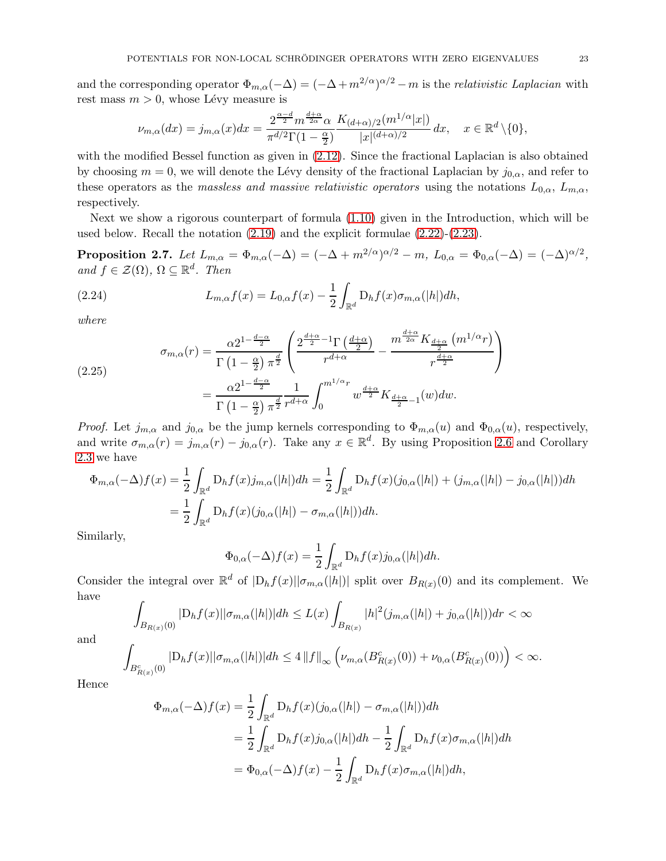and the corresponding operator  $\Phi_{m,\alpha}(-\Delta) = (-\Delta + m^{2/\alpha})^{\alpha/2} - m$  is the *relativistic Laplacian* with rest mass  $m > 0$ , whose Lévy measure is

$$
\nu_{m,\alpha}(dx) = j_{m,\alpha}(x)dx = \frac{2^{\frac{\alpha-d}{2}}m^{\frac{d+\alpha}{2\alpha}}\alpha}{\pi^{d/2}\Gamma(1-\frac{\alpha}{2})}\frac{K_{(d+\alpha)/2}(m^{1/\alpha}|x|)}{|x|^{(d+\alpha)/2}}dx, \quad x \in \mathbb{R}^d \setminus \{0\},
$$

with the modified Bessel function as given in  $(2.12)$ . Since the fractional Laplacian is also obtained by choosing  $m = 0$ , we will denote the Lévy density of the fractional Laplacian by  $j_{0,\alpha}$ , and refer to these operators as the massless and massive relativistic operators using the notations  $L_{0,\alpha}$ ,  $L_{m,\alpha}$ , respectively.

Next we show a rigorous counterpart of formula [\(1.10\)](#page-6-0) given in the Introduction, which will be used below. Recall the notation [\(2.19\)](#page-17-4) and the explicit formulae [\(2.22\)](#page-21-0)-[\(2.23\)](#page-21-1).

<span id="page-22-2"></span> $\textbf{Proposition 2.7.} \ \textit{Let} \ \textit{L}_{m,\alpha} = \Phi_{m,\alpha}(-\Delta) = (-\Delta + m^{2/\alpha})^{\alpha/2} - m, \ L_{0,\alpha} = \Phi_{0,\alpha}(-\Delta) = (-\Delta)^{\alpha/2},$ and  $f \in \mathcal{Z}(\Omega)$ ,  $\Omega \subseteq \mathbb{R}^d$ . Then

<span id="page-22-1"></span>(2.24) 
$$
L_{m,\alpha}f(x) = L_{0,\alpha}f(x) - \frac{1}{2} \int_{\mathbb{R}^d} D_h f(x) \sigma_{m,\alpha}(|h|) dh,
$$

where

<span id="page-22-0"></span>(2.25)  

$$
\sigma_{m,\alpha}(r) = \frac{\alpha 2^{1-\frac{d-\alpha}{2}}}{\Gamma(1-\frac{\alpha}{2})\pi^{\frac{d}{2}}} \left( \frac{2^{\frac{d+\alpha}{2}-1} \Gamma(\frac{d+\alpha}{2})}{r^{d+\alpha}} - \frac{m^{\frac{d+\alpha}{2\alpha}} K_{\frac{d+\alpha}{2}}(m^{1/\alpha}r)}{r^{\frac{d+\alpha}{2}}} \right)
$$

$$
= \frac{\alpha 2^{1-\frac{d-\alpha}{2}}}{\Gamma(1-\frac{\alpha}{2})\pi^{\frac{d}{2}}} \frac{1}{r^{d+\alpha}} \int_0^{m^{1/\alpha}r} w^{\frac{d+\alpha}{2}} K_{\frac{d+\alpha}{2}-1}(w) dw.
$$

*Proof.* Let  $j_{m,\alpha}$  and  $j_{0,\alpha}$  be the jump kernels corresponding to  $\Phi_{m,\alpha}(u)$  and  $\Phi_{0,\alpha}(u)$ , respectively, and write  $\sigma_{m,\alpha}(r) = j_{m,\alpha}(r) - j_{0,\alpha}(r)$ . Take any  $x \in \mathbb{R}^d$ . By using Proposition [2.6](#page-19-1) and Corollary [2.3](#page-20-0) we have

$$
\Phi_{m,\alpha}(-\Delta)f(x) = \frac{1}{2} \int_{\mathbb{R}^d} D_h f(x) j_{m,\alpha}(|h|) dh = \frac{1}{2} \int_{\mathbb{R}^d} D_h f(x) (j_{0,\alpha}(|h|) + (j_{m,\alpha}(|h|) - j_{0,\alpha}(|h|)) dh
$$
  
\n
$$
= \frac{1}{2} \int_{\mathbb{R}^d} D_h f(x) (j_{0,\alpha}(|h|) - \sigma_{m,\alpha}(|h|)) dh.
$$

Similarly,

$$
\Phi_{0,\alpha}(-\Delta)f(x) = \frac{1}{2} \int_{\mathbb{R}^d} D_h f(x) j_{0,\alpha}(|h|) dh.
$$

Consider the integral over  $\mathbb{R}^d$  of  $|D_h f(x)||\sigma_{m,\alpha}(|h|)|$  split over  $B_{R(x)}(0)$  and its complement. We have

$$
\int_{B_{R(x)}(0)} |D_h f(x)||\sigma_{m,\alpha}(|h|)| dh \le L(x) \int_{B_{R(x)}} |h|^2 (j_{m,\alpha}(|h|) + j_{0,\alpha}(|h|)) dr < \infty
$$

and

$$
\int_{B_{R(x)}^c(0)} |D_h f(x)| |\sigma_{m,\alpha}(|h|)| dh \le 4 \|f\|_{\infty} \left( \nu_{m,\alpha}(B_{R(x)}^c(0)) + \nu_{0,\alpha}(B_{R(x)}^c(0)) \right) < \infty.
$$

Hence

$$
\Phi_{m,\alpha}(-\Delta)f(x) = \frac{1}{2} \int_{\mathbb{R}^d} D_h f(x) (j_{0,\alpha}(|h|) - \sigma_{m,\alpha}(|h|)) dh
$$
  
\n
$$
= \frac{1}{2} \int_{\mathbb{R}^d} D_h f(x) j_{0,\alpha}(|h|) dh - \frac{1}{2} \int_{\mathbb{R}^d} D_h f(x) \sigma_{m,\alpha}(|h|) dh
$$
  
\n
$$
= \Phi_{0,\alpha}(-\Delta)f(x) - \frac{1}{2} \int_{\mathbb{R}^d} D_h f(x) \sigma_{m,\alpha}(|h|) dh,
$$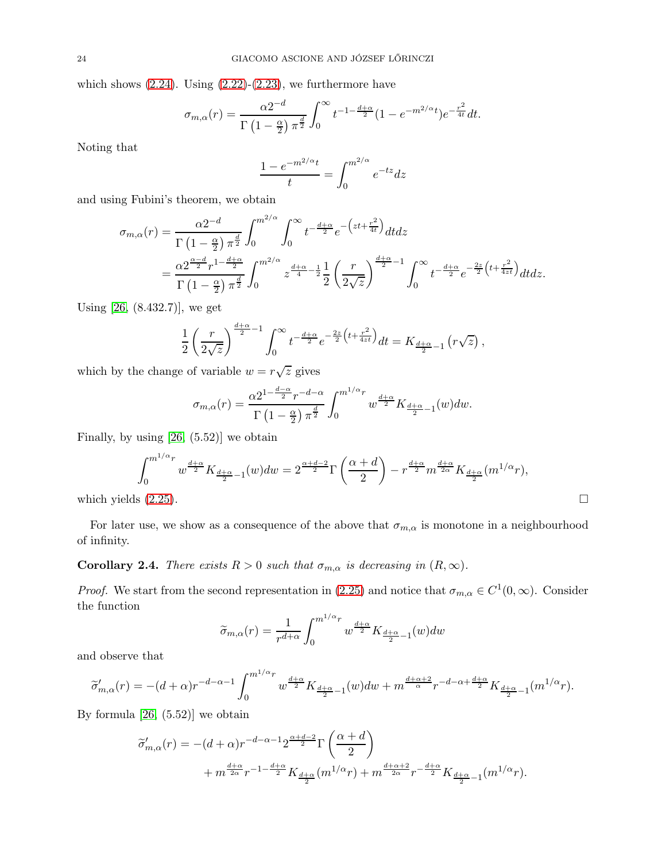which shows  $(2.24)$ . Using  $(2.22)-(2.23)$  $(2.22)-(2.23)$ , we furthermore have

$$
\sigma_{m,\alpha}(r) = \frac{\alpha 2^{-d}}{\Gamma\left(1-\frac{\alpha}{2}\right)\pi^{\frac{d}{2}}} \int_0^\infty t^{-1-\frac{d+\alpha}{2}} (1-e^{-m^{2/\alpha}t})e^{-\frac{r^2}{4t}} dt.
$$

Noting that

$$
\frac{1 - e^{-m^{2/\alpha}t}}{t} = \int_0^{m^{2/\alpha}} e^{-tz} dz
$$

and using Fubini's theorem, we obtain

$$
\sigma_{m,\alpha}(r) = \frac{\alpha 2^{-d}}{\Gamma\left(1-\frac{\alpha}{2}\right)\pi^{\frac{d}{2}}} \int_0^{m^{2/\alpha}} \int_0^{\infty} t^{-\frac{d+\alpha}{2}} e^{-\left(zt+\frac{r^2}{4t}\right)} dt dz
$$
  
= 
$$
\frac{\alpha 2^{\frac{\alpha-d}{2}} r^{1-\frac{d+\alpha}{2}}}{\Gamma\left(1-\frac{\alpha}{2}\right)\pi^{\frac{d}{2}}} \int_0^{m^{2/\alpha}} z^{\frac{d+\alpha}{4}-\frac{1}{2}} \frac{1}{2} \left(\frac{r}{2\sqrt{z}}\right)^{\frac{d+\alpha}{2}-1} \int_0^{\infty} t^{-\frac{d+\alpha}{2}} e^{-\frac{2z}{2}\left(t+\frac{r^2}{4zt}\right)} dt dz.
$$

Using [\[26,](#page-75-29) (8.432.7)], we get

$$
\frac{1}{2}\left(\frac{r}{2\sqrt{z}}\right)^{\frac{d+\alpha}{2}-1}\int_0^\infty t^{-\frac{d+\alpha}{2}}e^{-\frac{2z}{2}\left(t+\frac{r^2}{4zt}\right)}dt=K_{\frac{d+\alpha}{2}-1}\left(r\sqrt{z}\right),
$$

which by the change of variable  $w = r\sqrt{z}$  gives

$$
\sigma_{m,\alpha}(r) = \frac{\alpha 2^{1-\frac{d-\alpha}{2}}r^{-d-\alpha}}{\Gamma(1-\frac{\alpha}{2})\pi^{\frac{d}{2}}} \int_0^{m^{1/\alpha}r} w^{\frac{d+\alpha}{2}} K_{\frac{d+\alpha}{2}-1}(w) dw.
$$

Finally, by using  $[26, (5.52)]$  we obtain

$$
\int_0^{m^{1/\alpha}r} w^{\frac{d+\alpha}{2}} K_{\frac{d+\alpha}{2}-1}(w) dw = 2^{\frac{\alpha+d-2}{2}} \Gamma\left(\frac{\alpha+d}{2}\right) - r^{\frac{d+\alpha}{2}} m^{\frac{d+\alpha}{2\alpha}} K_{\frac{d+\alpha}{2}}(m^{1/\alpha}r),
$$
\nwhich yields (2.25).

For later use, we show as a consequence of the above that  $\sigma_{m,\alpha}$  is monotone in a neighbourhood of infinity.

## **Corollary 2.4.** There exists  $R > 0$  such that  $\sigma_{m,\alpha}$  is decreasing in  $(R,\infty)$ .

*Proof.* We start from the second representation in [\(2.25\)](#page-22-0) and notice that  $\sigma_{m,\alpha} \in C^1(0,\infty)$ . Consider the function

$$
\widetilde{\sigma}_{m,\alpha}(r) = \frac{1}{r^{d+\alpha}} \int_0^{m^{1/\alpha}r} w^{\frac{d+\alpha}{2}} K_{\frac{d+\alpha}{2}-1}(w) dw
$$

and observe that

$$
\widetilde{\sigma}'_{m,\alpha}(r) = -(d+\alpha)r^{-d-\alpha-1}\int_0^{m^{1/\alpha}r} w^{\frac{d+\alpha}{2}} K_{\frac{d+\alpha}{2}-1}(w)dw + m^{\frac{d+\alpha+2}{\alpha}}r^{-d-\alpha+\frac{d+\alpha}{2}} K_{\frac{d+\alpha}{2}-1}(m^{1/\alpha}r).
$$

By formula  $[26, (5.52)]$  we obtain

$$
\widetilde{\sigma}'_{m,\alpha}(r) = -(d+\alpha)r^{-d-\alpha-1}2^{\frac{\alpha+d-2}{2}}\Gamma\left(\frac{\alpha+d}{2}\right) + m^{\frac{d+\alpha}{2\alpha}}r^{-1-\frac{d+\alpha}{2}}K_{\frac{d+\alpha}{2}}(m^{1/\alpha}r) + m^{\frac{d+\alpha+2}{2\alpha}}r^{-\frac{d+\alpha}{2}}K_{\frac{d+\alpha}{2}-1}(m^{1/\alpha}r).
$$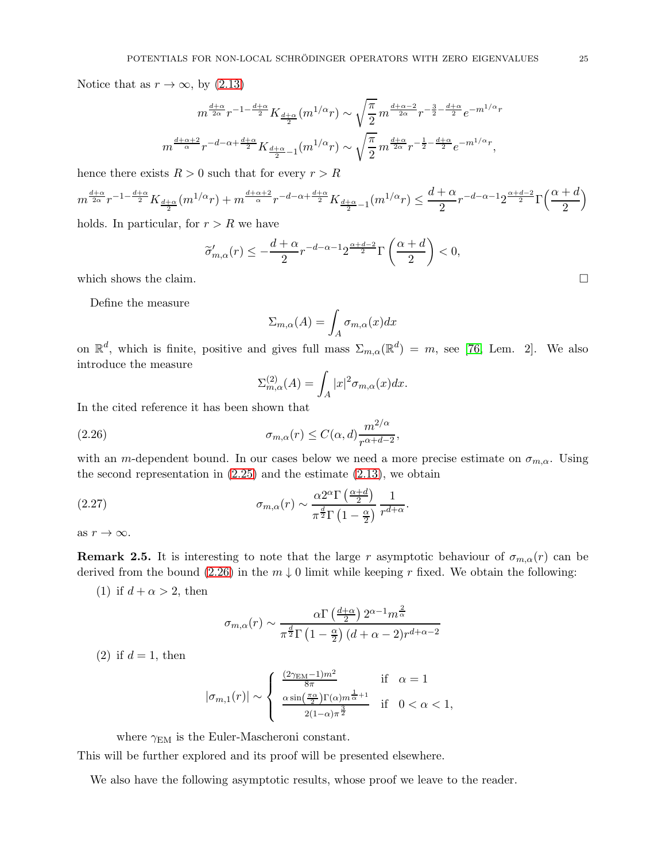Notice that as  $r \to \infty$ , by [\(2.13\)](#page-14-0)

$$
m^{\frac{d+\alpha}{2\alpha}}r^{-1-\frac{d+\alpha}{2}}K_{\frac{d+\alpha}{2}}(m^{1/\alpha}r) \sim \sqrt{\frac{\pi}{2}}m^{\frac{d+\alpha-2}{2\alpha}}r^{-\frac{3}{2}-\frac{d+\alpha}{2}}e^{-m^{1/\alpha}r}
$$

$$
m^{\frac{d+\alpha+2}{\alpha}}r^{-d-\alpha+\frac{d+\alpha}{2}}K_{\frac{d+\alpha}{2}-1}(m^{1/\alpha}r) \sim \sqrt{\frac{\pi}{2}}m^{\frac{d+\alpha}{2\alpha}}r^{-\frac{1}{2}-\frac{d+\alpha}{2}}e^{-m^{1/\alpha}r},
$$

hence there exists  $R > 0$  such that for every  $r > R$ 

$$
m^{\frac{d+\alpha}{2\alpha}}r^{-1-\frac{d+\alpha}{2}}K_{\frac{d+\alpha}{2}}(m^{1/\alpha}r) + m^{\frac{d+\alpha+2}{\alpha}}r^{-d-\alpha+\frac{d+\alpha}{2}}K_{\frac{d+\alpha}{2}-1}(m^{1/\alpha}r) \le \frac{d+\alpha}{2}r^{-d-\alpha-1}2^{\frac{\alpha+d-2}{2}}\Gamma\left(\frac{\alpha+d}{2}\right)
$$

holds. In particular, for  $r > R$  we have

$$
\widetilde{\sigma}'_{m,\alpha}(r)\leq -\frac{d+\alpha}{2}r^{-d-\alpha-1}2^{\frac{\alpha+d-2}{2}}\Gamma\left(\frac{\alpha+d}{2}\right)<0,
$$

 $\mathcal{L}^{\text{max}}$ 

which shows the claim.  $\square$ 

Define the measure

$$
\Sigma_{m,\alpha}(A) = \int_A \sigma_{m,\alpha}(x) dx
$$

on  $\mathbb{R}^d$ , which is finite, positive and gives full mass  $\Sigma_{m,\alpha}(\mathbb{R}^d) = m$ , see [\[76,](#page-77-14) Lem. 2]. We also introduce the measure

<span id="page-24-0"></span>
$$
\Sigma_{m,\alpha}^{(2)}(A) = \int_A |x|^2 \sigma_{m,\alpha}(x) dx.
$$

In the cited reference it has been shown that

(2.26) 
$$
\sigma_{m,\alpha}(r) \leq C(\alpha,d) \frac{m^{2/\alpha}}{r^{\alpha+d-2}},
$$

with an m-dependent bound. In our cases below we need a more precise estimate on  $\sigma_{m,\alpha}$ . Using the second representation in  $(2.25)$  and the estimate  $(2.13)$ , we obtain

(2.27) 
$$
\sigma_{m,\alpha}(r) \sim \frac{\alpha 2^{\alpha} \Gamma\left(\frac{\alpha+d}{2}\right)}{\pi^{\frac{d}{2}} \Gamma\left(1-\frac{\alpha}{2}\right)} \frac{1}{r^{d+\alpha}}.
$$

as  $r \to \infty$ .

**Remark 2.5.** It is interesting to note that the large r asymptotic behaviour of  $\sigma_{m,\alpha}(r)$  can be derived from the bound [\(2.26\)](#page-24-0) in the  $m \downarrow 0$  limit while keeping r fixed. We obtain the following:

(1) if  $d + \alpha > 2$ , then

$$
\sigma_{m,\alpha}(r) \sim \frac{\alpha \Gamma\left(\frac{d+\alpha}{2}\right) 2^{\alpha-1} m^{\frac{2}{\alpha}}}{\pi^{\frac{d}{2}} \Gamma\left(1-\frac{\alpha}{2}\right) (d+\alpha-2) r^{d+\alpha-2}}
$$

(2) if  $d = 1$ , then

$$
|\sigma_{m,1}(r)| \sim \left\{ \begin{array}{ll} \frac{(2\gamma_{\rm EM}-1)m^2}{8\pi} & \mbox{if} \quad \alpha = 1\\ \frac{\alpha \sin\left(\frac{\pi \alpha}{2}\right) \Gamma(\alpha)m^{\frac{1}{\alpha}+1}}{2(1-\alpha)\pi^{\frac{3}{2}}} & \mbox{if} \quad 0 < \alpha < 1, \end{array} \right.
$$

where  $\gamma_{EM}$  is the Euler-Mascheroni constant.

This will be further explored and its proof will be presented elsewhere.

We also have the following asymptotic results, whose proof we leave to the reader.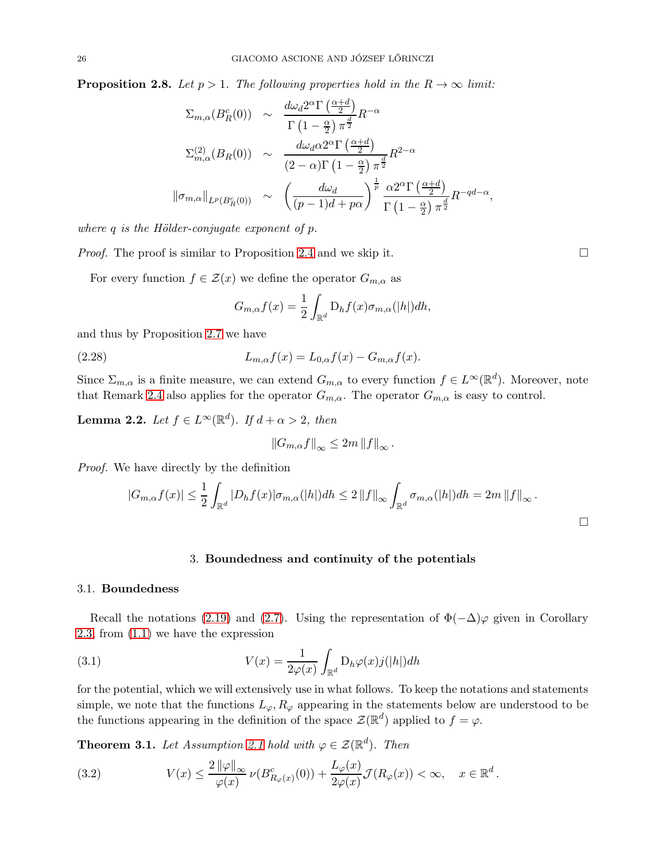**Proposition 2.8.** Let  $p > 1$ . The following properties hold in the  $R \to \infty$  limit:

$$
\Sigma_{m,\alpha}(B_R^c(0)) \sim \frac{d\omega_d 2^{\alpha} \Gamma\left(\frac{\alpha+d}{2}\right)}{\Gamma\left(1-\frac{\alpha}{2}\right) \pi^{\frac{d}{2}}} R^{-\alpha}
$$
\n
$$
\Sigma_{m,\alpha}^{(2)}(B_R(0)) \sim \frac{d\omega_d \alpha 2^{\alpha} \Gamma\left(\frac{\alpha+d}{2}\right)}{(2-\alpha)\Gamma\left(1-\frac{\alpha}{2}\right) \pi^{\frac{d}{2}}} R^{2-\alpha}
$$
\n
$$
\|\sigma_{m,\alpha}\|_{L^p(B_R^c(0))} \sim \left(\frac{d\omega_d}{(p-1)d + p\alpha}\right)^{\frac{1}{p}} \frac{\alpha 2^{\alpha} \Gamma\left(\frac{\alpha+d}{2}\right)}{\Gamma\left(1-\frac{\alpha}{2}\right) \pi^{\frac{d}{2}}} R^{-qd-\alpha}
$$

where  $q$  is the Hölder-conjugate exponent of  $p$ .

*Proof.* The proof is similar to Proposition [2.4](#page-14-1) and we skip it.  $\square$ 

For every function  $f \in \mathcal{Z}(x)$  we define the operator  $G_{m,\alpha}$  as

$$
G_{m,\alpha}f(x) = \frac{1}{2} \int_{\mathbb{R}^d} D_h f(x) \sigma_{m,\alpha}(|h|) dh,
$$

and thus by Proposition [2.7](#page-22-2) we have

(2.28) 
$$
L_{m,\alpha}f(x) = L_{0,\alpha}f(x) - G_{m,\alpha}f(x).
$$

Since  $\Sigma_{m,\alpha}$  is a finite measure, we can extend  $G_{m,\alpha}$  to every function  $f \in L^{\infty}(\mathbb{R}^d)$ . Moreover, note that Remark [2.4](#page-20-1) also applies for the operator  $G_{m,\alpha}$ . The operator  $G_{m,\alpha}$  is easy to control.

**Lemma 2.2.** Let  $f \in L^{\infty}(\mathbb{R}^d)$ . If  $d + \alpha > 2$ , then

$$
||G_{m,\alpha}f||_{\infty} \leq 2m ||f||_{\infty}.
$$

Proof. We have directly by the definition

$$
|G_{m,\alpha}f(x)| \leq \frac{1}{2} \int_{\mathbb{R}^d} |D_h f(x)| \sigma_{m,\alpha}(|h|) dh \leq 2 ||f||_{\infty} \int_{\mathbb{R}^d} \sigma_{m,\alpha}(|h|) dh = 2m ||f||_{\infty}.
$$

#### <span id="page-25-3"></span>3. Boundedness and continuity of the potentials

#### <span id="page-25-1"></span><span id="page-25-0"></span>3.1. Boundedness

Recall the notations [\(2.19\)](#page-17-4) and [\(2.7\)](#page-13-3). Using the representation of  $\Phi(-\Delta)\varphi$  given in Corollary [2.3,](#page-20-0) from [\(1.1\)](#page-1-1) we have the expression

(3.1) 
$$
V(x) = \frac{1}{2\varphi(x)} \int_{\mathbb{R}^d} D_h \varphi(x) j(|h|) dh
$$

for the potential, which we will extensively use in what follows. To keep the notations and statements simple, we note that the functions  $L_{\varphi}, R_{\varphi}$  appearing in the statements below are understood to be the functions appearing in the definition of the space  $\mathcal{Z}(\mathbb{R}^d)$  applied to  $f = \varphi$ .

<span id="page-25-2"></span>**Theorem 3.1.** Let Assumption [2.1](#page-21-3) hold with  $\varphi \in \mathcal{Z}(\mathbb{R}^d)$ . Then

<span id="page-25-4"></span>(3.2) 
$$
V(x) \leq \frac{2 \|\varphi\|_{\infty}}{\varphi(x)} \nu(B_{R_{\varphi}(x)}^c(0)) + \frac{L_{\varphi}(x)}{2\varphi(x)} \mathcal{J}(R_{\varphi}(x)) < \infty, \quad x \in \mathbb{R}^d.
$$

,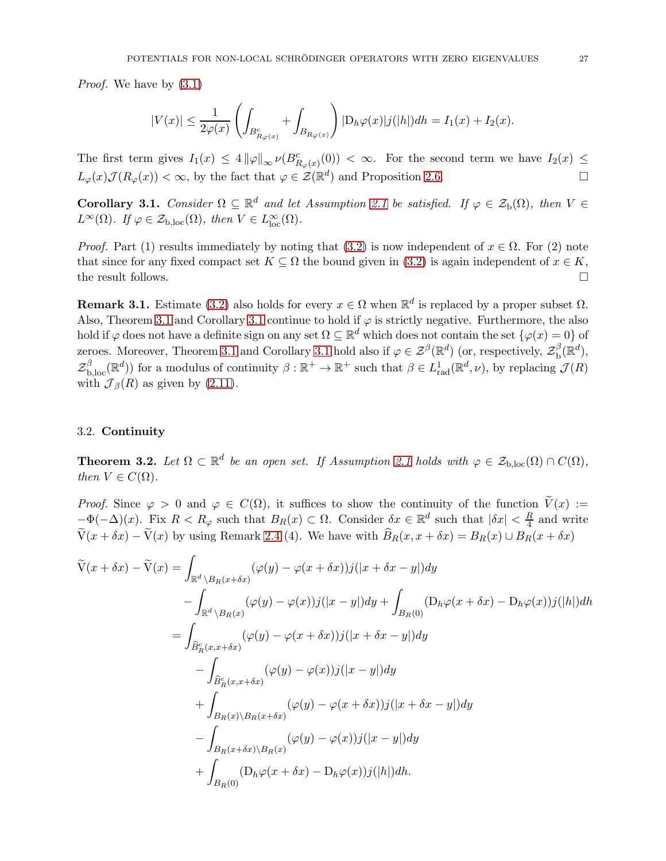Proof. We have by [\(3.1\)](#page-25-3)

$$
|V(x)| \leq \frac{1}{2\varphi(x)} \left( \int_{B_{R_{\varphi}(x)}^c} + \int_{B_{R_{\varphi}(x)}} \right) |D_h \varphi(x)| j(|h|) dh = I_1(x) + I_2(x).
$$

The first term gives  $I_1(x) \leq 4 \|\varphi\|_{\infty} \nu(B_{R_{\varphi}(x)}^c(0)) < \infty$ . For the second term we have  $I_2(x) \leq$  $L_{\varphi}(x)\mathcal{J}(R_{\varphi}(x)) < \infty$ , by the fact that  $\varphi \in \mathcal{Z}(\mathbb{R}^d)$  and Proposition [2.6.](#page-19-1)

<span id="page-26-2"></span>**Corollary 3.1.** Consider  $\Omega \subseteq \mathbb{R}^d$  and let Assumption [2.1](#page-21-3) be satisfied. If  $\varphi \in \mathcal{Z}_b(\Omega)$ , then  $V \in$  $L^{\infty}(\Omega)$ . If  $\varphi \in \mathcal{Z}_{b,loc}(\Omega)$ , then  $V \in L^{\infty}_{loc}(\Omega)$ .

*Proof.* Part (1) results immediately by noting that [\(3.2\)](#page-25-4) is now independent of  $x \in \Omega$ . For (2) note that since for any fixed compact set  $K \subseteq \Omega$  the bound given in [\(3.2\)](#page-25-4) is again independent of  $x \in K$ , the result follows. the result follows.

**Remark 3.1.** Estimate [\(3.2\)](#page-25-4) also holds for every  $x \in \Omega$  when  $\mathbb{R}^d$  is replaced by a proper subset  $\Omega$ . Also, Theorem [3.1](#page-26-2) and Corollary 3.1 continue to hold if  $\varphi$  is strictly negative. Furthermore, the also hold if  $\varphi$  does not have a definite sign on any set  $\Omega \subseteq \mathbb{R}^d$  which does not contain the set  $\{\varphi(x) = 0\}$  of zeroes. Moreover, Theorem [3.1](#page-26-2) and Corollary 3.1 hold also if  $\varphi \in \mathcal{Z}^{\beta}(\mathbb{R}^d)$  (or, respectively,  $\mathcal{Z}_{\text{b}}^{\beta}$  $_{\textup{b}}^\beta(\mathbb{R}^d),$  $\mathcal{Z}_{b,loc}^{\beta}(\mathbb{R}^d)$  for a modulus of continuity  $\beta : \mathbb{R}^+ \to \mathbb{R}^+$  such that  $\beta \in L^1_{rad}(\mathbb{R}^d, \nu)$ , by replacing  $\mathcal{J}(R)$ with  $\mathcal{J}_{\beta}(R)$  as given by [\(2.11\)](#page-14-3).

## <span id="page-26-0"></span>3.2. Continuity

<span id="page-26-1"></span>**Theorem 3.2.** Let  $\Omega \subset \mathbb{R}^d$  be an open set. If Assumption [2.1](#page-21-3) holds with  $\varphi \in \mathcal{Z}_{b,loc}(\Omega) \cap C(\Omega)$ , then  $V \in C(\Omega)$ .

*Proof.* Since  $\varphi > 0$  and  $\varphi \in C(\Omega)$ , it suffices to show the continuity of the function  $\widetilde{V}(x) :=$  $-\Phi(-\Delta)(x)$ . Fix  $R < R_{\varphi}$  such that  $B_R(x) \subset \Omega$ . Consider  $\delta x \in \mathbb{R}^d$  such that  $|\delta x| < \frac{R}{4}$  $\frac{R}{4}$  and write  $\widetilde{V}(x + \delta x) - \widetilde{V}(x)$  by using Remark [2.4](#page-20-1) (4). We have with  $\widehat{B}_R(x, x + \delta x) = B_R(x) \cup B_R(x + \delta x)$ 

$$
\widetilde{V}(x+\delta x) - \widetilde{V}(x) = \int_{\mathbb{R}^d \backslash B_R(x+\delta x)} (\varphi(y) - \varphi(x+\delta x))j(|x+\delta x - y|)dy
$$
  
\n
$$
- \int_{\mathbb{R}^d \backslash B_R(x)} (\varphi(y) - \varphi(x))j(|x-y|)dy + \int_{B_R(0)} (D_h\varphi(x+\delta x) - D_h\varphi(x))j(|h|)dh
$$
  
\n
$$
= \int_{\widehat{B}_R^c(x,x+\delta x)} (\varphi(y) - \varphi(x+\delta x))j(|x+\delta x - y|)dy
$$
  
\n
$$
- \int_{\widehat{B}_R^c(x,x+\delta x)} (\varphi(y) - \varphi(x))j(|x-y|)dy
$$
  
\n
$$
+ \int_{B_R(x)\backslash B_R(x+\delta x)} (\varphi(y) - \varphi(x+\delta x))j(|x+\delta x - y|)dy
$$
  
\n
$$
- \int_{B_R(x+\delta x)\backslash B_R(x)} (\varphi(y) - \varphi(x))j(|x-y|)dy
$$
  
\n
$$
+ \int_{B_R(0)} (D_h\varphi(x+\delta x) - D_h\varphi(x))j(|h|)dh.
$$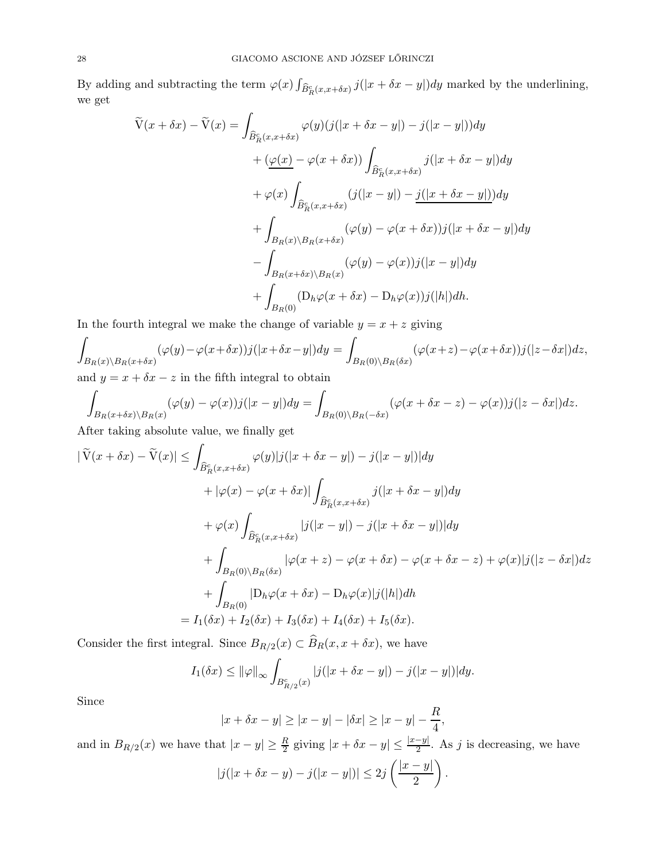By adding and subtracting the term  $\varphi(x) \int_{\widehat{B}_R^c(x,x+\delta x)} j(|x+\delta x - y|) dy$  marked by the underlining, we get

$$
\widetilde{V}(x + \delta x) - \widetilde{V}(x) = \int_{\widehat{B}_R^c(x, x + \delta x)} \varphi(y)(j(|x + \delta x - y|) - j(|x - y|))dy \n+ (\underline{\varphi(x)} - \varphi(x + \delta x)) \int_{\widehat{B}_R^c(x, x + \delta x)} j(|x + \delta x - y|)dy \n+ \varphi(x) \int_{\widehat{B}_R^c(x, x + \delta x)} (j(|x - y|) - \underline{j(|x + \delta x - y|)})dy \n+ \int_{B_R(x) \setminus B_R(x + \delta x)} (\varphi(y) - \varphi(x + \delta x))j(|x + \delta x - y|)dy \n- \int_{B_R(x + \delta x) \setminus B_R(x)} (\varphi(y) - \varphi(x))j(|x - y|)dy \n+ \int_{B_R(0)} (D_h \varphi(x + \delta x) - D_h \varphi(x))j(|h|)dh.
$$

In the fourth integral we make the change of variable  $y = x + z$  giving

$$
\int_{B_R(x)\backslash B_R(x+\delta x)} (\varphi(y)-\varphi(x+\delta x))j(|x+\delta x-y|)dy = \int_{B_R(0)\backslash B_R(\delta x)} (\varphi(x+z)-\varphi(x+\delta x))j(|z-\delta x|)dz,
$$

and  $y = x + \delta x - z$  in the fifth integral to obtain

$$
\int_{B_R(x+\delta x)\backslash B_R(x)} (\varphi(y)-\varphi(x))j(|x-y|)dy = \int_{B_R(0)\backslash B_R(-\delta x)} (\varphi(x+\delta x-z)-\varphi(x))j(|z-\delta x|)dz.
$$

After taking absolute value, we finally get

$$
|\tilde{V}(x+\delta x) - \tilde{V}(x)| \leq \int_{\widehat{B}_R^c(x,x+\delta x)} \varphi(y)|j(|x+\delta x - y|) - j(|x - y|)|dy
$$
  
+ 
$$
|\varphi(x) - \varphi(x+\delta x)| \int_{\widehat{B}_R^c(x,x+\delta x)} j(|x+\delta x - y|)dy
$$
  
+ 
$$
\varphi(x) \int_{\widehat{B}_R^c(x,x+\delta x)} |j(|x - y|) - j(|x+\delta x - y|)|dy
$$
  
+ 
$$
\int_{B_R(0) \setminus B_R(\delta x)} |\varphi(x+z) - \varphi(x+\delta x) - \varphi(x+\delta x - z) + \varphi(x)|j(|z - \delta x|)dz
$$
  
+ 
$$
\int_{B_R(0)} |D_h \varphi(x+\delta x) - D_h \varphi(x)|j(|h|)dh
$$
  
=  $I_1(\delta x) + I_2(\delta x) + I_3(\delta x) + I_4(\delta x) + I_5(\delta x).$ 

Consider the first integral. Since  $B_{R/2}(x) \subset B_R(x, x + \delta x)$ , we have

$$
I_1(\delta x) \le ||\varphi||_{\infty} \int_{B_{R/2}^c(x)} |j(|x + \delta x - y|) - j(|x - y|)| dy.
$$

Since

$$
|x + \delta x - y| \ge |x - y| - |\delta x| \ge |x - y| - \frac{R}{4},
$$

and in  $B_{R/2}(x)$  we have that  $|x-y| \geq \frac{R}{2}$  giving  $|x + \delta x - y| \leq \frac{|x-y|}{2}$ . As j is decreasing, we have

$$
|j(|x+\delta x-y)-j(|x-y|)|\leq 2j\left(\frac{|x-y|}{2}\right).
$$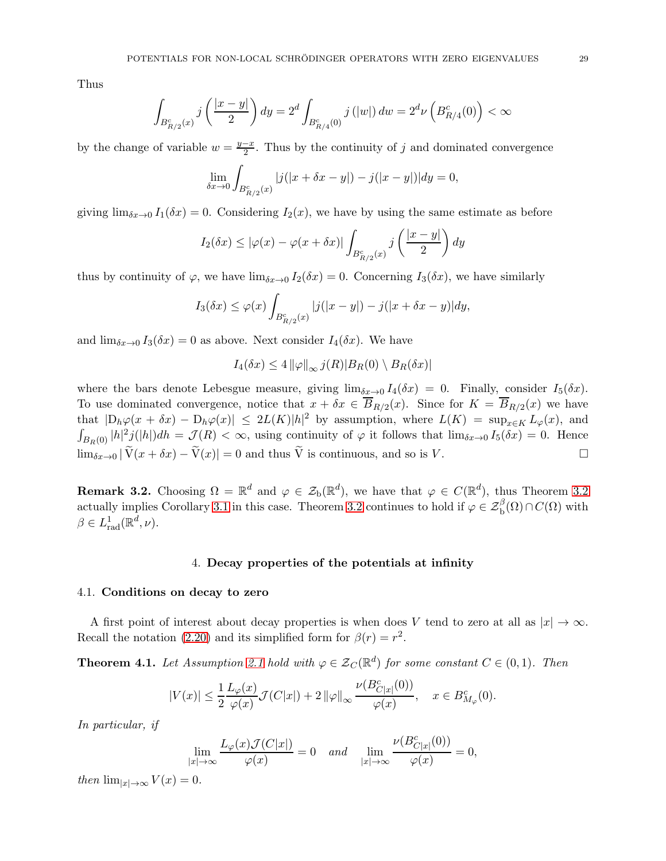Thus

$$
\int_{B_{R/2}^c(x)} j\left(\frac{|x-y|}{2}\right) dy = 2^d \int_{B_{R/4}^c(0)} j\left(|w|\right) dw = 2^d \nu\left(B_{R/4}^c(0)\right) < \infty
$$

by the change of variable  $w = \frac{y-x}{2}$ . Thus by the continuity of j and dominated convergence

$$
\lim_{\delta x \to 0} \int_{B_{R/2}^c(x)} |j(|x + \delta x - y|) - j(|x - y|)| dy = 0,
$$

giving  $\lim_{\delta x \to 0} I_1(\delta x) = 0$ . Considering  $I_2(x)$ , we have by using the same estimate as before

$$
I_2(\delta x) \le |\varphi(x) - \varphi(x + \delta x)| \int_{B_{R/2}^c(x)} j\left(\frac{|x - y|}{2}\right) dy
$$

thus by continuity of  $\varphi$ , we have  $\lim_{\delta x \to 0} I_2(\delta x) = 0$ . Concerning  $I_3(\delta x)$ , we have similarly

$$
I_3(\delta x) \le \varphi(x) \int_{B_{R/2}^c(x)} |j(|x-y|) - j(|x + \delta x - y)| dy,
$$

and  $\lim_{\delta x \to 0} I_3(\delta x) = 0$  as above. Next consider  $I_4(\delta x)$ . We have

$$
I_4(\delta x) \le 4 \|\varphi\|_{\infty} j(R)|B_R(0) \setminus B_R(\delta x)|
$$

where the bars denote Lebesgue measure, giving  $\lim_{\delta x \to 0} I_4(\delta x) = 0$ . Finally, consider  $I_5(\delta x)$ . To use dominated convergence, notice that  $x + \delta x \in B_{R/2}(x)$ . Since for  $K = B_{R/2}(x)$  we have that  $|D_h\varphi(x+\delta x) - D_h\varphi(x)| \leq 2L(K)|h|^2$  by assumption, where  $L(K) = \sup_{x \in K} L_{\varphi}(x)$ , and  $\int_{B_R(0)} |h|^2 j(|h|) dh = \mathcal{J}(R) < \infty$ , using continuity of  $\varphi$  it follows that  $\lim_{\delta x \to 0} I_5(\delta x) = 0$ . Hence  $\lim_{\delta x \to 0} |\widetilde{V}(x + \delta x) - \widetilde{V}(x)| = 0$  and thus  $\widetilde{V}$  is continuous, and so is V.

**Remark [3.2](#page-26-1).** Choosing  $\Omega = \mathbb{R}^d$  and  $\varphi \in \mathcal{Z}_b(\mathbb{R}^d)$ , we have that  $\varphi \in C(\mathbb{R}^d)$ , thus Theorem 3.2 actually implies Corollary [3.1](#page-26-2) in this case. Theorem [3.2](#page-26-1) continues to hold if  $\varphi \in \mathcal{Z}_{\mathbf{b}}^{\beta}(\Omega) \cap C(\Omega)$  with  $\beta \in L^1_{\text{rad}}(\mathbb{R}^d, \nu).$ 

### 4. Decay properties of the potentials at infinity

#### <span id="page-28-1"></span><span id="page-28-0"></span>4.1. Conditions on decay to zero

A first point of interest about decay properties is when does V tend to zero at all as  $|x| \to \infty$ . Recall the notation [\(2.20\)](#page-17-5) and its simplified form for  $\beta(r) = r^2$ .

<span id="page-28-2"></span>**Theorem 4.1.** Let Assumption [2.1](#page-21-3) hold with  $\varphi \in \mathcal{Z}_C(\mathbb{R}^d)$  for some constant  $C \in (0,1)$ . Then

$$
|V(x)| \le \frac{1}{2} \frac{L_{\varphi}(x)}{\varphi(x)} \mathcal{J}(C|x|) + 2 \|\varphi\|_{\infty} \frac{\nu(B_{C|x|}^c(0))}{\varphi(x)}, \quad x \in B_{M_{\varphi}}^c(0).
$$

 $ν = ω$  ( $kv$ 

In particular, if

$$
\lim_{|x| \to \infty} \frac{L_{\varphi}(x) \mathcal{J}(C|x|)}{\varphi(x)} = 0 \quad and \quad \lim_{|x| \to \infty} \frac{\nu(B_{C|x|}^c(0))}{\varphi(x)} = 0,
$$

then  $\lim_{|x|\to\infty} V(x) = 0.$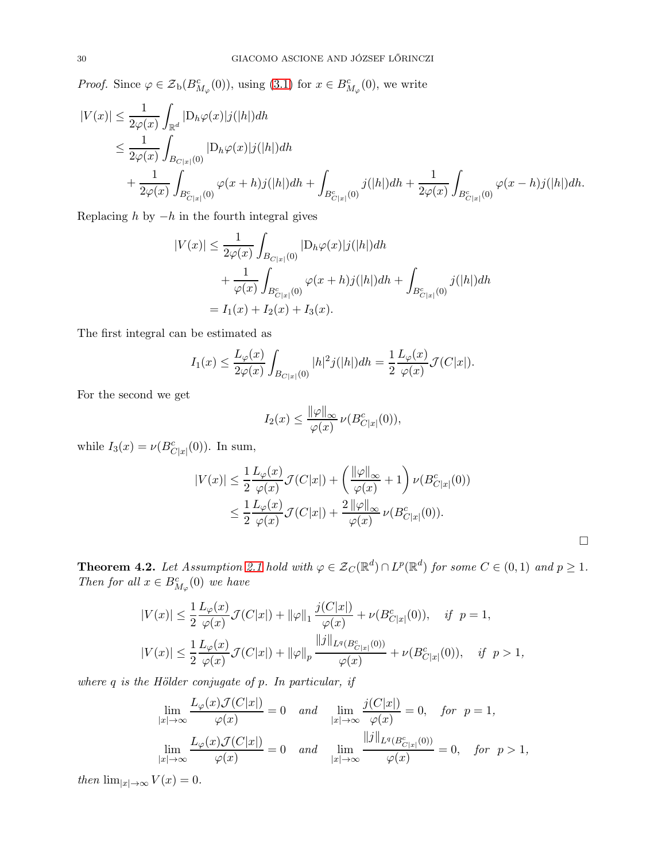*Proof.* Since  $\varphi \in \mathcal{Z}_{b}(B_{M_{\varphi}}^{c}(0))$ , using [\(3.1\)](#page-25-3) for  $x \in B_{M_{\varphi}}^{c}(0)$ , we write

$$
\begin{split} |V(x)| &\leq \frac{1}{2\varphi(x)}\int_{\mathbb{R}^d}|\mathcal{D}_h\varphi(x)|j(|h|)dh \\ &\leq \frac{1}{2\varphi(x)}\int_{B_{C|x|}(0)}|\mathcal{D}_h\varphi(x)|j(|h|)dh \\ &\quad + \frac{1}{2\varphi(x)}\int_{B_{C|x|}^c(0)}\varphi(x+h)j(|h|)dh + \int_{B_{C|x|}^c(0)}j(|h|)dh + \frac{1}{2\varphi(x)}\int_{B_{C|x|}^c(0)}\varphi(x-h)j(|h|)dh. \end{split}
$$

Replacing  $h$  by  $-h$  in the fourth integral gives

$$
|V(x)| \le \frac{1}{2\varphi(x)} \int_{B_{C|x|}(0)} |D_h \varphi(x)| j(|h|) dh + \frac{1}{\varphi(x)} \int_{B_{C|x|}^c(0)} \varphi(x+h) j(|h|) dh + \int_{B_{C|x|}^c(0)} j(|h|) dh
$$
  
=  $I_1(x) + I_2(x) + I_3(x)$ .

The first integral can be estimated as

$$
I_1(x) \le \frac{L_\varphi(x)}{2\varphi(x)} \int_{B_{C|x|}(0)} |h|^2 j(|h|) dh = \frac{1}{2} \frac{L_\varphi(x)}{\varphi(x)} \mathcal{J}(C|x|).
$$

For the second we get

$$
I_2(x) \le \frac{\|\varphi\|_{\infty}}{\varphi(x)} \nu(B_{C|x|}^c(0)),
$$

while  $I_3(x) = \nu(B_{C|x|}^c(0))$ . In sum,

$$
|V(x)| \leq \frac{1}{2} \frac{L_{\varphi}(x)}{\varphi(x)} \mathcal{J}(C|x|) + \left(\frac{\|\varphi\|_{\infty}}{\varphi(x)} + 1\right) \nu(B_{C|x|}^c(0))
$$
  

$$
\leq \frac{1}{2} \frac{L_{\varphi}(x)}{\varphi(x)} \mathcal{J}(C|x|) + \frac{2 \|\varphi\|_{\infty}}{\varphi(x)} \nu(B_{C|x|}^c(0)).
$$

<span id="page-29-0"></span>**Theorem 4.2.** Let Assumption [2.1](#page-21-3) hold with  $\varphi \in \mathcal{Z}_C(\mathbb{R}^d) \cap L^p(\mathbb{R}^d)$  for some  $C \in (0,1)$  and  $p \geq 1$ . Then for all  $x \in B^c_{M_\varphi}(0)$  we have

$$
|V(x)| \le \frac{1}{2} \frac{L_{\varphi}(x)}{\varphi(x)} \mathcal{J}(C|x|) + ||\varphi||_1 \frac{j(C|x|)}{\varphi(x)} + \nu(B_{C|x|}^c(0)), \quad \text{if } p = 1,
$$
  

$$
|V(x)| \le \frac{1}{2} \frac{L_{\varphi}(x)}{\varphi(x)} \mathcal{J}(C|x|) + ||\varphi||_p \frac{||j||_{L^q(B_{C|x|}^c(0))}}{\varphi(x)} + \nu(B_{C|x|}^c(0)), \quad \text{if } p > 1,
$$

where  $q$  is the Hölder conjugate of  $p$ . In particular, if

$$
\lim_{|x| \to \infty} \frac{L_{\varphi}(x) \mathcal{J}(C|x|)}{\varphi(x)} = 0 \quad \text{and} \quad \lim_{|x| \to \infty} \frac{j(C|x|)}{\varphi(x)} = 0, \quad \text{for} \quad p = 1,
$$
\n
$$
\lim_{|x| \to \infty} \frac{L_{\varphi}(x) \mathcal{J}(C|x|)}{\varphi(x)} = 0 \quad \text{and} \quad \lim_{|x| \to \infty} \frac{\|j\|_{L^{q}(B_{C|x|}^c(0))}}{\varphi(x)} = 0, \quad \text{for} \quad p > 1,
$$

then  $\lim_{|x| \to \infty} V(x) = 0.$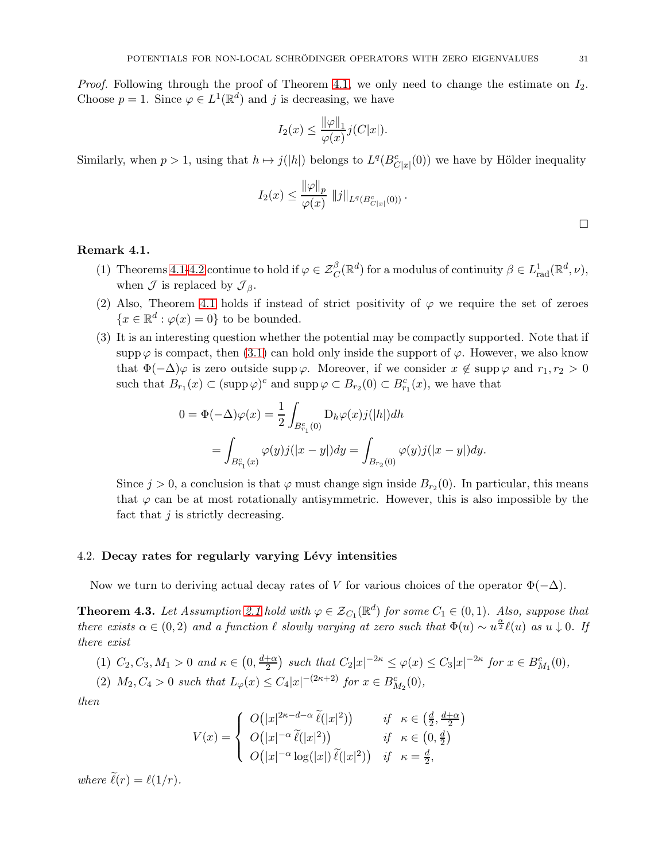*Proof.* Following through the proof of Theorem [4.1,](#page-28-2) we only need to change the estimate on  $I_2$ . Choose  $p = 1$ . Since  $\varphi \in L^1(\mathbb{R}^d)$  and j is decreasing, we have

$$
I_2(x) \le \frac{\|\varphi\|_1}{\varphi(x)} j(C|x|).
$$

Similarly, when  $p > 1$ , using that  $h \mapsto j(|h|)$  belongs to  $L^q(B_{C|x|}^c(0))$  we have by Hölder inequality

$$
I_2(x) \leq \frac{\|\varphi\|_p}{\varphi(x)} \|j\|_{L^q(B_{C|x|}^c(0))}.
$$

 $\Box$ 

## Remark 4.1.

- (1) Theorems [4.1](#page-28-2)[-4.2](#page-29-0) continue to hold if  $\varphi \in \mathcal{Z}_C^{\beta}(\mathbb{R}^d)$  for a modulus of continuity  $\beta \in L^1_{rad}(\mathbb{R}^d, \nu)$ , when  $\mathcal J$  is replaced by  $\mathcal J_{\beta}$ .
- (2) Also, Theorem [4.1](#page-28-2) holds if instead of strict positivity of  $\varphi$  we require the set of zeroes  ${x \in \mathbb{R}^d : \varphi(x) = 0}$  to be bounded.
- (3) It is an interesting question whether the potential may be compactly supported. Note that if supp $\varphi$  is compact, then [\(3.1\)](#page-25-3) can hold only inside the support of  $\varphi$ . However, we also know that  $\Phi(-\Delta)\varphi$  is zero outside supp $\varphi$ . Moreover, if we consider  $x \notin \operatorname{supp} \varphi$  and  $r_1, r_2 > 0$ such that  $B_{r_1}(x) \subset (\text{supp }\varphi)^c$  and  $\text{supp }\varphi \subset B_{r_2}(0) \subset B_{r_1}^c(x)$ , we have that

$$
0 = \Phi(-\Delta)\varphi(x) = \frac{1}{2} \int_{B_{r_1}^c(0)} D_h \varphi(x) j(|h|) dh
$$
  
= 
$$
\int_{B_{r_1}^c(x)} \varphi(y) j(|x - y|) dy = \int_{B_{r_2}(0)} \varphi(y) j(|x - y|) dy.
$$

Since  $j > 0$ , a conclusion is that  $\varphi$  must change sign inside  $B_{r_2}(0)$ . In particular, this means that  $\varphi$  can be at most rotationally antisymmetric. However, this is also impossible by the fact that  $j$  is strictly decreasing.

#### <span id="page-30-0"></span>4.2. Decay rates for regularly varying Lévy intensities

Now we turn to deriving actual decay rates of V for various choices of the operator  $\Phi(-\Delta)$ .

<span id="page-30-1"></span>**Theorem 4.3.** Let Assumption [2.1](#page-21-3) hold with  $\varphi \in \mathcal{Z}_{C_1}(\mathbb{R}^d)$  for some  $C_1 \in (0,1)$ . Also, suppose that there exists  $\alpha \in (0, 2)$  and a function  $\ell$  slowly varying at zero such that  $\Phi(u) \sim u^{\frac{\alpha}{2}} \ell(u)$  as  $u \downarrow 0$ . If there exist

(1) 
$$
C_2, C_3, M_1 > 0
$$
 and  $\kappa \in (0, \frac{d+\alpha}{2})$  such that  $C_2|x|^{-2\kappa} \leq \varphi(x) \leq C_3|x|^{-2\kappa}$  for  $x \in B_{M_1}^c(0)$ ,

(2)  $M_2, C_4 > 0$  such that  $L_\varphi(x) \le C_4 |x|^{-(2\kappa+2)}$  for  $x \in B_{M_2}^c(0)$ ,

then

$$
V(x) = \begin{cases} O(|x|^{2\kappa - d - \alpha} \widetilde{\ell}(|x|^2)) & \text{if } \kappa \in \left(\frac{d}{2}, \frac{d + \alpha}{2}\right) \\ O(|x|^{-\alpha} \widetilde{\ell}(|x|^2)) & \text{if } \kappa \in \left(0, \frac{d}{2}\right) \\ O(|x|^{-\alpha} \log(|x|) \widetilde{\ell}(|x|^2)) & \text{if } \kappa = \frac{d}{2}, \end{cases}
$$

where  $\tilde{\ell}(r) = \ell(1/r)$ .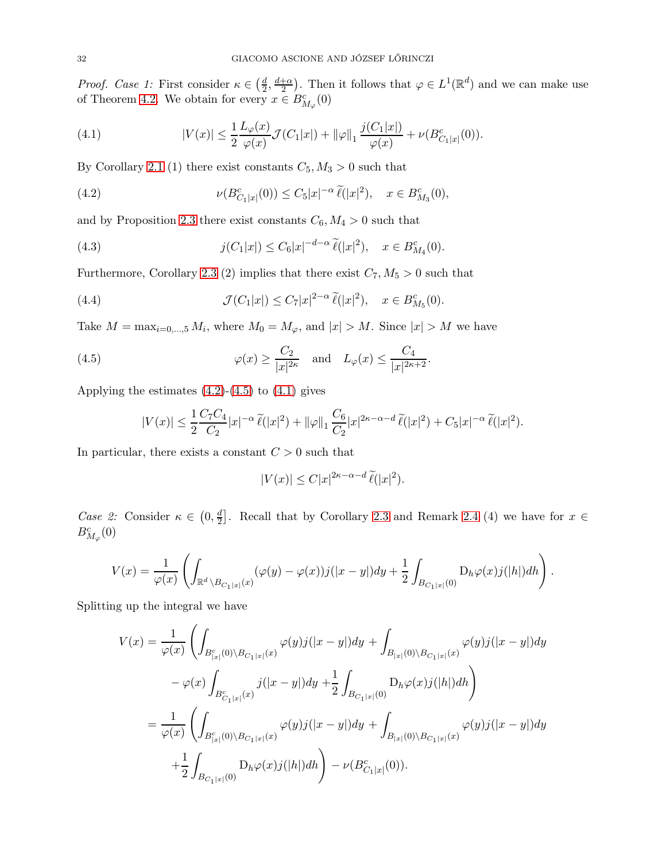*Proof.* Case 1: First consider  $\kappa \in \left(\frac{d}{2}\right)$  $\frac{d}{2}, \frac{d+\alpha}{2}$  $\frac{1}{2}$ . Then it follows that  $\varphi \in L^1(\mathbb{R}^d)$  and we can make use of Theorem [4.2.](#page-29-0) We obtain for every  $x \in B^c_{M_\varphi}(0)$ 

<span id="page-31-2"></span>(4.1) 
$$
|V(x)| \leq \frac{1}{2} \frac{L_{\varphi}(x)}{\varphi(x)} \mathcal{J}(C_1|x|) + ||\varphi||_1 \frac{j(C_1|x|)}{\varphi(x)} + \nu(B_{C_1|x|}^c(0)).
$$

By Corollary [2.1](#page-13-4) (1) there exist constants  $C_5, M_3 > 0$  such that

<span id="page-31-0"></span>(4.2) 
$$
\nu(B_{C_1|x|}^c(0)) \leq C_5|x|^{-\alpha} \,\widetilde{\ell}(|x|^2), \quad x \in B_{M_3}^c(0),
$$

and by Proposition [2.3](#page-11-0) there exist constants  $C_6$ ,  $M_4 > 0$  such that

<span id="page-31-4"></span>(4.3) 
$$
j(C_1|x|) \leq C_6|x|^{-d-\alpha} \tilde{\ell}(|x|^2), \quad x \in B_{M_4}^c(0).
$$

Furthermore, Corollary [2.3](#page-20-0) (2) implies that there exist  $C_7, M_5 > 0$  such that

(4.4) 
$$
\mathcal{J}(C_1|x|) \leq C_7|x|^{2-\alpha} \widetilde{\ell}(|x|^2), \quad x \in B_{M_5}^c(0).
$$

Take  $M = \max_{i=0,\dots,5} M_i$ , where  $M_0 = M_{\varphi}$ , and  $|x| > M$ . Since  $|x| > M$  we have

(4.5) 
$$
\varphi(x) \ge \frac{C_2}{|x|^{2\kappa}} \quad \text{and} \quad L_{\varphi}(x) \le \frac{C_4}{|x|^{2\kappa+2}}.
$$

Applying the estimates  $(4.2)-(4.5)$  $(4.2)-(4.5)$  to  $(4.1)$  gives

<span id="page-31-3"></span><span id="page-31-1"></span>
$$
|V(x)| \leq \frac{1}{2} \frac{C_7 C_4}{C_2} |x|^{-\alpha} \,\widetilde{\ell}(|x|^2) + \|\varphi\|_1 \frac{C_6}{C_2} |x|^{2\kappa - \alpha - d} \,\widetilde{\ell}(|x|^2) + C_5 |x|^{-\alpha} \,\widetilde{\ell}(|x|^2).
$$

In particular, there exists a constant  $C > 0$  such that

$$
|V(x)| \le C|x|^{2\kappa - \alpha - d} \,\widetilde{\ell}(|x|^2).
$$

*Case 2:* Consider  $\kappa \in \left(0, \frac{d}{2}\right)$  $\frac{d}{2}$ . Recall that by Corollary [2.3](#page-20-0) and Remark [2.4](#page-20-1) (4) we have for  $x \in$  $B^c_{M_{\varphi}}(0)$ 

$$
V(x)=\frac{1}{\varphi(x)}\left(\int_{\mathbb{R}^d\backslash B_{C_1|x|}(x)}(\varphi(y)-\varphi(x))j(|x-y|)dy+\frac{1}{2}\int_{B_{C_1|x|}(0)}\mathrm{D}_h\varphi(x)j(|h|)dh\right).
$$

Splitting up the integral we have

$$
V(x) = \frac{1}{\varphi(x)} \left( \int_{B_{|x|}^c(0) \backslash B_{C_1|x|}(x)} \varphi(y) j(|x-y|) dy + \int_{B_{|x|}(0) \backslash B_{C_1|x|}(x)} \varphi(y) j(|x-y|) dy \right.- \varphi(x) \int_{B_{C_1|x|}^c(x)} j(|x-y|) dy + \frac{1}{2} \int_{B_{C_1|x|}(0)} D_h \varphi(x) j(|h|) dh \right)= \frac{1}{\varphi(x)} \left( \int_{B_{|x|}^c(0) \backslash B_{C_1|x|}(x)} \varphi(y) j(|x-y|) dy + \int_{B_{|x|}(0) \backslash B_{C_1|x|}(x)} \varphi(y) j(|x-y|) dy \right.+ \frac{1}{2} \int_{B_{C_1|x|}(0)} D_h \varphi(x) j(|h|) dh \right) - \nu(B_{C_1|x|}^c(0)).
$$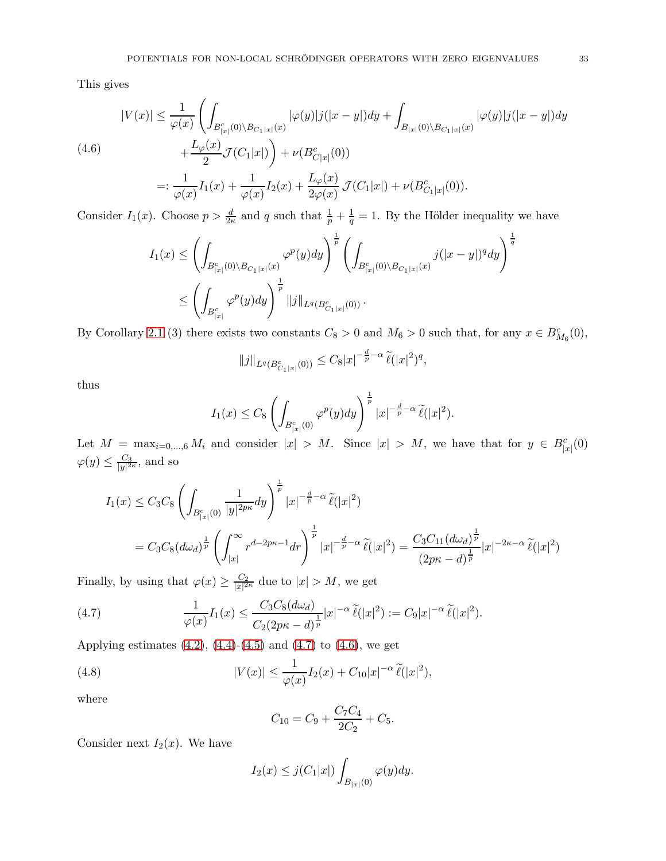This gives

<span id="page-32-1"></span>
$$
|V(x)| \leq \frac{1}{\varphi(x)} \left( \int_{B_{|x|}^c(0) \backslash B_{C_1|x|}(x)} |\varphi(y)| j(|x-y|) dy + \int_{B_{|x|}(0) \backslash B_{C_1|x|}(x)} |\varphi(y)| j(|x-y|) dy \right)
$$
  
(4.6)  

$$
+ \frac{L_{\varphi}(x)}{2} \mathcal{J}(C_1|x|) \right) + \nu(B_{C|x|}^c(0))
$$
  

$$
=: \frac{1}{\varphi(x)} I_1(x) + \frac{1}{\varphi(x)} I_2(x) + \frac{L_{\varphi}(x)}{2\varphi(x)} \mathcal{J}(C_1|x|) + \nu(B_{C_1|x|}^c(0)).
$$

Consider  $I_1(x)$ . Choose  $p > \frac{d}{2\kappa}$  and q such that  $\frac{1}{p} + \frac{1}{q} = 1$ . By the Hölder inequality we have

$$
I_1(x) \leq \left(\int_{B_{|x|}^c(0)\backslash B_{C_1|x|}(x)} \varphi^p(y) dy\right)^{\frac{1}{p}} \left(\int_{B_{|x|}^c(0)\backslash B_{C_1|x|}(x)} j(|x-y|)^q dy\right)^{\frac{1}{q}}
$$
  

$$
\leq \left(\int_{B_{|x|}^c} \varphi^p(y) dy\right)^{\frac{1}{p}} ||j||_{L^q(B_{C_1|x|}^c(0))}.
$$

By Corollary [2.1](#page-13-4) (3) there exists two constants  $C_8 > 0$  and  $M_6 > 0$  such that, for any  $x \in B_{M_6}^c(0)$ ,

$$
||j||_{L^{q}(B_{C_1|x|}^c(0))} \leq C_8|x|^{-\frac{d}{p}-\alpha} \widetilde{\ell}(|x|^2)^q,
$$

thus

$$
I_1(x) \leq C_8 \left( \int_{B_{|x|}^c(0)} \varphi^p(y) dy \right)^{\frac{1}{p}} |x|^{-\frac{d}{p}-\alpha} \widetilde{\ell}(|x|^2).
$$

Let  $M = \max_{i=0,\dots,6} M_i$  and consider  $|x| > M$ . Since  $|x| > M$ , we have that for  $y \in B_{|x|}^c(0)$  $\varphi(y) \leq \frac{C_3}{|y|^2}$  $\frac{C_3}{|y|^{2\kappa}}$ , and so

$$
I_1(x) \leq C_3 C_8 \left( \int_{B_{|x|}^c(0)} \frac{1}{|y|^{2p\kappa}} dy \right)^{\frac{1}{p}} |x|^{-\frac{d}{p}-\alpha} \widetilde{\ell}(|x|^2)
$$
  
=  $C_3 C_8 (d\omega_d)^{\frac{1}{p}} \left( \int_{|x|}^{\infty} r^{d-2p\kappa-1} dr \right)^{\frac{1}{p}} |x|^{-\frac{d}{p}-\alpha} \widetilde{\ell}(|x|^2) = \frac{C_3 C_{11} (d\omega_d)^{\frac{1}{p}}}{(2p\kappa-d)^{\frac{1}{p}}} |x|^{-2\kappa-\alpha} \widetilde{\ell}(|x|^2)$ 

Finally, by using that  $\varphi(x) \geq \frac{C_2}{|x|^2}$  $\frac{C_2}{|x|^{2\kappa}}$  due to  $|x| > M$ , we get

<span id="page-32-0"></span>(4.7) 
$$
\frac{1}{\varphi(x)}I_1(x) \leq \frac{C_3C_8(d\omega_d)}{C_2(2p\kappa-d)^{\frac{1}{p}}}|x|^{-\alpha}\widetilde{\ell}(|x|^2) := C_9|x|^{-\alpha}\widetilde{\ell}(|x|^2).
$$

Applying estimates  $(4.2)$ ,  $(4.4)-(4.5)$  $(4.4)-(4.5)$  and  $(4.7)$  to  $(4.6)$ , we get

(4.8) 
$$
|V(x)| \le \frac{1}{\varphi(x)} I_2(x) + C_{10}|x|^{-\alpha} \tilde{\ell}(|x|^2),
$$

where

<span id="page-32-2"></span>
$$
C_{10} = C_9 + \frac{C_7 C_4}{2C_2} + C_5.
$$

Consider next  $I_2(x)$ . We have

$$
I_2(x) \leq j(C_1|x|) \int_{B_{|x|}(0)} \varphi(y) dy.
$$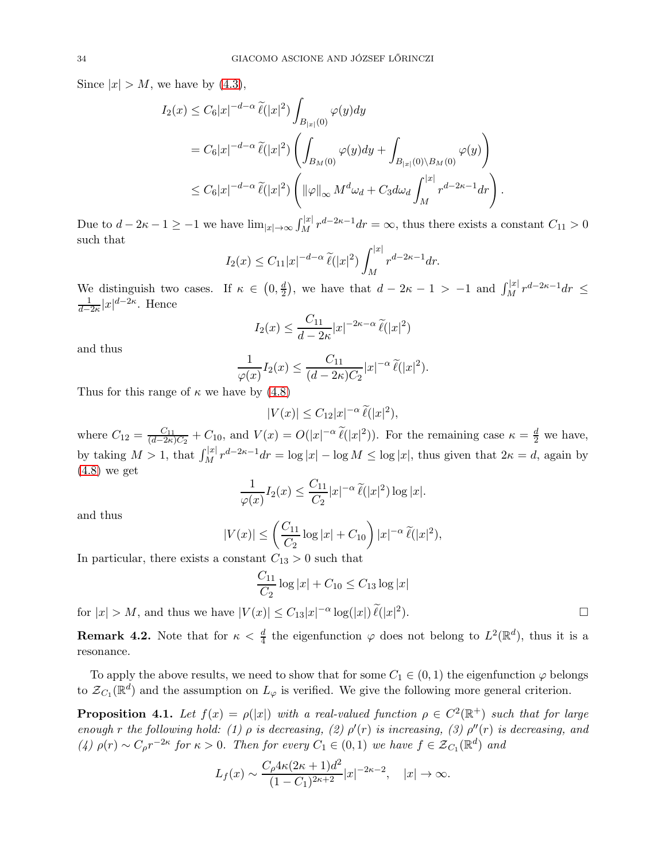Since  $|x| > M$ , we have by [\(4.3\)](#page-31-4),

$$
I_2(x) \leq C_6 |x|^{-d-\alpha} \widetilde{\ell}(|x|^2) \int_{B_{|x|}(0)} \varphi(y) dy
$$
  
=  $C_6 |x|^{-d-\alpha} \widetilde{\ell}(|x|^2) \left( \int_{B_M(0)} \varphi(y) dy + \int_{B_{|x|}(0) \backslash B_M(0)} \varphi(y) \right)$   
 $\leq C_6 |x|^{-d-\alpha} \widetilde{\ell}(|x|^2) \left( ||\varphi||_{\infty} M^d \omega_d + C_3 d \omega_d \int_M^{|x|} r^{d-2\kappa-1} dr \right).$ 

Due to  $d-2\kappa-1\geq -1$  we have  $\lim_{|x|\to\infty}\int_M^{|x|}r^{d-2\kappa-1}dr=\infty$ , thus there exists a constant  $C_{11}>0$ such that

$$
I_2(x) \leq C_{11}|x|^{-d-\alpha} \widetilde{\ell}(|x|^2) \int_M^{|x|} r^{d-2\kappa-1} dr.
$$

We distinguish two cases. If  $\kappa \in (0, \frac{d}{2})$  $\frac{d}{2}$ , we have that  $d - 2\kappa - 1 > -1$  and  $\int_M^{|x|} r^{d-2\kappa - 1} dr \le$ 1  $\frac{1}{d-2\kappa}|x|^{d-2\kappa}$ . Hence

$$
I_2(x) \le \frac{C_{11}}{d - 2\kappa} |x|^{-2\kappa - \alpha} \widetilde{\ell}(|x|^2)
$$

and thus

$$
\frac{1}{\varphi(x)}I_2(x) \le \frac{C_{11}}{(d-2\kappa)C_2}|x|^{-\alpha} \widetilde{\ell}(|x|^2).
$$

Thus for this range of  $\kappa$  we have by [\(4.8\)](#page-32-2)

$$
|V(x)| \leq C_{12}|x|^{-\alpha} \,\widetilde{\ell}(|x|^2),
$$

where  $C_{12} = \frac{C_{11}}{(d-2\kappa)}$  $\frac{C_{11}}{(d-2\kappa)C_2} + C_{10}$ , and  $V(x) = O(|x|^{-\alpha} \tilde{\ell}(|x|^2))$ . For the remaining case  $\kappa = \frac{d}{2}$  we have, by taking  $M > 1$ , that  $\int_M |x| \, r^{d-2\kappa-1} dr = \log |x| - \log M \le \log |x|$ , thus given that  $2\kappa = d$ , again by [\(4.8\)](#page-32-2) we get

$$
\frac{1}{\varphi(x)}I_2(x) \le \frac{C_{11}}{C_2}|x|^{-\alpha} \,\widetilde{\ell}(|x|^2) \log|x|.
$$

and thus

$$
|V(x)| \le \left(\frac{C_{11}}{C_2}\log|x| + C_{10}\right)|x|^{-\alpha} \widetilde{\ell}(|x|^2),
$$

In particular, there exists a constant  $C_{13} > 0$  such that

$$
\frac{C_{11}}{C_2} \log |x| + C_{10} \le C_{13} \log |x|
$$

for  $|x| > M$ , and thus we have  $|V(x)| \leq C_{13}|x|^{-\alpha} \log(|x|) \tilde{\ell}(|x|^2)$ 

<span id="page-33-1"></span>**Remark 4.2.** Note that for  $\kappa < \frac{d}{4}$  the eigenfunction  $\varphi$  does not belong to  $L^2(\mathbb{R}^d)$ , thus it is a resonance.

To apply the above results, we need to show that for some  $C_1 \in (0,1)$  the eigenfunction  $\varphi$  belongs to  $\mathcal{Z}_{C_1}(\mathbb{R}^d)$  and the assumption on  $L_{\varphi}$  is verified. We give the following more general criterion.

<span id="page-33-0"></span>**Proposition 4.1.** Let  $f(x) = \rho(|x|)$  with a real-valued function  $\rho \in C^2(\mathbb{R}^+)$  such that for large enough r the following hold: (1)  $\rho$  is decreasing, (2)  $\rho'(r)$  is increasing, (3)  $\rho''(r)$  is decreasing, and (4)  $\rho(r) \sim C_{\rho} r^{-2\kappa}$  for  $\kappa > 0$ . Then for every  $C_1 \in (0,1)$  we have  $f \in \mathcal{Z}_{C_1}(\mathbb{R}^d)$  and

$$
L_f(x) \sim \frac{C_\rho 4\kappa (2\kappa + 1)d^2}{(1 - C_1)^{2\kappa + 2}} |x|^{-2\kappa - 2}, \quad |x| \to \infty.
$$

).  $\qquad \qquad \Box$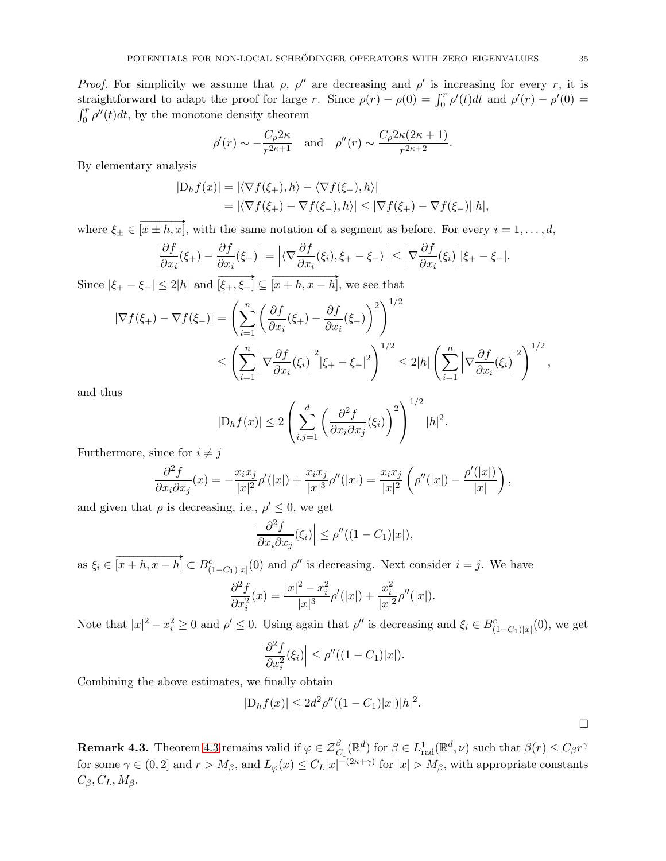*Proof.* For simplicity we assume that  $\rho$ ,  $\rho''$  are decreasing and  $\rho'$  is increasing for every r, it is straightforward to adapt the proof for large r. Since  $\rho(r) - \rho(0) = \int_0^r \rho'(t) dt$  and  $\rho'(r) - \rho'(0) =$  $\int_0^r \rho''(t)dt$ , by the monotone density theorem

$$
\rho'(r) \sim -\frac{C_{\rho}2\kappa}{r^{2\kappa+1}}
$$
 and  $\rho''(r) \sim \frac{C_{\rho}2\kappa(2\kappa+1)}{r^{2\kappa+2}}$ .

By elementary analysis

$$
|D_h f(x)| = |\langle \nabla f(\xi_+), h \rangle - \langle \nabla f(\xi_-), h \rangle|
$$
  
=  $|\langle \nabla f(\xi_+) - \nabla f(\xi_-), h \rangle| \le |\nabla f(\xi_+) - \nabla f(\xi_-)||h|,$ 

where  $\xi_{\pm} \in \overrightarrow{[x \pm h, x]}$ , with the same notation of a segment as before. For every  $i = 1, ..., d$ ,

$$
\left|\frac{\partial f}{\partial x_i}(\xi_+) - \frac{\partial f}{\partial x_i}(\xi_-)\right| = \left| \langle \nabla \frac{\partial f}{\partial x_i}(\xi_i), \xi_+ - \xi_- \rangle \right| \le \left| \nabla \frac{\partial f}{\partial x_i}(\xi_i) \right| |\xi_+ - \xi_-|.
$$

Since  $|\xi_+ - \xi_-| \leq 2|h|$  and  $\overrightarrow{[\xi_+, \xi_-]} \subseteq \overrightarrow{[x+h, x-h]}$ , we see that

$$
\begin{split} |\nabla f(\xi_{+}) - \nabla f(\xi_{-})| &= \left(\sum_{i=1}^{n} \left(\frac{\partial f}{\partial x_{i}}(\xi_{+}) - \frac{\partial f}{\partial x_{i}}(\xi_{-})\right)^{2}\right)^{1/2} \\ &\leq \left(\sum_{i=1}^{n} \left|\nabla \frac{\partial f}{\partial x_{i}}(\xi_{i})\right|^{2} |\xi_{+} - \xi_{-}|^{2}\right)^{1/2} \leq 2|h| \left(\sum_{i=1}^{n} \left|\nabla \frac{\partial f}{\partial x_{i}}(\xi_{i})\right|^{2}\right)^{1/2}, \end{split}
$$

and thus

$$
|\mathcal{D}_h f(x)| \le 2 \left( \sum_{i,j=1}^d \left( \frac{\partial^2 f}{\partial x_i \partial x_j}(\xi_i) \right)^2 \right)^{1/2} |h|^2.
$$

Furthermore, since for  $i \neq j$ 

$$
\frac{\partial^2 f}{\partial x_i \partial x_j}(x) = -\frac{x_i x_j}{|x|^2} \rho'(|x|) + \frac{x_i x_j}{|x|^3} \rho''(|x|) = \frac{x_i x_j}{|x|^2} \left( \rho''(|x|) - \frac{\rho'(|x|)}{|x|} \right),
$$

and given that  $\rho$  is decreasing, i.e.,  $\rho' \leq 0$ , we get

$$
\left|\frac{\partial^2 f}{\partial x_i \partial x_j}(\xi_i)\right| \le \rho''((1 - C_1)|x|),
$$

as  $\xi_i \in \overrightarrow{[x+h,x-h]} \subset B_{(1-C_1)|x|}^c(0)$  and  $\rho''$  is decreasing. Next consider  $i=j$ . We have

$$
\frac{\partial^2 f}{\partial x_i^2}(x) = \frac{|x|^2 - x_i^2}{|x|^3} \rho'(|x|) + \frac{x_i^2}{|x|^2} \rho''(|x|).
$$

Note that  $|x|^2 - x_i^2 \ge 0$  and  $\rho' \le 0$ . Using again that  $\rho''$  is decreasing and  $\xi_i \in B_{(1-C_1)|x|}^c(0)$ , we get

$$
\left|\frac{\partial^2 f}{\partial x_i^2}(\xi_i)\right| \le \rho''((1 - C_1)|x|).
$$

Combining the above estimates, we finally obtain

$$
|D_h f(x)| \le 2d^2 \rho''((1 - C_1)|x|)|h|^2.
$$

**Remark [4.3](#page-30-1).** Theorem 4.3 remains valid if  $\varphi \in \mathcal{Z}^{\beta}_{C_1}(\mathbb{R}^d)$  for  $\beta \in L^1_{rad}(\mathbb{R}^d, \nu)$  such that  $\beta(r) \leq C_\beta r^\gamma$ for some  $\gamma \in (0,2]$  and  $r > M_{\beta}$ , and  $L_{\varphi}(x) \leq C_L |x|^{-(2\kappa+\gamma)}$  for  $|x| > M_{\beta}$ , with appropriate constants  $C_{\beta}, C_{L}, M_{\beta}.$ 

 $\Box$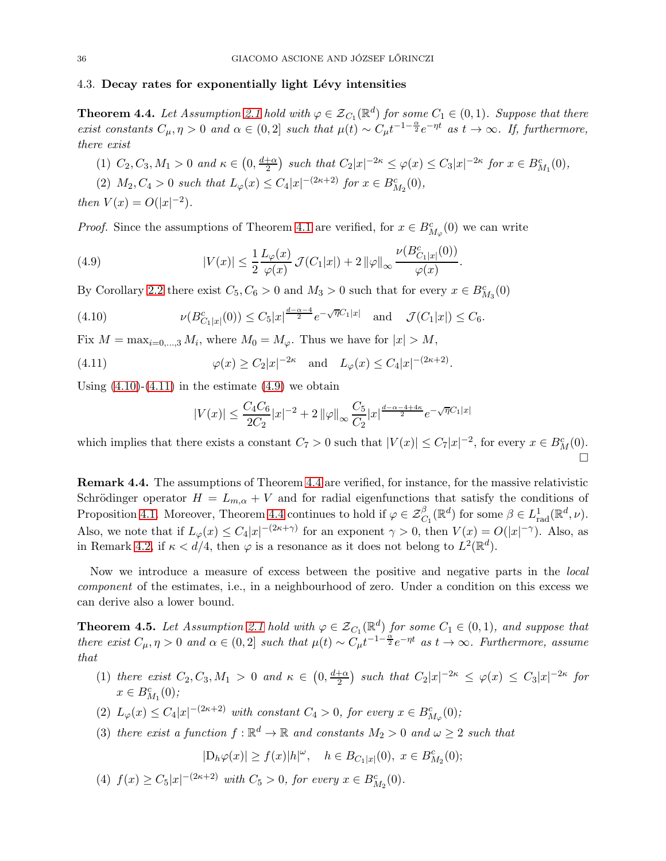#### <span id="page-35-0"></span>4.3. Decay rates for exponentially light Lévy intensities

<span id="page-35-1"></span>**Theorem 4.4.** Let Assumption [2.1](#page-21-3) hold with  $\varphi \in \mathcal{Z}_{C_1}(\mathbb{R}^d)$  for some  $C_1 \in (0,1)$ . Suppose that there exist constants  $C_{\mu}, \eta > 0$  and  $\alpha \in (0, 2]$  such that  $\mu(t) \sim C_{\mu} t^{-1-\frac{\alpha}{2}} e^{-\eta t}$  as  $t \to \infty$ . If, furthermore, there exist

(1)  $C_2, C_3, M_1 > 0$  and  $\kappa \in (0, \frac{d+\alpha}{2})$  $\frac{1+\alpha}{2}$  such that  $C_2|x|^{-2\kappa} \leq \varphi(x) \leq C_3|x|^{-2\kappa}$  for  $x \in B_{M_1}^c(0)$ ,

.

(2)  $M_2, C_4 > 0$  such that  $L_\varphi(x) \le C_4 |x|^{-(2\kappa+2)}$  for  $x \in B_{M_2}^c(0)$ , then  $V(x) = O(|x|^{-2})$ .

*Proof.* Since the assumptions of Theorem [4.1](#page-28-2) are verified, for  $x \in B^c_{M_\varphi}(0)$  we can write

<span id="page-35-6"></span>(4.9) 
$$
|V(x)| \leq \frac{1}{2} \frac{L_{\varphi}(x)}{\varphi(x)} \mathcal{J}(C_1|x|) + 2 ||\varphi||_{\infty} \frac{\nu(B_{C_1|x|}^c(0))}{\varphi(x)}
$$

By Corollary [2.2](#page-16-2) there exist  $C_5, C_6 > 0$  and  $M_3 > 0$  such that for every  $x \in B_{M_3}^c(0)$ 

(4.10) 
$$
\nu(B_{C_1|x|}^c(0)) \leq C_5|x|^{\frac{d-\alpha-4}{2}}e^{-\sqrt{\eta}C_1|x|} \text{ and } \mathcal{J}(C_1|x|) \leq C_6.
$$

Fix  $M = \max_{i=0,\dots,3} M_i$ , where  $M_0 = M_\varphi$ . Thus we have for  $|x| > M$ ,

(4.11) 
$$
\varphi(x) \ge C_2 |x|^{-2\kappa} \text{ and } L_{\varphi}(x) \le C_4 |x|^{-(2\kappa+2)}.
$$

Using  $(4.10)-(4.11)$  $(4.10)-(4.11)$  in the estimate  $(4.9)$  we obtain

<span id="page-35-5"></span><span id="page-35-4"></span>
$$
|V(x)| \le \frac{C_4 C_6}{2C_2} |x|^{-2} + 2 ||\varphi||_{\infty} \frac{C_5}{C_2} |x|^{\frac{d - \alpha - 4 + 4\kappa}{2}} e^{-\sqrt{\eta}C_1 |x|}
$$

which implies that there exists a constant  $C_7 > 0$  such that  $|V(x)| \leq C_7 |x|^{-2}$ , for every  $x \in B_M^c(0)$ .  $\Box$ 

<span id="page-35-3"></span>Remark 4.4. The assumptions of Theorem [4.4](#page-35-1) are verified, for instance, for the massive relativistic Schrödinger operator  $H = L_{m,\alpha} + V$  and for radial eigenfunctions that satisfy the conditions of Proposition [4.1.](#page-33-0) Moreover, Theorem [4.4](#page-35-1) continues to hold if  $\varphi \in \mathcal{Z}^{\beta}_{C_1}(\mathbb{R}^d)$  for some  $\beta \in L^1_{rad}(\mathbb{R}^d, \nu)$ . Also, we note that if  $L_{\varphi}(x) \leq C_4 |x|^{-(2\kappa+\gamma)}$  for an exponent  $\gamma > 0$ , then  $V(x) = O(|x|^{-\gamma})$ . Also, as in Remark [4.2,](#page-33-1) if  $\kappa < d/4$ , then  $\varphi$  is a resonance as it does not belong to  $L^2(\mathbb{R}^d)$ .

Now we introduce a measure of excess between the positive and negative parts in the local component of the estimates, i.e., in a neighbourhood of zero. Under a condition on this excess we can derive also a lower bound.

<span id="page-35-2"></span>**Theorem 4.5.** Let Assumption [2.1](#page-21-3) hold with  $\varphi \in \mathcal{Z}_{C_1}(\mathbb{R}^d)$  for some  $C_1 \in (0,1)$ , and suppose that there exist  $C_{\mu}, \eta > 0$  and  $\alpha \in (0, 2]$  such that  $\mu(t) \sim C_{\mu} t^{-1-\frac{\alpha}{2}} e^{-\eta t}$  as  $t \to \infty$ . Furthermore, assume that

- (1) there exist  $C_2, C_3, M_1 > 0$  and  $\kappa \in (0, \frac{d+\alpha}{2})$  $\frac{1+\alpha}{2}$ ) such that  $C_2|x|^{-2\kappa} \leq \varphi(x) \leq C_3|x|^{-2\kappa}$  for  $x \in B_{M_1}^c(0);$
- (2)  $L_{\varphi}(x) \leq C_4 |x|^{-(2\kappa+2)}$  with constant  $C_4 > 0$ , for every  $x \in B^c_{M_{\varphi}}(0)$ ;
- (3) there exist a function  $f : \mathbb{R}^d \to \mathbb{R}$  and constants  $M_2 > 0$  and  $\omega \geq 2$  such that

 $|D_h\varphi(x)| \ge f(x)|h|^{2\omega}, \quad h \in B_{C_1|x|}(0), \ x \in B_{M_2}^c(0);$ 

(4)  $f(x) \ge C_5 |x|^{-(2\kappa+2)}$  with  $C_5 > 0$ , for every  $x \in B_{M_2}^c(0)$ .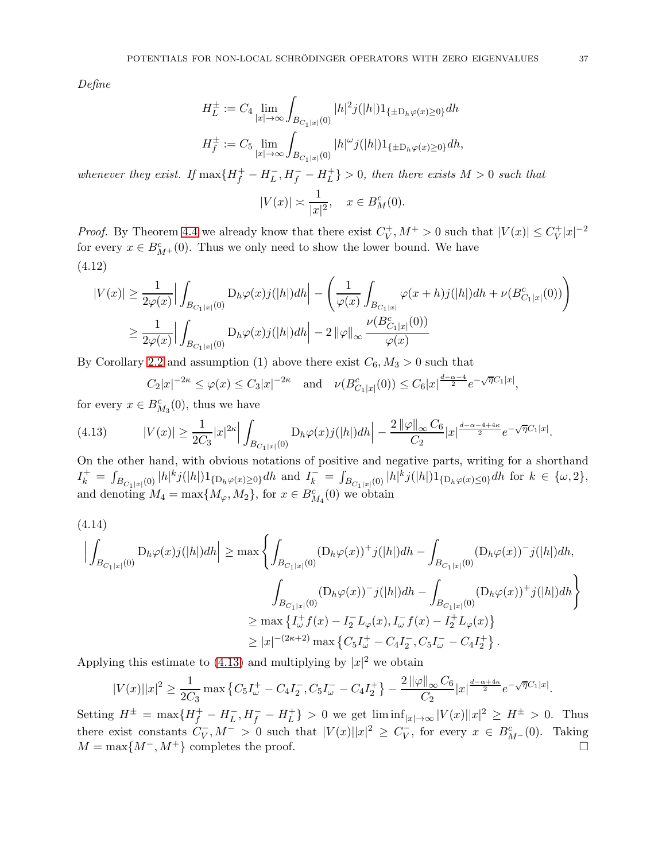Define

$$
\begin{aligned} H_L^\pm := C_4 \lim_{|x|\to\infty} \int_{B_{C_1|x|}(0)} |h|^2 j(|h|) 1_{\{\pm \mathcal{D}_h \varphi(x) \geq 0\}} dh \\ H_f^\pm := C_5 \lim_{|x|\to\infty} \int_{B_{C_1|x|}(0)} |h|^\omega j(|h|) 1_{\{\pm \mathcal{D}_h \varphi(x) \geq 0\}} dh, \end{aligned}
$$

whenever they exist. If  $\max\{H_f^+ - H_L^-, H_f^- - H_L^+\}$  $\{L^+\} > 0$ , then there exists  $M > 0$  such that  $|V(x)| \approx \frac{1}{|x|^2}, \quad x \in B_M^c(0).$ 

*Proof.* By Theorem [4.4](#page-35-0) we already know that there exist  $C_V^+$  $V_V^+, M^+ > 0$  such that  $|V(x)| \leq C_V^+$  $|y|^{+}|x|^{-2}$ for every  $x \in B^c_{M^+}(0)$ . Thus we only need to show the lower bound. We have (4.12)

<span id="page-36-1"></span>
$$
|V(x)| \ge \frac{1}{2\varphi(x)} \Big| \int_{B_{C_1|x|}(0)} D_h \varphi(x) j(|h|) dh \Big| - \left( \frac{1}{\varphi(x)} \int_{B_{C_1|x|}} \varphi(x+h) j(|h|) dh + \nu(B_{C_1|x|}^c(0)) \right) \ge \frac{1}{2\varphi(x)} \Big| \int_{B_{C_1|x|}(0)} D_h \varphi(x) j(|h|) dh \Big| - 2 ||\varphi||_{\infty} \frac{\nu(B_{C_1|x|}^c(0))}{\varphi(x)}
$$

By Corollary [2.2](#page-16-0) and assumption (1) above there exist  $C_6$ ,  $M_3 > 0$  such that

<span id="page-36-0"></span>
$$
C_2|x|^{-2\kappa} \le \varphi(x) \le C_3|x|^{-2\kappa}
$$
 and  $\nu(B_{C_1|x|}^c(0)) \le C_6|x|^{\frac{d-\alpha-4}{2}}e^{-\sqrt{\eta}C_1|x|}$ ,

for every  $x \in B_{M_3}^c(0)$ , thus we have

$$
(4.13) \t|V(x)| \geq \frac{1}{2C_3}|x|^{2\kappa} \Big| \int_{B_{C_1|x|}(0)} D_h \varphi(x) j(|h|) dh \Big| - \frac{2 \|\varphi\|_{\infty} C_6}{C_2} |x|^{\frac{d-\alpha-4+4\kappa}{2}} e^{-\sqrt{\eta}C_1|x|}.
$$

On the other hand, with obvious notations of positive and negative parts, writing for a shorthand  $I_k^+ = \int$  $\int_{B_{C_1|x|}(0)} |h|^k j(|h|) 1_{\{D_h\varphi(x)\geq 0\}} dh$  and  $I_k^- = \int_{B}$  $\sum_{B_{C_1|x|}(0)} |h|^k j(|h|) 1_{\{D_h\varphi(x)\leq 0\}} dh$  for  $k \in \{\omega, 2\},\$ and denoting  $M_4 = \max\{M_{\varphi}, M_2\}$ , for  $x \in B_{M_4}^c(0)$  we obtain

<span id="page-36-2"></span>
$$
(4.14)
$$
\n
$$
\left| \int_{B_{C_1|x|}(0)} D_h \varphi(x) j(|h|) dh \right| \ge \max \left\{ \int_{B_{C_1|x|}(0)} (D_h \varphi(x))^+ j(|h|) dh - \int_{B_{C_1|x|}(0)} (D_h \varphi(x))^- j(|h|) dh, \int_{B_{C_1|x|}(0)} (D_h \varphi(x))^+ j(|h|) dh \right\}
$$
\n
$$
\ge \max \left\{ I_{\omega}^+ f(x) - I_2^- L_{\varphi}(x), I_{\omega}^- f(x) - I_2^+ L_{\varphi}(x) \right\}
$$
\n
$$
\ge |x|^{-(2\kappa+2)} \max \left\{ C_5 I_{\omega}^+ - C_4 I_2^-, C_5 I_{\omega}^- - C_4 I_2^+ \right\}.
$$

Applying this estimate to [\(4.13\)](#page-36-0) and multiplying by  $|x|^2$  we obtain

$$
|V(x)||x|^2 \ge \frac{1}{2C_3} \max \left\{ C_5 I_\omega^+ - C_4 I_2^-, C_5 I_\omega^- - C_4 I_2^+ \right\} - \frac{2 \|\varphi\|_\infty C_6}{C_2} |x|^{\frac{d-\alpha+4\kappa}{2}} e^{-\sqrt{\eta}C_1|x|}.
$$

Setting  $H^{\pm} = \max\{H_f^+ - H_L^-, H_f^- - H_L^+\}$  $\{L_L^+\} > 0$  we get  $\liminf_{|x| \to \infty} |V(x)||x|^2 \ge H^{\pm} > 0$ . Thus there exist constants  $C_V^-, M^- > 0$  such that  $|V(x)||x|^2 \ge C_V^-$ , for every  $x \in B_{M-}^c(0)$ . Taking  $M = \max\{M^-, M^+\}$  completes the proof.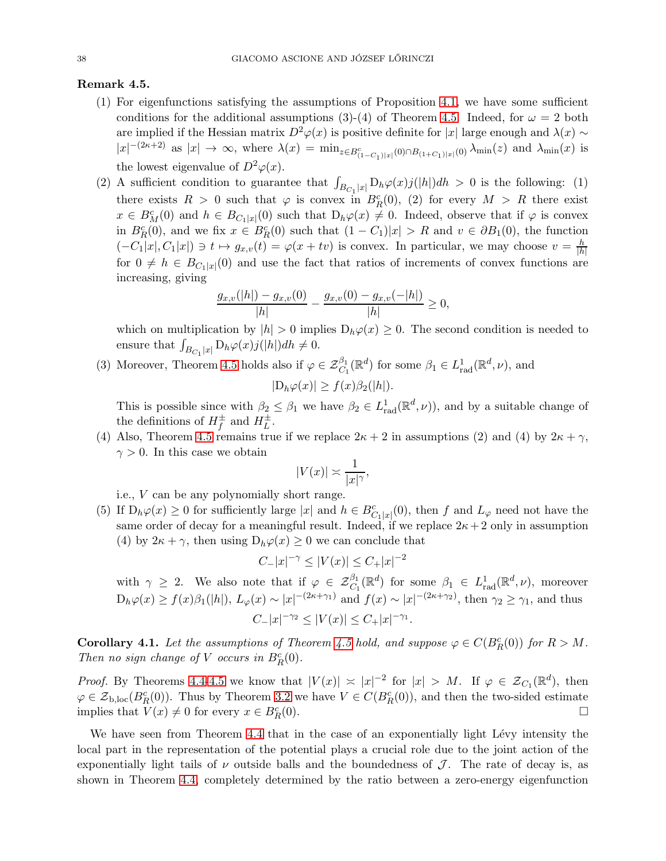## <span id="page-37-1"></span>Remark 4.5.

- (1) For eigenfunctions satisfying the assumptions of Proposition [4.1,](#page-33-0) we have some sufficient conditions for the additional assumptions (3)-(4) of Theorem [4.5.](#page-35-1) Indeed, for  $\omega = 2$  both are implied if the Hessian matrix  $D^2\varphi(x)$  is positive definite for |x| large enough and  $\lambda(x) \sim$  $|x|^{-(2\kappa+2)}$  as  $|x| \to \infty$ , where  $\lambda(x) = \min_{z \in B_{(1-C_1)|x|}^c(0) \cap B_{(1+C_1)|x|}(0)} \lambda_{\min}(z)$  and  $\lambda_{\min}(x)$  is the lowest eigenvalue of  $D^2\varphi(x)$ .
- (2) A sufficient condition to guarantee that  $\int_{B_{C_1}|x|} D_h\varphi(x) j(|h|)dh > 0$  is the following: (1) there exists  $R > 0$  such that  $\varphi$  is convex in  $B_R^c(0)$ , (2) for every  $M > R$  there exist  $x \in B_M^c(0)$  and  $h \in B_{C_1|x|}(0)$  such that  $D_h\varphi(x) \neq 0$ . Indeed, observe that if  $\varphi$  is convex in  $B_R^c(0)$ , and we fix  $x \in B_R^c(0)$  such that  $(1 - C_1)|x| > R$  and  $v \in \partial B_1(0)$ , the function  $(-C_1|x|, C_1|x|) \ni t \mapsto g_{x,v}(t) = \varphi(x+tv)$  is convex. In particular, we may choose  $v = \frac{h}{h}$  $|h|$ for  $0 \neq h \in B_{C_1|x|}(0)$  and use the fact that ratios of increments of convex functions are increasing, giving

$$
\frac{g_{x,v}(|h|) - g_{x,v}(0)}{|h|} - \frac{g_{x,v}(0) - g_{x,v}(-|h|)}{|h|} \ge 0,
$$

which on multiplication by  $|h| > 0$  implies  $D_h\varphi(x) \geq 0$ . The second condition is needed to ensure that  $\int_{B_{C_1}|x|} \mathrm{D}_h\varphi(x) j(|h|) dh \neq 0.$ 

(3) Moreover, Theorem [4.5](#page-35-1) holds also if  $\varphi \in \mathcal{Z}_{C_1}^{\beta_1}(\mathbb{R}^d)$  for some  $\beta_1 \in L^1_{rad}(\mathbb{R}^d, \nu)$ , and

$$
|D_h\varphi(x)| \ge f(x)\beta_2(|h|).
$$

This is possible since with  $\beta_2 \leq \beta_1$  we have  $\beta_2 \in L^1_{rad}(\mathbb{R}^d, \nu)$ , and by a suitable change of the definitions of  $H_f^{\pm}$  and  $H_L^{\pm}$ .

(4) Also, Theorem [4.5](#page-35-1) remains true if we replace  $2\kappa + 2$  in assumptions (2) and (4) by  $2\kappa + \gamma$ ,  $\gamma > 0$ . In this case we obtain

$$
|V(x)| \asymp \frac{1}{|x|^{\gamma}},
$$

i.e., V can be any polynomially short range.

(5) If  $D_h \varphi(x) \geq 0$  for sufficiently large |x| and  $h \in B_{C_1|x|}^c(0)$ , then f and  $L_{\varphi}$  need not have the same order of decay for a meaningful result. Indeed, if we replace  $2\kappa + 2$  only in assumption (4) by  $2\kappa + \gamma$ , then using  $D_h\varphi(x) \geq 0$  we can conclude that

$$
C_{-}|x|^{-\gamma} \le |V(x)| \le C_{+}|x|^{-2}
$$

with  $\gamma \geq 2$ . We also note that if  $\varphi \in \mathcal{Z}_{C_1}^{\beta_1}(\mathbb{R}^d)$  for some  $\beta_1 \in L^1_{rad}(\mathbb{R}^d, \nu)$ , moreover  $D_h\varphi(x) \ge f(x)\beta_1(|h|), L_\varphi(x) \sim |x|^{-(2\kappa+\gamma_1)}$  and  $f(x) \sim |x|^{-(2\kappa+\gamma_2)}$ , then  $\gamma_2 \ge \gamma_1$ , and thus  $C_{-}|x|^{-\gamma_2} \leq |V(x)| \leq C_{+}|x|^{-\gamma_1}.$ 

<span id="page-37-0"></span>**Corollary 4.1.** Let the assumptions of Theorem [4.5](#page-35-1) hold, and suppose  $\varphi \in C(B_R^c(0))$  for  $R > M$ . Then no sign change of V occurs in  $B_R^c(0)$ .

*Proof.* By Theorems [4.4](#page-35-0)[-4.5](#page-35-1) we know that  $|V(x)| \approx |x|^{-2}$  for  $|x| > M$ . If  $\varphi \in \mathcal{Z}_{C_1}(\mathbb{R}^d)$ , then  $\varphi \in \mathcal{Z}_{b,loc}(B_R^c(0))$ . Thus by Theorem [3.2](#page-26-0) we have  $V \in C(B_R^c(0))$ , and then the two-sided estimate implies that  $V(x) \neq 0$  for every  $x \in B_R^c$ (0).

We have seen from Theorem [4.4](#page-35-0) that in the case of an exponentially light Lévy intensity the local part in the representation of the potential plays a crucial role due to the joint action of the exponentially light tails of  $\nu$  outside balls and the boundedness of  $\mathcal{J}$ . The rate of decay is, as shown in Theorem [4.4,](#page-35-0) completely determined by the ratio between a zero-energy eigenfunction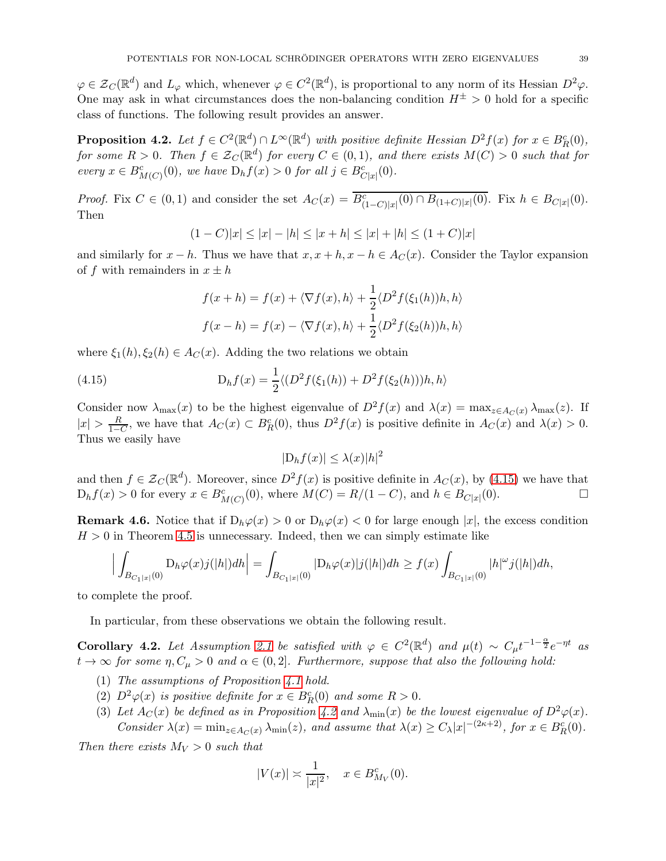$\varphi \in \mathcal{Z}_C(\mathbb{R}^d)$  and  $L_\varphi$  which, whenever  $\varphi \in C^2(\mathbb{R}^d)$ , is proportional to any norm of its Hessian  $D^2\varphi$ . One may ask in what circumstances does the non-balancing condition  $H^{\pm} > 0$  hold for a specific class of functions. The following result provides an answer.

<span id="page-38-1"></span>**Proposition 4.2.** Let  $f \in C^2(\mathbb{R}^d) \cap L^{\infty}(\mathbb{R}^d)$  with positive definite Hessian  $D^2 f(x)$  for  $x \in B_R^c(0)$ , for some  $R > 0$ . Then  $f \in \mathcal{Z}_C(\mathbb{R}^d)$  for every  $C \in (0,1)$ , and there exists  $M(C) > 0$  such that for every  $x \in B^c_{M(C)}(0)$ , we have  $D_h f(x) > 0$  for all  $j \in B^c_{C|x|}(0)$ .

*Proof.* Fix  $C \in (0,1)$  and consider the set  $A_C(x) = \overline{B_{(1-C)|x|}^c(0) \cap B_{(1+C)|x|}(0)}$ . Fix  $h \in B_{C|x|}(0)$ . Then

$$
(1 - C)|x| \le |x| - |h| \le |x + h| \le |x| + |h| \le (1 + C)|x|
$$

and similarly for  $x - h$ . Thus we have that  $x, x + h, x - h \in A_C(x)$ . Consider the Taylor expansion of f with remainders in  $x \pm h$ 

<span id="page-38-0"></span>
$$
f(x+h) = f(x) + \langle \nabla f(x), h \rangle + \frac{1}{2} \langle D^2 f(\xi_1(h))h, h \rangle
$$

$$
f(x-h) = f(x) - \langle \nabla f(x), h \rangle + \frac{1}{2} \langle D^2 f(\xi_2(h))h, h \rangle
$$

where  $\xi_1(h), \xi_2(h) \in A_C(x)$ . Adding the two relations we obtain

(4.15) 
$$
D_h f(x) = \frac{1}{2} \langle (D^2 f(\xi_1(h)) + D^2 f(\xi_2(h)))h, h \rangle
$$

Consider now  $\lambda_{\max}(x)$  to be the highest eigenvalue of  $D^2 f(x)$  and  $\lambda(x) = \max_{z \in A_C(x)} \lambda_{\max}(z)$ . If  $|x| > \frac{R}{1-\epsilon}$  $\frac{R}{1-C}$ , we have that  $A_C(x) \subset B_R^c(0)$ , thus  $D^2 f(x)$  is positive definite in  $A_C(x)$  and  $\lambda(x) > 0$ . Thus we easily have

$$
|\mathcal{D}_h f(x)| \le \lambda(x)|h|^2
$$

and then  $f \in \mathcal{Z}_C(\mathbb{R}^d)$ . Moreover, since  $D^2 f(x)$  is positive definite in  $A_C(x)$ , by [\(4.15\)](#page-38-0) we have that  $D_h f(x) > 0$  for every  $x \in B^c_{M(C)}(0)$ , where  $M(C) = R/(1-C)$ , and  $h \in B_{C|x|}(0)$ .

<span id="page-38-2"></span>**Remark 4.6.** Notice that if  $D_h\varphi(x) > 0$  or  $D_h\varphi(x) < 0$  for large enough |x|, the excess condition  $H > 0$  in Theorem [4.5](#page-35-1) is unnecessary. Indeed, then we can simply estimate like

$$
\Big|\int_{B_{C_1|x|}(0)} {\rm D}_h \varphi(x) j(|h|) dh\Big| = \int_{B_{C_1|x|}(0)} |{\rm D}_h \varphi(x) |j(|h|) dh \geq f(x) \int_{B_{C_1|x|}(0)} |h|^{\omega} j(|h|) dh,
$$

to complete the proof.

In particular, from these observations we obtain the following result.

<span id="page-38-3"></span>Corollary 4.2. Let Assumption [2.1](#page-21-0) be satisfied with  $\varphi \in C^2(\mathbb{R}^d)$  and  $\mu(t) \sim C_\mu t^{-1-\frac{\alpha}{2}}e^{-\eta t}$  as  $t \to \infty$  for some  $\eta$ ,  $C_{\mu} > 0$  and  $\alpha \in (0, 2]$ . Furthermore, suppose that also the following hold:

- (1) The assumptions of Proposition [4.1](#page-33-0) hold.
- (2)  $D^2\varphi(x)$  is positive definite for  $x \in B_R^c(0)$  and some  $R > 0$ .
- (3) Let  $A_C(x)$  be defined as in Proposition [4.2](#page-38-1) and  $\lambda_{\min}(x)$  be the lowest eigenvalue of  $D^2\varphi(x)$ . Consider  $\lambda(x) = \min_{z \in A_C(x)} \lambda_{\min}(z)$ , and assume that  $\lambda(x) \ge C_\lambda |x|^{-(2\kappa+2)}$ , for  $x \in B_R^c(0)$ .

Then there exists  $M_V > 0$  such that

$$
|V(x)| \asymp \frac{1}{|x|^2}, \quad x \in B_{M_V}^c(0).
$$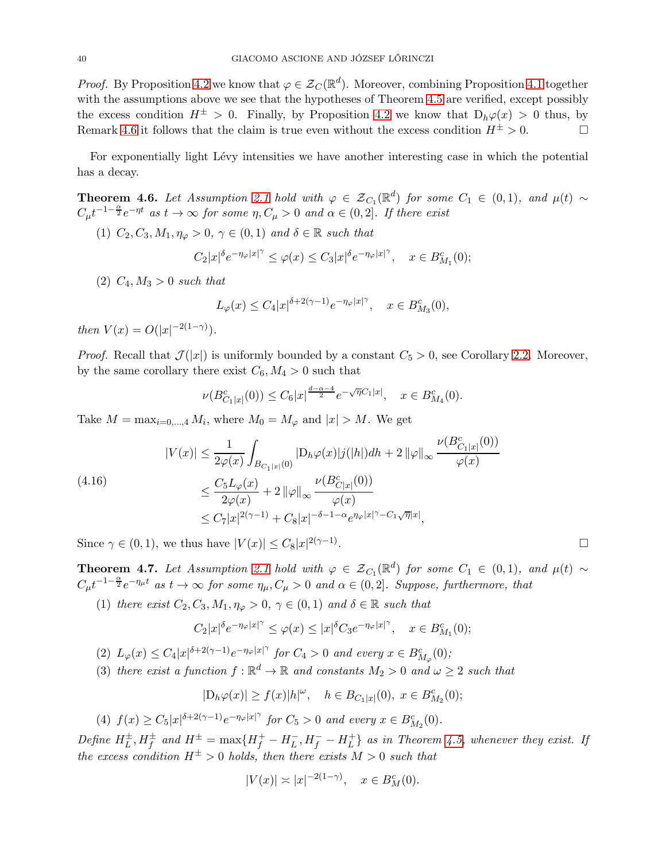*Proof.* By Proposition [4.2](#page-38-1) we know that  $\varphi \in \mathcal{Z}_C(\mathbb{R}^d)$ . Moreover, combining Proposition [4.1](#page-33-0) together with the assumptions above we see that the hypotheses of Theorem [4.5](#page-35-1) are verified, except possibly the excess condition  $H^{\pm} > 0$ . Finally, by Proposition [4.2](#page-38-1) we know that  $D_h\varphi(x) > 0$  thus, by Remark [4.6](#page-38-2) it follows that the claim is true even without the excess condition  $H^{\pm} > 0$ .

For exponentially light Lévy intensities we have another interesting case in which the potential has a decay.

<span id="page-39-0"></span>**Theorem 4.6.** Let Assumption [2.1](#page-21-0) hold with  $\varphi \in \mathcal{Z}_{C_1}(\mathbb{R}^d)$  for some  $C_1 \in (0,1)$ , and  $\mu(t) \sim$  $C_{\mu}t^{-1-\frac{\alpha}{2}}e^{-\eta t}$  as  $t \to \infty$  for some  $\eta, C_{\mu} > 0$  and  $\alpha \in (0, 2]$ . If there exist

(1)  $C_2, C_3, M_1, \eta_\varphi > 0, \gamma \in (0, 1)$  and  $\delta \in \mathbb{R}$  such that

$$
C_2|x|^{\delta}e^{-\eta_{\varphi}|x|^{\gamma}} \leq \varphi(x) \leq C_3|x|^{\delta}e^{-\eta_{\varphi}|x|^{\gamma}}, \quad x \in B^c_{M_1}(0);
$$

(2)  $C_4, M_3 > 0$  such that

$$
L_{\varphi}(x) \le C_4 |x|^{\delta+2(\gamma-1)} e^{-\eta_{\varphi}|x|^\gamma}, \quad x \in B^c_{M_3}(0),
$$

then  $V(x) = O(|x|^{-2(1-\gamma)})$ .

*Proof.* Recall that  $\mathcal{J}(|x|)$  is uniformly bounded by a constant  $C_5 > 0$ , see Corollary [2.2.](#page-16-0) Moreover, by the same corollary there exist  $C_6$ ,  $M_4 > 0$  such that

$$
\nu(B_{C_1|x|}^c(0)) \le C_6|x|^{\frac{d-\alpha-4}{2}}e^{-\sqrt{\eta}C_1|x|}, \quad x \in B_{M_4}^c(0).
$$

Take  $M = \max_{i=0,\dots,4} M_i$ , where  $M_0 = M_\varphi$  and  $|x| > M$ . We get

<span id="page-39-2"></span>
$$
|V(x)| \leq \frac{1}{2\varphi(x)} \int_{B_{C_1|x|}(0)} |D_h \varphi(x)| j(|h|) dh + 2 ||\varphi||_{\infty} \frac{\nu(B_{C_1|x|}^c(0))}{\varphi(x)}
$$
  
(4.16)  

$$
\leq \frac{C_5 L_{\varphi}(x)}{2\varphi(x)} + 2 ||\varphi||_{\infty} \frac{\nu(B_{C|x|}^c(0))}{\varphi(x)}
$$
  

$$
\leq C_7 |x|^{2(\gamma - 1)} + C_8 |x|^{-\delta - 1 - \alpha} e^{\eta_{\varphi}|x|^{\gamma} - C_1 \sqrt{\eta}|x|},
$$

Since  $\gamma \in (0,1)$ , we thus have  $|V(x)| \leq C_8 |x|^{2(\gamma - 1)}$ . В последните поставите на селото на селото на селото на селото на селото на селото на селото на селото на се<br>Селото на селото на селото на селото на селото на селото на селото на селото на селото на селото на селото на

<span id="page-39-1"></span>**Theorem 4.7.** Let Assumption [2.1](#page-21-0) hold with  $\varphi \in \mathcal{Z}_{C_1}(\mathbb{R}^d)$  for some  $C_1 \in (0,1)$ , and  $\mu(t) \sim$  $C_{\mu}t^{-1-\frac{\alpha}{2}}e^{-\eta_{\mu}t}$  as  $t\to\infty$  for some  $\eta_{\mu}, C_{\mu}>0$  and  $\alpha\in(0,2]$ . Suppose, furthermore, that

(1) there exist  $C_2, C_3, M_1, \eta_\varphi > 0$ ,  $\gamma \in (0, 1)$  and  $\delta \in \mathbb{R}$  such that

$$
C_2|x|^{\delta}e^{-\eta_{\varphi}|x|^{\gamma}} \leq \varphi(x) \leq |x|^{\delta}C_3e^{-\eta_{\varphi}|x|^{\gamma}}, \quad x \in B_{M_1}^c(0);
$$

(2)  $L_{\varphi}(x) \leq C_4 |x|^{\delta + 2(\gamma - 1)} e^{-\eta_{\varphi}|x|^{\gamma}}$  for  $C_4 > 0$  and every  $x \in B_{M_{\varphi}}^c(0);$ 

(3) there exist a function  $f : \mathbb{R}^d \to \mathbb{R}$  and constants  $M_2 > 0$  and  $\omega \geq 2$  such that

$$
|D_h\varphi(x)| \ge f(x)|h|^{\omega}, \quad h \in B_{C_1|x|}(0), \ x \in B^c_{M_2}(0);
$$

(4)  $f(x) \ge C_5 |x|^{\delta+2(\gamma-1)} e^{-\eta_{\varphi}|x|^\gamma}$  for  $C_5 > 0$  and every  $x \in B_{M_2}^c(0)$ .

Define  $H_L^{\pm}$ ,  $H_f^{\pm}$  and  $H^{\pm} = \max\{H_f^+ - H_L^-, H_f^- - H_L^+\}$  $\{^+_L\}$  as in Theorem [4.5,](#page-35-1) whenever they exist. If the excess condition  $H^{\pm} > 0$  holds, then there exists  $M > 0$  such that

$$
|V(x)| \asymp |x|^{-2(1-\gamma)}, \quad x \in B_M^c(0).
$$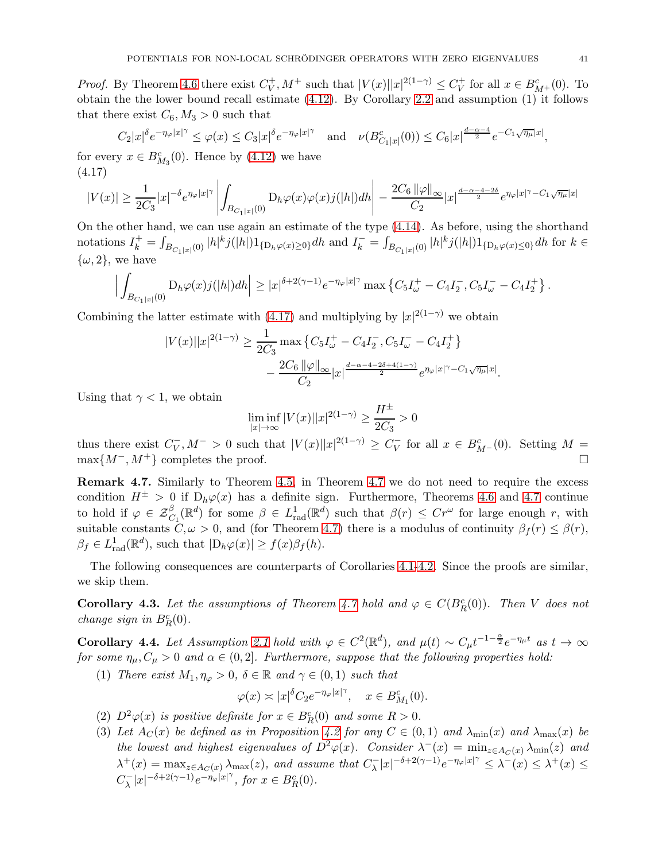*Proof.* By Theorem [4.6](#page-39-0) there exist  $C_V^+$  $V_V^+, M^+$  such that  $|V(x)||x|^{2(1-\gamma)} \leq C_V^+$  $V_V^+$  for all  $x \in B^c_{M^+}(0)$ . To obtain the the lower bound recall estimate [\(4.12\)](#page-36-1). By Corollary [2.2](#page-16-0) and assumption (1) it follows that there exist  $C_6$ ,  $M_3 > 0$  such that

$$
C_2|x|^{\delta}e^{-\eta_{\varphi}|x|^{\gamma}} \leq \varphi(x) \leq C_3|x|^{\delta}e^{-\eta_{\varphi}|x|^{\gamma}} \quad \text{and} \quad \nu(B_{C_1|x|}^c(0)) \leq C_6|x|^{\frac{d-\alpha-4}{2}}e^{-C_1\sqrt{\eta_{\mu}}|x|},
$$

for every  $x \in B^c_{M_3}(0)$ . Hence by [\(4.12\)](#page-36-1) we have (4.17)

<span id="page-40-0"></span>
$$
|V(x)| \ge \frac{1}{2C_3}|x|^{-\delta}e^{\eta_{\varphi}|x|^{\gamma}} \left| \int_{B_{C_1|x|}(0)} {\rm D}_h \varphi(x) \varphi(x) j(|h|) dh \right| - \frac{2C_6 \|\varphi\|_{\infty}}{C_2} |x|^{\frac{d-\alpha-4-2\delta}{2}} e^{\eta_{\varphi}|x|^{\gamma} - C_1 \sqrt{\eta_{\mu}}|x|}
$$

On the other hand, we can use again an estimate of the type [\(4.14\)](#page-36-2). As before, using the shorthand notations  $I_k^+ = \int$  $\int_{B_{C_1|x|}(0)} |h|^k j(|h|) 1_{\{D_h \varphi(x) \ge 0\}} dh$  and  $I_k^- = \int_{\mathbb{R}}$  $\int_{B_{C_1|x|}(0)} |h|^k j(|h|) 1_{\{D_h\varphi(x)\leq 0\}} dh$  for  $k \in$  $\{\omega, 2\}$ , we have

$$
\Big|\int_{B_{C_1|x|}(0)} {\rm D}_h\varphi(x) j(|h|)dh\Big|\geq |x|^{\delta+2(\gamma-1)}e^{-\eta_{\varphi}|x|^\gamma}\max\left\{C_5I_{\omega}^+-C_4I_2^-,C_5I_{\omega}^--C_4I_2^+\right\}.
$$

Combining the latter estimate with [\(4.17\)](#page-40-0) and multiplying by  $|x|^{2(1-\gamma)}$  we obtain

$$
|V(x)||x|^{2(1-\gamma)} \ge \frac{1}{2C_3} \max \left\{ C_5 I_{\omega}^+ - C_4 I_2^-, C_5 I_{\omega}^- - C_4 I_2^+ \right\} -\frac{2C_6 \|\varphi\|_{\infty}}{C_2} |x|^{\frac{d-\alpha-4-2\delta+4(1-\gamma)}{2}} e^{\eta_{\varphi}|x|^\gamma - C_1 \sqrt{\eta_{\mu}}|x|}.
$$

Using that  $\gamma < 1$ , we obtain

$$
\liminf_{|x| \to \infty} |V(x)| |x|^{2(1-\gamma)} \ge \frac{H^{\pm}}{2C_3} > 0
$$

thus there exist  $C_V^-, M^- > 0$  such that  $|V(x)||x|^{2(1-\gamma)} \geq C_V^-$  for all  $x \in B_{M-}^c(0)$ . Setting  $M =$  $\max\{M^-, M^+\}$  completes the proof.

Remark 4.7. Similarly to Theorem [4.5,](#page-35-1) in Theorem [4.7](#page-39-1) we do not need to require the excess condition  $H^{\pm} > 0$  if  $D_h \varphi(x)$  has a definite sign. Furthermore, Theorems [4.6](#page-39-0) and [4.7](#page-39-1) continue to hold if  $\varphi \in \mathcal{Z}^{\beta}_{C_1}(\mathbb{R}^d)$  for some  $\beta \in L^1_{rad}(\mathbb{R}^d)$  such that  $\beta(r) \leq Cr^{\omega}$  for large enough r, with suitable constants  $C, \omega > 0$ , and (for Theorem [4.7\)](#page-39-1) there is a modulus of continuity  $\beta_f(r) \leq \beta(r)$ ,  $\beta_f \in L^1_{\text{rad}}(\mathbb{R}^d)$ , such that  $|D_h\varphi(x)| \ge f(x)\beta_f(h)$ .

The following consequences are counterparts of Corollaries [4.1-](#page-37-0)[4.2.](#page-38-3) Since the proofs are similar, we skip them.

**Corollary 4.3.** Let the assumptions of Theorem [4.7](#page-39-1) hold and  $\varphi \in C(B_R^c(0))$ . Then V does not change sign in  $B_R^c(0)$ .

Corollary 4.4. Let Assumption [2.1](#page-21-0) hold with  $\varphi \in C^2(\mathbb{R}^d)$ , and  $\mu(t) \sim C_{\mu} t^{-1-\frac{\alpha}{2}} e^{-\eta_{\mu} t}$  as  $t \to \infty$ for some  $\eta_{\mu}, C_{\mu} > 0$  and  $\alpha \in (0, 2]$ . Furthermore, suppose that the following properties hold:

(1) There exist  $M_1, \eta_\varphi > 0$ ,  $\delta \in \mathbb{R}$  and  $\gamma \in (0,1)$  such that

$$
\varphi(x) \asymp |x|^{\delta} C_2 e^{-\eta_{\varphi}|x|^{\gamma}}, \quad x \in B_{M_1}^c(0).
$$

- (2)  $D^2\varphi(x)$  is positive definite for  $x \in B_R^c(0)$  and some  $R > 0$ .
- (3) Let  $A_C(x)$  be defined as in Proposition [4.2](#page-38-1) for any  $C \in (0,1)$  and  $\lambda_{\min}(x)$  and  $\lambda_{\max}(x)$  be the lowest and highest eigenvalues of  $D^2\varphi(x)$ . Consider  $\lambda^-(x) = \min_{z \in A_C(x)} \lambda_{\min}(z)$  and  $\lambda^+(x) = \max_{z \in A_C(x)} \lambda_{\max}(z)$ , and assume that  $C_{\lambda}^- |x|^{-\delta + 2(\gamma - 1)} e^{-\eta_{\varphi} |x|^{\gamma}} \leq \lambda^-(x) \leq \lambda^+(x) \leq$  $C_{\lambda}^{-} |x|^{-\delta+2(\gamma-1)} e^{-\eta_{\varphi}|x|^\gamma}, \text{ for } x \in B_R^c(0).$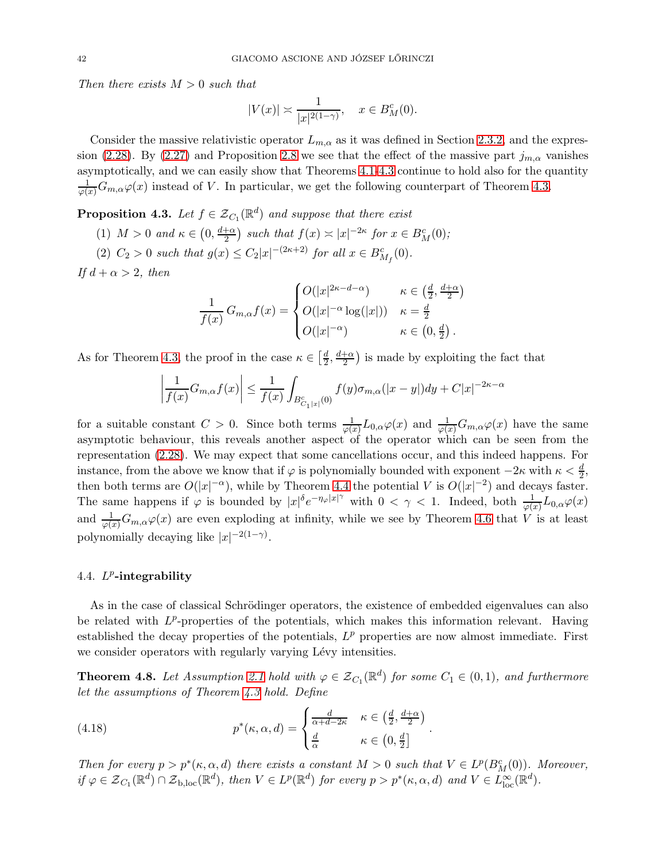Then there exists  $M > 0$  such that

$$
|V(x)| \asymp \frac{1}{|x|^{2(1-\gamma)}}, \quad x \in B_M^c(0).
$$

Consider the massive relativistic operator  $L_{m,\alpha}$  as it was defined in Section [2.3.2,](#page-21-1) and the expres-sion [\(2.28\)](#page-25-0). By [\(2.27\)](#page-24-0) and Proposition [2.8](#page-25-1) we see that the effect of the massive part  $j_{m,\alpha}$  vanishes asymptotically, and we can easily show that Theorems [4.1](#page-28-0)[-4.3](#page-30-0) continue to hold also for the quantity  $\frac{1}{\varphi(x)}G_{m,\alpha}\varphi(x)$  instead of V. In particular, we get the following counterpart of Theorem [4.3.](#page-30-0)

**Proposition 4.3.** Let  $f \in \mathcal{Z}_{C_1}(\mathbb{R}^d)$  and suppose that there exist

- (1)  $M > 0$  and  $\kappa \in \left(0, \frac{d+\alpha}{2}\right)$  $\frac{1}{2}$  such that  $f(x) \asymp |x|^{-2\kappa}$  for  $x \in B_M^c(0)$ ;
- (2)  $C_2 > 0$  such that  $g(x) \le C_2 |x|^{-(2\kappa+2)}$  for all  $x \in B^c_{M_f}(0)$ .

If  $d + \alpha > 2$ , then

$$
\frac{1}{f(x)} G_{m,\alpha} f(x) = \begin{cases} O(|x|^{2\kappa - d - \alpha}) & \kappa \in \left(\frac{d}{2}, \frac{d + \alpha}{2}\right) \\ O(|x|^{-\alpha} \log(|x|)) & \kappa = \frac{d}{2} \\ O(|x|^{-\alpha}) & \kappa \in \left(0, \frac{d}{2}\right). \end{cases}
$$

As for Theorem [4.3,](#page-30-0) the proof in the case  $\kappa \in \left[\frac{d}{2}\right]$  $\frac{d}{2}, \frac{d+\alpha}{2}$  $\frac{+\alpha}{2}$ ) is made by exploiting the fact that

$$
\left|\frac{1}{f(x)}G_{m,\alpha}f(x)\right| \le \frac{1}{f(x)}\int_{B_{C_1|x|}^c(0)}f(y)\sigma_{m,\alpha}(|x-y|)dy + C|x|^{-2\kappa-\alpha}
$$

for a suitable constant  $C > 0$ . Since both terms  $\frac{1}{\varphi(x)}L_{0,\alpha}\varphi(x)$  and  $\frac{1}{\varphi(x)}G_{m,\alpha}\varphi(x)$  have the same asymptotic behaviour, this reveals another aspect of the operator which can be seen from the representation [\(2.28\)](#page-25-0). We may expect that some cancellations occur, and this indeed happens. For instance, from the above we know that if  $\varphi$  is polynomially bounded with exponent  $-2\kappa$  with  $\kappa < \frac{d}{2}$ , 2 then both terms are  $O(|x|^{-\alpha})$ , while by Theorem [4.4](#page-35-0) the potential V is  $O(|x|^{-2})$  and decays faster. The same happens if  $\varphi$  is bounded by  $|x|^\delta e^{-\eta_\varphi|x|^\gamma}$  with  $0 < \gamma < 1$ . Indeed, both  $\frac{1}{\varphi(x)} L_{0,\alpha} \varphi(x)$ and  $\frac{1}{\varphi(x)}G_{m,\alpha}\varphi(x)$  are even exploding at infinity, while we see by Theorem [4.6](#page-39-0) that V is at least polynomially decaying like  $|x|^{-2(1-\gamma)}$ .

# 4.4.  $L^p$ -integrability

As in the case of classical Schrödinger operators, the existence of embedded eigenvalues can also be related with  $L^p$ -properties of the potentials, which makes this information relevant. Having established the decay properties of the potentials,  $L^p$  properties are now almost immediate. First we consider operators with regularly varying Lévy intensities.

**Theorem 4.8.** Let Assumption [2.1](#page-21-0) hold with  $\varphi \in \mathcal{Z}_{C_1}(\mathbb{R}^d)$  for some  $C_1 \in (0,1)$ , and furthermore let the assumptions of Theorem [4.3](#page-30-0) hold. Define

<span id="page-41-0"></span>(4.18) 
$$
p^*(\kappa, \alpha, d) = \begin{cases} \frac{d}{\alpha + d - 2\kappa} & \kappa \in \left(\frac{d}{2}, \frac{d + \alpha}{2}\right) \\ \frac{d}{\alpha} & \kappa \in \left(0, \frac{d}{2}\right] \end{cases}.
$$

Then for every  $p > p^*(\kappa, \alpha, d)$  there exists a constant  $M > 0$  such that  $V \in L^p(B_M^c(0))$ . Moreover,  $if \varphi \in {\mathcal Z}_{C_1}({\mathbb R}^d) \cap {\mathcal Z}_{b,loc}({\mathbb R}^d)$ , then  $V \in L^p({\mathbb R}^d)$  for every  $p > p^*(\kappa, \alpha, d)$  and  $V \in L^\infty_{loc}({\mathbb R}^d)$ .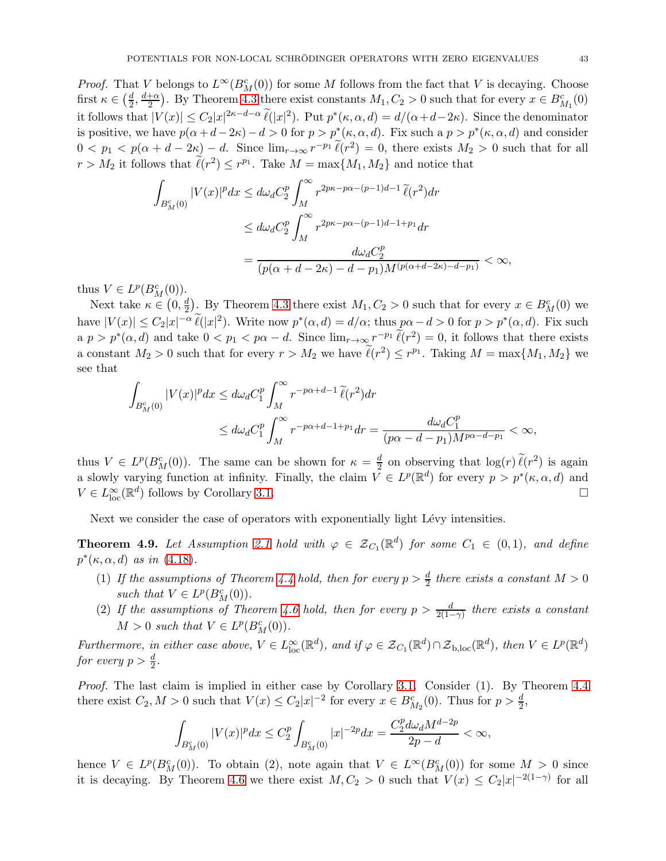*Proof.* That V belongs to  $L^{\infty}(B_M^c(0))$  for some M follows from the fact that V is decaying. Choose first  $\kappa \in \left(\frac{d}{2}\right)$  $\frac{d}{2}, \frac{d+\alpha}{2}$  $\frac{1}{2}$ . By Theorem [4.3](#page-30-0) there exist constants  $M_1, C_2 > 0$  such that for every  $x \in B_{M_1}^c(0)$ it follows that  $|V(x)| \leq C_2 |x|^{2\kappa - d - \alpha} \tilde{\ell}(|x|^2)$ . Put  $p^*(\kappa, \alpha, d) = d/(\alpha + d - 2\kappa)$ . Since the denominator is positive, we have  $p(\alpha+d-2\kappa)-d>0$  for  $p>p^*(\kappa,\alpha,d)$ . Fix such a  $p>p^*(\kappa,\alpha,d)$  and consider  $0 < p_1 < p(\alpha + d - 2\kappa) - d$ . Since  $\lim_{r\to\infty} r^{-p_1} \ell(r^2) = 0$ , there exists  $M_2 > 0$  such that for all  $r > M_2$  it follows that  $\ell(r^2) \leq r^{p_1}$ . Take  $M = \max\{M_1, M_2\}$  and notice that

$$
\int_{B_M^c(0)} |V(x)|^p dx \le d\omega_d C_2^p \int_M^{\infty} r^{2p\kappa - p\alpha - (p-1)d - 1} \tilde{\ell}(r^2) dr
$$
  

$$
\le d\omega_d C_2^p \int_M^{\infty} r^{2p\kappa - p\alpha - (p-1)d - 1 + p_1} dr
$$
  

$$
= \frac{d\omega_d C_2^p}{(p(\alpha + d - 2\kappa) - d - p_1)M^{(p(\alpha + d - 2\kappa) - d - p_1)}} < \infty,
$$

thus  $V \in L^p(B_M^c(0))$ .

Next take  $\kappa \in (0, \frac{d}{2})$  $\frac{d}{2}$ . By Theorem [4.3](#page-30-0) there exist  $M_1, C_2 > 0$  such that for every  $x \in B_M^c(0)$  we have  $|V(x)| \leq C_2 |x|^{-\alpha} \ell(|x|^2)$ . Write now  $p^*(\alpha, d) = d/\alpha$ ; thus  $p\alpha - d > 0$  for  $p > p^*(\alpha, d)$ . Fix such a  $p > p^*(\alpha, d)$  and take  $0 < p_1 < p\alpha - d$ . Since  $\lim_{r\to\infty} r^{-p_1} \ell(r^2) = 0$ , it follows that there exists a constant  $M_2 > 0$  such that for every  $r > M_2$  we have  $\ell(r^2) \leq r^{p_1}$ . Taking  $M = \max\{M_1, M_2\}$  we see that

$$
\int_{B_M^c(0)} |V(x)|^p dx \le d\omega_d C_1^p \int_M^\infty r^{-p\alpha+d-1} \tilde{\ell}(r^2) dr
$$
  

$$
\le d\omega_d C_1^p \int_M^\infty r^{-p\alpha+d-1+p_1} dr = \frac{d\omega_d C_1^p}{(p\alpha-d-p_1)M^{p\alpha-d-p_1}} < \infty,
$$

thus  $V \in L^p(B_M^c(0))$ . The same can be shown for  $\kappa = \frac{d}{2}$  $\frac{d}{2}$  on observing that  $\log(r) \ell(r^2)$  is again a slowly varying function at infinity. Finally, the claim  $V \in L^p(\mathbb{R}^d)$  for every  $p > p^*(\kappa, \alpha, d)$  and  $V \in L^{\infty}_{\text{loc}}(\mathbb{R}^d)$  follows by Corollary [3.1.](#page-26-1)

Next we consider the case of operators with exponentially light Lévy intensities.

**Theorem 4.9.** Let Assumption [2.1](#page-21-0) hold with  $\varphi \in \mathcal{Z}_{C_1}(\mathbb{R}^d)$  for some  $C_1 \in (0,1)$ , and define  $p^*(\kappa,\alpha,d)$  as in [\(4.18\)](#page-41-0).

- (1) If the assumptions of Theorem [4.4](#page-35-0) hold, then for every  $p > \frac{d}{2}$  there exists a constant  $M > 0$ such that  $V \in L^p(B_M^c(0))$ .
- (2) If the assumptions of Theorem [4.6](#page-39-0) hold, then for every  $p > \frac{d}{2(1-\gamma)}$  there exists a constant  $M > 0$  such that  $V \in L^p(B_M^c(0)).$

Furthermore, in either case above,  $V \in L^{\infty}_{loc}(\mathbb{R}^d)$ , and if  $\varphi \in \mathcal{Z}_{C_1}(\mathbb{R}^d) \cap \mathcal{Z}_{b, loc}(\mathbb{R}^d)$ , then  $V \in L^p(\mathbb{R}^d)$ for every  $p > \frac{d}{2}$ .

Proof. The last claim is implied in either case by Corollary [3.1.](#page-26-1) Consider (1). By Theorem [4.4](#page-35-0) there exist  $C_2, M > 0$  such that  $V(x) \leq C_2 |x|^{-2}$  for every  $x \in B_{M_2}^c(0)$ . Thus for  $p > \frac{d}{2}$ ,

$$
\int_{B_{M}^{c}(0)}|V(x)|^{p}dx\leq C_{2}^{p}\int_{B_{M}^{c}(0)}|x|^{-2p}dx=\frac{C_{2}^{p}d\omega_{d}M^{d-2p}}{2p-d}<\infty,
$$

hence  $V \in L^p(B^c_M(0))$ . To obtain (2), note again that  $V \in L^{\infty}(B^c_M(0))$  for some  $M > 0$  since it is decaying. By Theorem [4.6](#page-39-0) we there exist  $M, C_2 > 0$  such that  $V(x) \leq C_2 |x|^{-2(1-\gamma)}$  for all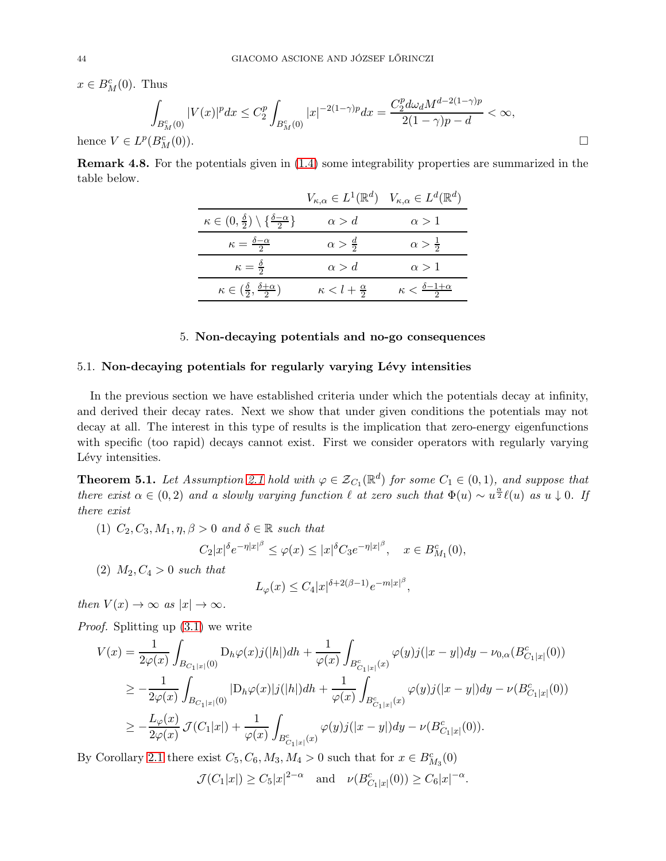$x \in B_M^c(0)$ . Thus

$$
\int_{B_M^c(0)} |V(x)|^p dx \le C_2^p \int_{B_M^c(0)} |x|^{-2(1-\gamma)p} dx = \frac{C_2^p d\omega_d M^{d-2(1-\gamma)p}}{2(1-\gamma)p - d} < \infty,
$$
  
\n
$$
\subset L^p(B_M^c(0)).
$$

hence  $V$ 

Remark 4.8. For the potentials given in [\(1.4\)](#page-4-0) some integrability properties are summarized in the table below.

|                                                                             | $V_{\kappa,\alpha} \in L^1(\mathbb{R}^d)$ $V_{\kappa,\alpha} \in L^d(\mathbb{R}^d)$ |                                          |
|-----------------------------------------------------------------------------|-------------------------------------------------------------------------------------|------------------------------------------|
| $\kappa \in (0, \frac{\delta}{2}) \setminus \{\frac{\delta - \alpha}{2}\}\$ | $\alpha > d$                                                                        | $\alpha > 1$                             |
| $\kappa = \frac{\delta - \alpha}{2}$                                        | $\alpha > \frac{d}{2}$                                                              | $\alpha > \frac{1}{2}$                   |
| $\kappa = \frac{\delta}{2}$                                                 | $\alpha > d$                                                                        | $\alpha > 1$                             |
| $\kappa \in \left(\frac{\delta}{2}, \frac{\delta + \alpha}{2}\right)$       | $\kappa < l+\frac{\alpha}{2}$                                                       | $\kappa < \frac{\delta - 1 + \alpha}{2}$ |

#### 5. Non-decaying potentials and no-go consequences

#### 5.1. Non-decaying potentials for regularly varying Lévy intensities

In the previous section we have established criteria under which the potentials decay at infinity, and derived their decay rates. Next we show that under given conditions the potentials may not decay at all. The interest in this type of results is the implication that zero-energy eigenfunctions with specific (too rapid) decays cannot exist. First we consider operators with regularly varying Lévy intensities.

**Theorem 5.1.** Let Assumption [2.1](#page-21-0) hold with  $\varphi \in \mathcal{Z}_{C_1}(\mathbb{R}^d)$  for some  $C_1 \in (0,1)$ , and suppose that there exist  $\alpha \in (0, 2)$  and a slowly varying function  $\ell$  at zero such that  $\Phi(u) \sim u^{\frac{\alpha}{2}} \ell(u)$  as  $u \downarrow 0$ . If there exist

(1)  $C_2, C_3, M_1, \eta, \beta > 0$  and  $\delta \in \mathbb{R}$  such that

$$
C_2|x|^{\delta}e^{-\eta|x|^{\beta}} \le \varphi(x) \le |x|^{\delta}C_3e^{-\eta|x|^{\beta}}, \quad x \in B^c_{M_1}(0),
$$

(2)  $M_2, C_4 > 0$  such that

$$
L_{\varphi}(x) \le C_4 |x|^{\delta + 2(\beta - 1)} e^{-m|x|^\beta},
$$

then  $V(x) \to \infty$  as  $|x| \to \infty$ .

Proof. Splitting up [\(3.1\)](#page-25-2) we write

$$
V(x) = \frac{1}{2\varphi(x)} \int_{B_{C_1|x|}(0)} D_h \varphi(x) j(|h|) dh + \frac{1}{\varphi(x)} \int_{B_{C_1|x|}^c(x)} \varphi(y) j(|x - y|) dy - \nu_{0,\alpha} (B_{C_1|x|}^c(0))
$$
  
\n
$$
\geq -\frac{1}{2\varphi(x)} \int_{B_{C_1|x|}(0)} |D_h \varphi(x)| j(|h|) dh + \frac{1}{\varphi(x)} \int_{B_{C_1|x|}^c(x)} \varphi(y) j(|x - y|) dy - \nu(B_{C_1|x|}^c(0))
$$
  
\n
$$
\geq -\frac{L_{\varphi}(x)}{2\varphi(x)} \mathcal{J}(C_1|x|) + \frac{1}{\varphi(x)} \int_{B_{C_1|x|}^c(x)} \varphi(y) j(|x - y|) dy - \nu(B_{C_1|x|}^c(0)).
$$

By Corollary [2.1](#page-13-0) there exist  $C_5, C_6, M_3, M_4 > 0$  such that for  $x \in B_{M_3}^c(0)$ 

$$
\mathcal{J}(C_1|x|) \ge C_5|x|^{2-\alpha}
$$
 and  $\nu(B_{C_1|x|}^c(0)) \ge C_6|x|^{-\alpha}$ 

.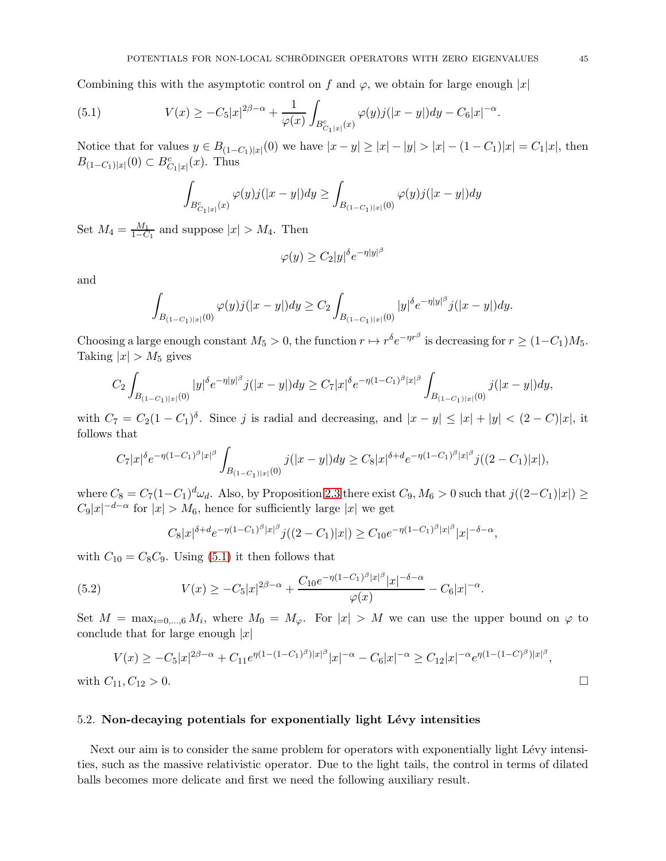Combining this with the asymptotic control on f and  $\varphi$ , we obtain for large enough |x|

(5.1) 
$$
V(x) \geq -C_5|x|^{2\beta-\alpha} + \frac{1}{\varphi(x)} \int_{B_{C_1|x|}^c(x)} \varphi(y) j(|x-y|) dy - C_6|x|^{-\alpha}.
$$

Notice that for values  $y \in B_{(1-C_1)|x|}(0)$  we have  $|x-y| \ge |x| - |y| > |x| - (1-C_1)|x| = C_1|x|$ , then  $B_{(1-C_1)|x|}(0) \subset B^c_{C_1|x|}(x)$ . Thus

<span id="page-44-0"></span>
$$
\int_{B_{C_1|x|}^c(x)} \varphi(y) j(|x-y|) dy \ge \int_{B_{(1-C_1)|x|}(0)} \varphi(y) j(|x-y|) dy
$$

Set  $M_4 = \frac{M_1}{1-C}$  $\frac{M_1}{1-C_1}$  and suppose  $|x| > M_4$ . Then

$$
\varphi(y) \ge C_2 |y|^\delta e^{-\eta |y|^\beta}
$$

and

$$
\int_{B_{(1-C_1)|x|}(0)} \varphi(y)j(|x-y|)dy \geq C_2 \int_{B_{(1-C_1)|x|}(0)} |y|^{\delta} e^{-\eta |y|^{\beta}} j(|x-y|)dy.
$$

Choosing a large enough constant  $M_5 > 0$ , the function  $r \mapsto r^{\delta} e^{-\eta r^{\beta}}$  is decreasing for  $r \ge (1 - C_1)M_5$ . Taking  $|x| > M_5$  gives

$$
C_2 \int_{B_{(1-C_1)|x|}(0)} |y|^{\delta} e^{-\eta |y|^{\beta}} j(|x-y|) dy \geq C_7 |x|^{\delta} e^{-\eta (1-C_1)^{\beta} |x|^{\beta}} \int_{B_{(1-C_1)|x|}(0)} j(|x-y|) dy,
$$

with  $C_7 = C_2(1 - C_1)^{\delta}$ . Since j is radial and decreasing, and  $|x - y| \leq |x| + |y| < (2 - C)|x|$ , it follows that

$$
C_7|x|^{\delta}e^{-\eta(1-C_1)^{\beta}|x|^{\beta}}\int_{B_{(1-C_1)|x|}(0)}j(|x-y|)dy\geq C_8|x|^{\delta+d}e^{-\eta(1-C_1)^{\beta}|x|^{\beta}}j((2-C_1)|x|),
$$

where  $C_8 = C_7(1-C_1)^d \omega_d$ . Also, by Proposition [2.3](#page-11-0) there exist  $C_9$ ,  $M_6 > 0$  such that  $j((2-C_1)|x|) \ge$  $C_9|x|^{-d-\alpha}$  for  $|x| > M_6$ , hence for sufficiently large  $|x|$  we get

$$
C_8|x|^{\delta+d}e^{-\eta(1-C_1)^{\beta}|x|^{\beta}}j((2-C_1)|x|) \geq C_{10}e^{-\eta(1-C_1)^{\beta}|x|^{\beta}}|x|^{-\delta-\alpha},
$$

with  $C_{10} = C_8C_9$ . Using [\(5.1\)](#page-44-0) it then follows that

(5.2) 
$$
V(x) \geq -C_5|x|^{2\beta-\alpha} + \frac{C_{10}e^{-\eta(1-C_1)^{\beta}|x|^{\beta}}|x|^{-\delta-\alpha}}{\varphi(x)} - C_6|x|^{-\alpha}.
$$

Set  $M = \max_{i=0,\dots,6} M_i$ , where  $M_0 = M_{\varphi}$ . For  $|x| > M$  we can use the upper bound on  $\varphi$  to conclude that for large enough  $|x|$ 

$$
V(x) \ge -C_5 |x|^{2\beta-\alpha} + C_{11} e^{\eta(1-(1-C_1)^{\beta})|x|^{\beta}} |x|^{-\alpha} - C_6 |x|^{-\alpha} \ge C_{12} |x|^{-\alpha} e^{\eta(1-(1-C)^{\beta})|x|^{\beta}},
$$
  
with  $C_{11}, C_{12} > 0$ .

#### 5.2. Non-decaying potentials for exponentially light Lévy intensities

Next our aim is to consider the same problem for operators with exponentially light Lévy intensities, such as the massive relativistic operator. Due to the light tails, the control in terms of dilated balls becomes more delicate and first we need the following auxiliary result.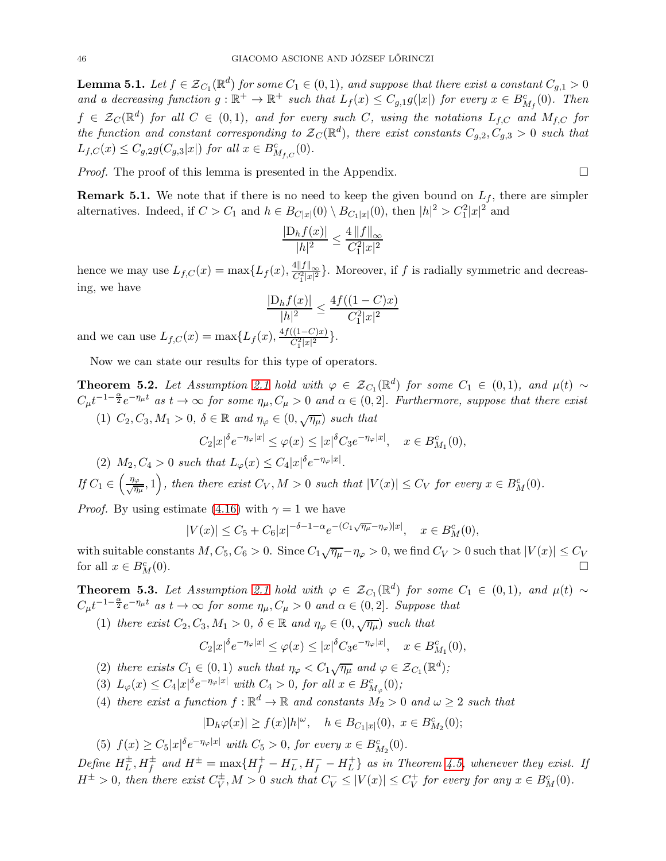<span id="page-45-2"></span>**Lemma 5.1.** Let  $f \in \mathcal{Z}_{C_1}(\mathbb{R}^d)$  for some  $C_1 \in (0,1)$ , and suppose that there exist a constant  $C_{g,1} > 0$ and a decreasing function  $g: \mathbb{R}^+ \to \mathbb{R}^+$  such that  $L_f(x) \leq C_{g,1} g(|x|)$  for every  $x \in B^c_{M_f}(0)$ . Then  $f \in \mathcal{Z}_C(\mathbb{R}^d)$  for all  $C \in (0,1)$ , and for every such C, using the notations  $L_{f,C}$  and  $M_{f,C}$  for the function and constant corresponding to  $\mathcal{Z}_C(\mathbb{R}^d)$ , there exist constants  $C_{g,2}, C_{g,3} > 0$  such that  $L_{f,C}(x) \leq C_{g,2}g(C_{g,3}|x|)$  for all  $x \in B^c_{M_{f,C}}(0)$ .

Proof. The proof of this lemma is presented in the Appendix.

**Remark 5.1.** We note that if there is no need to keep the given bound on  $L_f$ , there are simpler alternatives. Indeed, if  $C > C_1$  and  $h \in B_{C|x|}(0) \setminus B_{C_1|x|}(0)$ , then  $|h|^2 > C_1^2|x|^2$  and

$$
\frac{|\mathcal{D}_h f(x)|}{|h|^2} \le \frac{4\, \|f\|_\infty}{C_1^2 |x|^2}
$$

hence we may use  $L_{f,C}(x) = \max\{L_f(x), \frac{4||f||_{\infty}}{C_1^2|x|^2}\}$ . Moreover, if f is radially symmetric and decreasing, we have

$$
\frac{|\mathcal{D}_h f(x)|}{|h|^2} \le \frac{4f((1 - C)x)}{C_1^2 |x|^2}
$$

and we can use  $L_{f,C}(x) = \max\{L_f(x), \frac{4f((1-C)x)}{C_1^2|x|^2}\}.$ 

Now we can state our results for this type of operators.

<span id="page-45-0"></span>**Theorem 5.2.** Let Assumption [2.1](#page-21-0) hold with  $\varphi \in \mathcal{Z}_{C_1}(\mathbb{R}^d)$  for some  $C_1 \in (0,1)$ , and  $\mu(t) \sim$  $C_{\mu}t^{-1-\frac{\alpha}{2}}e^{-\eta_{\mu}t}$  as  $t\to\infty$  for some  $\eta_{\mu},C_{\mu}>0$  and  $\alpha\in(0,2]$ . Furthermore, suppose that there exist (1)  $C_2, C_3, M_1 > 0, \delta \in \mathbb{R}$  and  $\eta_{\varphi} \in (0, \sqrt{\eta_{\mu}})$  such that

$$
C_2|x|^{\delta}e^{-\eta_{\varphi}|x|} \leq \varphi(x) \leq |x|^{\delta}C_3e^{-\eta_{\varphi}|x|}, \quad x \in B^c_{M_1}(0),
$$

(2)  $M_2, C_4 > 0$  such that  $L_{\varphi}(x) \leq C_4 |x|^{\delta} e^{-\eta_{\varphi}|x|}$ .

If  $C_1 \in \left(\frac{\eta_{\varphi}}{\sqrt{\eta_{\mu}}},1\right)$ , then there exist  $C_V$ ,  $M > 0$  such that  $|V(x)| \leq C_V$  for every  $x \in B^c_M(0)$ .

*Proof.* By using estimate [\(4.16\)](#page-39-2) with  $\gamma = 1$  we have

$$
|V(x)| \le C_5 + C_6|x|^{-\delta - 1 - \alpha} e^{-(C_1 \sqrt{\eta \mu} - \eta \varphi)|x|}, \quad x \in B_M^c(0),
$$

with suitable constants  $M, C_5, C_6 > 0$ . Since  $C_1\sqrt{\eta_\mu} - \eta_\varphi > 0$ , we find  $C_V > 0$  such that  $|V(x)| \le C_V$ for all  $x \in B_M^c(0)$ .  $\mathcal{L}_{M}^{c}(0).$ 

<span id="page-45-1"></span>**Theorem 5.3.** Let Assumption [2.1](#page-21-0) hold with  $\varphi \in \mathcal{Z}_{C_1}(\mathbb{R}^d)$  for some  $C_1 \in (0,1)$ , and  $\mu(t) \sim$  $C_{\mu}t^{-1-\frac{\alpha}{2}}e^{-\eta_{\mu}t}$  as  $t \to \infty$  for some  $\eta_{\mu}, C_{\mu} > 0$  and  $\alpha \in (0, 2]$ . Suppose that

(1) there exist  $C_2, C_3, M_1 > 0$ ,  $\delta \in \mathbb{R}$  and  $\eta_{\varphi} \in (0, \sqrt{\eta_{\mu}})$  such that

$$
C_2|x|^{\delta}e^{-\eta_{\varphi}|x|} \leq \varphi(x) \leq |x|^{\delta}C_3e^{-\eta_{\varphi}|x|}, \quad x \in B^c_{M_1}(0),
$$

- (2) there exists  $C_1 \in (0,1)$  such that  $\eta_{\varphi} < C_1 \sqrt{\eta_{\mu}}$  and  $\varphi \in \mathcal{Z}_{C_1}(\mathbb{R}^d)$ ;
- (3)  $L_{\varphi}(x) \leq C_4 |x|^{\delta} e^{-\eta_{\varphi}|x|}$  with  $C_4 > 0$ , for all  $x \in B^c_{M_{\varphi}}(0)$ ;
- (4) there exist a function  $f : \mathbb{R}^d \to \mathbb{R}$  and constants  $M_2 > 0$  and  $\omega \geq 2$  such that

$$
|D_h\varphi(x)| \ge f(x)|h|^{\omega}, \quad h \in B_{C_1|x|}(0), \ x \in B^c_{M_2}(0);
$$

(5)  $f(x) \ge C_5 |x|^{\delta} e^{-\eta_{\varphi}|x|}$  with  $C_5 > 0$ , for every  $x \in B_{M_2}^c(0)$ .

Define  $H_L^{\pm}$ ,  $H_f^{\pm}$  and  $H^{\pm} = \max\{H_f^+ - H_L^-, H_f^- - H_L^+\}$  $\{^+_L\}$  as in Theorem [4.5,](#page-35-1) whenever they exist. If  $H^{\pm} > 0$ , then there exist  $C_V^{\pm}$ ,  $M > 0$  such that  $C_V^- \leq |V(x)| \leq C_V^+$  $V_V^+$  for every for any  $x \in B_M^c(0)$ .

$$
\Box
$$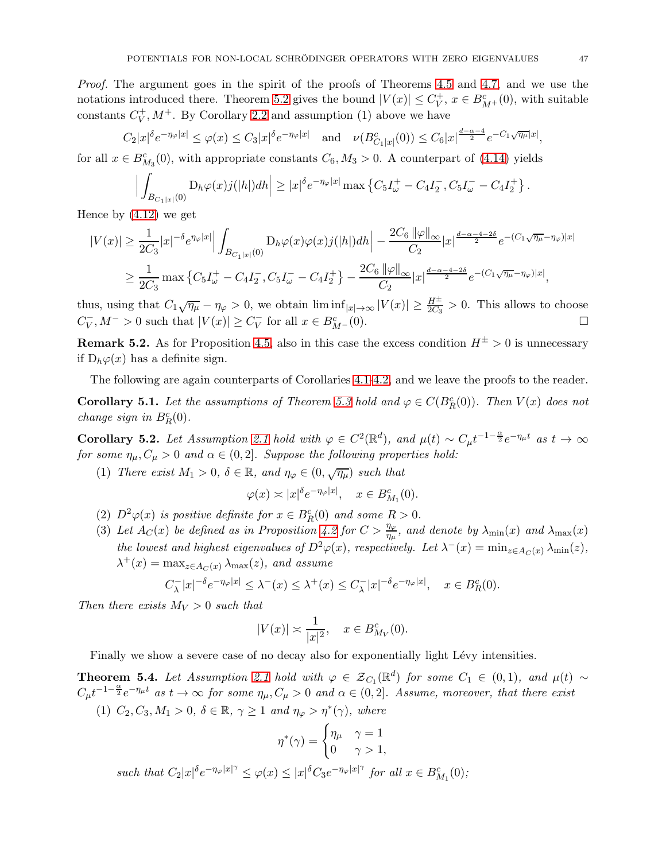Proof. The argument goes in the spirit of the proofs of Theorems [4.5](#page-35-1) and [4.7,](#page-39-1) and we use the notations introduced there. Theorem [5.2](#page-45-0) gives the bound  $|V(x)| \leq C_V^+$  $V^+$ ,  $x \in B^c_{M^+}(0)$ , with suitable  $\text{constants}$   $C_V^+$  $V_V^+$ ,  $M^+$ . By Corollary [2.2](#page-16-0) and assumption (1) above we have

$$
C_2|x|^{\delta}e^{-\eta_{\varphi}|x|} \leq \varphi(x) \leq C_3|x|^{\delta}e^{-\eta_{\varphi}|x|} \quad \text{and} \quad \nu(B_{C_1|x|}^c(0)) \leq C_6|x|^{\frac{d-\alpha-4}{2}}e^{-C_1\sqrt{\eta_{\mu}}|x|},
$$

for all  $x \in B_{M_3}^c(0)$ , with appropriate constants  $C_6$ ,  $M_3 > 0$ . A counterpart of [\(4.14\)](#page-36-2) yields

$$
\Big|\int_{B_{C_1|x|}(0)} D_h\varphi(x)j(|h|)dh\Big|\geq |x|^{\delta}e^{-\eta_{\varphi}|x|}\max\left\{C_5I_{\omega}^+ - C_4I_2^-, C_5I_{\omega}^- - C_4I_2^+\right\}.
$$

Hence by [\(4.12\)](#page-36-1) we get

$$
\begin{split} |V(x)| &\geq \frac{1}{2C_3}|x|^{-\delta}e^{\eta\varphi|x|}\Big|\int_{B_{C_1|x|}(0)}\mathrm{D}_h\varphi(x)\varphi(x)j(|h|)dh\Big| - \frac{2C_6\,\|\varphi\|_\infty}{C_2}|x|^{\frac{d-\alpha-4-2\delta}{2}}e^{-(C_1\sqrt{\eta\mu}-\eta\varphi)|x|}\\ &\geq \frac{1}{2C_3}\max\left\{C_5I_{\omega}^+ - C_4I_2^-, C_5I_{\omega}^- - C_4I_2^+\right\} - \frac{2C_6\,\|\varphi\|_\infty}{C_2}|x|^{\frac{d-\alpha-4-2\delta}{2}}e^{-(C_1\sqrt{\eta\mu}-\eta\varphi)|x|}, \end{split}
$$

thus, using that  $C_1\sqrt{\eta_\mu} - \eta_\varphi > 0$ , we obtain  $\liminf_{|x| \to \infty} |V(x)| \geq \frac{H^{\pm}}{2C_3} > 0$ . This allows to choose  $C_V^-, M^- > 0$  such that  $|V(x)| \ge C_V^-$  for all  $x \in B_{M^-}^c(0)$ .

**Remark 5.2.** As for Proposition [4.5,](#page-35-1) also in this case the excess condition  $H^{\pm} > 0$  is unnecessary if  $D_h\varphi(x)$  has a definite sign.

The following are again counterparts of Corollaries [4.1](#page-37-0)[-4.2,](#page-38-3) and we leave the proofs to the reader.

**Corollary 5.1.** Let the assumptions of Theorem [5.3](#page-45-1) hold and  $\varphi \in C(B_R^c(0))$ . Then  $V(x)$  does not change sign in  $B_R^c(0)$ .

Corollary 5.2. Let Assumption [2.1](#page-21-0) hold with  $\varphi \in C^2(\mathbb{R}^d)$ , and  $\mu(t) \sim C_{\mu} t^{-1-\frac{\alpha}{2}} e^{-\eta_{\mu} t}$  as  $t \to \infty$ for some  $\eta_{\mu}, C_{\mu} > 0$  and  $\alpha \in (0, 2]$ . Suppose the following properties hold:

(1) There exist  $M_1 > 0$ ,  $\delta \in \mathbb{R}$ , and  $\eta_{\varphi} \in (0, \sqrt{\eta_{\mu}})$  such that

$$
\varphi(x) \asymp |x|^{\delta} e^{-\eta_{\varphi}|x|}, \quad x \in B_{M_1}^c(0).
$$

- (2)  $D^2\varphi(x)$  is positive definite for  $x \in B_R^c(0)$  and some  $R > 0$ .
- (3) Let  $A_C(x)$  be defined as in Proposition [4.2](#page-38-1) for  $C > \frac{\eta_{\varphi}}{\eta_{\mu}}$ , and denote by  $\lambda_{\min}(x)$  and  $\lambda_{\max}(x)$ the lowest and highest eigenvalues of  $D^2\varphi(x)$ , respectively. Let  $\lambda^-(x) = \min_{z \in A_C(x)} \lambda_{\min}(z)$ ,  $\lambda^+(x) = \max_{z \in A_C(x)} \lambda_{\max}(z)$ , and assume

$$
C_{\lambda}^- |x|^{-\delta} e^{-\eta_{\varphi}|x|} \leq \lambda^-(x) \leq \lambda^+(x) \leq C_{\lambda}^- |x|^{-\delta} e^{-\eta_{\varphi}|x|}, \quad x \in B_R^c(0).
$$

Then there exists  $M_V > 0$  such that

$$
|V(x)| \asymp \frac{1}{|x|^2}, \quad x \in B_{M_V}^c(0).
$$

Finally we show a severe case of no decay also for exponentially light Lévy intensities.

<span id="page-46-0"></span>**Theorem 5.4.** Let Assumption [2.1](#page-21-0) hold with  $\varphi \in \mathcal{Z}_{C_1}(\mathbb{R}^d)$  for some  $C_1 \in (0,1)$ , and  $\mu(t) \sim$  $C_{\mu}t^{-1-\frac{\alpha}{2}}e^{-\eta_{\mu}t}$  as  $t\to\infty$  for some  $\eta_{\mu}, C_{\mu}>0$  and  $\alpha\in(0,2]$ . Assume, moreover, that there exist

(1)  $C_2, C_3, M_1 > 0, \ \delta \in \mathbb{R}, \ \gamma \ge 1 \ \text{and} \ \eta_{\varphi} > \eta^*(\gamma), \ \text{where}$ 

$$
\eta^*(\gamma) = \begin{cases} \eta_\mu & \gamma = 1 \\ 0 & \gamma > 1, \end{cases}
$$

such that  $C_2|x|^{\delta}e^{-\eta_{\varphi}|x|^{\gamma}} \leq \varphi(x) \leq |x|^{\delta}C_3e^{-\eta_{\varphi}|x|^{\gamma}}$  for all  $x \in B_{M_1}^c(0)$ ;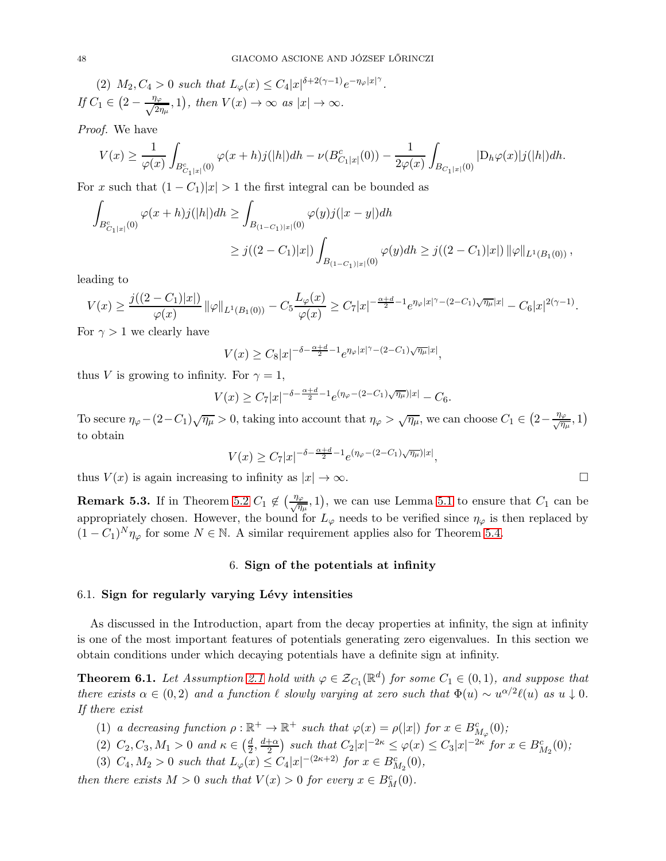(2)  $M_2, C_4 > 0$  such that  $L_\varphi(x) \le C_4 |x|^{\delta + 2(\gamma - 1)} e^{-\eta_\varphi |x|^\gamma}$ . If  $C_1 \in \left(2 - \frac{\eta_{\varphi}}{\sqrt{2n}}\right)$  $\frac{\partial \varphi}{\partial n\mu}, 1$ , then  $V(x) \to \infty$  as  $|x| \to \infty$ .

Proof. We have

$$
V(x) \ge \frac{1}{\varphi(x)} \int_{B_{C_1|x|}^c(0)} \varphi(x+h) j(|h|) dh - \nu(B_{C_1|x|}^c(0)) - \frac{1}{2\varphi(x)} \int_{B_{C_1|x|}(0)} |D_h\varphi(x)| j(|h|) dh.
$$

For x such that  $(1 - C_1)|x| > 1$  the first integral can be bounded as

$$
\begin{aligned} \int_{B_{C_1|x|}^c(0)} \varphi(x+h) j(|h|) dh &\geq \int_{B_{(1-C_1)|x|}(0)} \varphi(y) j(|x-y|) dh \\ &\geq j((2-C_1)|x|) \int_{B_{(1-C_1)|x|}(0)} \varphi(y) dh \geq j((2-C_1)|x|) \left\| \varphi \right\|_{L^1(B_1(0))}, \end{aligned}
$$

leading to

$$
V(x) \ge \frac{j((2-C_1)|x|)}{\varphi(x)} \left\|\varphi\right\|_{L^1(B_1(0))} - C_5 \frac{L_\varphi(x)}{\varphi(x)} \ge C_7 |x|^{-\frac{\alpha+d}{2}-1} e^{\eta_\varphi|x|^\gamma - (2-C_1)\sqrt{\eta_\mu}|x|} - C_6 |x|^{2(\gamma-1)}.
$$

For  $\gamma > 1$  we clearly have

$$
V(x) \geq C_8|x|^{-\delta - \frac{\alpha + d}{2} - 1}e^{\eta_{\varphi}|x|^{\gamma} - (2 - C_1)\sqrt{\eta_{\mu}}|x|},
$$

thus V is growing to infinity. For  $\gamma = 1$ ,

$$
V(x) \ge C_7 |x|^{-\delta - \frac{\alpha + d}{2} - 1} e^{(\eta \varphi - (2 - C_1)\sqrt{\eta \mu})|x|} - C_6.
$$

To secure  $\eta_{\varphi} - (2 - C_1)\sqrt{\eta_{\mu}} > 0$ , taking into account that  $\eta_{\varphi} > \sqrt{\eta_{\mu}}$ , we can choose  $C_1 \in \left(2 - \frac{\eta_{\varphi}}{\sqrt{\eta_{\mu}}}, 1\right)$ to obtain

$$
V(x) \ge C_7 |x|^{-\delta - \frac{\alpha + d}{2} - 1} e^{(\eta_\varphi - (2 - C_1)\sqrt{\eta_\mu})|x|},
$$

thus  $V(x)$  is again increasing to infinity as  $|x| \to \infty$ .

**Remark 5.3.** If in Theorem [5.2](#page-45-0)  $C_1 \notin (\frac{\eta_{\varphi}}{\sqrt{\eta_{\mu}}}, 1)$ , we can use Lemma [5.1](#page-45-2) to ensure that  $C_1$  can be appropriately chosen. However, the bound for  $L_{\varphi}$  needs to be verified since  $\eta_{\varphi}$  is then replaced by  $(1 - C_1)^N \eta_{\varphi}$  for some  $N \in \mathbb{N}$ . A similar requirement applies also for Theorem [5.4.](#page-46-0)

# 6. Sign of the potentials at infinity

### $6.1.$  Sign for regularly varying Lévy intensities

As discussed in the Introduction, apart from the decay properties at infinity, the sign at infinity is one of the most important features of potentials generating zero eigenvalues. In this section we obtain conditions under which decaying potentials have a definite sign at infinity.

<span id="page-47-0"></span>**Theorem 6.1.** Let Assumption [2.1](#page-21-0) hold with  $\varphi \in \mathcal{Z}_{C_1}(\mathbb{R}^d)$  for some  $C_1 \in (0,1)$ , and suppose that there exists  $\alpha \in (0, 2)$  and a function  $\ell$  slowly varying at zero such that  $\Phi(u) \sim u^{\alpha/2} \ell(u)$  as  $u \downarrow 0$ . If there exist

- (1) a decreasing function  $\rho : \mathbb{R}^+ \to \mathbb{R}^+$  such that  $\varphi(x) = \rho(|x|)$  for  $x \in B^c_{M_{\varphi}}(0)$ ;
- (2)  $C_2, C_3, M_1 > 0$  and  $\kappa \in \left(\frac{d}{2}\right)$  $\frac{d}{2}, \frac{d+\alpha}{2}$  $\frac{1}{2}$  such that  $C_2|x|^{-2\kappa} \leq \varphi(x) \leq C_3|x|^{-2\kappa}$  for  $x \in B_{M_2}^c(0);$
- (3)  $C_4, M_2 > 0$  such that  $L_\varphi(x) \le C_4 |x|^{-(2\kappa+2)}$  for  $x \in B_{M_2}^c(0)$ ,

then there exists  $M > 0$  such that  $V(x) > 0$  for every  $x \in B_M^c(0)$ .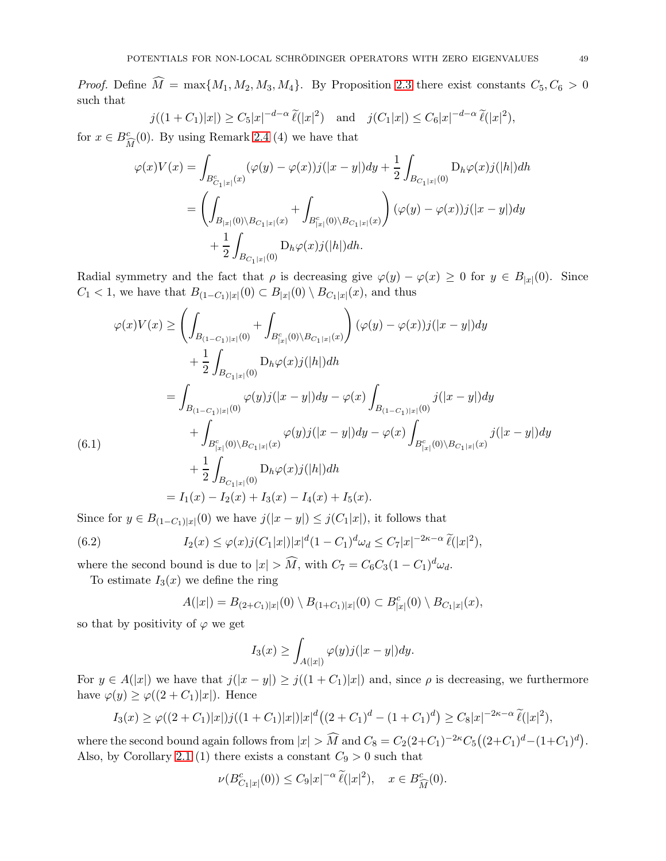*Proof.* Define  $\widehat{M} = \max\{M_1, M_2, M_3, M_4\}$ . By Proposition [2.3](#page-11-0) there exist constants  $C_5, C_6 > 0$ such that

$$
j((1+C_1)|x|) \ge C_5|x|^{-d-\alpha} \widetilde{\ell}(|x|^2)
$$
 and  $j(C_1|x|) \le C_6|x|^{-d-\alpha} \widetilde{\ell}(|x|^2)$ ,

for  $x \in B^c_{\widehat{M}}(0)$ . By using Remark [2.4](#page-20-0) (4) we have that

$$
\varphi(x)V(x) = \int_{B_{C_1|x|}^c(x)} (\varphi(y) - \varphi(x))j(|x - y|)dy + \frac{1}{2} \int_{B_{C_1|x|}(0)} D_h \varphi(x)j(|h|)dh
$$
  
= 
$$
\left(\int_{B_{|x|}(0) \backslash B_{C_1|x|}(x)} + \int_{B_{|x|}^c(0) \backslash B_{C_1|x|}(x)} \right) (\varphi(y) - \varphi(x))j(|x - y|)dy
$$
  
+ 
$$
\frac{1}{2} \int_{B_{C_1|x|}(0)} D_h \varphi(x)j(|h|)dh.
$$

Radial symmetry and the fact that  $\rho$  is decreasing give  $\varphi(y) - \varphi(x) \geq 0$  for  $y \in B_{|x|}(0)$ . Since  $C_1$  < 1, we have that  $B_{(1-C_1)|x|}(0)$  ⊂  $B_{|x|}(0) \setminus B_{C_1|x|}(x)$ , and thus

$$
\varphi(x)V(x) \ge \left(\int_{B_{(1-C_1)|x|}(0)} + \int_{B_{|x|}^c(0)\setminus B_{C_1|x|}(x)}\right)(\varphi(y) - \varphi(x))j(|x - y|)dy \n+ \frac{1}{2}\int_{B_{C_1|x|}(0)} \mathcal{D}_h\varphi(x)j(|h|)dh \n= \int_{B_{(1-C_1)|x|}(0)} \varphi(y)j(|x - y|)dy - \varphi(x)\int_{B_{(1-C_1)|x|}(0)}j(|x - y|)dy \n+ \int_{B_{|x|}^c(0)\setminus B_{C_1|x|}(x)} \varphi(y)j(|x - y|)dy - \varphi(x)\int_{B_{|x|}^c(0)\setminus B_{C_1|x|}(x)}j(|x - y|)dy \n+ \frac{1}{2}\int_{B_{C_1|x|}(0)} \mathcal{D}_h\varphi(x)j(|h|)dh \n= I_1(x) - I_2(x) + I_3(x) - I_4(x) + I_5(x).
$$

<span id="page-48-1"></span>Since for  $y \in B_{(1-C_1)|x|}(0)$  we have  $j(|x-y|) \leq j(C_1|x|)$ , it follows that

(6.2) 
$$
I_2(x) \le \varphi(x) j(C_1|x|) |x|^d (1-C_1)^d \omega_d \le C_7 |x|^{-2\kappa-\alpha} \tilde{\ell}(|x|^2),
$$

where the second bound is due to  $|x| > \widehat{M}$ , with  $C_7 = C_6 C_3 (1 - C_1)^d \omega_d$ .

To estimate  $I_3(x)$  we define the ring

<span id="page-48-0"></span>
$$
A(|x|) = B_{(2+C_1)|x|}(0) \setminus B_{(1+C_1)|x|}(0) \subset B_{|x|}^c(0) \setminus B_{C_1|x|}(x),
$$

so that by positivity of  $\varphi$  we get

$$
I_3(x) \ge \int_{A(|x|)} \varphi(y) j(|x-y|) dy.
$$

For  $y \in A(|x|)$  we have that  $j(|x - y|) \geq j((1 + C_1)|x|)$  and, since  $\rho$  is decreasing, we furthermore have  $\varphi(y) \geq \varphi((2+C_1)|x|)$ . Hence

$$
I_3(x) \ge \varphi((2+C_1)|x|)j((1+C_1)|x|)|x|^d((2+C_1)^d - (1+C_1)^d) \ge C_8|x|^{-2\kappa-\alpha} \widetilde{\ell}(|x|^2),
$$

where the second bound again follows from  $|x| > \widehat{M}$  and  $C_8 = C_2(2+C_1)^{-2\kappa}C_5((2+C_1)^d-(1+C_1)^d)$ . Also, by Corollary [2.1](#page-13-0) (1) there exists a constant  $C_9 > 0$  such that

$$
\nu(B_{C_1|x|}^c(0)) \leq C_9|x|^{-\alpha} \widetilde{\ell}(|x|^2), \quad x \in B_{\widehat{M}}^c(0).
$$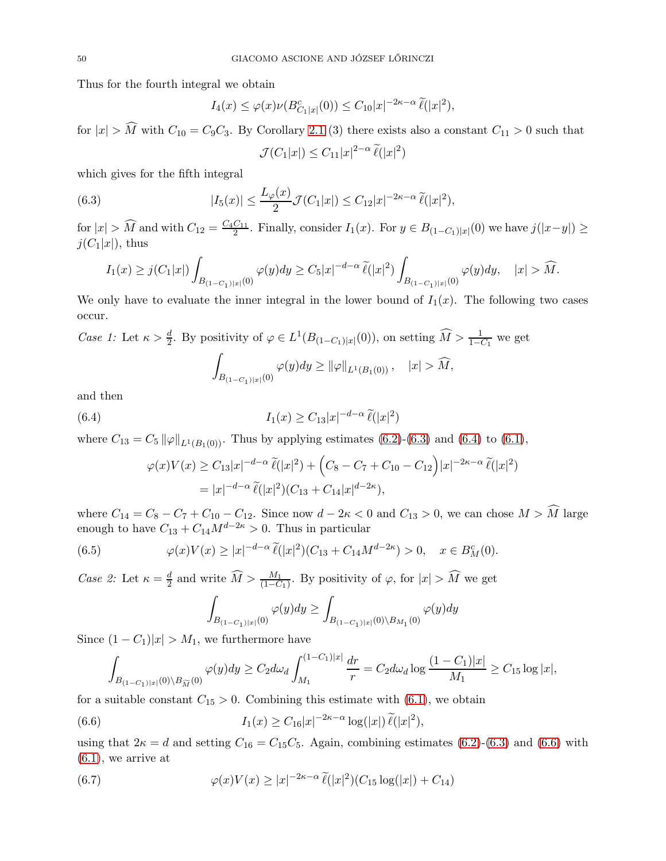Thus for the fourth integral we obtain

$$
I_4(x) \le \varphi(x)\nu(B_{C_1|x|}^c(0)) \le C_{10}|x|^{-2\kappa-\alpha} \widetilde{\ell}(|x|^2),
$$

for  $|x| > \widehat{M}$  with  $C_{10} = C_9C_3$ . By Corollary [2.1](#page-13-0) (3) there exists also a constant  $C_{11} > 0$  such that

<span id="page-49-0"></span>
$$
\mathcal{J}(C_1|x|) \leq C_{11}|x|^{2-\alpha} \,\widetilde{\ell}(|x|^2)
$$

which gives for the fifth integral

(6.3) 
$$
|I_5(x)| \le \frac{L_\varphi(x)}{2} \mathcal{J}(C_1|x|) \le C_{12}|x|^{-2\kappa-\alpha} \,\widetilde{\ell}(|x|^2),
$$

for  $|x| > \widehat{M}$  and with  $C_{12} = \frac{C_4 C_{11}}{2}$ . Finally, consider  $I_1(x)$ . For  $y \in B_{(1-C_1)|x|}(0)$  we have  $j(|x-y|) \ge$  $j(C_1|x|)$ , thus

$$
I_1(x) \geq j(C_1|x|) \int_{B_{(1-C_1)|x|}(0)} \varphi(y) dy \geq C_5 |x|^{-d-\alpha} \, \widetilde{\ell}(|x|^2) \int_{B_{(1-C_1)|x|}(0)} \varphi(y) dy, \quad |x| > \widehat{M}.
$$

We only have to evaluate the inner integral in the lower bound of  $I_1(x)$ . The following two cases occur.

Case 1: Let 
$$
\kappa > \frac{d}{2}
$$
. By positivity of  $\varphi \in L^1(B_{(1-C_1)|x|}(0))$ , on setting  $\widehat{M} > \frac{1}{1-C_1}$  we get\n
$$
\int_{B_{(1-C_1)|x|}(0)} \varphi(y) dy \ge ||\varphi||_{L^1(B_1(0))}, \quad |x| > \widehat{M},
$$

and then

(6.4) 
$$
I_1(x) \geq C_{13}|x|^{-d-\alpha} \widetilde{\ell}(|x|^2)
$$

where  $C_{13} = C_5 ||\varphi||_{L^1(B_1(0))}$ . Thus by applying estimates [\(6.2\)](#page-48-0)-[\(6.3\)](#page-49-0) and [\(6.4\)](#page-49-1) to [\(6.1\)](#page-48-1),

<span id="page-49-1"></span>
$$
\varphi(x)V(x) \ge C_{13}|x|^{-d-\alpha} \tilde{\ell}(|x|^2) + \left(C_8 - C_7 + C_{10} - C_{12}\right)|x|^{-2\kappa-\alpha} \tilde{\ell}(|x|^2)
$$
  
=  $|x|^{-d-\alpha} \tilde{\ell}(|x|^2)(C_{13} + C_{14}|x|^{d-2\kappa}),$ 

where  $C_{14} = C_8 - C_7 + C_{10} - C_{12}$ . Since now  $d - 2\kappa < 0$  and  $C_{13} > 0$ , we can chose  $M > \widehat{M}$  large enough to have  $C_{13} + C_{14}M^{d-2\kappa} > 0$ . Thus in particular

(6.5) 
$$
\varphi(x)V(x) \ge |x|^{-d-\alpha} \tilde{\ell}(|x|^2)(C_{13} + C_{14}M^{d-2\kappa}) > 0, \quad x \in B^c_M(0).
$$

Case 2: Let  $\kappa = \frac{d}{2}$  and write  $\widehat{M} > \frac{M_1}{(1 - C_1)}$ . By positivity of  $\varphi$ , for  $|x| > \widehat{M}$  we get

<span id="page-49-3"></span><span id="page-49-2"></span>
$$
\int_{B_{(1-C_1)|x|}(0)}\varphi(y)dy\geq\int_{B_{(1-C_1)|x|}(0)\backslash B_{M_1}(0)}\varphi(y)dy
$$

Since  $(1 - C_1)|x| > M_1$ , we furthermore have

$$
\int_{B_{(1-C_1)|x|}(0)\setminus B_{\widetilde{M}}(0)} \varphi(y) dy \ge C_2 d\omega_d \int_{M_1}^{(1-C_1)|x|} \frac{dr}{r} = C_2 d\omega_d \log \frac{(1-C_1)|x|}{M_1} \ge C_{15} \log |x|,
$$

for a suitable constant  $C_{15} > 0$ . Combining this estimate with  $(6.1)$ , we obtain

(6.6) 
$$
I_1(x) \ge C_{16}|x|^{-2\kappa-\alpha} \log(|x|) \tilde{\ell}(|x|^2),
$$

using that  $2\kappa = d$  and setting  $C_{16} = C_{15}C_5$ . Again, combining estimates [\(6.2\)](#page-48-0)-[\(6.3\)](#page-49-0) and [\(6.6\)](#page-49-2) with  $(6.1)$ , we arrive at

(6.7) 
$$
\varphi(x)V(x) \ge |x|^{-2\kappa - \alpha} \tilde{\ell}(|x|^2)(C_{15}\log(|x|) + C_{14})
$$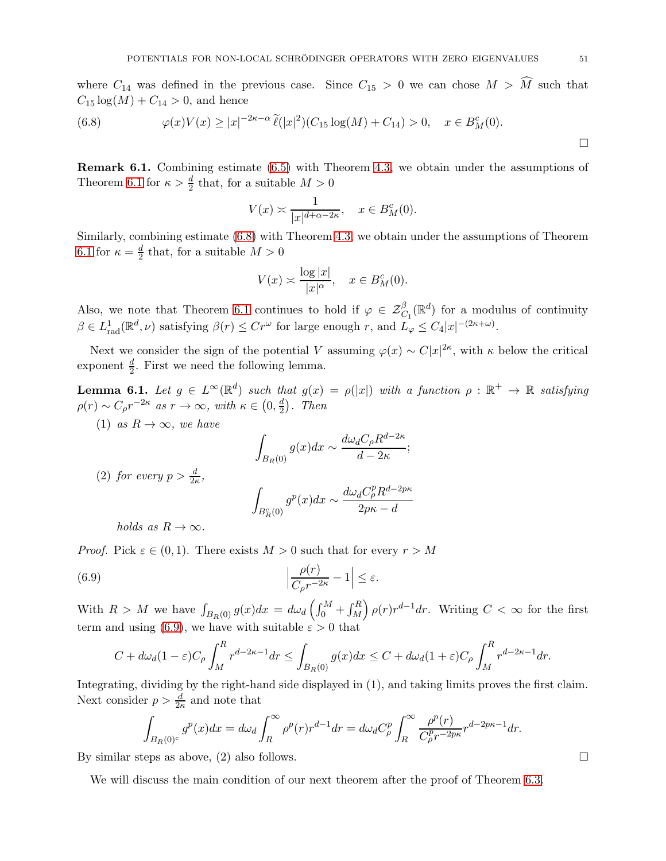where  $C_{14}$  was defined in the previous case. Since  $C_{15} > 0$  we can chose  $M > \widehat{M}$  such that  $C_{15} \log(M) + C_{14} > 0$ , and hence

<span id="page-50-0"></span>(6.8) 
$$
\varphi(x)V(x) \ge |x|^{-2\kappa - \alpha} \tilde{\ell}(|x|^2)(C_{15}\log(M) + C_{14}) > 0, \quad x \in B_M^c(0).
$$

Remark 6.1. Combining estimate [\(6.5\)](#page-49-3) with Theorem [4.3,](#page-30-0) we obtain under the assumptions of Theorem [6.1](#page-47-0) for  $\kappa > \frac{d}{2}$  that, for a suitable  $M > 0$ 

$$
V(x) \asymp \frac{1}{|x|^{d+\alpha-2\kappa}}, \quad x \in B_M^c(0).
$$

Similarly, combining estimate [\(6.8\)](#page-50-0) with Theorem [4.3,](#page-30-0) we obtain under the assumptions of Theorem [6.1](#page-47-0) for  $\kappa = \frac{d}{2}$  $\frac{d}{2}$  that, for a suitable  $M > 0$ 

$$
V(x) \asymp \frac{\log |x|}{|x|^{\alpha}}, \quad x \in B_M^c(0).
$$

Also, we note that Theorem [6.1](#page-47-0) continues to hold if  $\varphi \in \mathcal{Z}^{\beta}_{C_1}(\mathbb{R}^d)$  for a modulus of continuity  $\beta \in L^1_{\text{rad}}(\mathbb{R}^d, \nu)$  satisfying  $\beta(r) \leq Cr^{\omega}$  for large enough r, and  $L_{\varphi} \leq C_4|x|^{-(2\kappa+\omega)}$ .

Next we consider the sign of the potential V assuming  $\varphi(x) \sim C|x|^{2\kappa}$ , with  $\kappa$  below the critical exponent  $\frac{d}{2}$ . First we need the following lemma.

<span id="page-50-2"></span>**Lemma 6.1.** Let  $g \in L^{\infty}(\mathbb{R}^d)$  such that  $g(x) = \rho(|x|)$  with a function  $\rho : \mathbb{R}^+ \to \mathbb{R}$  satisfying  $\rho(r) \sim C_{\rho} r^{-2\kappa}$  as  $r \to \infty$ , with  $\kappa \in (0, \frac{d}{2})$  $\frac{d}{2}$ ). Then

(1) as  $R \to \infty$ , we have

$$
\int_{B_R(0)} g(x)dx \sim \frac{d\omega_d C_{\rho} R^{d-2\kappa}}{d-2\kappa};
$$

(2) for every  $p > \frac{d}{2\kappa}$ ,

<span id="page-50-1"></span>
$$
\int_{B_R^c(0)} g^p(x) dx \sim \frac{d\omega_d C^p_\rho R^{d-2p\kappa}}{2p\kappa - d}
$$

holds as  $R \to \infty$ .

*Proof.* Pick  $\varepsilon \in (0,1)$ . There exists  $M > 0$  such that for every  $r > M$ 

(6.9) 
$$
\left|\frac{\rho(r)}{C_{\rho}r^{-2\kappa}}-1\right| \leq \varepsilon.
$$

With  $R > M$  we have  $\int_{B_R(0)} g(x) dx = d\omega_d \left( \int_0^M + \int_M^R g(x) dx \right)$  $\int \rho(r) r^{d-1} dr$ . Writing  $C < \infty$  for the first term and using [\(6.9\)](#page-50-1), we have with suitable  $\varepsilon > 0$  that

$$
C + d\omega_d (1 - \varepsilon) C_\rho \int_M^R r^{d-2\kappa - 1} dr \le \int_{B_R(0)} g(x) dx \le C + d\omega_d (1 + \varepsilon) C_\rho \int_M^R r^{d-2\kappa - 1} dr.
$$

Integrating, dividing by the right-hand side displayed in (1), and taking limits proves the first claim. Next consider  $p > \frac{d}{2\kappa}$  and note that

$$
\int_{B_R(0)^c} g^p(x)dx = d\omega_d \int_R^{\infty} \rho^p(r)r^{d-1}dr = d\omega_d C_{\rho}^p \int_R^{\infty} \frac{\rho^p(r)}{C_{\rho}^p r^{-2p\kappa}} r^{d-2p\kappa - 1}dr.
$$

By similar steps as above, (2) also follows.

We will discuss the main condition of our next theorem after the proof of Theorem [6.3.](#page-53-0)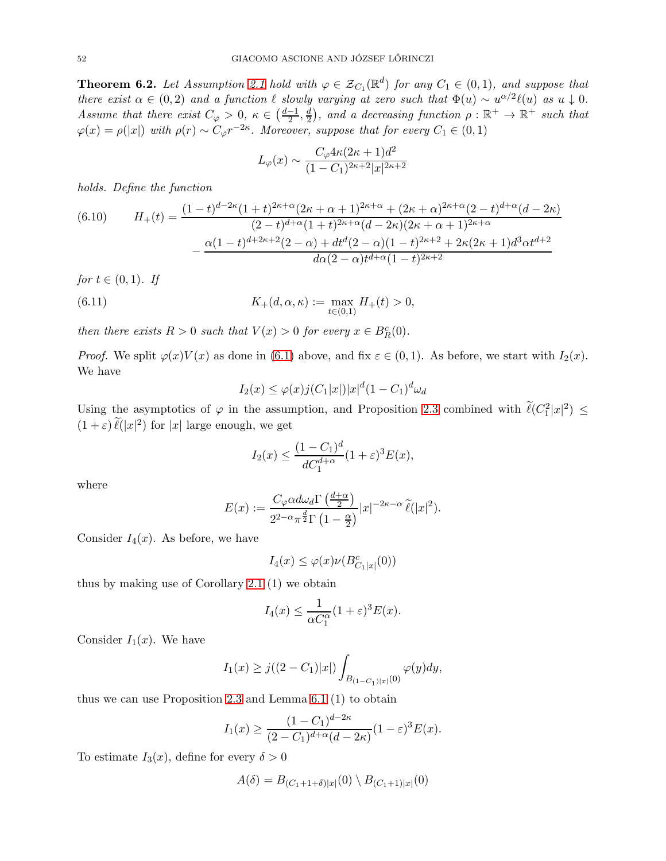<span id="page-51-2"></span>**Theorem 6.2.** Let Assumption [2.1](#page-21-0) hold with  $\varphi \in \mathcal{Z}_{C_1}(\mathbb{R}^d)$  for any  $C_1 \in (0,1)$ , and suppose that there exist  $\alpha \in (0,2)$  and a function  $\ell$  slowly varying at zero such that  $\Phi(u) \sim u^{\alpha/2} \ell(u)$  as  $u \downarrow 0$ . Assume that there exist  $C_{\varphi} > 0, \ \kappa \in \left(\frac{d-1}{2}, \frac{d}{2}\right)$  $\frac{d}{2}$ ), and a decreasing function  $\rho : \mathbb{R}^+ \to \mathbb{R}^+$  such that  $\varphi(x) = \rho(|x|)$  with  $\rho(r) \sim C_{\varphi} r^{-2\kappa}$ . Moreover, suppose that for every  $C_1 \in (0,1)$ 

$$
L_{\varphi}(x) \sim \frac{C_{\varphi} 4\kappa (2\kappa + 1)d^2}{(1 - C_1)^{2\kappa + 2}|x|^{2\kappa + 2}}
$$

holds. Define the function

<span id="page-51-0"></span>(6.10) 
$$
H_{+}(t) = \frac{(1-t)^{d-2\kappa}(1+t)^{2\kappa+\alpha}(2\kappa+\alpha+1)^{2\kappa+\alpha} + (2\kappa+\alpha)^{2\kappa+\alpha}(2-t)^{d+\alpha}(d-2\kappa)}{(2-t)^{d+\alpha}(1+t)^{2\kappa+\alpha}(d-2\kappa)(2\kappa+\alpha+1)^{2\kappa+\alpha}} - \frac{\alpha(1-t)^{d+2\kappa+2}(2-\alpha)+dt^{d}(2-\alpha)(1-t)^{2\kappa+2} + 2\kappa(2\kappa+1)d^{3}\alpha t^{d+2}}{d\alpha(2-\alpha)t^{d+\alpha}(1-t)^{2\kappa+2}}
$$

for 
$$
t \in (0, 1)
$$
. If  
(6.11) 
$$
K_{+}(d, \alpha, \kappa) := \max_{t \in (0, 1)} H_{+}(t)
$$

then there exists  $R > 0$  such that  $V(x) > 0$  for every  $x \in B_R^c(0)$ .

*Proof.* We split  $\varphi(x)V(x)$  as done in [\(6.1\)](#page-48-1) above, and fix  $\varepsilon \in (0,1)$ . As before, we start with  $I_2(x)$ . We have

 $> 0$ ,

<span id="page-51-1"></span>
$$
I_2(x) \le \varphi(x)j(C_1|x|)|x|^d(1-C_1)^d\omega_d
$$

Using the asymptotics of  $\varphi$  in the assumption, and Proposition [2.3](#page-11-0) combined with  $\ell(C_1^2|x|^2) \leq$  $(1+\varepsilon)\,\tilde{\ell}(|x|^2)$  for  $|x|$  large enough, we get

$$
I_2(x) \le \frac{(1 - C_1)^d}{dC_1^{d+\alpha}} (1 + \varepsilon)^3 E(x),
$$

where

$$
E(x) := \frac{C_{\varphi}\alpha d\omega_d \Gamma\left(\frac{d+\alpha}{2}\right)}{2^{2-\alpha}\pi^{\frac{d}{2}}\Gamma\left(1-\frac{\alpha}{2}\right)}|x|^{-2\kappa-\alpha}\widetilde{\ell}(|x|^2).
$$

Consider  $I_4(x)$ . As before, we have

$$
I_4(x) \le \varphi(x)\nu(B_{C_1|x|}^c(0))
$$

thus by making use of Corollary [2.1](#page-13-0) (1) we obtain

$$
I_4(x) \le \frac{1}{\alpha C_1^{\alpha}} (1+\varepsilon)^3 E(x).
$$

Consider  $I_1(x)$ . We have

$$
I_1(x)\geq j((2-C_1)|x|)\int_{B_{(1-C_1)|x|}(0)}\varphi(y)dy,
$$

thus we can use Proposition [2.3](#page-11-0) and Lemma [6.1](#page-50-2) (1) to obtain

$$
I_1(x) \ge \frac{(1 - C_1)^{d - 2\kappa}}{(2 - C_1)^{d + \alpha} (d - 2\kappa)} (1 - \varepsilon)^3 E(x).
$$

To estimate  $I_3(x)$ , define for every  $\delta > 0$ 

$$
A(\delta) = B_{(C_1+1+\delta)|x|}(0) \setminus B_{(C_1+1)|x|}(0)
$$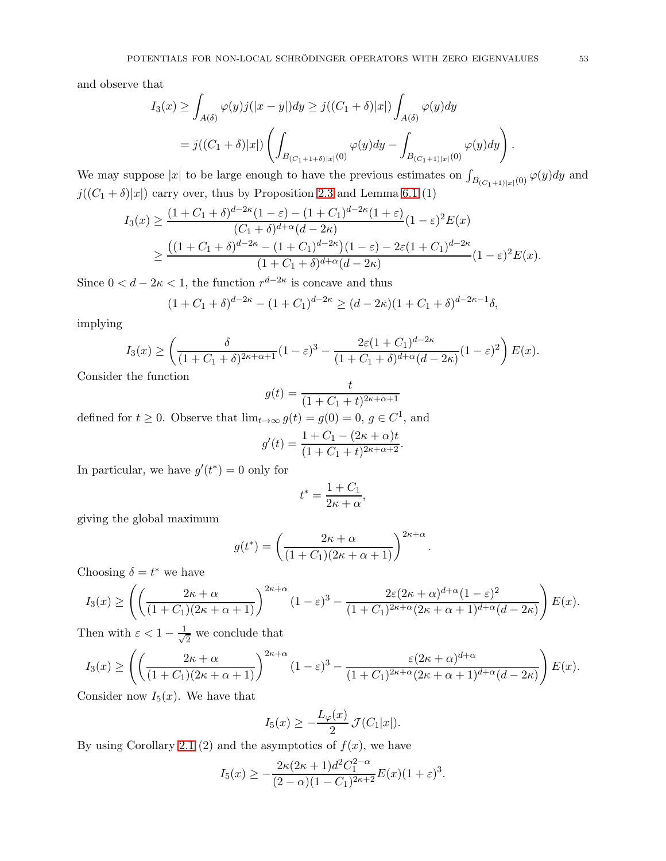and observe that

$$
I_3(x) \geq \int_{A(\delta)} \varphi(y)j(|x-y|)dy \geq j((C_1+\delta)|x|) \int_{A(\delta)} \varphi(y)dy
$$
  
=  $j((C_1+\delta)|x|) \left( \int_{B_{(C_1+1+\delta)|x|}(0)} \varphi(y)dy - \int_{B_{(C_1+1)|x|}(0)} \varphi(y)dy \right).$ 

We may suppose |x| to be large enough to have the previous estimates on  $\int_{B_{(C_1+1)|x|}(0)} \varphi(y) dy$  and  $j((C_1 + \delta)|x|)$  carry over, thus by Proposition [2.3](#page-11-0) and Lemma [6.1](#page-50-2)  $(1)$ 

$$
I_3(x) \ge \frac{(1+C_1+\delta)^{d-2\kappa}(1-\varepsilon) - (1+C_1)^{d-2\kappa}(1+\varepsilon)}{(C_1+\delta)^{d+\alpha}(d-2\kappa)}(1-\varepsilon)^2 E(x)
$$
  
 
$$
\ge \frac{((1+C_1+\delta)^{d-2\kappa} - (1+C_1)^{d-2\kappa})(1-\varepsilon) - 2\varepsilon(1+C_1)^{d-2\kappa}}{(1+C_1+\delta)^{d+\alpha}(d-2\kappa)}(1-\varepsilon)^2 E(x).
$$

Since  $0 < d - 2\kappa < 1$ , the function  $r^{d-2\kappa}$  is concave and thus

$$
(1 + C_1 + \delta)^{d-2\kappa} - (1 + C_1)^{d-2\kappa} \ge (d - 2\kappa)(1 + C_1 + \delta)^{d-2\kappa - 1}\delta,
$$

implying

$$
I_3(x) \ge \left(\frac{\delta}{(1+C_1+\delta)^{2\kappa+\alpha+1}}(1-\varepsilon)^3 - \frac{2\varepsilon(1+C_1)^{d-2\kappa}}{(1+C_1+\delta)^{d+\alpha}(d-2\kappa)}(1-\varepsilon)^2\right)E(x).
$$

Consider the function

$$
g(t) = \frac{t}{(1 + C_1 + t)^{2\kappa + \alpha + 1}}
$$

defined for  $t \geq 0$ . Observe that  $\lim_{t \to \infty} g(t) = g(0) = 0, g \in C^1$ , and

$$
g'(t) = \frac{1 + C_1 - (2\kappa + \alpha)t}{(1 + C_1 + t)^{2\kappa + \alpha + 2}}.
$$

In particular, we have  $g'(t^*) = 0$  only for

$$
t^* = \frac{1 + C_1}{2\kappa + \alpha},
$$

giving the global maximum

$$
g(t^*) = \left(\frac{2\kappa + \alpha}{(1 + C_1)(2\kappa + \alpha + 1)}\right)^{2\kappa + \alpha}
$$

.

Choosing  $\delta = t^*$  we have

$$
I_3(x) \ge \left( \left( \frac{2\kappa + \alpha}{(1 + C_1)(2\kappa + \alpha + 1)} \right)^{2\kappa + \alpha} (1 - \varepsilon)^3 - \frac{2\varepsilon (2\kappa + \alpha)^{d + \alpha} (1 - \varepsilon)^2}{(1 + C_1)^{2\kappa + \alpha} (2\kappa + \alpha + 1)^{d + \alpha} (d - 2\kappa)} \right) E(x).
$$

Then with  $\varepsilon < 1 - \frac{1}{\sqrt{2}}$  $\frac{1}{2}$  we conclude that

$$
I_3(x) \ge \left( \left( \frac{2\kappa + \alpha}{(1 + C_1)(2\kappa + \alpha + 1)} \right)^{2\kappa + \alpha} (1 - \varepsilon)^3 - \frac{\varepsilon (2\kappa + \alpha)^{d + \alpha}}{(1 + C_1)^{2\kappa + \alpha} (2\kappa + \alpha + 1)^{d + \alpha} (d - 2\kappa)} \right) E(x).
$$

Consider now  $I_5(x)$ . We have that

$$
I_5(x) \ge -\frac{L_{\varphi}(x)}{2} \mathcal{J}(C_1|x|).
$$

By using Corollary [2.1](#page-13-0) (2) and the asymptotics of  $f(x)$ , we have

$$
I_5(x) \ge -\frac{2\kappa(2\kappa+1)d^2C_1^{2-\alpha}}{(2-\alpha)(1-C_1)^{2\kappa+2}}E(x)(1+\varepsilon)^3.
$$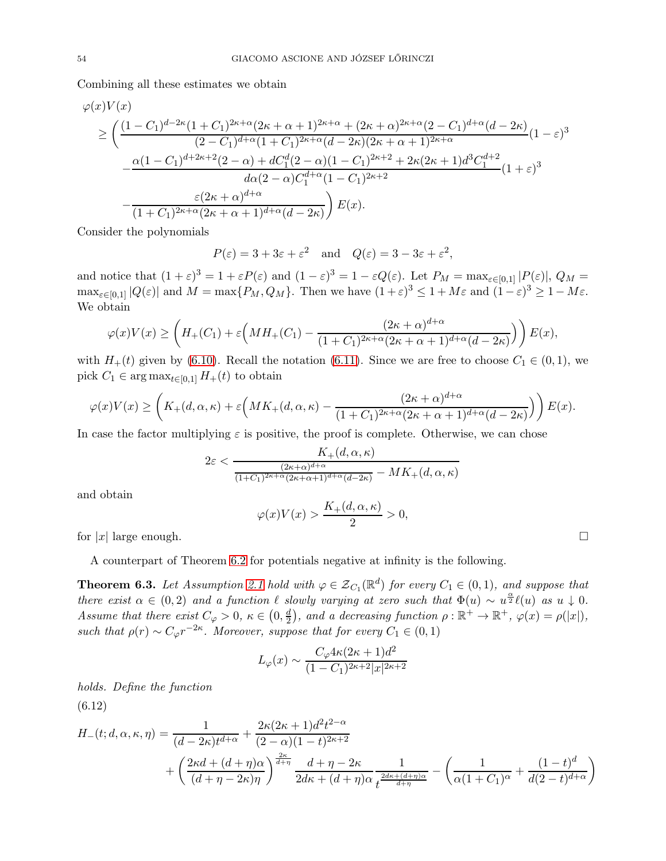Combining all these estimates we obtain

$$
\varphi(x)V(x)
$$
\n
$$
\geq \left(\frac{(1-C_1)^{d-2\kappa}(1+C_1)^{2\kappa+\alpha}(2\kappa+\alpha+1)^{2\kappa+\alpha} + (2\kappa+\alpha)^{2\kappa+\alpha}(2-C_1)^{d+\alpha}(d-2\kappa)}{(2-C_1)^{d+\alpha}(1+C_1)^{2\kappa+\alpha}(d-2\kappa)(2\kappa+\alpha+1)^{2\kappa+\alpha}}(1-\varepsilon)^3 - \frac{\alpha(1-C_1)^{d+2\kappa+2}(2-\alpha)+dC_1^d(2-\alpha)(1-C_1)^{2\kappa+2} + 2\kappa(2\kappa+1)d^3C_1^{d+2}}{d\alpha(2-\alpha)C_1^{d+\alpha}(1-C_1)^{2\kappa+2}}(1+\varepsilon)^3 - \frac{\varepsilon(2\kappa+\alpha)^{d+\alpha}}{(1+C_1)^{2\kappa+\alpha}(2\kappa+\alpha+1)^{d+\alpha}(d-2\kappa)}\right)E(x).
$$

Consider the polynomials

$$
P(\varepsilon) = 3 + 3\varepsilon + \varepsilon^2
$$
 and  $Q(\varepsilon) = 3 - 3\varepsilon + \varepsilon^2$ ,

and notice that  $(1+\varepsilon)^3 = 1 + \varepsilon P(\varepsilon)$  and  $(1-\varepsilon)^3 = 1 - \varepsilon Q(\varepsilon)$ . Let  $P_M = \max_{\varepsilon \in [0,1]} |P(\varepsilon)|$ ,  $Q_M =$  $\max_{\varepsilon \in [0,1]} |Q(\varepsilon)|$  and  $M = \max\{P_M, Q_M\}$ . Then we have  $(1+\varepsilon)^3 \le 1 + M\varepsilon$  and  $(1-\varepsilon)^3 \ge 1 - M\varepsilon$ . We obtain

$$
\varphi(x)V(x) \ge \left(H_+(C_1) + \varepsilon \left(MH_+(C_1) - \frac{(2\kappa + \alpha)^{d+\alpha}}{(1+C_1)^{2\kappa+\alpha}(2\kappa + \alpha + 1)^{d+\alpha}(d-2\kappa)}\right)\right)E(x),
$$

with  $H_+(t)$  given by [\(6.10\)](#page-51-0). Recall the notation [\(6.11\)](#page-51-1). Since we are free to choose  $C_1 \in (0,1)$ , we pick  $C_1 \in \arg \max_{t \in [0,1]} H_+(t)$  to obtain

$$
\varphi(x)V(x) \ge \left( K_+(d,\alpha,\kappa) + \varepsilon \left( MK_+(d,\alpha,\kappa) - \frac{(2\kappa+\alpha)^{d+\alpha}}{(1+C_1)^{2\kappa+\alpha}(2\kappa+\alpha+1)^{d+\alpha}(d-2\kappa)} \right) \right) E(x).
$$

In case the factor multiplying  $\varepsilon$  is positive, the proof is complete. Otherwise, we can chose

$$
2\varepsilon < \frac{K_+(d,\alpha,\kappa)}{\frac{(2\kappa+\alpha)^{d+\alpha}}{(1+C_1)^{2\kappa+\alpha}(2\kappa+\alpha+1)^{d+\alpha}(d-2\kappa)} - MK_+(d,\alpha,\kappa)}
$$

and obtain

$$
\varphi(x)V(x) > \frac{K_+(d,\alpha,\kappa)}{2} > 0,
$$

for  $|x|$  large enough.

A counterpart of Theorem [6.2](#page-51-2) for potentials negative at infinity is the following.

<span id="page-53-0"></span>**Theorem 6.3.** Let Assumption [2.1](#page-21-0) hold with  $\varphi \in \mathcal{Z}_{C_1}(\mathbb{R}^d)$  for every  $C_1 \in (0,1)$ , and suppose that there exist  $\alpha \in (0, 2)$  and a function  $\ell$  slowly varying at zero such that  $\Phi(u) \sim u^{\frac{\alpha}{2}} \ell(u)$  as  $u \downarrow 0$ . Assume that there exist  $C_{\varphi} > 0$ ,  $\kappa \in (0, \frac{d}{2})$ , and a decreasing function  $\rho : \mathbb{R}^+ \to \mathbb{R}^+$ ,  $\varphi(x) = \rho(|x|)$ , 2 such that  $\rho(r) \sim C_{\varphi} r^{-2\kappa}$ . Moreover, suppose that for every  $C_1 \in (0,1)$ 

$$
L_{\varphi}(x) \sim \frac{C_{\varphi} 4\kappa (2\kappa + 1)d^2}{(1 - C_1)^{2\kappa + 2}|x|^{2\kappa + 2}}
$$

<span id="page-53-1"></span>holds. Define the function (6.12)

$$
H_{-}(t; d, \alpha, \kappa, \eta) = \frac{1}{(d - 2\kappa)t^{d + \alpha}} + \frac{2\kappa(2\kappa + 1)d^{2}t^{2 - \alpha}}{(2 - \alpha)(1 - t)^{2\kappa + 2}} + \left(\frac{2\kappa d + (d + \eta)\alpha}{(d + \eta - 2\kappa)\eta}\right)^{\frac{2\kappa}{d + \eta}} \frac{d + \eta - 2\kappa}{2d\kappa + (d + \eta)\alpha} \frac{1}{t^{\frac{2d\kappa + (d + \eta)\alpha}{d + \eta}}} - \left(\frac{1}{\alpha(1 + C_{1})^{\alpha}} + \frac{(1 - t)^{d}}{d(2 - t)^{d + \alpha}}\right)
$$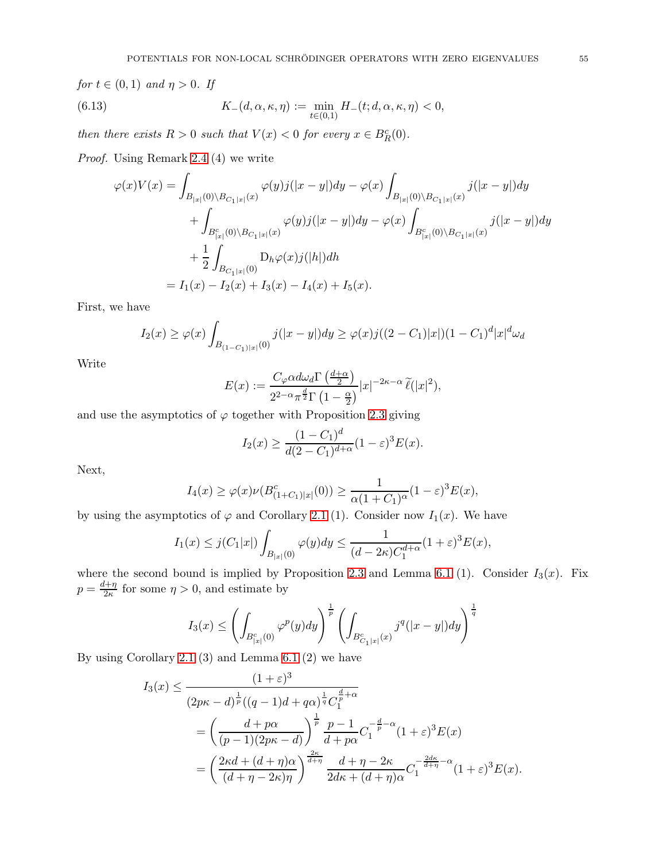for  $t \in (0,1)$  and  $\eta > 0$ . If (6.13)  $K_-(d, \alpha, \kappa, \eta) := \min_{t \in (0,1)} H_-(t; d, \alpha, \kappa, \eta) < 0,$ 

then there exists  $R > 0$  such that  $V(x) < 0$  for every  $x \in B_R^c(0)$ .

Proof. Using Remark [2.4](#page-20-0) (4) we write

<span id="page-54-0"></span>
$$
\varphi(x)V(x) = \int_{B_{|x|}(0)\backslash B_{C_1|x|}(x)} \varphi(y)j(|x-y|)dy - \varphi(x)\int_{B_{|x|}(0)\backslash B_{C_1|x|}(x)} j(|x-y|)dy \n+ \int_{B_{|x|}^c(0)\backslash B_{C_1|x|}(x)} \varphi(y)j(|x-y|)dy - \varphi(x)\int_{B_{|x|}^c(0)\backslash B_{C_1|x|}(x)} j(|x-y|)dy \n+ \frac{1}{2}\int_{B_{C_1|x|}(0)} D_h\varphi(x)j(|h|)dh \n= I_1(x) - I_2(x) + I_3(x) - I_4(x) + I_5(x).
$$

First, we have

$$
I_2(x) \ge \varphi(x) \int_{B_{(1-C_1)|x|}(0)} j(|x-y|) dy \ge \varphi(x) j((2-C_1)|x|)(1-C_1)^d |x|^d \omega_d
$$

Write

$$
E(x) := \frac{C_{\varphi}\alpha d\omega_d \Gamma\left(\frac{d+\alpha}{2}\right)}{2^{2-\alpha}\pi^{\frac{d}{2}}\Gamma\left(1-\frac{\alpha}{2}\right)}|x|^{-2\kappa-\alpha}\widetilde{\ell}(|x|^2),
$$

and use the asymptotics of  $\varphi$  together with Proposition [2.3](#page-11-0) giving

$$
I_2(x) \ge \frac{(1 - C_1)^d}{d(2 - C_1)^{d + \alpha}} (1 - \varepsilon)^3 E(x).
$$

Next,

$$
I_4(x) \ge \varphi(x)\nu(B_{(1+C_1)|x|}^c(0)) \ge \frac{1}{\alpha(1+C_1)^{\alpha}}(1-\varepsilon)^3 E(x),
$$

by using the asymptotics of  $\varphi$  and Corollary [2.1](#page-13-0) (1). Consider now  $I_1(x)$ . We have

$$
I_1(x) \le j(C_1|x|) \int_{B_{|x|}(0)} \varphi(y) dy \le \frac{1}{(d-2\kappa)C_1^{d+\alpha}} (1+\varepsilon)^3 E(x),
$$

where the second bound is implied by Proposition [2.3](#page-11-0) and Lemma [6.1](#page-50-2) (1). Consider  $I_3(x)$ . Fix  $p = \frac{d+\eta}{2\kappa}$  $\frac{d+ \eta}{2\kappa}$  for some  $\eta > 0$ , and estimate by

$$
I_3(x) \le \left(\int_{B_{|x|}^c(0)} \varphi^p(y) dy\right)^{\frac{1}{p}} \left(\int_{B_{C_1|x|}^c(x)} j^q(|x-y|) dy\right)^{\frac{1}{q}}
$$

By using Corollary [2.1](#page-13-0) (3) and Lemma [6.1](#page-50-2) (2) we have

$$
I_3(x) \le \frac{(1+\varepsilon)^3}{(2p\kappa-d)^{\frac{1}{p}}((q-1)d+q\alpha)^{\frac{1}{q}}C_1^{\frac{d}{p}+\alpha}}
$$
  
= 
$$
\left(\frac{d+p\alpha}{(p-1)(2p\kappa-d)}\right)^{\frac{1}{p}} \frac{p-1}{d+p\alpha}C_1^{-\frac{d}{p}-\alpha}(1+\varepsilon)^3 E(x)
$$
  
= 
$$
\left(\frac{2\kappa d+(d+\eta)\alpha}{(d+\eta-2\kappa)\eta}\right)^{\frac{2\kappa}{d+\eta}} \frac{d+\eta-2\kappa}{2d\kappa+(d+\eta)\alpha}C_1^{-\frac{2d\kappa}{d+\eta}-\alpha}(1+\varepsilon)^3 E(x).
$$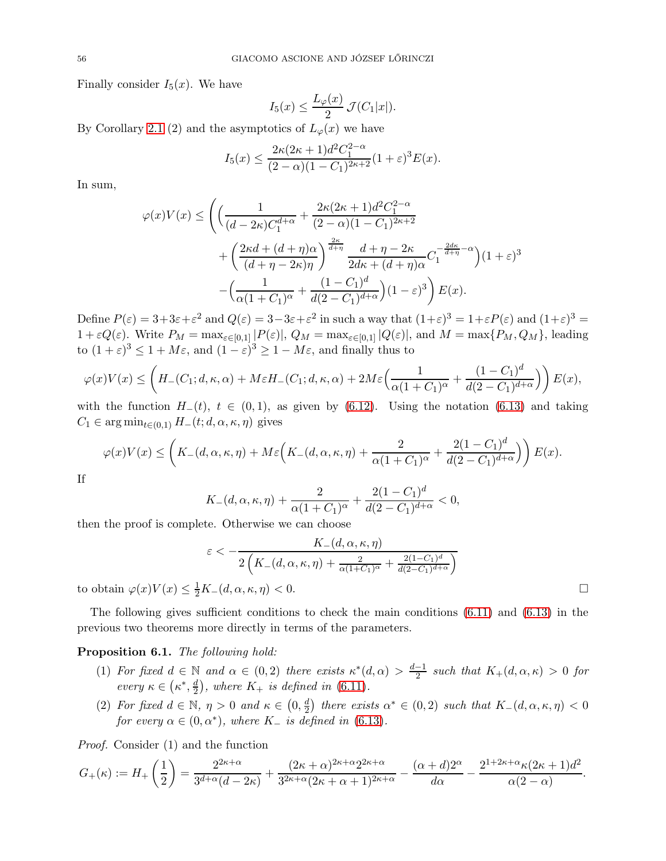Finally consider  $I_5(x)$ . We have

$$
I_5(x) \le \frac{L_\varphi(x)}{2} \mathcal{J}(C_1|x|).
$$

By Corollary [2.1](#page-13-0) (2) and the asymptotics of  $L_{\varphi}(x)$  we have

$$
I_5(x) \le \frac{2\kappa (2\kappa + 1)d^2 C_1^{2-\alpha}}{(2-\alpha)(1-C_1)^{2\kappa+2}} (1+\varepsilon)^3 E(x).
$$

In sum,

$$
\varphi(x)V(x) \le \left( \left( \frac{1}{(d-2\kappa)C_1^{d+\alpha}} + \frac{2\kappa(2\kappa+1)d^2C_1^{2-\alpha}}{(2-\alpha)(1-C_1)^{2\kappa+2}} + \left( \frac{2\kappa d + (d+\eta)\alpha}{(d+\eta-2\kappa)\eta} \right)^{\frac{2\kappa}{d+\eta}} \frac{d+\eta-2\kappa}{2d\kappa+(d+\eta)\alpha} C_1^{-\frac{2d\kappa}{d+\eta}-\alpha} \right) (1+\varepsilon)^3 - \left( \frac{1}{\alpha(1+C_1)^{\alpha}} + \frac{(1-C_1)^d}{d(2-C_1)^{d+\alpha}} \right) (1-\varepsilon)^3 \right) E(x).
$$

Define  $P(\varepsilon) = 3 + 3\varepsilon + \varepsilon^2$  and  $Q(\varepsilon) = 3 - 3\varepsilon + \varepsilon^2$  in such a way that  $(1+\varepsilon)^3 = 1 + \varepsilon P(\varepsilon)$  and  $(1+\varepsilon)^3 = 1$  $1 + \varepsilon Q(\varepsilon)$ . Write  $P_M = \max_{\varepsilon \in [0,1]} |P(\varepsilon)|$ ,  $Q_M = \max_{\varepsilon \in [0,1]} |Q(\varepsilon)|$ , and  $M = \max\{P_M, Q_M\}$ , leading to  $(1+\varepsilon)^3 \le 1 + M\varepsilon$ , and  $(1-\varepsilon)^3 \ge 1 - M\varepsilon$ , and finally thus to

$$
\varphi(x)V(x) \le \left( H_-(C_1; d, \kappa, \alpha) + M\varepsilon H_-(C_1; d, \kappa, \alpha) + 2M\varepsilon \left( \frac{1}{\alpha(1+C_1)^{\alpha}} + \frac{(1-C_1)^d}{d(2-C_1)^{d+\alpha}} \right) \right) E(x),
$$

with the function  $H_-(t)$ ,  $t \in (0,1)$ , as given by [\(6.12\)](#page-53-1). Using the notation [\(6.13\)](#page-54-0) and taking  $C_1 \in \arg \min_{t \in (0,1)} H_-(t; d, \alpha, \kappa, \eta)$  gives

$$
\varphi(x)V(x) \le \left( K_-(d,\alpha,\kappa,\eta) + M\varepsilon \left( K_-(d,\alpha,\kappa,\eta) + \frac{2}{\alpha(1+C_1)^{\alpha}} + \frac{2(1-C_1)^d}{d(2-C_1)^{d+\alpha}} \right) \right) E(x).
$$

If

$$
K_{-}(d, \alpha, \kappa, \eta) + \frac{2}{\alpha (1 + C_1)^{\alpha}} + \frac{2(1 - C_1)^{d}}{d(2 - C_1)^{d + \alpha}} < 0,
$$

then the proof is complete. Otherwise we can choose

$$
\varepsilon < -\frac{K_{-}(d,\alpha,\kappa,\eta)}{2\left(K_{-}(d,\alpha,\kappa,\eta) + \frac{2}{\alpha(1+C_1)^{\alpha}} + \frac{2(1-C_1)^d}{d(2-C_1)^{d+\alpha}}\right)}
$$
  
to obtain  $\varphi(x)V(x) \le \frac{1}{2}K_{-}(d,\alpha,\kappa,\eta) < 0.$ 

The following gives sufficient conditions to check the main conditions  $(6.11)$  and  $(6.13)$  in the previous two theorems more directly in terms of the parameters.

# <span id="page-55-0"></span>Proposition 6.1. The following hold:

- (1) For fixed  $d \in \mathbb{N}$  and  $\alpha \in (0,2)$  there exists  $\kappa^*(d,\alpha) > \frac{d-1}{2}$  such that  $K_+(d,\alpha,\kappa) > 0$  for every  $\kappa \in (\kappa^*, \frac{d}{2})$  $\frac{d}{2}$ , where  $K_+$  is defined in [\(6.11\)](#page-51-1).
- (2) For fixed  $d \in \mathbb{N}$ ,  $\eta > 0$  and  $\kappa \in (0, \frac{d}{2})$  $\frac{d}{2}$ ) there exists  $\alpha^* \in (0,2)$  such that  $K_-(d,\alpha,\kappa,\eta) < 0$ for every  $\alpha \in (0, \alpha^*)$ , where K<sub>-</sub> is defined in  $(6.13)$ .

Proof. Consider (1) and the function

$$
G_{+}(\kappa) := H_{+}\left(\frac{1}{2}\right) = \frac{2^{2\kappa+\alpha}}{3^{d+\alpha}(d-2\kappa)} + \frac{(2\kappa+\alpha)^{2\kappa+\alpha}2^{2\kappa+\alpha}}{3^{2\kappa+\alpha}(2\kappa+\alpha+1)^{2\kappa+\alpha}} - \frac{(\alpha+d)2^{\alpha}}{d\alpha} - \frac{2^{1+2\kappa+\alpha}\kappa(2\kappa+1)d^2}{\alpha(2-\alpha)}.
$$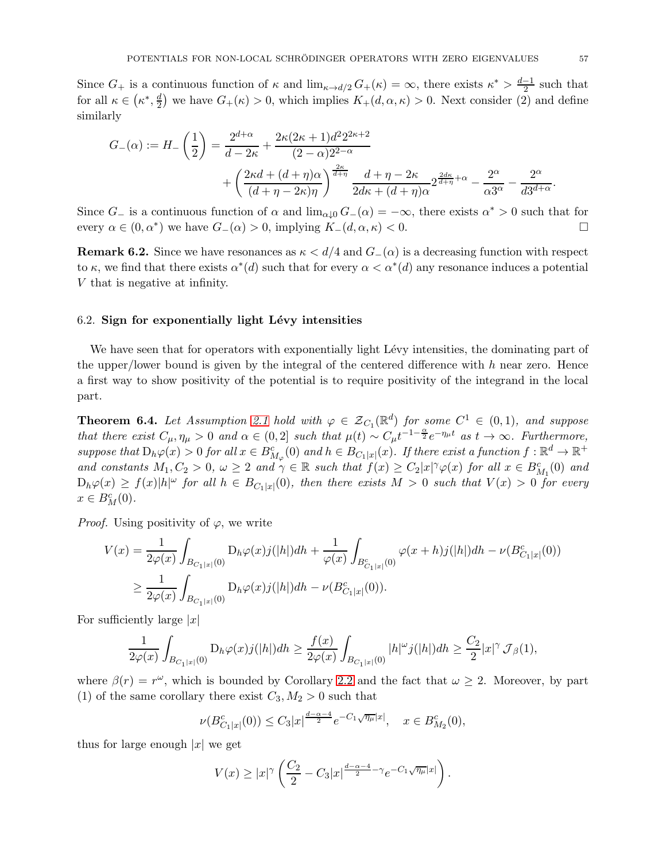Since  $G_+$  is a continuous function of  $\kappa$  and  $\lim_{\kappa \to d/2} G_+(\kappa) = \infty$ , there exists  $\kappa^* > \frac{d-1}{2}$  such that for all  $\kappa \in (\kappa^*, \frac{d}{2})$  $\frac{d}{2}$ ) we have  $G_{+}(\kappa) > 0$ , which implies  $K_{+}(d, \alpha, \kappa) > 0$ . Next consider (2) and define similarly

$$
G_{-}(\alpha) := H_{-}\left(\frac{1}{2}\right) = \frac{2^{d+\alpha}}{d-2\kappa} + \frac{2\kappa(2\kappa+1)d^2 2^{2\kappa+2}}{(2-\alpha)2^{2-\alpha}} + \left(\frac{2\kappa d + (d+\eta)\alpha}{(d+\eta-2\kappa)\eta}\right)^{\frac{2\kappa}{d+\eta}} \frac{d+\eta-2\kappa}{2d\kappa + (d+\eta)\alpha} 2^{\frac{2d\kappa}{d+\eta}+\alpha} - \frac{2^{\alpha}}{\alpha 3^{\alpha}} - \frac{2^{\alpha}}{d3^{d+\alpha}}.
$$

Since  $G_{-}$  is a continuous function of  $\alpha$  and  $\lim_{\alpha\downarrow 0} G_{-}(\alpha) = -\infty$ , there exists  $\alpha^* > 0$  such that for every  $\alpha \in (0, \alpha^*)$  we have  $G_-(\alpha) > 0$ , implying  $K_-(d, \alpha, \kappa) < 0$ .

**Remark 6.2.** Since we have resonances as  $\kappa < d/4$  and  $G_-(\alpha)$  is a decreasing function with respect to  $\kappa$ , we find that there exists  $\alpha^*(d)$  such that for every  $\alpha < \alpha^*(d)$  any resonance induces a potential V that is negative at infinity.

#### $6.2.$  Sign for exponentially light Lévy intensities

We have seen that for operators with exponentially light Lévy intensities, the dominating part of the upper/lower bound is given by the integral of the centered difference with  $h$  near zero. Hence a first way to show positivity of the potential is to require positivity of the integrand in the local part.

<span id="page-56-0"></span>**Theorem 6.4.** Let Assumption [2.1](#page-21-0) hold with  $\varphi \in \mathcal{Z}_{C_1}(\mathbb{R}^d)$  for some  $C^1 \in (0,1)$ , and suppose that there exist  $C_{\mu}, \eta_{\mu} > 0$  and  $\alpha \in (0, 2]$  such that  $\mu(t) \sim C_{\mu} t^{-1-\frac{\alpha}{2}} e^{-\eta_{\mu} t}$  as  $t \to \infty$ . Furthermore, suppose that  $D_h\varphi(x) > 0$  for all  $x \in B_{M_{\varphi}}^c(0)$  and  $h \in B_{C_1|x|}(x)$ . If there exist a function  $f : \mathbb{R}^d \to \mathbb{R}^+$ and constants  $M_1, C_2 > 0$ ,  $\omega \geq 2$  and  $\gamma \in \mathbb{R}$  such that  $f(x) \geq C_2 |x|^{\gamma} \varphi(x)$  for all  $x \in B_{M_1}^c(0)$  and  $D_h\varphi(x) \ge f(x)|h|^\omega$  for all  $h \in B_{C_1|x|}(0)$ , then there exists  $M > 0$  such that  $V(x) > 0$  for every  $x \in B_M^c(0)$ .

*Proof.* Using positivity of  $\varphi$ , we write

$$
V(x) = \frac{1}{2\varphi(x)} \int_{B_{C_1|x|}(0)} D_h \varphi(x) j(|h|) dh + \frac{1}{\varphi(x)} \int_{B_{C_1|x|}^c(0)} \varphi(x+h) j(|h|) dh - \nu(B_{C_1|x|}^c(0))
$$
  

$$
\geq \frac{1}{2\varphi(x)} \int_{B_{C_1|x|}(0)} D_h \varphi(x) j(|h|) dh - \nu(B_{C_1|x|}^c(0)).
$$

For sufficiently large  $|x|$ 

$$
\frac{1}{2\varphi(x)}\int_{B_{C_1|x|}(0)}\mathcal{D}_h\varphi(x)j(|h|)dh\geq \frac{f(x)}{2\varphi(x)}\int_{B_{C_1|x|}(0)}|h|^{\omega}j(|h|)dh\geq \frac{C_2}{2}|x|^{\gamma}\,\mathcal{J}_{\beta}(1),
$$

where  $\beta(r) = r^{\omega}$ , which is bounded by Corollary [2.2](#page-16-0) and the fact that  $\omega \geq 2$ . Moreover, by part (1) of the same corollary there exist  $C_3, M_2 > 0$  such that

$$
\nu(B_{C_1|x|}^c(0)) \leq C_3|x|^{\frac{d-\alpha-4}{2}}e^{-C_1\sqrt{\eta_\mu}|x|}, \quad x \in B_{M_2}^c(0),
$$

thus for large enough  $|x|$  we get

$$
V(x) \geq |x|^{\gamma} \left( \frac{C_2}{2} - C_3|x|^{\frac{d-\alpha-4}{2} - \gamma} e^{-C_1 \sqrt{\eta_{\mu}}|x|} \right).
$$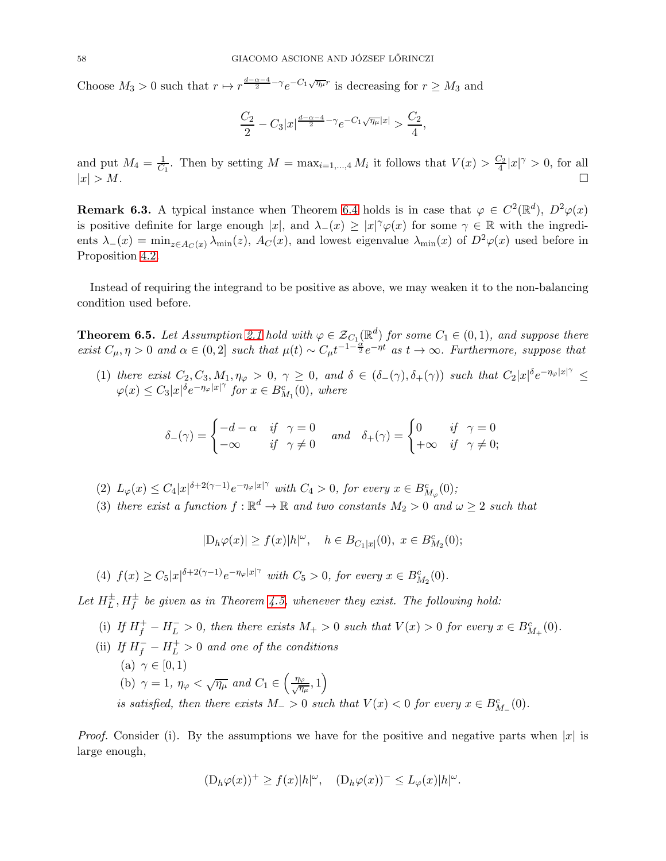Choose  $M_3 > 0$  such that  $r \mapsto r^{\frac{d-\alpha-4}{2}-\gamma} e^{-C_1 \sqrt{\eta_\mu} r}$  is decreasing for  $r \ge M_3$  and

$$
\frac{C_2}{2}-C_3|x|^{\frac{d-\alpha-4}{2}-\gamma}e^{-C_1\sqrt{\eta_{\mu}}|x|} > \frac{C_2}{4},
$$

and put  $M_4 = \frac{1}{C_1}$ . Then by setting  $M = \max_{i=1,\dots,4} M_i$  it follows that  $V(x) > \frac{C_2}{4}|x|^\gamma > 0$ , for all  $|x| > M$ .

**Remark 6.3.** A typical instance when Theorem [6.4](#page-56-0) holds is in case that  $\varphi \in C^2(\mathbb{R}^d)$ ,  $D^2\varphi(x)$ is positive definite for large enough  $|x|$ , and  $\lambda_-(x) \ge |x|^\gamma \varphi(x)$  for some  $\gamma \in \mathbb{R}$  with the ingredients  $\lambda_-(x) = \min_{z \in A_C(x)} \lambda_{\min}(z)$ ,  $A_C(x)$ , and lowest eigenvalue  $\lambda_{\min}(x)$  of  $D^2\varphi(x)$  used before in Proposition [4.2.](#page-38-1)

Instead of requiring the integrand to be positive as above, we may weaken it to the non-balancing condition used before.

<span id="page-57-0"></span>**Theorem 6.5.** Let Assumption [2.1](#page-21-0) hold with  $\varphi \in \mathcal{Z}_{C_1}(\mathbb{R}^d)$  for some  $C_1 \in (0,1)$ , and suppose there exist  $C_{\mu}, \eta > 0$  and  $\alpha \in (0, 2]$  such that  $\mu(t) \sim C_{\mu} t^{-1-\frac{\alpha}{2}} e^{-\eta t}$  as  $t \to \infty$ . Furthermore, suppose that

(1) there exist  $C_2, C_3, M_1, \eta_\varphi > 0, \ \gamma \geq 0, \ and \ \delta \in (\delta_-(\gamma), \delta_+(\gamma))$  such that  $C_2 |x|^\delta e^{-\eta_\varphi |x|^\gamma} \leq$  $\varphi(x) \leq C_3 |x|^{\delta} e^{-\eta_{\varphi}|x|^{\gamma}}$  for  $x \in B_{M_1}^c(0)$ , where

$$
\delta_{-}(\gamma) = \begin{cases}\n-d - \alpha & \text{if } \gamma = 0 \\
-\infty & \text{if } \gamma \neq 0\n\end{cases} \text{ and } \delta_{+}(\gamma) = \begin{cases}\n0 & \text{if } \gamma = 0 \\
+\infty & \text{if } \gamma \neq 0;\n\end{cases}
$$

- (2)  $L_{\varphi}(x) \leq C_4 |x|^{\delta+2(\gamma-1)} e^{-\eta_{\varphi}|x|^{\gamma}}$  with  $C_4 > 0$ , for every  $x \in B^{c}_{M_{\varphi}}(0)$ ;
- (3) there exist a function  $f : \mathbb{R}^d \to \mathbb{R}$  and two constants  $M_2 > 0$  and  $\omega \geq 2$  such that

 $|D_h\varphi(x)| \ge f(x)|h|^{2\omega}, \quad h \in B_{C_1|x|}(0), \ x \in B_{M_2}^c(0);$ 

(4)  $f(x) \ge C_5 |x|^{\delta+2(\gamma-1)} e^{-\eta_{\varphi}|x|^\gamma}$  with  $C_5 > 0$ , for every  $x \in B_{M_2}^c(0)$ .

Let  $H_L^{\pm}, H_f^{\pm}$  be given as in Theorem [4.5,](#page-35-1) whenever they exist. The following hold:

- (i) If  $H_f^+ H_L^- > 0$ , then there exists  $M_+ > 0$  such that  $V(x) > 0$  for every  $x \in B_{M_+}^c(0)$ .
- (ii) If  $H_f^- H_L^+ > 0$  and one of the conditions (a)  $\gamma \in [0,1)$ (b)  $\gamma = 1$ ,  $\eta_{\varphi} < \sqrt{\eta_{\mu}}$  and  $C_1 \in \left(\frac{\eta_{\varphi}}{\sqrt{\eta_{\mu}}}, 1\right)$ is satisfied, then there exists  $M_{-} > 0$  such that  $V(x) < 0$  for every  $x \in B_{M_{-}}^{c}(0)$ .

*Proof.* Consider (i). By the assumptions we have for the positive and negative parts when |x| is large enough,

$$
(\mathcal{D}_h\varphi(x))^+ \ge f(x)|h|^\omega, \quad (\mathcal{D}_h\varphi(x))^-\le L_\varphi(x)|h|^\omega.
$$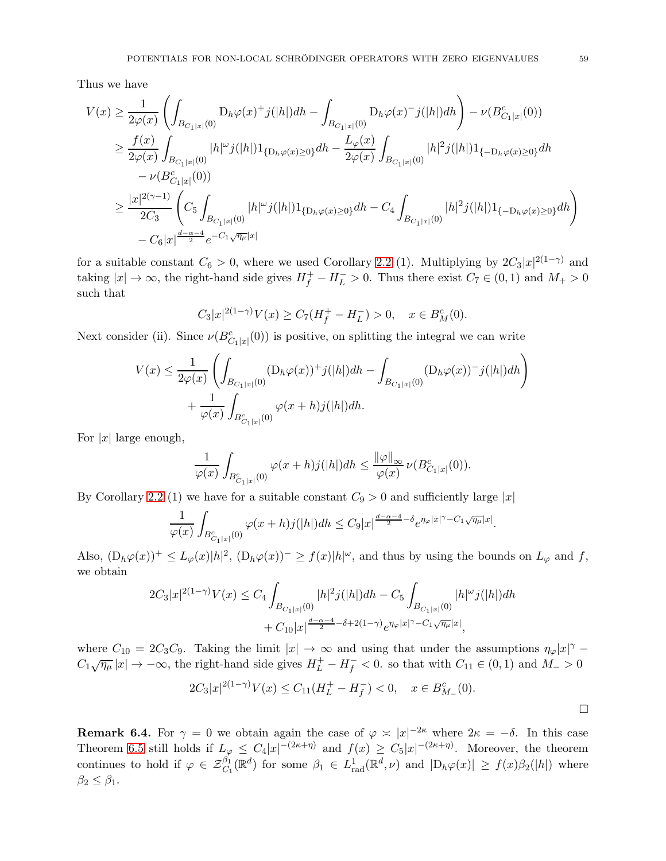Thus we have

$$
V(x) \geq \frac{1}{2\varphi(x)} \left( \int_{B_{C_1|x|}(0)} D_h \varphi(x)^+ j(|h|) dh - \int_{B_{C_1|x|}(0)} D_h \varphi(x)^- j(|h|) dh \right) - \nu(B_{C_1|x|}^c(0))
$$
  
\n
$$
\geq \frac{f(x)}{2\varphi(x)} \int_{B_{C_1|x|}(0)} |h|^{\omega} j(|h|) 1_{\{D_h \varphi(x) \geq 0\}} dh - \frac{L_{\varphi}(x)}{2\varphi(x)} \int_{B_{C_1|x|}(0)} |h|^2 j(|h|) 1_{\{-D_h \varphi(x) \geq 0\}} dh
$$
  
\n
$$
- \nu(B_{C_1|x|}^c(0))
$$
  
\n
$$
\geq \frac{|x|^{2(\gamma - 1)}}{2C_3} \left( C_5 \int_{B_{C_1|x|}(0)} |h|^{\omega} j(|h|) 1_{\{D_h \varphi(x) \geq 0\}} dh - C_4 \int_{B_{C_1|x|}(0)} |h|^2 j(|h|) 1_{\{-D_h \varphi(x) \geq 0\}} dh \right)
$$
  
\n
$$
- C_6 |x|^{\frac{d-\alpha - 4}{2}} e^{-C_1 \sqrt{\eta_{\mu}} |x|}
$$

for a suitable constant  $C_6 > 0$ , where we used Corollary [2.2](#page-16-0) (1). Multiplying by  $2C_3|x|^{2(1-\gamma)}$  and taking  $|x| \to \infty$ , the right-hand side gives  $H_f^+ - H_L^- > 0$ . Thus there exist  $C_7 \in (0, 1)$  and  $M_+ > 0$ such that

$$
C_3|x|^{2(1-\gamma)}V(x) \ge C_7(H_f^+ - H_L^-) > 0, \quad x \in B_M^c(0).
$$

Next consider (ii). Since  $\nu(B_{C_1|x|}^c(0))$  is positive, on splitting the integral we can write

$$
V(x) \le \frac{1}{2\varphi(x)} \left( \int_{B_{C_1|x|}(0)} (\mathcal{D}_h \varphi(x))^+ j(|h|) dh - \int_{B_{C_1|x|}(0)} (\mathcal{D}_h \varphi(x))^- j(|h|) dh \right) + \frac{1}{\varphi(x)} \int_{B_{C_1|x|}^c(0)} \varphi(x+h) j(|h|) dh.
$$

For  $|x|$  large enough,

$$
\frac{1}{\varphi(x)} \int_{B_{C_1|x|}^c(0)} \varphi(x+h) j(|h|) dh \le \frac{\|\varphi\|_{\infty}}{\varphi(x)} \nu(B_{C_1|x|}^c(0)).
$$

By Corollary [2.2](#page-16-0) (1) we have for a suitable constant  $C_9 > 0$  and sufficiently large |x|

$$
\frac{1}{\varphi(x)}\int_{B_{C_1|x|}^c(0)}\varphi(x+h)j(|h|)dh \leq C_9|x|^{\frac{d-\alpha-4}{2}-\delta}e^{\eta_{\varphi}|x|^\gamma-C_1\sqrt{\eta_{\mu}}|x|}.
$$

Also,  $(D_h\varphi(x))^+ \leq L_\varphi(x)|h|^2$ ,  $(D_h\varphi(x))^-\geq f(x)|h|^\omega$ , and thus by using the bounds on  $L_\varphi$  and f, we obtain

$$
2C_3|x|^{2(1-\gamma)}V(x) \le C_4 \int_{B_{C_1|x|}(0)} |h|^2 j(|h|) dh - C_5 \int_{B_{C_1|x|}(0)} |h|^{\omega} j(|h|) dh
$$
  
+  $C_{10}|x|^{\frac{d-\alpha-4}{2} - \delta + 2(1-\gamma)} e^{\eta_{\varphi}|x|^{\gamma} - C_1 \sqrt{\eta_{\mu}}|x|},$ 

where  $C_{10} = 2C_3C_9$ . Taking the limit  $|x| \to \infty$  and using that under the assumptions  $\eta_{\varphi}|x|^{\gamma}$  –  $C_1\sqrt{\eta_\mu}|x| \to -\infty$ , the right-hand side gives  $H_L^+ - H_f^- < 0$ . so that with  $C_{11} \in (0,1)$  and  $M_- > 0$ 

$$
2C_3|x|^{2(1-\gamma)}V(x) \le C_{11}(H_L^+ - H_f^-) < 0, \quad x \in B_{M_-}^c(0).
$$

 $\Box$ 

**Remark 6.4.** For  $\gamma = 0$  we obtain again the case of  $\varphi \approx |x|^{-2\kappa}$  where  $2\kappa = -\delta$ . In this case Theorem [6.5](#page-57-0) still holds if  $L_{\varphi} \leq C_4 |x|^{-(2\kappa+\eta)}$  and  $f(x) \geq C_5 |x|^{-(2\kappa+\eta)}$ . Moreover, the theorem continues to hold if  $\varphi \in \mathcal{Z}_{C_1}^{\beta_1}(\mathbb{R}^d)$  for some  $\beta_1 \in L^1_{rad}(\mathbb{R}^d, \nu)$  and  $|D_h\varphi(x)| \geq f(x)\beta_2(|h|)$  where  $\beta_2 \leq \beta_1$ .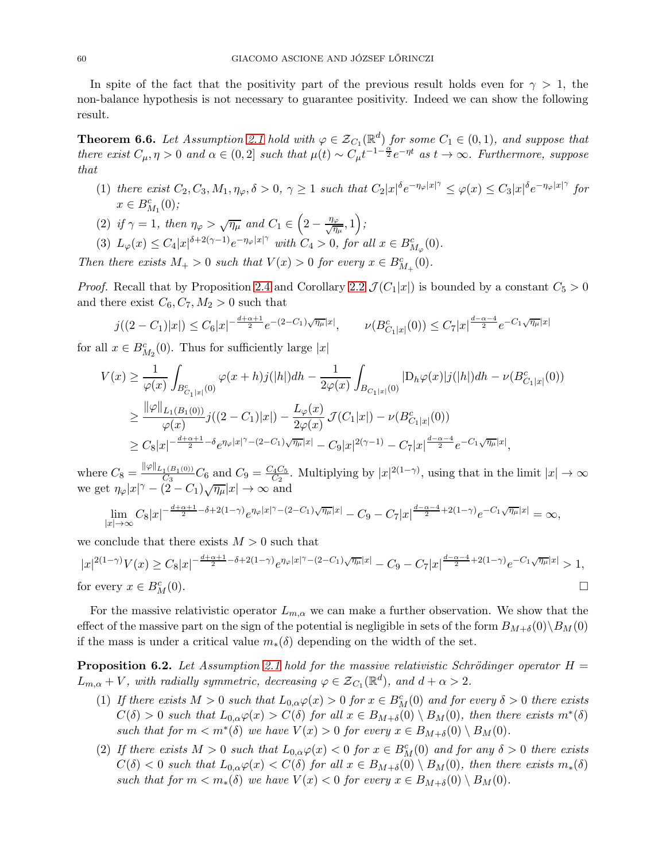In spite of the fact that the positivity part of the previous result holds even for  $\gamma > 1$ , the non-balance hypothesis is not necessary to guarantee positivity. Indeed we can show the following result.

**Theorem 6.6.** Let Assumption [2.1](#page-21-0) hold with  $\varphi \in \mathcal{Z}_{C_1}(\mathbb{R}^d)$  for some  $C_1 \in (0,1)$ , and suppose that there exist  $C_{\mu}, \eta > 0$  and  $\alpha \in (0, 2]$  such that  $\mu(t) \sim C_{\mu} t^{-1-\frac{\alpha}{2}} e^{-\eta t}$  as  $t \to \infty$ . Furthermore, suppose that

- (1) there exist  $C_2, C_3, M_1, \eta_\varphi, \delta > 0, \gamma \ge 1$  such that  $C_2|x|^\delta e^{-\eta_\varphi|x|^\gamma} \le \varphi(x) \le C_3|x|^\delta e^{-\eta_\varphi|x|^\gamma}$  for  $x \in B_{M_1}^c(0);$
- (2) if  $\gamma = 1$ , then  $\eta_{\varphi} > \sqrt{\eta_{\mu}}$  and  $C_1 \in \left(2 \frac{\eta_{\varphi}}{\sqrt{\eta_{\mu}}}, 1\right)$ ;
- (3)  $L_{\varphi}(x) \leq C_4 |x|^{\delta+2(\gamma-1)} e^{-\eta_{\varphi}|x|^{\gamma}}$  with  $C_4 > 0$ , for all  $x \in B^{c}_{M_{\varphi}}(0)$ .

Then there exists  $M_+ > 0$  such that  $V(x) > 0$  for every  $x \in B_{M_+}^c(0)$ .

*Proof.* Recall that by Proposition [2.4](#page-14-0) and Corollary [2.2](#page-16-0)  $\mathcal{J}(C_1|x|)$  is bounded by a constant  $C_5 > 0$ and there exist  $C_6, C_7, M_2 > 0$  such that

$$
j((2-C_1)|x|) \leq C_6|x|^{-\frac{d+\alpha+1}{2}}e^{-(2-C_1)\sqrt{\eta_{\mu}}|x|}, \qquad \nu(B_{C_1|x|}^c(0)) \leq C_7|x|^{\frac{d-\alpha-4}{2}}e^{-C_1\sqrt{\eta_{\mu}}|x|}
$$

for all  $x \in B_{M_2}^c(0)$ . Thus for sufficiently large  $|x|$ 

$$
V(x) \geq \frac{1}{\varphi(x)} \int_{B_{C_1|x|}^c(0)} \varphi(x+h)j(|h|)dh - \frac{1}{2\varphi(x)} \int_{B_{C_1|x|}(0)} |D_h\varphi(x)|j(|h|)dh - \nu(B_{C_1|x|}^c(0))
$$
  

$$
\geq \frac{\|\varphi\|_{L_1(B_1(0))}}{\varphi(x)}j((2-C_1)|x|) - \frac{L_{\varphi}(x)}{2\varphi(x)}\mathcal{J}(C_1|x|) - \nu(B_{C_1|x|}^c(0))
$$
  

$$
\geq C_8|x|^{-\frac{d+\alpha+1}{2}-\delta}e^{\eta_{\varphi}|x|^{\gamma}-(2-C_1)\sqrt{\eta_{\mu}}|x|} - C_9|x|^{2(\gamma-1)} - C_7|x|^{\frac{d-\alpha-4}{2}}e^{-C_1\sqrt{\eta_{\mu}}|x|},
$$

where  $C_8 = \frac{\|\varphi\|_{L_1(B_1(0))}}{C_3}$  $\frac{1^{(B_1(0))}}{C_3}C_6$  and  $C_9=\frac{C_4C_5}{C_2}$  $\frac{\Gamma_4 C_5}{C_2}$ . Multiplying by  $|x|^{2(1-\gamma)}$ , using that in the limit  $|x| \to \infty$ we get  $\eta_{\varphi}|x|^{\gamma} - (2 - C_1)\sqrt{\eta_{\mu}}|x| \to \infty$  and

$$
\lim_{|x|\to\infty}C_8|x|^{-\frac{d+\alpha+1}{2}-\delta+2(1-\gamma)}e^{\eta_\varphi|x|^\gamma-(2-C_1)\sqrt{\eta_\mu}|x|}-C_9-C_7|x|^{\frac{d-\alpha-4}{2}+2(1-\gamma)}e^{-C_1\sqrt{\eta_\mu}|x|}=\infty,
$$

we conclude that there exists  $M > 0$  such that

$$
|x|^{2(1-\gamma)}V(x) \ge C_8|x|^{-\frac{d+\alpha+1}{2}-\delta+2(1-\gamma)}e^{\eta_{\varphi}|x|^{\gamma}-(2-C_1)\sqrt{\eta_{\mu}}|x|} - C_9 - C_7|x|^{\frac{d-\alpha-4}{2}+2(1-\gamma)}e^{-C_1\sqrt{\eta_{\mu}}|x|} > 1,
$$
  
for every  $x \in B_M^c(0)$ .

For the massive relativistic operator  $L_{m,\alpha}$  we can make a further observation. We show that the effect of the massive part on the sign of the potential is negligible in sets of the form  $B_{M+\delta}(0)\backslash B_M(0)$ if the mass is under a critical value  $m_*(\delta)$  depending on the width of the set.

**Proposition 6.2.** Let Assumption [2.1](#page-21-0) hold for the massive relativistic Schrödinger operator  $H =$  $L_{m,\alpha} + V$ , with radially symmetric, decreasing  $\varphi \in \mathcal{Z}_{C_1}(\mathbb{R}^d)$ , and  $d + \alpha > 2$ .

- (1) If there exists  $M > 0$  such that  $L_{0,\alpha} \varphi(x) > 0$  for  $x \in B_M^c(0)$  and for every  $\delta > 0$  there exists  $C(\delta) > 0$  such that  $L_{0,\alpha} \varphi(x) > C(\delta)$  for all  $x \in B_{M+\delta}(0) \setminus B_M(0)$ , then there exists  $m^*(\delta)$ such that for  $m < m^*(\delta)$  we have  $V(x) > 0$  for every  $x \in B_{M+\delta}(0) \setminus B_M(0)$ .
- (2) If there exists  $M > 0$  such that  $L_{0,\alpha} \varphi(x) < 0$  for  $x \in B^c_M(0)$  and for any  $\delta > 0$  there exists  $C(\delta) < 0$  such that  $L_{0,\alpha}\varphi(x) < C(\delta)$  for all  $x \in B_{M+\delta}(0) \setminus B_M(0)$ , then there exists  $m_*(\delta)$ such that for  $m < m_*(\delta)$  we have  $V(x) < 0$  for every  $x \in B_{M+\delta}(0) \setminus B_M(0)$ .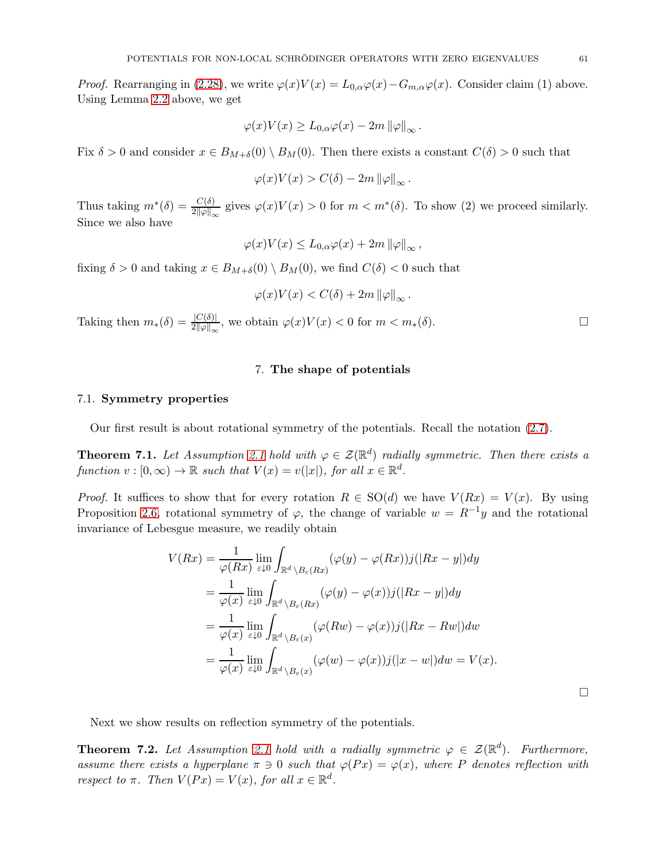*Proof.* Rearranging in [\(2.28\)](#page-25-0), we write  $\varphi(x)V(x) = L_{0,\alpha}\varphi(x) - G_{m,\alpha}\varphi(x)$ . Consider claim (1) above. Using Lemma [2.2](#page-25-3) above, we get

$$
\varphi(x)V(x) \ge L_{0,\alpha}\varphi(x) - 2m \|\varphi\|_{\infty}.
$$

Fix  $\delta > 0$  and consider  $x \in B_{M+\delta}(0) \setminus B_M(0)$ . Then there exists a constant  $C(\delta) > 0$  such that

$$
\varphi(x)V(x) > C(\delta) - 2m \left\|\varphi\right\|_{\infty}.
$$

Thus taking  $m^*(\delta) = \frac{C(\delta)}{2||\varphi||_{\infty}}$  gives  $\varphi(x)V(x) > 0$  for  $m < m^*(\delta)$ . To show (2) we proceed similarly. Since we also have

$$
\varphi(x)V(x) \le L_{0,\alpha}\varphi(x) + 2m \left\|\varphi\right\|_{\infty},
$$

fixing  $\delta > 0$  and taking  $x \in B_{M+\delta}(0) \setminus B_M(0)$ , we find  $C(\delta) < 0$  such that

$$
\varphi(x)V(x) < C(\delta) + 2m \left\|\varphi\right\|_{\infty}.
$$

Taking then  $m_*(\delta) = \frac{|C(\delta)|}{2||\varphi||_{\infty}},$  we obtain  $\varphi(x)V(x) < 0$  for  $m < m_*(\delta)$ .

#### 7. The shape of potentials

#### 7.1. Symmetry properties

Our first result is about rotational symmetry of the potentials. Recall the notation [\(2.7\)](#page-13-1).

**Theorem 7.1.** Let Assumption [2.1](#page-21-0) hold with  $\varphi \in \mathcal{Z}(\mathbb{R}^d)$  radially symmetric. Then there exists a function  $v : [0, \infty) \to \mathbb{R}$  such that  $V(x) = v(|x|)$ , for all  $x \in \mathbb{R}^d$ .

*Proof.* It suffices to show that for every rotation  $R \in SO(d)$  we have  $V(Rx) = V(x)$ . By using Proposition [2.6,](#page-19-0) rotational symmetry of  $\varphi$ , the change of variable  $w = R^{-1}y$  and the rotational invariance of Lebesgue measure, we readily obtain

$$
V(Rx) = \frac{1}{\varphi(Rx)} \lim_{\varepsilon \downarrow 0} \int_{\mathbb{R}^d \backslash B_{\varepsilon}(Rx)} (\varphi(y) - \varphi(Rx))j(|Rx - y|)dy
$$
  
\n
$$
= \frac{1}{\varphi(x)} \lim_{\varepsilon \downarrow 0} \int_{\mathbb{R}^d \backslash B_{\varepsilon}(Rx)} (\varphi(y) - \varphi(x))j(|Rx - y|)dy
$$
  
\n
$$
= \frac{1}{\varphi(x)} \lim_{\varepsilon \downarrow 0} \int_{\mathbb{R}^d \backslash B_{\varepsilon}(x)} (\varphi(Rw) - \varphi(x))j(|Rx - Rw|)dw
$$
  
\n
$$
= \frac{1}{\varphi(x)} \lim_{\varepsilon \downarrow 0} \int_{\mathbb{R}^d \backslash B_{\varepsilon}(x)} (\varphi(w) - \varphi(x))j(|x - w|)dw = V(x).
$$

Next we show results on reflection symmetry of the potentials.

**Theorem 7.2.** Let Assumption [2.1](#page-21-0) hold with a radially symmetric  $\varphi \in \mathcal{Z}(\mathbb{R}^d)$ . Furthermore, assume there exists a hyperplane  $\pi \ni 0$  such that  $\varphi(Px) = \varphi(x)$ , where P denotes reflection with respect to  $\pi$ . Then  $V(Px) = V(x)$ , for all  $x \in \mathbb{R}^d$ .

 $\Box$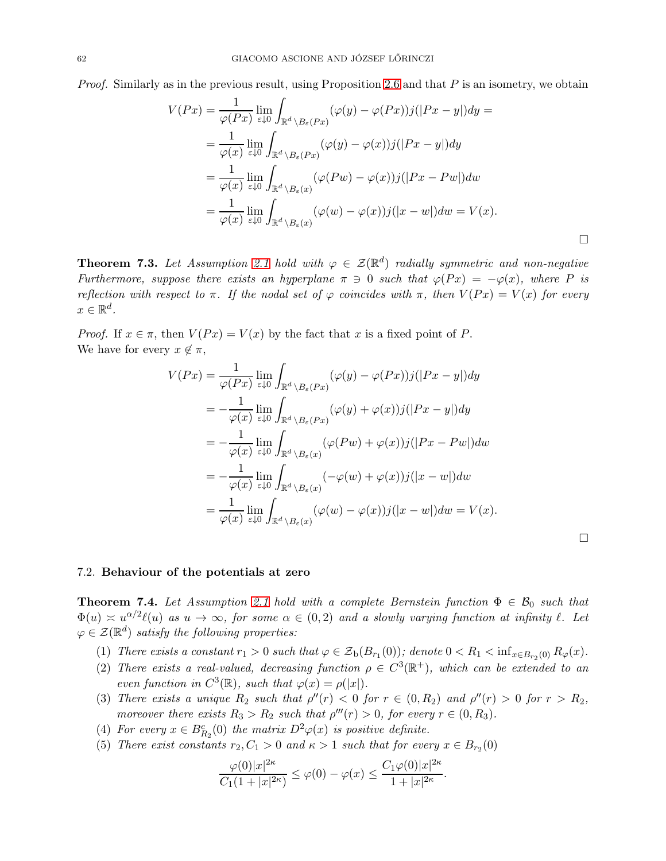*Proof.* Similarly as in the previous result, using Proposition [2.6](#page-19-0) and that  $P$  is an isometry, we obtain

$$
V(Px) = \frac{1}{\varphi(Px)} \lim_{\varepsilon \downarrow 0} \int_{\mathbb{R}^d \backslash B_{\varepsilon}(Px)} (\varphi(y) - \varphi(Px))j(|Px - y|)dy =
$$
  
\n
$$
= \frac{1}{\varphi(x)} \lim_{\varepsilon \downarrow 0} \int_{\mathbb{R}^d \backslash B_{\varepsilon}(Px)} (\varphi(y) - \varphi(x))j(|Px - y|)dy
$$
  
\n
$$
= \frac{1}{\varphi(x)} \lim_{\varepsilon \downarrow 0} \int_{\mathbb{R}^d \backslash B_{\varepsilon}(x)} (\varphi(Pw) - \varphi(x))j(|Px - Pw|)dw
$$
  
\n
$$
= \frac{1}{\varphi(x)} \lim_{\varepsilon \downarrow 0} \int_{\mathbb{R}^d \backslash B_{\varepsilon}(x)} (\varphi(w) - \varphi(x))j(|x - w|)dw = V(x).
$$

**Theorem 7.3.** Let Assumption [2.1](#page-21-0) hold with  $\varphi \in \mathcal{Z}(\mathbb{R}^d)$  radially symmetric and non-negative Furthermore, suppose there exists an hyperplane  $\pi \ni 0$  such that  $\varphi(Px) = -\varphi(x)$ , where P is reflection with respect to  $\pi$ . If the nodal set of  $\varphi$  coincides with  $\pi$ , then  $V(Px) = V(x)$  for every  $x \in \mathbb{R}^d$ .

*Proof.* If  $x \in \pi$ , then  $V(Px) = V(x)$  by the fact that x is a fixed point of P. We have for every  $x \notin \pi$ ,

$$
V(Px) = \frac{1}{\varphi(Px)} \lim_{\varepsilon \downarrow 0} \int_{\mathbb{R}^d \backslash B_{\varepsilon}(Px)} (\varphi(y) - \varphi(Px)) j(|Px - y|) dy
$$
  
\n
$$
= -\frac{1}{\varphi(x)} \lim_{\varepsilon \downarrow 0} \int_{\mathbb{R}^d \backslash B_{\varepsilon}(Px)} (\varphi(y) + \varphi(x)) j(|Px - y|) dy
$$
  
\n
$$
= -\frac{1}{\varphi(x)} \lim_{\varepsilon \downarrow 0} \int_{\mathbb{R}^d \backslash B_{\varepsilon}(x)} (\varphi(Pw) + \varphi(x)) j(|Px - Pw|) dw
$$
  
\n
$$
= -\frac{1}{\varphi(x)} \lim_{\varepsilon \downarrow 0} \int_{\mathbb{R}^d \backslash B_{\varepsilon}(x)} (-\varphi(w) + \varphi(x)) j(|x - w|) dw
$$
  
\n
$$
= \frac{1}{\varphi(x)} \lim_{\varepsilon \downarrow 0} \int_{\mathbb{R}^d \backslash B_{\varepsilon}(x)} (\varphi(w) - \varphi(x)) j(|x - w|) dw = V(x).
$$

 $\Box$ 

#### 7.2. Behaviour of the potentials at zero

<span id="page-61-0"></span>**Theorem 7.4.** Let Assumption [2.1](#page-21-0) hold with a complete Bernstein function  $\Phi \in \mathcal{B}_0$  such that  $\Phi(u) \approx u^{\alpha/2} \ell(u)$  as  $u \to \infty$ , for some  $\alpha \in (0, 2)$  and a slowly varying function at infinity  $\ell$ . Let  $\varphi \in \mathcal{Z}(\mathbb{R}^d)$  satisfy the following properties:

- (1) There exists a constant  $r_1 > 0$  such that  $\varphi \in \mathcal{Z}_b(B_{r_1}(0))$ ; denote  $0 < R_1 < \inf_{x \in B_{r_2}(0)} R_{\varphi}(x)$ .
- (2) There exists a real-valued, decreasing function  $\rho \in C^3(\mathbb{R}^+)$ , which can be extended to an even function in  $C^3(\mathbb{R})$ , such that  $\varphi(x) = \rho(|x|)$ .
- (3) There exists a unique  $R_2$  such that  $\rho''(r) < 0$  for  $r \in (0, R_2)$  and  $\rho''(r) > 0$  for  $r > R_2$ , moreover there exists  $R_3 > R_2$  such that  $\rho'''(r) > 0$ , for every  $r \in (0, R_3)$ .
- (4) For every  $x \in B_{R_2}^c(0)$  the matrix  $D^2\varphi(x)$  is positive definite.
- (5) There exist constants  $r_2, C_1 > 0$  and  $\kappa > 1$  such that for every  $x \in B_{r_2}(0)$

$$
\frac{\varphi(0)|x|^{2\kappa}}{C_1(1+|x|^{2\kappa})} \leq \varphi(0) - \varphi(x) \leq \frac{C_1\varphi(0)|x|^{2\kappa}}{1+|x|^{2\kappa}}.
$$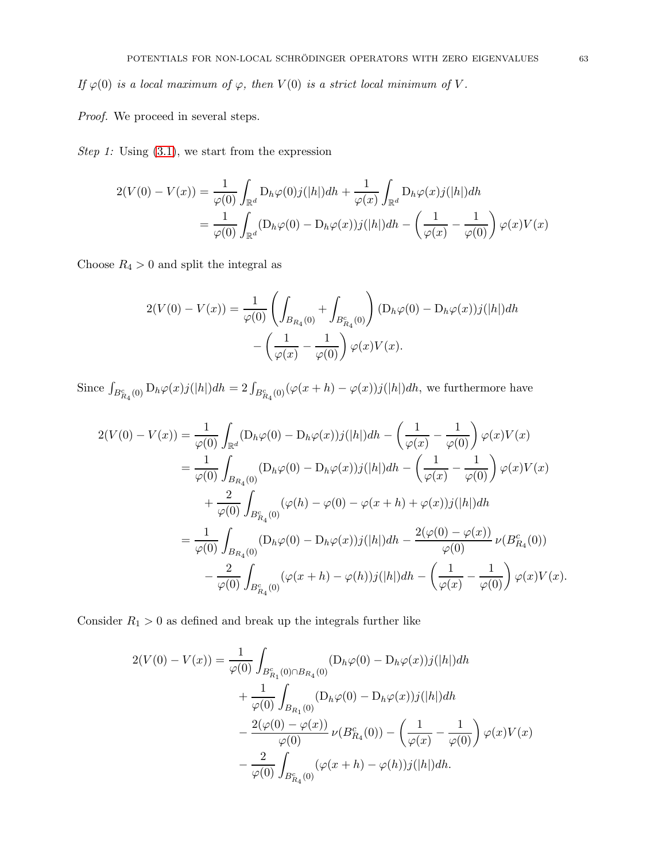If  $\varphi(0)$  is a local maximum of  $\varphi$ , then  $V(0)$  is a strict local minimum of V.

Proof. We proceed in several steps.

Step 1: Using  $(3.1)$ , we start from the expression

$$
2(V(0) - V(x)) = \frac{1}{\varphi(0)} \int_{\mathbb{R}^d} D_h \varphi(0) j(|h|) dh + \frac{1}{\varphi(x)} \int_{\mathbb{R}^d} D_h \varphi(x) j(|h|) dh
$$
  
= 
$$
\frac{1}{\varphi(0)} \int_{\mathbb{R}^d} (D_h \varphi(0) - D_h \varphi(x)) j(|h|) dh - \left(\frac{1}{\varphi(x)} - \frac{1}{\varphi(0)}\right) \varphi(x) V(x)
$$

Choose  $R_4 > 0$  and split the integral as

$$
2(V(0) - V(x)) = \frac{1}{\varphi(0)} \left( \int_{B_{R_4}(0)} + \int_{B_{R_4}^c(0)} \right) (D_h \varphi(0) - D_h \varphi(x)) j(|h|) dh - \left( \frac{1}{\varphi(x)} - \frac{1}{\varphi(0)} \right) \varphi(x) V(x).
$$

Since  $\int_{B_{R_4}^c(0)} D_h \varphi(x) j(|h|)dh = 2 \int_{B_{R_4}^c(0)} (\varphi(x+h) - \varphi(x)) j(|h|)dh$ , we furthermore have

$$
2(V(0) - V(x)) = \frac{1}{\varphi(0)} \int_{\mathbb{R}^d} (D_h \varphi(0) - D_h \varphi(x)) j(|h|) dh - \left(\frac{1}{\varphi(x)} - \frac{1}{\varphi(0)}\right) \varphi(x) V(x)
$$
  
\n
$$
= \frac{1}{\varphi(0)} \int_{B_{R_4}(0)} (D_h \varphi(0) - D_h \varphi(x)) j(|h|) dh - \left(\frac{1}{\varphi(x)} - \frac{1}{\varphi(0)}\right) \varphi(x) V(x)
$$
  
\n
$$
+ \frac{2}{\varphi(0)} \int_{B_{R_4}^c(0)} (\varphi(h) - \varphi(0) - \varphi(x+h) + \varphi(x)) j(|h|) dh
$$
  
\n
$$
= \frac{1}{\varphi(0)} \int_{B_{R_4}(0)} (D_h \varphi(0) - D_h \varphi(x)) j(|h|) dh - \frac{2(\varphi(0) - \varphi(x))}{\varphi(0)} \nu(B_{R_4}^c(0))
$$
  
\n
$$
- \frac{2}{\varphi(0)} \int_{B_{R_4}^c(0)} (\varphi(x+h) - \varphi(h)) j(|h|) dh - \left(\frac{1}{\varphi(x)} - \frac{1}{\varphi(0)}\right) \varphi(x) V(x).
$$

Consider  $R_1 > 0$  as defined and break up the integrals further like

$$
2(V(0) - V(x)) = \frac{1}{\varphi(0)} \int_{B_{R_1}^c(0) \cap B_{R_4}(0)} (D_h \varphi(0) - D_h \varphi(x)) j(|h|) dh
$$
  
+ 
$$
\frac{1}{\varphi(0)} \int_{B_{R_1}(0)} (D_h \varphi(0) - D_h \varphi(x)) j(|h|) dh
$$
  
- 
$$
\frac{2(\varphi(0) - \varphi(x))}{\varphi(0)} \nu(B_{R_4}^c(0)) - \left(\frac{1}{\varphi(x)} - \frac{1}{\varphi(0)}\right) \varphi(x) V(x)
$$
  
- 
$$
\frac{2}{\varphi(0)} \int_{B_{R_4}^c(0)} (\varphi(x+h) - \varphi(h)) j(|h|) dh.
$$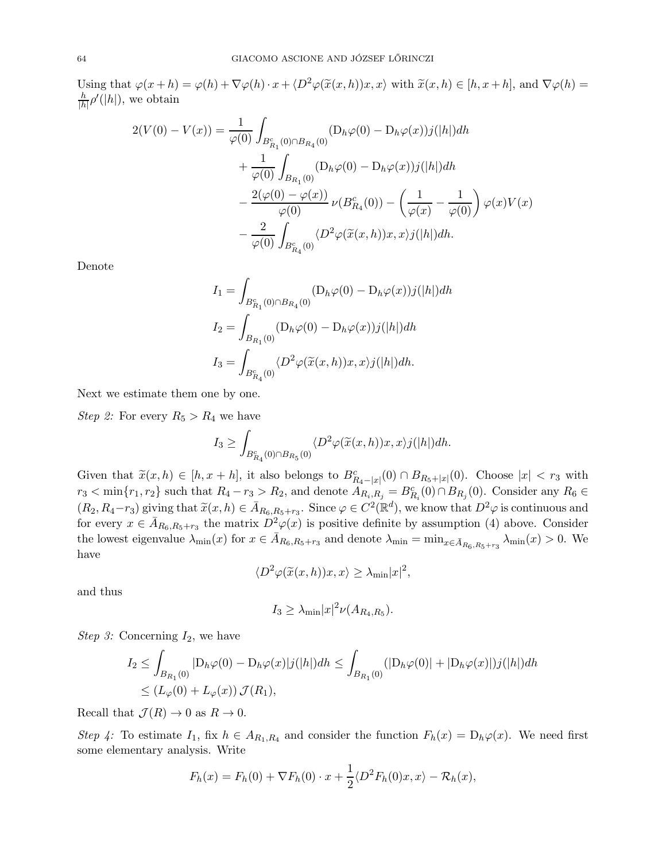Using that  $\varphi(x+h) = \varphi(h) + \nabla \varphi(h) \cdot x + \langle D^2 \varphi(\tilde{x}(x,h))x, x \rangle$  with  $\tilde{x}(x,h) \in [h, x+h]$ , and  $\nabla \varphi(h) =$ h  $\frac{h}{|h|} \rho'(|h|)$ , we obtain

$$
2(V(0) - V(x)) = \frac{1}{\varphi(0)} \int_{B_{R_1}^c(0) \cap B_{R_4}(0)} (D_h \varphi(0) - D_h \varphi(x)) j(|h|) dh
$$
  
+ 
$$
\frac{1}{\varphi(0)} \int_{B_{R_1}(0)} (D_h \varphi(0) - D_h \varphi(x)) j(|h|) dh
$$
  
- 
$$
\frac{2(\varphi(0) - \varphi(x))}{\varphi(0)} \nu(B_{R_4}^c(0)) - \left(\frac{1}{\varphi(x)} - \frac{1}{\varphi(0)}\right) \varphi(x) V(x)
$$
  
- 
$$
\frac{2}{\varphi(0)} \int_{B_{R_4}^c(0)} \langle D^2 \varphi(\tilde{x}(x, h)) x, x \rangle j(|h|) dh.
$$

Denote

$$
I_1 = \int_{B_{R_1}^c(0) \cap B_{R_4}(0)} (\mathcal{D}_h \varphi(0) - \mathcal{D}_h \varphi(x)) j(|h|) dh
$$
  
\n
$$
I_2 = \int_{B_{R_1}(0)} (\mathcal{D}_h \varphi(0) - \mathcal{D}_h \varphi(x)) j(|h|) dh
$$
  
\n
$$
I_3 = \int_{B_{R_4}^c(0)} \langle D^2 \varphi(\tilde{x}(x, h)) x, x \rangle j(|h|) dh.
$$

Next we estimate them one by one.

*Step 2:* For every  $R_5 > R_4$  we have

$$
I_3 \ge \int_{B_{R_4}^c(0) \cap B_{R_5}(0)} \langle D^2 \varphi(\widetilde{x}(x,h))x, x \rangle j(|h|) dh.
$$

Given that  $\tilde{x}(x, h) \in [h, x + h]$ , it also belongs to  $B_{R_4-|x|}^c(0) \cap B_{R_5+|x|}(0)$ . Choose  $|x| < r_3$  with  $r_3 < \min\{r_1, r_2\}$  such that  $R_4 - r_3 > R_2$ , and denote  $A_{R_i, R_j} = B_{R_i}^c(0) \cap B_{R_j}(0)$ . Consider any  $R_6 \in$  $(R_2, R_4-r_3)$  giving that  $\widetilde{x}(x, h) \in \overline{A}_{R_6, R_5+r_3}$ . Since  $\varphi \in C^2(\mathbb{R}^d)$ , we know that  $D^2\varphi$  is continuous and for every  $x \in \bar{A}_{R_6,R_5+r_3}$  the matrix  $D^2(\varphi(x))$  is positive definite by assumption (4) above. Consider the lowest eigenvalue  $\lambda_{\min}(x)$  for  $x \in \bar{A}_{R_6,R_5+r_3}$  and denote  $\lambda_{\min} = \min_{x \in \bar{A}_{R_6,R_5+r_3}} \lambda_{\min}(x) > 0$ . We have

$$
\langle D^2 \varphi(\widetilde{x}(x,h))x, x \rangle \ge \lambda_{\min}|x|^2,
$$

and thus

$$
I_3 \geq \lambda_{\min}|x|^2 \nu(A_{R_4,R_5}).
$$

Step 3: Concerning  $I_2$ , we have

$$
I_2 \le \int_{B_{R_1}(0)} |D_h \varphi(0) - D_h \varphi(x)|j(|h|)dh \le \int_{B_{R_1}(0)} (|D_h \varphi(0)| + |D_h \varphi(x)|)j(|h|)dh
$$
  

$$
\le (L_{\varphi}(0) + L_{\varphi}(x)) \mathcal{J}(R_1),
$$

Recall that  $\mathcal{J}(R) \to 0$  as  $R \to 0$ .

Step 4: To estimate  $I_1$ , fix  $h \in A_{R_1,R_4}$  and consider the function  $F_h(x) = D_h \varphi(x)$ . We need first some elementary analysis. Write

$$
F_h(x) = F_h(0) + \nabla F_h(0) \cdot x + \frac{1}{2} \langle D^2 F_h(0)x, x \rangle - \mathcal{R}_h(x),
$$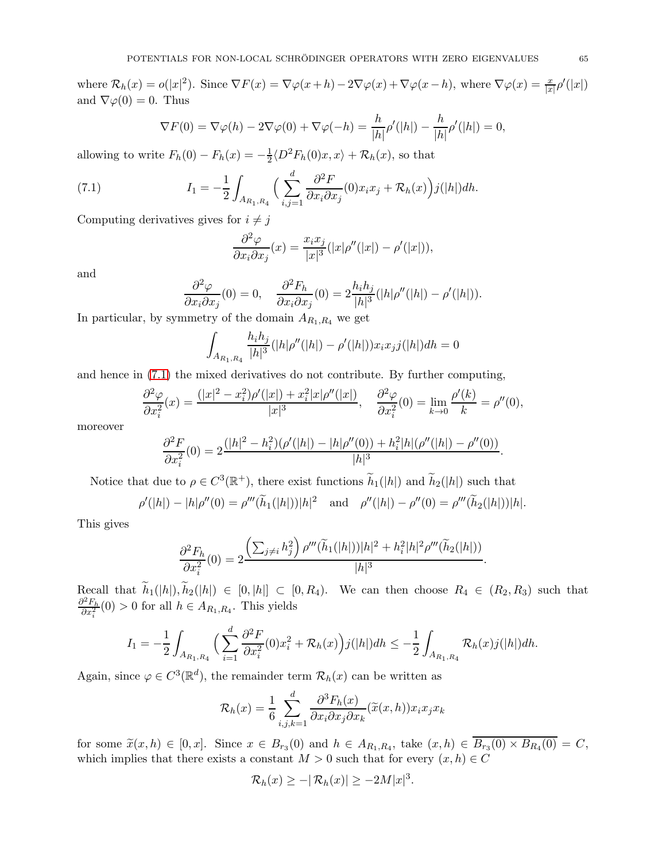where  $\mathcal{R}_h(x) = o(|x|^2)$ . Since  $\nabla F(x) = \nabla \varphi(x+h) - 2\nabla \varphi(x) + \nabla \varphi(x-h)$ , where  $\nabla \varphi(x) = \frac{x}{|x|} \rho'(|x|)$ and  $\nabla \varphi(0) = 0$ . Thus

$$
\nabla F(0) = \nabla \varphi(h) - 2\nabla \varphi(0) + \nabla \varphi(-h) = \frac{h}{|h|} \rho'(|h|) - \frac{h}{|h|} \rho'(|h|) = 0,
$$

allowing to write  $F_h(0) - F_h(x) = -\frac{1}{2}$  $\frac{1}{2} \langle D^2 F_h(0)x, x \rangle + \mathcal{R}_h(x)$ , so that

<span id="page-64-0"></span>(7.1) 
$$
I_1 = -\frac{1}{2} \int_{A_{R_1,R_4}} \Big( \sum_{i,j=1}^d \frac{\partial^2 F}{\partial x_i \partial x_j}(0) x_i x_j + \mathcal{R}_h(x) \Big) j(|h|) dh.
$$

Computing derivatives gives for  $i\neq j$ 

$$
\frac{\partial^2 \varphi}{\partial x_i \partial x_j}(x) = \frac{x_i x_j}{|x|^3} (|x| \rho''(|x|) - \rho'(|x|)),
$$

and

$$
\frac{\partial^2 \varphi}{\partial x_i \partial x_j}(0) = 0, \quad \frac{\partial^2 F_h}{\partial x_i \partial x_j}(0) = 2 \frac{h_i h_j}{|h|^3} (|h| \rho''(|h|) - \rho'(|h|)).
$$

In particular, by symmetry of the domain  $A_{R_1,R_4}$  we get

$$
\int_{A_{R_1,R_4}} \frac{h_i h_j}{|h|^3} (|h| \rho''(|h|) - \rho'(|h|)) x_i x_j j(|h|) dh = 0
$$

and hence in [\(7.1\)](#page-64-0) the mixed derivatives do not contribute. By further computing,

$$
\frac{\partial^2 \varphi}{\partial x_i^2}(x) = \frac{(|x|^2 - x_i^2)\rho'(|x|) + x_i^2|x|\rho''(|x|)}{|x|^3}, \quad \frac{\partial^2 \varphi}{\partial x_i^2}(0) = \lim_{k \to 0} \frac{\rho'(k)}{k} = \rho''(0),
$$

moreover

$$
\frac{\partial^2 F}{\partial x_i^2}(0) = 2 \frac{(|h|^2 - h_i^2)(\rho'(|h|) - |h|\rho''(0)) + h_i^2|h|(\rho''(|h|) - \rho''(0))}{|h|^3}.
$$

Notice that due to  $\rho \in C^3(\mathbb{R}^+)$ , there exist functions  $\widetilde{h}_1(|h|)$  and  $\widetilde{h}_2(|h|)$  such that

$$
\rho'(|h|) - |h|\rho''(0) = \rho'''(\tilde{h}_1(|h|))|h|^2 \text{ and } \rho''(|h|) - \rho''(0) = \rho'''(\tilde{h}_2(|h|))|h|.
$$

This gives

$$
\frac{\partial^2 F_h}{\partial x_i^2}(0) = 2 \frac{\left(\sum_{j \neq i} h_j^2\right) \rho'''(\widetilde{h}_1(|h|))|h|^2 + h_i^2 |h|^2 \rho'''(\widetilde{h}_2(|h|))}{|h|^3}.
$$

Recall that  $\widetilde{h}_1(|h|), \widetilde{h}_2(|h|) \in [0, |h|] \subset [0, R_4)$ . We can then choose  $R_4 \in (R_2, R_3)$  such that  $\partial^2 F_h$  $\frac{\partial^2 P_h}{\partial x_i^2}(0) > 0$  for all  $h \in A_{R_1,R_4}$ . This yields

$$
I_1 = -\frac{1}{2} \int_{A_{R_1,R_4}} \Big( \sum_{i=1}^d \frac{\partial^2 F}{\partial x_i^2} (0) x_i^2 + \mathcal{R}_h(x) \Big) j(|h|) dh \leq -\frac{1}{2} \int_{A_{R_1,R_4}} \mathcal{R}_h(x) j(|h|) dh.
$$

Again, since  $\varphi \in C^3(\mathbb{R}^d)$ , the remainder term  $\mathcal{R}_h(x)$  can be written as

$$
\mathcal{R}_h(x) = \frac{1}{6} \sum_{i,j,k=1}^d \frac{\partial^3 F_h(x)}{\partial x_i \partial x_j \partial x_k} (\tilde{x}(x,h)) x_i x_j x_k
$$

for some  $\tilde{x}(x, h) \in [0, x]$ . Since  $x \in B_{r_3}(0)$  and  $h \in A_{R_1, R_4}$ , take  $(x, h) \in B_{r_3}(0) \times B_{R_4}(0) = C$ , which implies that there exists a constant  $M > 0$  such that for every  $(x, h) \in C$ 

$$
\mathcal{R}_h(x) \ge -|\mathcal{R}_h(x)| \ge -2M|x|^3.
$$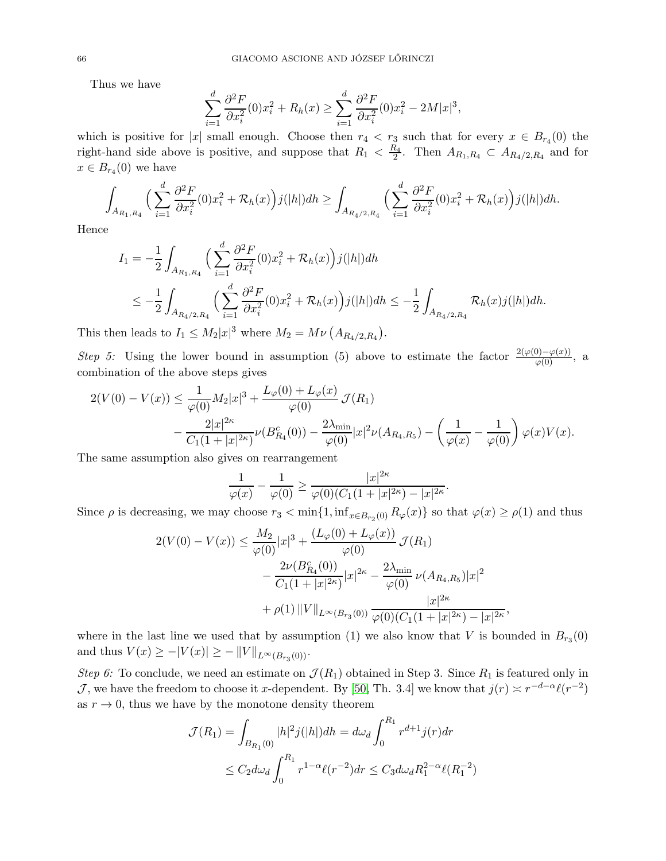Thus we have

$$
\sum_{i=1}^{d} \frac{\partial^2 F}{\partial x_i^2}(0) x_i^2 + R_h(x) \ge \sum_{i=1}^{d} \frac{\partial^2 F}{\partial x_i^2}(0) x_i^2 - 2M|x|^3,
$$

which is positive for |x| small enough. Choose then  $r_4 < r_3$  such that for every  $x \in B_{r_4}(0)$  the right-hand side above is positive, and suppose that  $R_1 < \frac{R_4}{2}$ . Then  $A_{R_1,R_4} \subset A_{R_4/2,R_4}$  and for  $x \in B_{r_4}(0)$  we have

$$
\int_{A_{R_1,R_4}} \Big(\sum_{i=1}^d \frac{\partial^2 F}{\partial x_i^2}(0) x_i^2 + \mathcal{R}_h(x)\Big) j(|h|) dh \ge \int_{A_{R_4/2,R_4}} \Big(\sum_{i=1}^d \frac{\partial^2 F}{\partial x_i^2}(0) x_i^2 + \mathcal{R}_h(x)\Big) j(|h|) dh.
$$

Hence

$$
I_1 = -\frac{1}{2} \int_{A_{R_1,R_4}} \Big( \sum_{i=1}^d \frac{\partial^2 F}{\partial x_i^2} (0) x_i^2 + \mathcal{R}_h(x) \Big) j(|h|) dh
$$
  

$$
\leq -\frac{1}{2} \int_{A_{R_4/2,R_4}} \Big( \sum_{i=1}^d \frac{\partial^2 F}{\partial x_i^2} (0) x_i^2 + \mathcal{R}_h(x) \Big) j(|h|) dh \leq -\frac{1}{2} \int_{A_{R_4/2,R_4}} \mathcal{R}_h(x) j(|h|) dh.
$$

This then leads to  $I_1 \leq M_2 |x|^3$  where  $M_2 = M\nu (A_{R_4/2,R_4}).$ 

Step 5: Using the lower bound in assumption (5) above to estimate the factor  $\frac{2(\varphi(0)-\varphi(x))}{\varphi(0)}$ , a combination of the above steps gives

$$
2(V(0) - V(x)) \le \frac{1}{\varphi(0)} M_2 |x|^3 + \frac{L_\varphi(0) + L_\varphi(x)}{\varphi(0)} \mathcal{J}(R_1)
$$
  

$$
- \frac{2|x|^{2\kappa}}{C_1(1+|x|^{2\kappa})} \nu(B_{R_4}^c(0)) - \frac{2\lambda_{\min}}{\varphi(0)} |x|^2 \nu(A_{R_4,R_5}) - \left(\frac{1}{\varphi(x)} - \frac{1}{\varphi(0)}\right) \varphi(x) V(x).
$$

The same assumption also gives on rearrangement

$$
\frac{1}{\varphi(x)} - \frac{1}{\varphi(0)} \ge \frac{|x|^{2\kappa}}{\varphi(0)(C_1(1+|x|^{2\kappa}) - |x|^{2\kappa}}.
$$

Since  $\rho$  is decreasing, we may choose  $r_3 < \min\{1, \inf_{x \in B_{r_2}(0)} R_\varphi(x)\}$  so that  $\varphi(x) \ge \rho(1)$  and thus

$$
2(V(0) - V(x)) \le \frac{M_2}{\varphi(0)} |x|^3 + \frac{(L_{\varphi}(0) + L_{\varphi}(x))}{\varphi(0)} \mathcal{J}(R_1)
$$
  

$$
- \frac{2\nu(B_{R_4}^c(0))}{C_1(1 + |x|^{2\kappa})} |x|^{2\kappa} - \frac{2\lambda_{\min}}{\varphi(0)} \nu(A_{R_4, R_5}) |x|^2
$$
  

$$
+ \rho(1) ||V||_{L^{\infty}(B_{r_3}(0))} \frac{|x|^{2\kappa}}{\varphi(0)(C_1(1 + |x|^{2\kappa}) - |x|^{2\kappa}},
$$

where in the last line we used that by assumption (1) we also know that V is bounded in  $B_{r_3}(0)$ and thus  $V(x) \ge -|V(x)| \ge -\|V\|_{L^{\infty}(B_{r_3}(0))}$ .

Step 6: To conclude, we need an estimate on  $\mathcal{J}(R_1)$  obtained in Step 3. Since  $R_1$  is featured only in J, we have the freedom to choose it x-dependent. By [\[50,](#page-76-0) Th. 3.4] we know that  $j(r) \approx r^{-d-\alpha} \ell(r^{-2})$ as  $r \to 0$ , thus we have by the monotone density theorem

$$
\mathcal{J}(R_1) = \int_{B_{R_1}(0)} |h|^2 j(|h|) dh = d\omega_d \int_0^{R_1} r^{d+1} j(r) dr
$$
  

$$
\leq C_2 d\omega_d \int_0^{R_1} r^{1-\alpha} \ell(r^{-2}) dr \leq C_3 d\omega_d R_1^{2-\alpha} \ell(R_1^{-2})
$$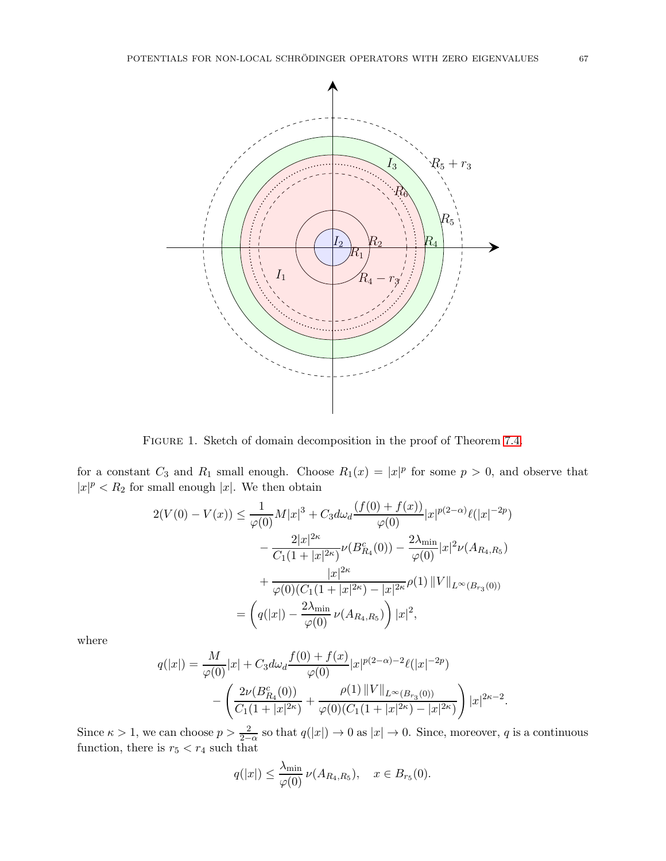

Figure 1. Sketch of domain decomposition in the proof of Theorem [7.4.](#page-61-0)

for a constant  $C_3$  and  $R_1$  small enough. Choose  $R_1(x) = |x|^p$  for some  $p > 0$ , and observe that  $|x|^p < R_2$  for small enough  $|x|$ . We then obtain

$$
2(V(0) - V(x)) \le \frac{1}{\varphi(0)} M|x|^3 + C_3 d\omega_d \frac{(f(0) + f(x))}{\varphi(0)} |x|^{p(2-\alpha)} \ell(|x|^{-2p})
$$

$$
- \frac{2|x|^{2\kappa}}{C_1(1+|x|^{2\kappa})} \nu(B_{R_4}^c(0)) - \frac{2\lambda_{\min}}{\varphi(0)} |x|^2 \nu(A_{R_4, R_5})
$$

$$
+ \frac{|x|^{2\kappa}}{\varphi(0)(C_1(1+|x|^{2\kappa}) - |x|^{2\kappa})} \rho(1) ||V||_{L^{\infty}(B_{r_3}(0))}
$$

$$
= \left(q(|x|) - \frac{2\lambda_{\min}}{\varphi(0)} \nu(A_{R_4, R_5})\right) |x|^2,
$$

where

$$
q(|x|) = \frac{M}{\varphi(0)}|x| + C_3 d\omega_d \frac{f(0) + f(x)}{\varphi(0)} |x|^{p(2-\alpha)-2} \ell(|x|^{-2p})
$$

$$
- \left( \frac{2\nu(B_{R_4}^c(0))}{C_1(1+|x|^{2\kappa})} + \frac{\rho(1) ||V||_{L^{\infty}(B_{r_3}(0))}}{\varphi(0)(C_1(1+|x|^{2\kappa}) - |x|^{2\kappa})} \right) |x|^{2\kappa-2}.
$$

Since  $\kappa > 1$ , we can choose  $p > \frac{2}{2-\alpha}$  so that  $q(|x|) \to 0$  as  $|x| \to 0$ . Since, moreover, q is a continuous function, there is  $r_5 < r_4$  such that

$$
q(|x|) \leq \frac{\lambda_{\min}}{\varphi(0)} \nu(A_{R_4,R_5}), \quad x \in B_{r_5}(0).
$$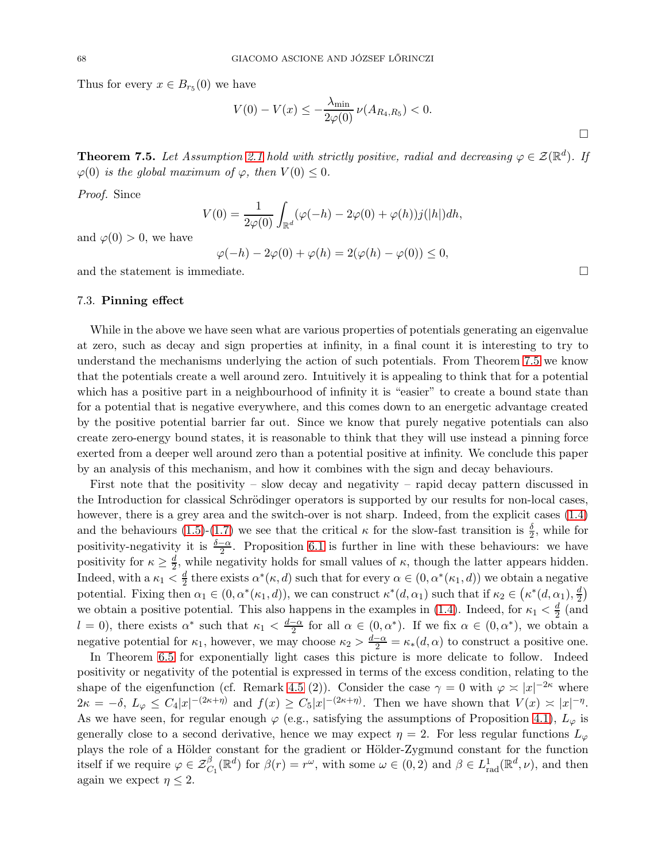Thus for every  $x \in B_{r_5}(0)$  we have

$$
V(0) - V(x) \le -\frac{\lambda_{\min}}{2\varphi(0)} \nu(A_{R_4, R_5}) < 0.
$$

<span id="page-67-0"></span>**Theorem 7.5.** Let Assumption [2.1](#page-21-0) hold with strictly positive, radial and decreasing  $\varphi \in \mathcal{Z}(\mathbb{R}^d)$ . If  $\varphi(0)$  is the global maximum of  $\varphi$ , then  $V(0) \leq 0$ .

Proof. Since

$$
V(0) = \frac{1}{2\varphi(0)} \int_{\mathbb{R}^d} (\varphi(-h) - 2\varphi(0) + \varphi(h))j(|h|) dh,
$$

and  $\varphi(0) > 0$ , we have

$$
\varphi(-h) - 2\varphi(0) + \varphi(h) = 2(\varphi(h) - \varphi(0)) \le 0,
$$

and the statement is immediate.

#### 7.3. Pinning effect

While in the above we have seen what are various properties of potentials generating an eigenvalue at zero, such as decay and sign properties at infinity, in a final count it is interesting to try to understand the mechanisms underlying the action of such potentials. From Theorem [7.5](#page-67-0) we know that the potentials create a well around zero. Intuitively it is appealing to think that for a potential which has a positive part in a neighbourhood of infinity it is "easier" to create a bound state than for a potential that is negative everywhere, and this comes down to an energetic advantage created by the positive potential barrier far out. Since we know that purely negative potentials can also create zero-energy bound states, it is reasonable to think that they will use instead a pinning force exerted from a deeper well around zero than a potential positive at infinity. We conclude this paper by an analysis of this mechanism, and how it combines with the sign and decay behaviours.

First note that the positivity – slow decay and negativity – rapid decay pattern discussed in the Introduction for classical Schrödinger operators is supported by our results for non-local cases, however, there is a grey area and the switch-over is not sharp. Indeed, from the explicit cases  $(1.4)$ and the behaviours [\(1.5\)](#page-4-1)-[\(1.7\)](#page-4-2) we see that the critical  $\kappa$  for the slow-fast transition is  $\frac{\delta}{2}$ , while for positivity-negativity it is  $\frac{\delta-\alpha}{2}$ . Proposition [6.1](#page-55-0) is further in line with these behaviours: we have positivity for  $\kappa \geq \frac{d}{2}$  $\frac{d}{2}$ , while negativity holds for small values of  $\kappa$ , though the latter appears hidden. Indeed, with a  $\kappa_1 < \frac{d}{2}$  $\frac{d}{2}$  there exists  $\alpha^*(\kappa, d)$  such that for every  $\alpha \in (0, \alpha^*(\kappa_1, d))$  we obtain a negative potential. Fixing then  $\alpha_1 \in (0, \alpha^*(\kappa_1, d))$ , we can construct  $\kappa^*(d, \alpha_1)$  such that if  $\kappa_2 \in (\kappa^*(d, \alpha_1), \frac{d}{2})$  $\frac{d}{2}$ we obtain a positive potential. This also happens in the examples in [\(1.4\)](#page-4-0). Indeed, for  $\kappa_1 < \frac{d}{2}$  (and 2  $l = 0$ , there exists  $\alpha^*$  such that  $\kappa_1 < \frac{d-\alpha}{2}$  for all  $\alpha \in (0, \alpha^*)$ . If we fix  $\alpha \in (0, \alpha^*)$ , we obtain a negative potential for  $\kappa_1$ , however, we may choose  $\kappa_2 > \frac{d-\alpha}{2} = \kappa_*(d,\alpha)$  to construct a positive one.

In Theorem [6.5](#page-57-0) for exponentially light cases this picture is more delicate to follow. Indeed positivity or negativity of the potential is expressed in terms of the excess condition, relating to the shape of the eigenfunction (cf. Remark [4.5](#page-37-1) (2)). Consider the case  $\gamma = 0$  with  $\varphi \approx |x|^{-2\kappa}$  where  $2\kappa = -\delta$ ,  $L_{\varphi} \leq C_4 |x|^{-(2\kappa + \eta)}$  and  $f(x) \geq C_5 |x|^{-(2\kappa + \eta)}$ . Then we have shown that  $V(x) \approx |x|^{-\eta}$ . As we have seen, for regular enough  $\varphi$  (e.g., satisfying the assumptions of Proposition [4.1\)](#page-33-0),  $L_{\varphi}$  is generally close to a second derivative, hence we may expect  $\eta = 2$ . For less regular functions  $L_{\varphi}$ plays the role of a Hölder constant for the gradient or Hölder-Zygmund constant for the function itself if we require  $\varphi \in \mathcal{Z}^{\beta}_{C_1}(\mathbb{R}^d)$  for  $\beta(r) = r^{\omega}$ , with some  $\omega \in (0, 2)$  and  $\beta \in L^1_{rad}(\mathbb{R}^d, \nu)$ , and then again we expect  $n \leq 2$ .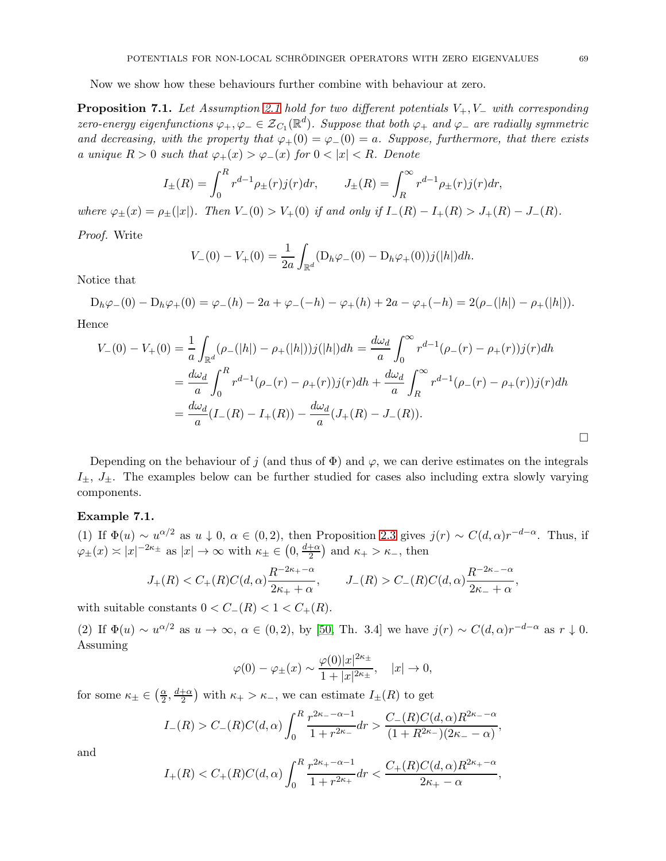Now we show how these behaviours further combine with behaviour at zero.

<span id="page-68-1"></span>**Proposition 7.1.** Let Assumption [2.1](#page-21-0) hold for two different potentials  $V_+, V_-$  with corresponding zero-energy eigenfunctions  $\varphi_+, \varphi_- \in {\cal Z}_{C_1}({\mathbb R}^d)$ . Suppose that both  $\varphi_+$  and  $\varphi_-$  are radially symmetric and decreasing, with the property that  $\varphi_+(0) = \varphi_-(0) = a$ . Suppose, furthermore, that there exists a unique  $R > 0$  such that  $\varphi_+(x) > \varphi_-(x)$  for  $0 < |x| < R$ . Denote

$$
I_{\pm}(R) = \int_0^R r^{d-1} \rho_{\pm}(r) j(r) dr, \qquad J_{\pm}(R) = \int_R^{\infty} r^{d-1} \rho_{\pm}(r) j(r) dr,
$$

where  $\varphi_{\pm}(x) = \rho_{\pm}(|x|)$ . Then  $V_{-}(0) > V_{+}(0)$  if and only if  $I_{-}(R) - I_{+}(R) > J_{+}(R) - J_{-}(R)$ .

Proof. Write

$$
V_{-}(0) - V_{+}(0) = \frac{1}{2a} \int_{\mathbb{R}^d} (D_h \varphi_{-}(0) - D_h \varphi_{+}(0)) j(|h|) dh.
$$

Notice that

 $D_h\varphi_-(0) - D_h\varphi_+(0) = \varphi_-(h) - 2a + \varphi_-(h) - \varphi_+(h) + 2a - \varphi_+(-h) = 2(\rho_-(|h|) - \rho_+(|h|)).$ Hence

$$
V_{-}(0) - V_{+}(0) = \frac{1}{a} \int_{\mathbb{R}^{d}} (\rho_{-}(|h|) - \rho_{+}(|h|))j(|h|)dh = \frac{d\omega_{d}}{a} \int_{0}^{\infty} r^{d-1}(\rho_{-}(r) - \rho_{+}(r))j(r)dh
$$
  

$$
= \frac{d\omega_{d}}{a} \int_{0}^{R} r^{d-1}(\rho_{-}(r) - \rho_{+}(r))j(r)dh + \frac{d\omega_{d}}{a} \int_{R}^{\infty} r^{d-1}(\rho_{-}(r) - \rho_{+}(r))j(r)dh
$$
  

$$
= \frac{d\omega_{d}}{a}(I_{-}(R) - I_{+}(R)) - \frac{d\omega_{d}}{a}(J_{+}(R) - J_{-}(R)).
$$

Depending on the behaviour of j (and thus of  $\Phi$ ) and  $\varphi$ , we can derive estimates on the integrals  $I_{\pm}$ ,  $J_{\pm}$ . The examples below can be further studied for cases also including extra slowly varying components.

#### <span id="page-68-0"></span>Example 7.1.

(1) If  $\Phi(u) \sim u^{\alpha/2}$  as  $u \downarrow 0$ ,  $\alpha \in (0, 2)$ , then Proposition [2.3](#page-11-0) gives  $j(r) \sim C(d, \alpha)r^{-d-\alpha}$ . Thus, if  $\varphi_{\pm}(x) \asymp |x|^{-2\kappa_{\pm}}$  as  $|x| \to \infty$  with  $\kappa_{\pm} \in (0, \frac{d+\alpha}{2})$  $\frac{+\alpha}{2}$  and  $\kappa_+ > \kappa_-,$  then

$$
J_{+}(R) < C_{+}(R)C(d, \alpha) \frac{R^{-2\kappa_{+} - \alpha}}{2\kappa_{+} + \alpha}, \qquad J_{-}(R) > C_{-}(R)C(d, \alpha) \frac{R^{-2\kappa_{-} - \alpha}}{2\kappa_{-} + \alpha},
$$

with suitable constants  $0 < C_-(R) < 1 < C_+(R)$ .

(2) If  $\Phi(u) \sim u^{\alpha/2}$  as  $u \to \infty$ ,  $\alpha \in (0, 2)$ , by [\[50,](#page-76-0) Th. 3.4] we have  $j(r) \sim C(d, \alpha)r^{-d-\alpha}$  as  $r \downarrow 0$ . Assuming

$$
\varphi(0) - \varphi_{\pm}(x) \sim \frac{\varphi(0)|x|^{2\kappa_{\pm}}}{1+|x|^{2\kappa_{\pm}}}, \quad |x| \to 0,
$$

for some  $\kappa_{\pm} \in \left(\frac{\alpha}{2}\right)$  $\frac{\alpha}{2}, \frac{d+\alpha}{2}$  $\frac{1+\alpha}{2}$  with  $\kappa_+ > \kappa_-,$  we can estimate  $I_{\pm}(R)$  to get

$$
I_{-}(R) > C_{-}(R)C(d,\alpha) \int_{0}^{R} \frac{r^{2\kappa_{-}-\alpha-1}}{1+r^{2\kappa_{-}}} dr > \frac{C_{-}(R)C(d,\alpha)R^{2\kappa_{-}-\alpha}}{(1+R^{2\kappa_{-}})(2\kappa_{-}-\alpha)},
$$

and

$$
I_{+}(R) < C_{+}(R)C(d,\alpha)\int_{0}^{R} \frac{r^{2\kappa_{+}-\alpha-1}}{1+r^{2\kappa_{+}}}dr < \frac{C_{+}(R)C(d,\alpha)R^{2\kappa_{+}-\alpha}}{2\kappa_{+}-\alpha},
$$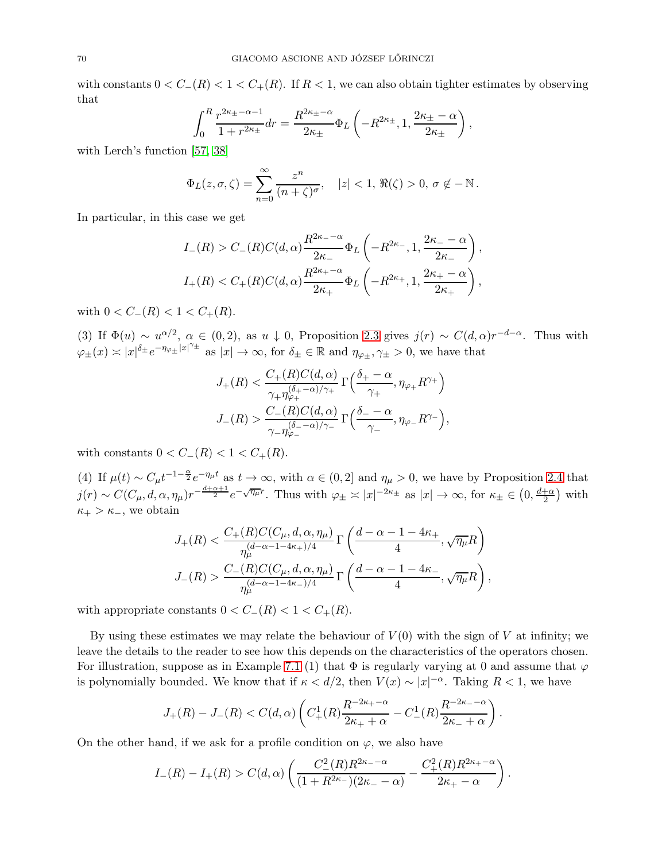with constants  $0 < C_{-}(R) < 1 < C_{+}(R)$ . If  $R < 1$ , we can also obtain tighter estimates by observing that

$$
\int_0^R \frac{r^{2\kappa_{\pm} - \alpha - 1}}{1 + r^{2\kappa_{\pm}}} dr = \frac{R^{2\kappa_{\pm} - \alpha}}{2\kappa_{\pm}} \Phi_L \left( -R^{2\kappa_{\pm}}, 1, \frac{2\kappa_{\pm} - \alpha}{2\kappa_{\pm}} \right),
$$

with Lerch's function [\[57,](#page-76-1) [38\]](#page-75-0)

$$
\Phi_L(z,\sigma,\zeta)=\sum_{n=0}^\infty\frac{z^n}{(n+\zeta)^\sigma}, \quad |z|<1, \Re(\zeta)>0, \sigma \notin -\mathbb{N}.
$$

In particular, in this case we get

$$
I_{-}(R) > C_{-}(R)C(d,\alpha)\frac{R^{2\kappa_{-}-\alpha}}{2\kappa_{-}}\Phi_{L}\left(-R^{2\kappa_{-}},1,\frac{2\kappa_{-}-\alpha}{2\kappa_{-}}\right),
$$
  

$$
I_{+}(R) < C_{+}(R)C(d,\alpha)\frac{R^{2\kappa_{+}-\alpha}}{2\kappa_{+}}\Phi_{L}\left(-R^{2\kappa_{+}},1,\frac{2\kappa_{+}-\alpha}{2\kappa_{+}}\right),
$$

with  $0 < C_-(R) < 1 < C_+(R)$ .

(3) If  $\Phi(u) \sim u^{\alpha/2}$ ,  $\alpha \in (0, 2)$ , as  $u \downarrow 0$ , Proposition [2.3](#page-11-0) gives  $j(r) \sim C(d, \alpha)r^{-d-\alpha}$ . Thus with  $\varphi_{\pm}(x) \asymp |x|^{\delta_{\pm}} e^{-\eta_{\varphi_{\pm}} |x|^{\gamma_{\pm}}}$  as  $|x| \to \infty$ , for  $\delta_{\pm} \in \mathbb{R}$  and  $\eta_{\varphi_{\pm}}, \gamma_{\pm} > 0$ , we have that

$$
J_{+}(R) < \frac{C_{+}(R)C(d,\alpha)}{\gamma_{+}\eta_{\varphi_{+}}^{\left(\delta_{+}-\alpha\right)/\gamma_{+}}} \Gamma\left(\frac{\delta_{+}-\alpha}{\gamma_{+}}, \eta_{\varphi_{+}}R^{\gamma_{+}}\right)
$$
\n
$$
J_{-}(R) > \frac{C_{-}(R)C(d,\alpha)}{\gamma_{-}\eta_{\varphi_{-}}^{\left(\delta_{-}-\alpha\right)/\gamma_{-}}} \Gamma\left(\frac{\delta_{-}-\alpha}{\gamma_{-}}, \eta_{\varphi_{-}}R^{\gamma_{-}}\right),
$$

with constants  $0 < C_-(R) < 1 < C_+(R)$ .

(4) If  $\mu(t) \sim C_{\mu} t^{-1-\frac{\alpha}{2}} e^{-\eta_{\mu} t}$  as  $t \to \infty$ , with  $\alpha \in (0, 2]$  and  $\eta_{\mu} > 0$ , we have by Proposition [2.4](#page-14-0) that  $j(r) \sim C(C_{\mu}, d, \alpha, \eta_{\mu})r^{-\frac{d+\alpha+1}{2}}e^{-\sqrt{\eta_{\mu}}r}$ . Thus with  $\varphi_{\pm} \asymp |x|^{-2\kappa_{\pm}}$  as  $|x| \to \infty$ , for  $\kappa_{\pm} \in (0, \frac{d+\alpha}{2})$  $\frac{+\alpha}{2}$  with  $\kappa_+ > \kappa_-$ , we obtain

$$
J_{+}(R) < \frac{C_{+}(R)C(C_{\mu}, d, \alpha, \eta_{\mu})}{\eta_{\mu}^{(d-\alpha-1-4\kappa_{+})/4}} \Gamma\left(\frac{d-\alpha-1-4\kappa_{+}}{4}, \sqrt{\eta_{\mu}}R\right)
$$
  

$$
J_{-}(R) > \frac{C_{-}(R)C(C_{\mu}, d, \alpha, \eta_{\mu})}{\eta_{\mu}^{(d-\alpha-1-4\kappa_{-})/4}} \Gamma\left(\frac{d-\alpha-1-4\kappa_{-}}{4}, \sqrt{\eta_{\mu}}R\right),
$$

with appropriate constants  $0 < C_-(R) < 1 < C_+(R)$ .

By using these estimates we may relate the behaviour of  $V(0)$  with the sign of V at infinity; we leave the details to the reader to see how this depends on the characteristics of the operators chosen. For illustration, suppose as in Example [7.1](#page-68-0) (1) that  $\Phi$  is regularly varying at 0 and assume that  $\varphi$ is polynomially bounded. We know that if  $\kappa < d/2$ , then  $V(x) \sim |x|^{-\alpha}$ . Taking  $R < 1$ , we have

$$
J_{+}(R) - J_{-}(R) < C(d, \alpha) \left( C_{+}^{1}(R) \frac{R^{-2\kappa_{+} - \alpha}}{2\kappa_{+} + \alpha} - C_{-}^{1}(R) \frac{R^{-2\kappa_{-} - \alpha}}{2\kappa_{-} + \alpha} \right).
$$

On the other hand, if we ask for a profile condition on  $\varphi$ , we also have

$$
I_{-}(R) - I_{+}(R) > C(d, \alpha) \left( \frac{C_{-}^{2}(R)R^{2\kappa_{-}-\alpha}}{(1+R^{2\kappa_{-}})(2\kappa_{-}-\alpha)} - \frac{C_{+}^{2}(R)R^{2\kappa_{+}-\alpha}}{2\kappa_{+}-\alpha} \right).
$$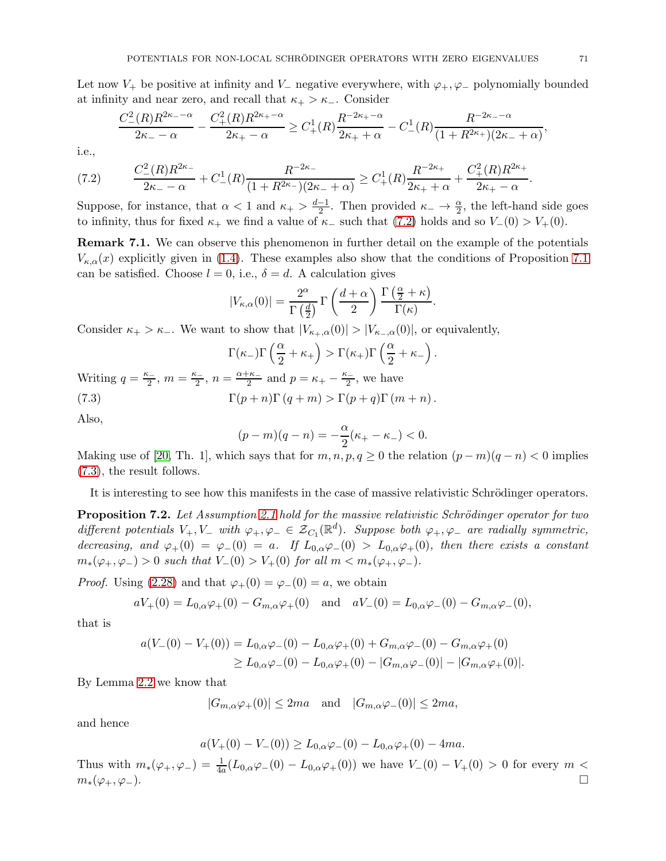Let now  $V_+$  be positive at infinity and  $V_-\$  negative everywhere, with  $\varphi_+,\varphi_-\$  polynomially bounded at infinity and near zero, and recall that  $\kappa_+ > \kappa_-$ . Consider

$$
\frac{C_{-}^{2}(R)R^{2\kappa_{-}-\alpha}}{2\kappa_{-}-\alpha} - \frac{C_{+}^{2}(R)R^{2\kappa_{+}-\alpha}}{2\kappa_{+}-\alpha} \geq C_{+}^{1}(R)\frac{R^{-2\kappa_{+}-\alpha}}{2\kappa_{+}+\alpha} - C_{-}^{1}(R)\frac{R^{-2\kappa_{-}-\alpha}}{(1+R^{2\kappa_{+}})(2\kappa_{-}+\alpha)},
$$

i.e.,

<span id="page-70-0"></span>
$$
(7.2) \qquad \frac{C_{-}^{2}(R)R^{2\kappa_{-}}}{2\kappa_{-}-\alpha} + C_{-}^{1}(R)\frac{R^{-2\kappa_{-}}}{(1+R^{2\kappa_{-}})(2\kappa_{-}+\alpha)} \geq C_{+}^{1}(R)\frac{R^{-2\kappa_{+}}}{2\kappa_{+}+\alpha} + \frac{C_{+}^{2}(R)R^{2\kappa_{+}}}{2\kappa_{+}-\alpha}
$$

Suppose, for instance, that  $\alpha < 1$  and  $\kappa_+ > \frac{d-1}{2}$ . Then provided  $\kappa_- \to \frac{\alpha}{2}$ , the left-hand side goes to infinity, thus for fixed  $\kappa_+$  we find a value of  $\kappa_-$  such that [\(7.2\)](#page-70-0) holds and so  $V_-(0) > V_+(0)$ .

Remark 7.1. We can observe this phenomenon in further detail on the example of the potentials  $V_{\kappa,\alpha}(x)$  explicitly given in [\(1.4\)](#page-4-0). These examples also show that the conditions of Proposition [7.1](#page-68-1) can be satisfied. Choose  $l = 0$ , i.e.,  $\delta = d$ . A calculation gives

$$
|V_{\kappa,\alpha}(0)| = \frac{2^{\alpha}}{\Gamma(\frac{d}{2})} \Gamma\left(\frac{d+\alpha}{2}\right) \frac{\Gamma(\frac{\alpha}{2}+\kappa)}{\Gamma(\kappa)}.
$$

Consider  $\kappa_+ > \kappa_-$ . We want to show that  $|V_{\kappa_+,\alpha}(0)| > |V_{\kappa_-, \alpha}(0)|$ , or equivalently,

$$
\Gamma(\kappa_-)\Gamma\left(\frac{\alpha}{2}+\kappa_+\right) > \Gamma(\kappa_+)\Gamma\left(\frac{\alpha}{2}+\kappa_-\right).
$$

Writing  $q = \frac{\kappa_-}{2}$ ,  $m = \frac{\kappa_-}{2}$ ,  $n = \frac{\alpha + \kappa_-}{2}$  and  $p = \kappa_+ - \frac{\kappa_-}{2}$ , we have (7.3)  $\Gamma(p+n)\Gamma(q+m) > \Gamma(p+q)\Gamma(m+n)$ .

Also,

<span id="page-70-1"></span>
$$
(p-m)(q-n) = -\frac{\alpha}{2}(\kappa_{+} - \kappa_{-}) < 0.
$$

Making use of [\[20,](#page-75-1) Th. 1], which says that for  $m, n, p, q \ge 0$  the relation  $(p - m)(q - n) < 0$  implies [\(7.3\)](#page-70-1), the result follows.

It is interesting to see how this manifests in the case of massive relativistic Schrödinger operators.

**Proposition 7.2.** Let Assumption [2.1](#page-21-0) hold for the massive relativistic Schrödinger operator for two different potentials  $V_+, V_-$  with  $\varphi_+, \varphi_- \in \mathcal{Z}_{C_1}(\mathbb{R}^d)$ . Suppose both  $\varphi_+, \varphi_-$  are radially symmetric, decreasing, and  $\varphi_+(0) = \varphi_-(0) = a$ . If  $L_{0,\alpha} \varphi_-(0) > L_{0,\alpha} \varphi_+(0)$ , then there exists a constant  $m_*(\varphi_+, \varphi_-) > 0$  such that  $V_-(0) > V_+(0)$  for all  $m < m_*(\varphi_+, \varphi_-)$ .

*Proof.* Using [\(2.28\)](#page-25-0) and that  $\varphi_{+}(0) = \varphi_{-}(0) = a$ , we obtain

$$
aV_+(0) = L_{0,\alpha}\varphi_+(0) - G_{m,\alpha}\varphi_+(0)
$$
 and  $aV_-(0) = L_{0,\alpha}\varphi_-(0) - G_{m,\alpha}\varphi_-(0)$ ,

that is

$$
a(V_{-}(0) - V_{+}(0)) = L_{0,\alpha}\varphi_{-}(0) - L_{0,\alpha}\varphi_{+}(0) + G_{m,\alpha}\varphi_{-}(0) - G_{m,\alpha}\varphi_{+}(0)
$$
  
\n
$$
\geq L_{0,\alpha}\varphi_{-}(0) - L_{0,\alpha}\varphi_{+}(0) - |G_{m,\alpha}\varphi_{-}(0)| - |G_{m,\alpha}\varphi_{+}(0)|.
$$

By Lemma [2.2](#page-25-3) we know that

 $|G_{m,\alpha}\varphi_+(0)| \leq 2ma$  and  $|G_{m,\alpha}\varphi_-(0)| \leq 2ma$ ,

and hence

 $a(V_+(0) - V_-(0)) > L_{0,\alpha} \varphi_-(0) - L_{0,\alpha} \varphi_+(0) - 4ma.$ 

Thus with  $m_*(\varphi_+, \varphi_-) = \frac{1}{4a}(L_{0,\alpha}\varphi_-(0) - L_{0,\alpha}\varphi_+(0))$  we have  $V_-(0) - V_+(0) > 0$  for every  $m <$  $m_*(\varphi_+, \varphi_-).$ 

.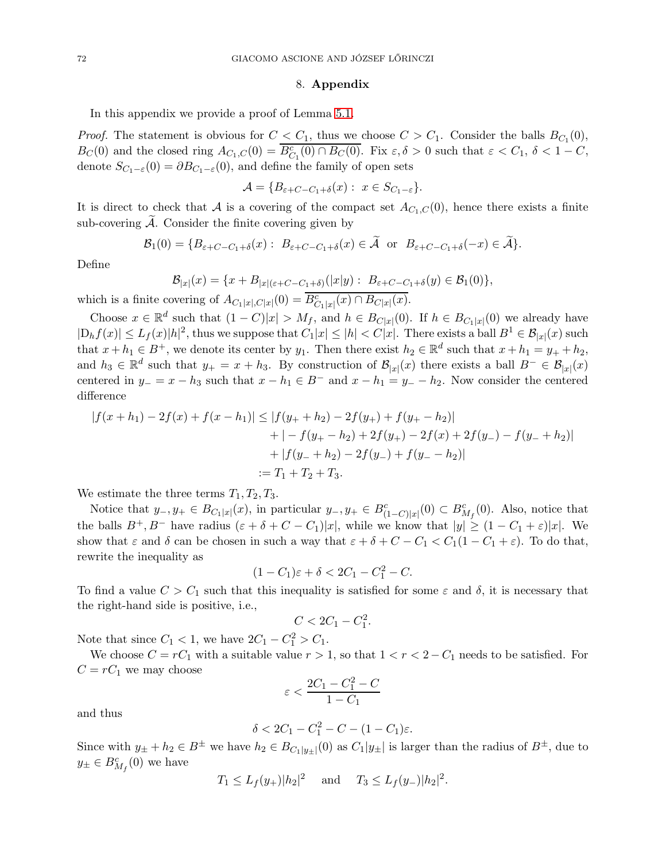#### 8. Appendix

In this appendix we provide a proof of Lemma [5.1.](#page-45-2)

*Proof.* The statement is obvious for  $C < C_1$ , thus we choose  $C > C_1$ . Consider the balls  $B_{C_1}(0)$ ,  $B_C(0)$  and the closed ring  $A_{C_1,C}(0) = \overline{B_{C_1}^c(0) \cap B_C(0)}$ . Fix  $\varepsilon, \delta > 0$  such that  $\varepsilon < C_1, \delta < 1 - C$ , denote  $S_{C_1-\varepsilon}(0) = \partial B_{C_1-\varepsilon}(0)$ , and define the family of open sets

$$
\mathcal{A} = \{B_{\varepsilon+C-C_1+\delta}(x): x \in S_{C_1-\varepsilon}\}.
$$

It is direct to check that A is a covering of the compact set  $A_{C_1,C}(0)$ , hence there exists a finite sub-covering  $\mathcal{A}$ . Consider the finite covering given by

$$
\mathcal{B}_1(0) = \{B_{\varepsilon+C-C_1+\delta}(x): B_{\varepsilon+C-C_1+\delta}(x) \in \widetilde{\mathcal{A}} \text{ or } B_{\varepsilon+C-C_1+\delta}(-x) \in \widetilde{\mathcal{A}}\}.
$$

Define

$$
\mathcal{B}_{|x|}(x) = \{x + B_{|x|(\varepsilon + C - C_1 + \delta)}(|x|y) : B_{\varepsilon + C - C_1 + \delta}(y) \in \mathcal{B}_1(0)\},
$$

which is a finite covering of  $A_{C_1|x|,C|x|}(0) = \overline{B_{C_1|x|}^c(x)} \cap B_{C|x|}(x)$ .

Choose  $x \in \mathbb{R}^d$  such that  $(1 - C)|x| > M_f$ , and  $h \in B_{C|x|}(0)$ . If  $h \in B_{C_1|x|}(0)$  we already have  $|D_h f(x)| \leq L_f(x)|h|^2$ , thus we suppose that  $C_1|x| \leq |h| < C|x|$ . There exists a ball  $B^1 \in \mathcal{B}_{|x|}(x)$  such that  $x + h_1 \in B^+$ , we denote its center by  $y_1$ . Then there exist  $h_2 \in \mathbb{R}^d$  such that  $x + h_1 = y_+ + h_2$ , and  $h_3 \in \mathbb{R}^d$  such that  $y_+ = x + h_3$ . By construction of  $\mathcal{B}_{|x|}(x)$  there exists a ball  $B^- \in \mathcal{B}_{|x|}(x)$ centered in  $y_ - = x - h_3$  such that  $x - h_1 \in B^-$  and  $x - h_1 = y_- - h_2$ . Now consider the centered difference

$$
|f(x+h_1) - 2f(x) + f(x-h_1)| \le |f(y_+ + h_2) - 2f(y_+) + f(y_+ - h_2)|
$$
  
+ 
$$
| - f(y_+ - h_2) + 2f(y_+) - 2f(x) + 2f(y_-) - f(y_- + h_2)|
$$
  
+ 
$$
|f(y_- + h_2) - 2f(y_-) + f(y_- - h_2)|
$$
  
:= 
$$
T_1 + T_2 + T_3.
$$

We estimate the three terms  $T_1, T_2, T_3$ .

Notice that  $y_-, y_+ \in B_{C_1|x|}(x)$ , in particular  $y_-, y_+ \in B_{(1-C)|x|}^c(0) \subset B_{M_f}^c(0)$ . Also, notice that the balls  $B^+, B^-$  have radius  $(\varepsilon + \delta + C - C_1)|x|$ , while we know that  $|y| \geq (1 - C_1 + \varepsilon)|x|$ . We show that  $\varepsilon$  and  $\delta$  can be chosen in such a way that  $\varepsilon + \delta + C - C_1 < C_1(1 - C_1 + \varepsilon)$ . To do that, rewrite the inequality as

$$
(1 - C_1)\varepsilon + \delta < 2C_1 - C_1^2 - C.
$$

To find a value  $C > C_1$  such that this inequality is satisfied for some  $\varepsilon$  and  $\delta$ , it is necessary that the right-hand side is positive, i.e.,

$$
C < 2C_1 - C_1^2.
$$

Note that since  $C_1 < 1$ , we have  $2C_1 - C_1^2 > C_1$ .

We choose  $C = rC_1$  with a suitable value  $r > 1$ , so that  $1 < r < 2 - C_1$  needs to be satisfied. For  $C = rC_1$  we may choose

$$
\varepsilon < \frac{2C_1 - C_1^2 - C}{1 - C_1}
$$

and thus

$$
\delta < 2C_1 - C_1^2 - C - (1 - C_1)\varepsilon.
$$

Since with  $y_{\pm} + h_2 \in B^{\pm}$  we have  $h_2 \in B_{C_1|y_{\pm}|}(0)$  as  $C_1|y_{\pm}|$  is larger than the radius of  $B^{\pm}$ , due to  $y_{\pm} \in B_{M_f}^c(0)$  we have

$$
T_1 \le L_f(y_+) |h_2|^2
$$
 and  $T_3 \le L_f(y_-) |h_2|^2$ .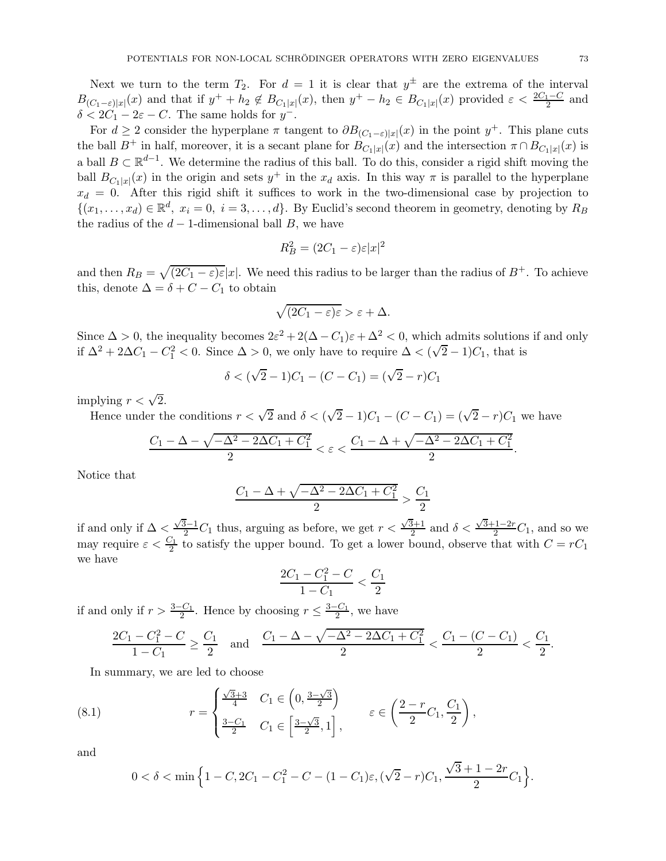Next we turn to the term  $T_2$ . For  $d = 1$  it is clear that  $y^{\pm}$  are the extrema of the interval  $B_{(C_1-\varepsilon)|x|}(x)$  and that if  $y^+ + h_2 \notin B_{C_1|x|}(x)$ , then  $y^+ - h_2 \in B_{C_1|x|}(x)$  provided  $\varepsilon < \frac{2C_1-C}{2}$  and  $\delta < 2C_1 - 2\varepsilon - C$ . The same holds for  $y^-$ .

For  $d \geq 2$  consider the hyperplane  $\pi$  tangent to  $\partial B_{(C_1-\varepsilon)|x|}(x)$  in the point  $y^+$ . This plane cuts the ball  $B^+$  in half, moreover, it is a secant plane for  $B_{C_1|x|}(x)$  and the intersection  $\pi \cap B_{C_1|x|}(x)$  is a ball  $B \subset \mathbb{R}^{d-1}$ . We determine the radius of this ball. To do this, consider a rigid shift moving the ball  $B_{C_1|x|}(x)$  in the origin and sets  $y^+$  in the  $x_d$  axis. In this way  $\pi$  is parallel to the hyperplane  $x_d = 0$ . After this rigid shift it suffices to work in the two-dimensional case by projection to  $\{(x_1,\ldots,x_d)\in\mathbb{R}^d, x_i=0, i=3,\ldots,d\}$ . By Euclid's second theorem in geometry, denoting by  $R_B$ the radius of the  $d-1$ -dimensional ball B, we have

$$
R_B^2 = (2C_1 - \varepsilon)\varepsilon|x|^2
$$

and then  $R_B = \sqrt{(2C_1 - \varepsilon)\varepsilon}|x|$ . We need this radius to be larger than the radius of  $B^+$ . To achieve this, denote  $\Delta = \delta + C - C_1$  to obtain

$$
\sqrt{(2C_1-\varepsilon)\varepsilon} > \varepsilon + \Delta.
$$

Since  $\Delta > 0$ , the inequality becomes  $2\varepsilon^2 + 2(\Delta - C_1)\varepsilon + \Delta^2 < 0$ , which admits solutions if and only if  $\Delta^2 + 2\Delta C_1 - C_1^2 < 0$ . Since  $\Delta > 0$ , we only have to require  $\Delta < (\sqrt{2} - 1)C_1$ , that is

$$
\delta < (\sqrt{2} - 1)C_1 - (C - C_1) = (\sqrt{2} - r)C_1
$$

implying  $r < \sqrt{2}$ .

Hence under the conditions  $r < \sqrt{2}$  and  $\delta < (\sqrt{2} - 1)C_1 - (C - C_1) = (\sqrt{2} - r)C_1$  we have

$$
\frac{C_1-\Delta-\sqrt{-\Delta^2-2\Delta C_1+C_1^2}}{2}<\varepsilon<\frac{C_1-\Delta+\sqrt{-\Delta^2-2\Delta C_1+C_1^2}}{2}.
$$

Notice that

$$
\frac{C_1 - \Delta + \sqrt{-\Delta^2 - 2\Delta C_1 + C_1^2}}{2} > \frac{C_1}{2}
$$

if and only if  $\Delta < \frac{\sqrt{3}-1}{2}C_1$  thus, arguing as before, we get  $r < \frac{\sqrt{3}+1}{2}$  $\frac{\overline{\delta}+1}{2}$  and  $\delta < \frac{\sqrt{3}+1-2r}{2}C_1$ , and so we may require  $\varepsilon < \frac{C_1}{2}$  to satisfy the upper bound. To get a lower bound, observe that with  $C = rC_1$ we have

$$
\frac{2C_1 - C_1^2 - C}{1 - C_1} < \frac{C_1}{2}
$$

if and only if  $r > \frac{3-C_1}{2}$ . Hence by choosing  $r \leq \frac{3-C_1}{2}$ , we have

$$
\frac{2C_1 - C_1^2 - C}{1 - C_1} \ge \frac{C_1}{2} \quad \text{and} \quad \frac{C_1 - \Delta - \sqrt{-\Delta^2 - 2\Delta C_1 + C_1^2}}{2} < \frac{C_1 - (C - C_1)}{2} < \frac{C_1}{2}.
$$

In summary, we are led to choose

(8.1) 
$$
r = \begin{cases} \frac{\sqrt{3}+3}{4} & C_1 \in \left(0, \frac{3-\sqrt{3}}{2}\right) \\ \frac{3-C_1}{2} & C_1 \in \left[\frac{3-\sqrt{3}}{2}, 1\right], \end{cases} \quad \varepsilon \in \left(\frac{2-r}{2}C_1, \frac{C_1}{2}\right),
$$

and

<span id="page-72-0"></span>
$$
0 < \delta < \min\Big\{1 - C, 2C_1 - C_1^2 - C - (1 - C_1)\varepsilon, (\sqrt{2} - r)C_1, \frac{\sqrt{3} + 1 - 2r}{2}C_1\Big\}.
$$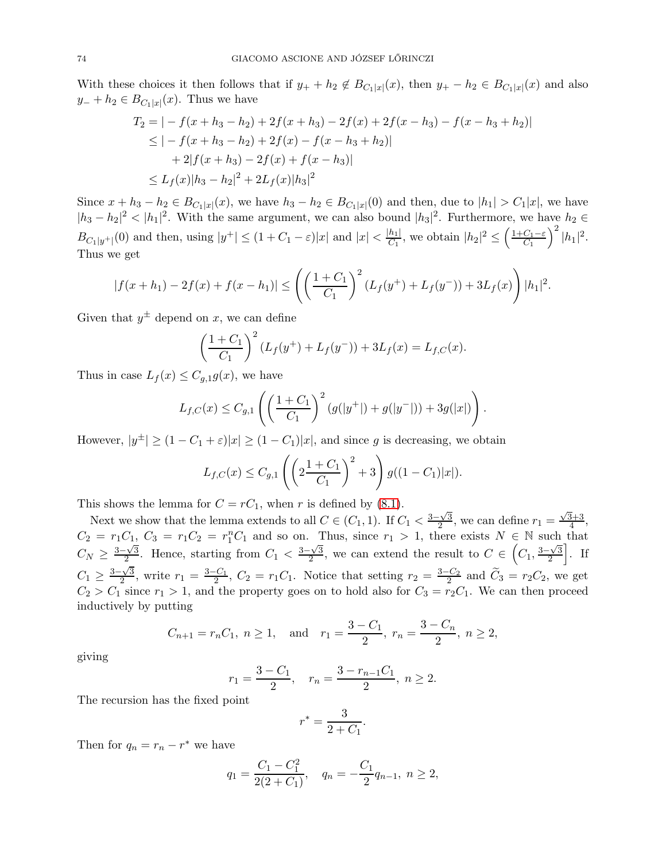With these choices it then follows that if  $y_+ + h_2 \notin B_{C_1|x|}(x)$ , then  $y_+ - h_2 \in B_{C_1|x|}(x)$  and also  $y_+ + h_2 \in B_{C_1|x|}(x)$ . Thus we have

$$
T_2 = |-f(x + h_3 - h_2) + 2f(x + h_3) - 2f(x) + 2f(x - h_3) - f(x - h_3 + h_2)|
$$
  
\n
$$
\leq |-f(x + h_3 - h_2) + 2f(x) - f(x - h_3 + h_2)|
$$
  
\n
$$
+ 2|f(x + h_3) - 2f(x) + f(x - h_3)|
$$
  
\n
$$
\leq L_f(x)|h_3 - h_2|^2 + 2L_f(x)|h_3|^2
$$

Since  $x + h_3 - h_2 \in B_{C_1|x|}(x)$ , we have  $h_3 - h_2 \in B_{C_1|x|}(0)$  and then, due to  $|h_1| > C_1|x|$ , we have  $|h_3 - h_2|^2 < |h_1|^2$ . With the same argument, we can also bound  $|h_3|^2$ . Furthermore, we have  $h_2 \in$  $B_{C_1|y^+|}(0)$  and then, using  $|y^+| \leq (1+C_1-\varepsilon)|x|$  and  $|x| < \frac{|h_1|}{C_1}$ , we obtain  $|h_2|^2 \leq \left(\frac{1+C_1-\varepsilon}{C_1}\right)$  $\Big)^2\, |h_1|^2.$ Thus we get

$$
|f(x+h_1)-2f(x)+f(x-h_1)| \leq \left(\left(\frac{1+C_1}{C_1}\right)^2 \left(L_f(y^+) + L_f(y^-)\right) + 3L_f(x)\right)|h_1|^2.
$$

Given that  $y^{\pm}$  depend on x, we can define

$$
\left(\frac{1+C_1}{C_1}\right)^2 \left(L_f(y^+) + L_f(y^-)\right) + 3L_f(x) = L_{f,C}(x).
$$

Thus in case  $L_f(x) \leq C_{g,1}g(x)$ , we have

$$
L_{f,C}(x) \leq C_{g,1}\left( \left(\frac{1+C_1}{C_1}\right)^2 \left(g(|y^+|) + g(|y^-|)\right) + 3g(|x|)\right).
$$

However,  $|y^{\pm}| \geq (1 - C_1 + \varepsilon)|x| \geq (1 - C_1)|x|$ , and since g is decreasing, we obtain

$$
L_{f,C}(x) \leq C_{g,1}\left(\left(2\frac{1+C_1}{C_1}\right)^2 + 3\right)g((1-C_1)|x|).
$$

This shows the lemma for  $C = rC_1$ , when r is defined by [\(8.1\)](#page-72-0).

Next we show that the lemma extends to all  $C \in (C_1, 1)$ . If  $C_1 < \frac{3-\sqrt{3}}{2}$  $\frac{\sqrt{3}}{2}$ , we can define  $r_1 = \frac{\sqrt{3}+3}{4}$  $\frac{3+3}{4}$ ,  $C_2 = r_1 C_1$ ,  $C_3 = r_1 C_2 = r_1^n C_1$  and so on. Thus, since  $r_1 > 1$ , there exists  $N \in \mathbb{N}$  such that  $C_N \geq \frac{3-\sqrt{3}}{2}$  $\frac{\sqrt{3}}{2}$ . Hence, starting from  $C_1 < \frac{3-\sqrt{3}}{2}$  $\frac{\sqrt{3}}{2}$ , we can extend the result to  $C \in \left(C_1, \frac{3-\sqrt{3}}{2}\right)$ 2  $\left| . \right|$  If  $C_1 \geq \frac{3-\sqrt{3}}{2}$  $\frac{\sqrt{3}}{2}$ , write  $r_1 = \frac{3-C_1}{2}$ ,  $C_2 = r_1C_1$ . Notice that setting  $r_2 = \frac{3-C_2}{2}$  and  $\tilde{C}_3 = r_2C_2$ , we get  $C_2 > C_1$  since  $r_1 > 1$ , and the property goes on to hold also for  $C_3 = r_2C_1$ . We can then proceed inductively by putting

$$
C_{n+1} = r_n C_1
$$
,  $n \ge 1$ , and  $r_1 = \frac{3 - C_1}{2}$ ,  $r_n = \frac{3 - C_n}{2}$ ,  $n \ge 2$ ,

giving

$$
r_1 = \frac{3 - C_1}{2}
$$
,  $r_n = \frac{3 - r_{n-1}C_1}{2}$ ,  $n \ge 2$ .

The recursion has the fixed point

$$
r^* = \frac{3}{2+C_1}.
$$

Then for  $q_n = r_n - r^*$  we have

$$
q_1 = \frac{C_1 - C_1^2}{2(2 + C_1)}, \quad q_n = -\frac{C_1}{2}q_{n-1}, \ n \ge 2,
$$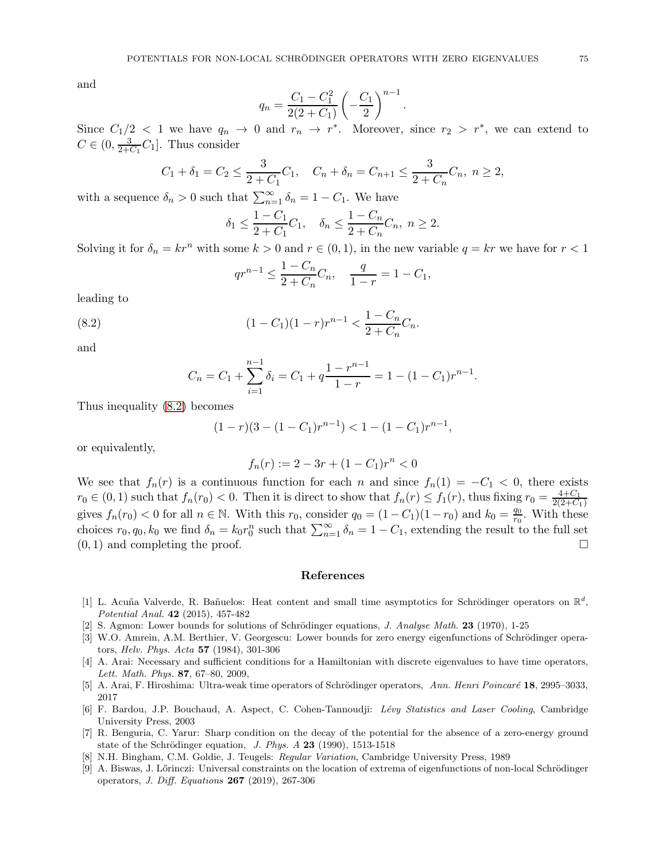and

$$
q_n = \frac{C_1 - C_1^2}{2(2 + C_1)} \left(-\frac{C_1}{2}\right)^{n-1}
$$

.

Since  $C_1/2 < 1$  we have  $q_n \to 0$  and  $r_n \to r^*$ . Moreover, since  $r_2 > r^*$ , we can extend to  $C \in (0, \frac{3}{2+6})$  $\frac{3}{2+C_1}C_1$ . Thus consider

$$
C_1 + \delta_1 = C_2 \le \frac{3}{2 + C_1} C_1
$$
,  $C_n + \delta_n = C_{n+1} \le \frac{3}{2 + C_n} C_n$ ,  $n \ge 2$ ,

with a sequence  $\delta_n > 0$  such that  $\sum_{n=1}^{\infty} \delta_n = 1 - C_1$ . We have

$$
\delta_1 \le \frac{1 - C_1}{2 + C_1} C_1
$$
,  $\delta_n \le \frac{1 - C_n}{2 + C_n} C_n$ ,  $n \ge 2$ .

Solving it for  $\delta_n = kr^n$  with some  $k > 0$  and  $r \in (0, 1)$ , in the new variable  $q = kr$  we have for  $r < 1$ 

<span id="page-74-0"></span>
$$
qr^{n-1} \leq \frac{1 - C_n}{2 + C_n}C_n
$$
,  $\frac{q}{1 - r} = 1 - C_1$ ,

leading to

(8.2) 
$$
(1 - C_1)(1 - r)r^{n-1} < \frac{1 - C_n}{2 + C_n}C_n.
$$

and

$$
C_n = C_1 + \sum_{i=1}^{n-1} \delta_i = C_1 + q \frac{1 - r^{n-1}}{1 - r} = 1 - (1 - C_1)r^{n-1}.
$$

Thus inequality [\(8.2\)](#page-74-0) becomes

$$
(1-r)(3-(1-C_1)r^{n-1}) < 1-(1-C_1)r^{n-1},
$$

or equivalently,

$$
f_n(r) := 2 - 3r + (1 - C_1)r^n < 0
$$

We see that  $f_n(r)$  is a continuous function for each n and since  $f_n(1) = -C_1 < 0$ , there exists  $r_0 \in (0,1)$  such that  $f_n(r_0) < 0$ . Then it is direct to show that  $f_n(r) \le f_1(r)$ , thus fixing  $r_0 = \frac{4+C_1}{2(2+C_1)}$  $2(2+C_1)$ gives  $f_n(r_0) < 0$  for all  $n \in \mathbb{N}$ . With this  $r_0$ , consider  $q_0 = (1 - C_1)(1 - r_0)$  and  $k_0 = \frac{q_0}{r_0}$  $\frac{q_0}{r_0}$ . With these choices  $r_0, q_0, k_0$  we find  $\delta_n = k_0 r_0^n$  such that  $\sum_{n=1}^{\infty} \delta_n = 1 - C_1$ , extending the result to the full set  $(0, 1)$  and completing the proof.

## References

- [1] L. Acuña Valverde, R. Bañuelos: Heat content and small time asymptotics for Schrödinger operators on  $\mathbb{R}^d$ , Potential Anal. 42 (2015), 457-482
- [2] S. Agmon: Lower bounds for solutions of Schrödinger equations, J. Analyse Math.  $23$  (1970), 1-25
- [3] W.O. Amrein, A.M. Berthier, V. Georgescu: Lower bounds for zero energy eigenfunctions of Schrödinger operators, Helv. Phys. Acta 57 (1984), 301-306
- [4] A. Arai: Necessary and sufficient conditions for a Hamiltonian with discrete eigenvalues to have time operators, Lett. Math. Phys. 87, 67–80, 2009,
- [5] A. Arai, F. Hiroshima: Ultra-weak time operators of Schrödinger operators, Ann. Henri Poincaré 18, 2995–3033, 2017
- [6] F. Bardou, J.P. Bouchaud, A. Aspect, C. Cohen-Tannoudji: Lévy Statistics and Laser Cooling, Cambridge University Press, 2003
- [7] R. Benguria, C. Yarur: Sharp condition on the decay of the potential for the absence of a zero-energy ground state of the Schrödinger equation, J. Phys.  $A$  23 (1990), 1513-1518
- [8] N.H. Bingham, C.M. Goldie, J. Teugels: Regular Variation, Cambridge University Press, 1989
- [9] A. Biswas, J. Lőrinczi: Universal constraints on the location of extrema of eigenfunctions of non-local Schrödinger operators, J. Diff. Equations  $267$  (2019), 267-306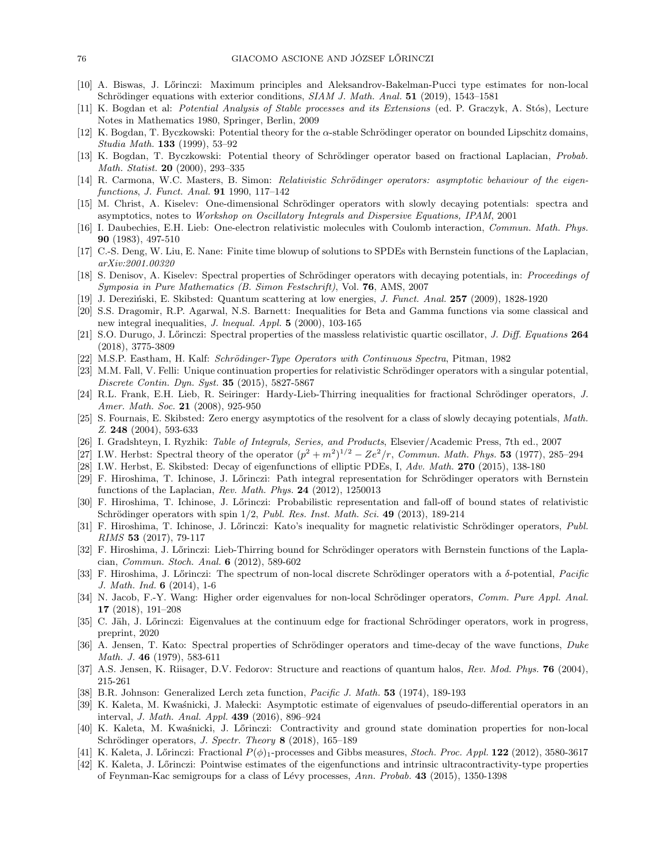- [10] A. Biswas, J. Lőrinczi: Maximum principles and Aleksandrov-Bakelman-Pucci type estimates for non-local Schrödinger equations with exterior conditions,  $SIAM J. Math. Anal. 51 (2019), 1543-1581$
- [11] K. Bogdan et al: *Potential Analysis of Stable processes and its Extensions* (ed. P. Graczyk, A. Stós), Lecture Notes in Mathematics 1980, Springer, Berlin, 2009
- [12] K. Bogdan, T. Byczkowski: Potential theory for the  $\alpha$ -stable Schrödinger operator on bounded Lipschitz domains, Studia Math. 133 (1999), 53–92
- [13] K. Bogdan, T. Byczkowski: Potential theory of Schrödinger operator based on fractional Laplacian, Probab. Math. Statist. **20** (2000), 293-335
- [14] R. Carmona, W.C. Masters, B. Simon: *Relativistic Schrödinger operators: asymptotic behaviour of the eigen*functions, J. Funct. Anal. 91 1990, 117–142
- [15] M. Christ, A. Kiselev: One-dimensional Schrödinger operators with slowly decaying potentials: spectra and asymptotics, notes to Workshop on Oscillatory Integrals and Dispersive Equations, IPAM, 2001
- [16] I. Daubechies, E.H. Lieb: One-electron relativistic molecules with Coulomb interaction, Commun. Math. Phys. 90 (1983), 497-510
- [17] C.-S. Deng, W. Liu, E. Nane: Finite time blowup of solutions to SPDEs with Bernstein functions of the Laplacian, arXiv:2001.00320
- [18] S. Denisov, A. Kiselev: Spectral properties of Schrödinger operators with decaying potentials, in: Proceedings of Symposia in Pure Mathematics (B. Simon Festschrift), Vol. 76, AMS, 2007
- [19] J. Dereziński, E. Skibsted: Quantum scattering at low energies, J. Funct. Anal. 257 (2009), 1828-1920
- [20] S.S. Dragomir, R.P. Agarwal, N.S. Barnett: Inequalities for Beta and Gamma functions via some classical and new integral inequalities, *J. lnequal. Appl.* **5** (2000), 103-165
- [21] S.O. Durugo, J. Lőrinczi: Spectral properties of the massless relativistic quartic oscillator, J. Diff. Equations 264 (2018), 3775-3809
- [22] M.S.P. Eastham, H. Kalf: Schrödinger-Type Operators with Continuous Spectra, Pitman, 1982
- [23] M.M. Fall, V. Felli: Unique continuation properties for relativistic Schrödinger operators with a singular potential, Discrete Contin. Dyn. Syst. 35 (2015), 5827-5867
- [24] R.L. Frank, E.H. Lieb, R. Seiringer: Hardy-Lieb-Thirring inequalities for fractional Schrödinger operators, J. Amer. Math. Soc. 21 (2008), 925-950
- [25] S. Fournais, E. Skibsted: Zero energy asymptotics of the resolvent for a class of slowly decaying potentials, Math. Z. 248 (2004), 593-633
- [26] I. Gradshteyn, I. Ryzhik: Table of Integrals, Series, and Products, Elsevier/Academic Press, 7th ed., 2007
- [27] I.W. Herbst: Spectral theory of the operator  $(p^2 + m^2)^{1/2} Ze^2/r$ , Commun. Math. Phys. 53 (1977), 285–294
- [28] I.W. Herbst, E. Skibsted: Decay of eigenfunctions of elliptic PDEs, I, Adv. Math. 270 (2015), 138-180
- [29] F. Hiroshima, T. Ichinose, J. Lőrinczi: Path integral representation for Schrödinger operators with Bernstein functions of the Laplacian, Rev. Math. Phys.  $24$  (2012), 1250013
- [30] F. Hiroshima, T. Ichinose, J. Lőrinczi: Probabilistic representation and fall-off of bound states of relativistic Schrödinger operators with spin  $1/2$ , *Publ. Res. Inst. Math. Sci.* 49 (2013), 189-214
- [31] F. Hiroshima, T. Ichinose, J. Lőrinczi: Kato's inequality for magnetic relativistic Schrödinger operators, Publ. RIMS 53 (2017), 79-117
- [32] F. Hiroshima, J. Lőrinczi: Lieb-Thirring bound for Schrödinger operators with Bernstein functions of the Laplacian, Commun. Stoch. Anal. 6 (2012), 589-602
- [33] F. Hiroshima, J. Lőrinczi: The spectrum of non-local discrete Schrödinger operators with a  $\delta$ -potential, Pacific J. Math. Ind. 6 (2014), 1-6
- [34] N. Jacob, F.-Y. Wang: Higher order eigenvalues for non-local Schrödinger operators, Comm. Pure Appl. Anal. 17 (2018), 191–208
- [35] C. Jäh, J. Lőrinczi: Eigenvalues at the continuum edge for fractional Schrödinger operators, work in progress, preprint, 2020
- [36] A. Jensen, T. Kato: Spectral properties of Schrödinger operators and time-decay of the wave functions, Duke Math. J. 46 (1979), 583-611
- [37] A.S. Jensen, K. Riisager, D.V. Fedorov: Structure and reactions of quantum halos, Rev. Mod. Phys. 76 (2004), 215-261
- [38] B.R. Johnson: Generalized Lerch zeta function, *Pacific J. Math.* 53 (1974), 189-193
- [39] K. Kaleta, M. Kwaśnicki, J. Małecki: Asymptotic estimate of eigenvalues of pseudo-differential operators in an interval, J. Math. Anal. Appl. 439 (2016), 896–924
- [40] K. Kaleta, M. Kwaśnicki, J. Lőrinczi: Contractivity and ground state domination properties for non-local Schrödinger operators, J. Spectr. Theory 8 (2018), 165-189
- [41] K. Kaleta, J. Lőrinczi: Fractional  $P(\phi)$ <sub>1</sub>-processes and Gibbs measures, Stoch. Proc. Appl. **122** (2012), 3580-3617
- [42] K. Kaleta, J. L˝orinczi: Pointwise estimates of the eigenfunctions and intrinsic ultracontractivity-type properties of Feynman-Kac semigroups for a class of Lévy processes, Ann. Probab. 43 (2015), 1350-1398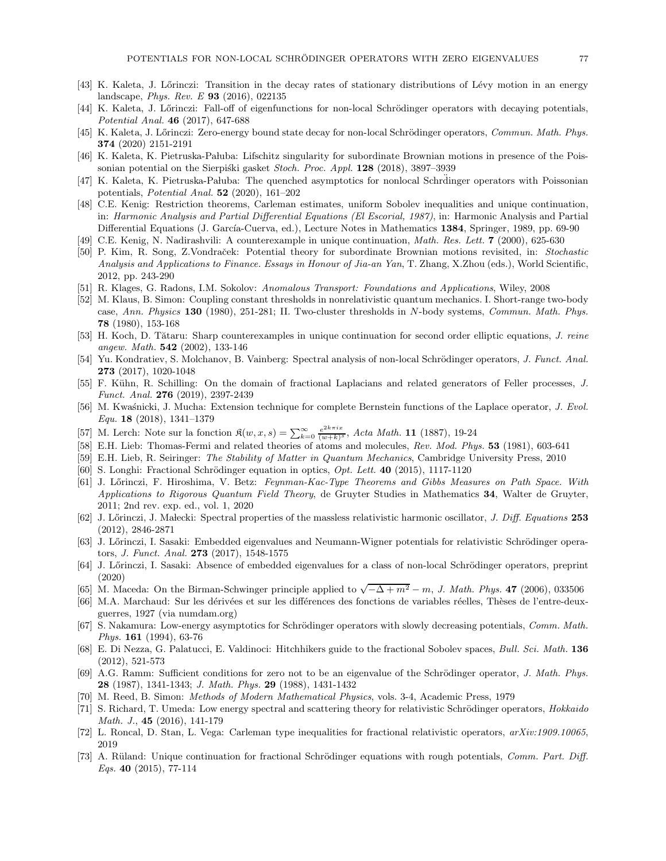- [43] K. Kaleta, J. Lőrinczi: Transition in the decay rates of stationary distributions of Lévy motion in an energy landscape, Phys. Rev. E 93 (2016), 022135
- [44] K. Kaleta, J. Lőrinczi: Fall-off of eigenfunctions for non-local Schrödinger operators with decaying potentials, Potential Anal. 46 (2017), 647-688
- [45] K. Kaleta, J. Lőrinczi: Zero-energy bound state decay for non-local Schrödinger operators, Commun. Math. Phys. 374 (2020) 2151-2191
- [46] K. Kaleta, K. Pietruska-Pałuba: Lifschitz singularity for subordinate Brownian motions in presence of the Poissonian potential on the Sierpiski gasket *Stoch. Proc. Appl.* **128** (2018), 3897–3939
- [47] K. Kaleta, K. Pietruska-Pałuba: The quenched asymptotics for nonlocal Schrdinger operators with Poissonian potentials, Potential Anal. 52 (2020), 161–202
- [48] C.E. Kenig: Restriction theorems, Carleman estimates, uniform Sobolev inequalities and unique continuation, in: Harmonic Analysis and Partial Differential Equations (El Escorial, 1987), in: Harmonic Analysis and Partial Differential Equations (J. García-Cuerva, ed.), Lecture Notes in Mathematics 1384, Springer, 1989, pp. 69-90
- [49] C.E. Kenig, N. Nadirashvili: A counterexample in unique continuation, *Math. Res. Lett.* **7** (2000), 625-630
- [50] P. Kim, R. Song, Z.Vondraček: Potential theory for subordinate Brownian motions revisited, in: Stochastic Analysis and Applications to Finance. Essays in Honour of Jia-an Yan, T. Zhang, X.Zhou (eds.), World Scientific, 2012, pp. 243-290
- [51] R. Klages, G. Radons, I.M. Sokolov: Anomalous Transport: Foundations and Applications, Wiley, 2008
- [52] M. Klaus, B. Simon: Coupling constant thresholds in nonrelativistic quantum mechanics. I. Short-range two-body case, Ann. Physics 130 (1980), 251-281; II. Two-cluster thresholds in N-body systems, Commun. Math. Phys. 78 (1980), 153-168
- [53] H. Koch, D. Tătaru: Sharp counterexamples in unique continuation for second order elliptic equations, J. reine angew. Math. 542 (2002), 133-146
- [54] Yu. Kondratiev, S. Molchanov, B. Vainberg: Spectral analysis of non-local Schrödinger operators, J. Funct. Anal. 273 (2017), 1020-1048
- [55] F. Kühn, R. Schilling: On the domain of fractional Laplacians and related generators of Feller processes, J. Funct. Anal. 276 (2019), 2397-2439
- [56] M. Kwaśnicki, J. Mucha: Extension technique for complete Bernstein functions of the Laplace operator, J. Evol. Equ. 18 (2018), 1341–1379
- [57] M. Lerch: Note sur la fonction  $\mathfrak{K}(w, x, s) = \sum_{k=0}^{\infty} \frac{e^{2k\pi ix}}{(w+k)^s}$  $\frac{e^{2k\pi ix}}{(w+k)^s}$ , Acta Math. **11** (1887), 19-24
- [58] E.H. Lieb: Thomas-Fermi and related theories of atoms and molecules, Rev. Mod. Phys. 53 (1981), 603-641
- [59] E.H. Lieb, R. Seiringer: The Stability of Matter in Quantum Mechanics, Cambridge University Press, 2010
- [60] S. Longhi: Fractional Schrödinger equation in optics,  $Opt.$  Lett. 40 (2015), 1117-1120
- [61] J. L˝orinczi, F. Hiroshima, V. Betz: Feynman-Kac-Type Theorems and Gibbs Measures on Path Space. With Applications to Rigorous Quantum Field Theory, de Gruyter Studies in Mathematics 34, Walter de Gruyter, 2011; 2nd rev. exp. ed., vol. 1, 2020
- [62] J. Lőrinczi, J. Małecki: Spectral properties of the massless relativistic harmonic oscillator, J. Diff. Equations 253 (2012), 2846-2871
- [63] J. Lőrinczi, I. Sasaki: Embedded eigenvalues and Neumann-Wigner potentials for relativistic Schrödinger operators, J. Funct. Anal. 273 (2017), 1548-1575
- [64] J. Lőrinczi, I. Sasaki: Absence of embedded eigenvalues for a class of non-local Schrödinger operators, preprint (2020)
- [65] M. Maceda: On the Birman-Schwinger principle applied to  $\sqrt{-\Delta+m^2}-m$ , J. Math. Phys. 47 (2006), 033506
- [66] M.A. Marchaud: Sur les dérivées et sur les différences des fonctions de variables réelles, Thèses de l'entre-deuxguerres, 1927 (via numdam.org)
- [67] S. Nakamura: Low-energy asymptotics for Schrödinger operators with slowly decreasing potentials, Comm. Math. Phys. 161 (1994), 63-76
- [68] E. Di Nezza, G. Palatucci, E. Valdinoci: Hitchhikers guide to the fractional Sobolev spaces, Bull. Sci. Math. 136 (2012), 521-573
- [69] A.G. Ramm: Sufficient conditions for zero not to be an eigenvalue of the Schrödinger operator, J. Math. Phys. 28 (1987), 1341-1343; J. Math. Phys. 29 (1988), 1431-1432
- [70] M. Reed, B. Simon: Methods of Modern Mathematical Physics, vols. 3-4, Academic Press, 1979
- [71] S. Richard, T. Umeda: Low energy spectral and scattering theory for relativistic Schrödinger operators, Hokkaido Math. J., 45 (2016), 141-179
- [72] L. Roncal, D. Stan, L. Vega: Carleman type inequalities for fractional relativistic operators, arXiv:1909.10065, 2019
- [73] A. Rüland: Unique continuation for fractional Schrödinger equations with rough potentials, Comm. Part. Diff. Eqs. 40 (2015), 77-114